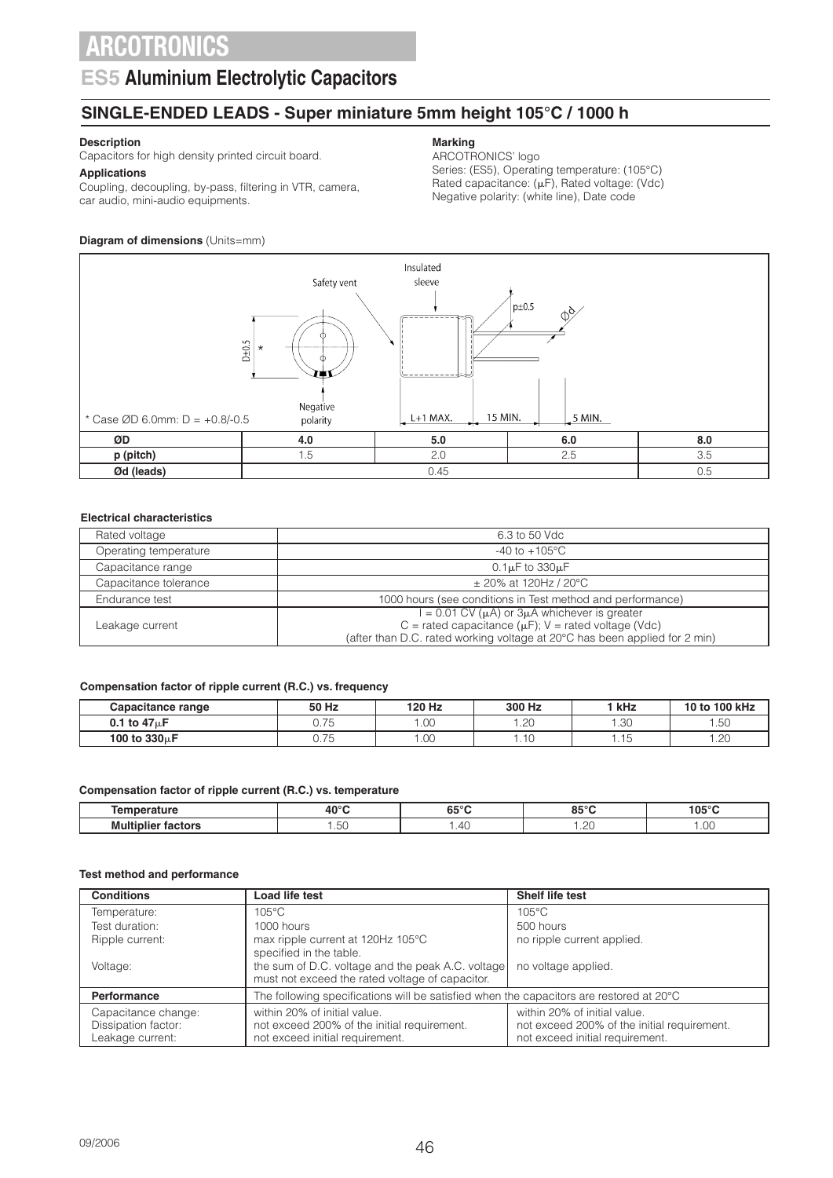### **ES5 Aluminium Electrolytic Capacitors**

### **SINGLE-ENDED LEADS - Super miniature 5mm height 105°C / 1000 h**

### **Description**

Capacitors for high density printed circuit board. **Applications**

Coupling, decoupling, by-pass, filtering in VTR, camera,

### **Marking**

ARCOTRONICS' logo

Series: (ES5), Operating temperature: (105°C) Rated capacitance:  $(\mu F)$ , Rated voltage: (Vdc) Negative polarity: (white line), Date code

#### **Diagram of dimensions** (Units=mm)

car audio, mini-audio equipments.



#### **Electrical characteristics**

| 6.3 to 50 Vdc                                                                                                                           |
|-----------------------------------------------------------------------------------------------------------------------------------------|
| $-40$ to $+105^{\circ}$ C                                                                                                               |
| $0.1\mu$ F to $330\mu$ F                                                                                                                |
| $\pm$ 20% at 120Hz / 20°C                                                                                                               |
| 1000 hours (see conditions in Test method and performance)                                                                              |
| $= 0.01$ CV $(\mu A)$ or 3 $\mu A$ whichever is greater                                                                                 |
| C = rated capacitance ( $\mu$ F); V = rated voltage (Vdc)<br>(after than D.C. rated working voltage at 20°C has been applied for 2 min) |
|                                                                                                                                         |

#### **Compensation factor of ripple current (R.C.) vs. frequency**

| Capacitance range         | 50 Hz                              | 120 Hz | 300 Hz              | kHz          | 10 to 100 kHz  |
|---------------------------|------------------------------------|--------|---------------------|--------------|----------------|
| 0.1 to $47\mu$ F          | $\overline{\phantom{a}}$<br>U. I J | .00    | $\sim$<br>∪∠.       | -30<br>טט. ו | $ \sim$<br>.5U |
| 100 to 330 <sub>u</sub> F | $\overline{\phantom{a}}$<br>U. I U | .00.   | $\overline{A}$<br>. | $\sim$       | ററ<br>ں ے .    |

#### **Compensation factor of ripple current (R.C.) vs. temperature**

| <b>Contract</b><br>---------   | $A \cap C$    | <b>CEO</b><br>໐ວ | $0F^{0}$<br>.<br>u. | $\cdots$<br>$\mathbf{A}$ |
|--------------------------------|---------------|------------------|---------------------|--------------------------|
| - Multis I<br>----<br><br>____ | $\sim$<br>…∪∪ | $\Delta$         | $\sim$<br>.         | $\cap$<br>1.00           |

#### **Test method and performance**

| <b>Conditions</b>                                              | Load life test                                                                                                 | Shelf life test                                                                                                |
|----------------------------------------------------------------|----------------------------------------------------------------------------------------------------------------|----------------------------------------------------------------------------------------------------------------|
| Temperature:                                                   | $105^{\circ}$ C                                                                                                | $105^{\circ}$ C                                                                                                |
| Test duration:                                                 | 1000 hours                                                                                                     | 500 hours                                                                                                      |
| Ripple current:                                                | max ripple current at 120Hz 105°C<br>specified in the table.                                                   | no ripple current applied.                                                                                     |
| Voltage:                                                       | the sum of D.C. voltage and the peak A.C. voltage<br>must not exceed the rated voltage of capacitor.           | no voltage applied.                                                                                            |
| <b>Performance</b>                                             | The following specifications will be satisfied when the capacitors are restored at 20°C                        |                                                                                                                |
| Capacitance change:<br>Dissipation factor:<br>Leakage current: | within 20% of initial value.<br>not exceed 200% of the initial requirement.<br>not exceed initial requirement. | within 20% of initial value.<br>not exceed 200% of the initial requirement.<br>not exceed initial requirement. |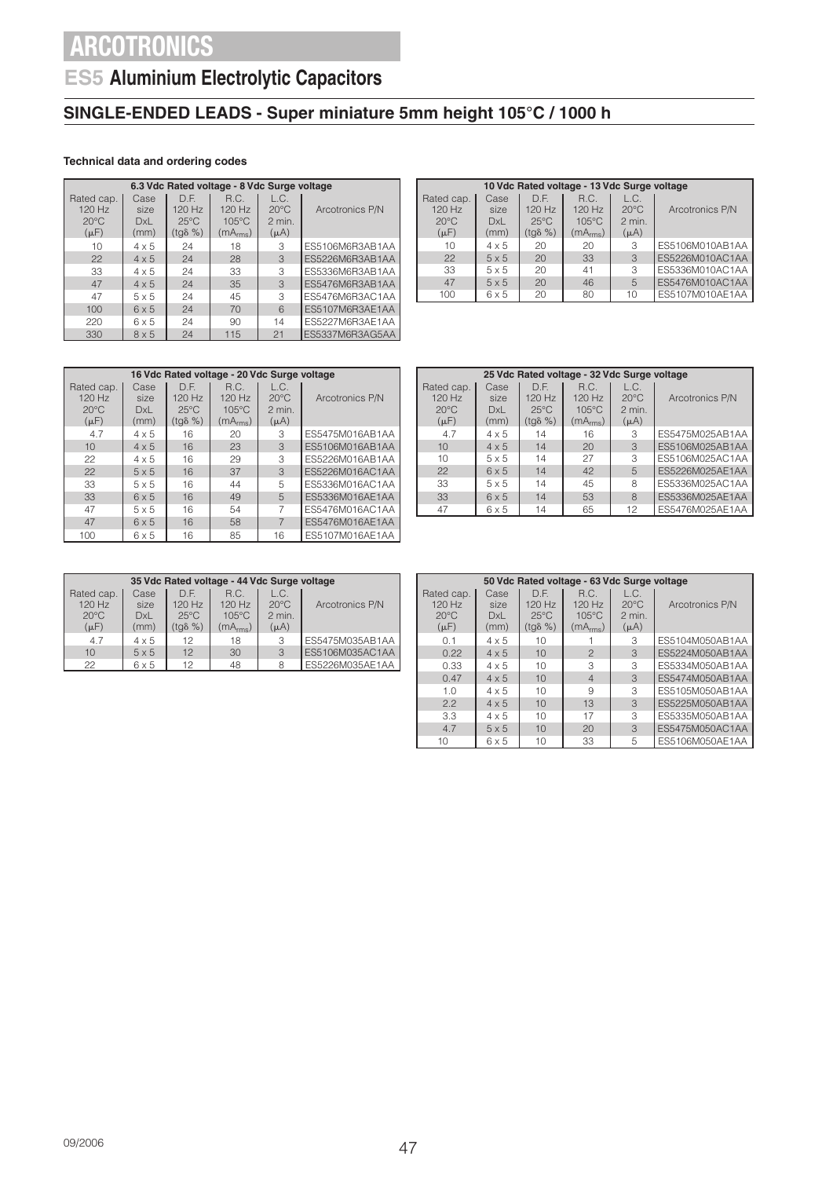## **ES5 Aluminium Electrolytic Capacitors**

### **SINGLE-ENDED LEADS - Super miniature 5mm height 105°C / 1000 h**

#### **Technical data and ordering codes**

|                                                       | 6.3 Vdc Rated voltage - 8 Vdc Surge voltage |                                                        |                                                             |                                               |                 |  |  |  |
|-------------------------------------------------------|---------------------------------------------|--------------------------------------------------------|-------------------------------------------------------------|-----------------------------------------------|-----------------|--|--|--|
| Rated cap.<br>$120$ Hz<br>$20^{\circ}$ C<br>$(\mu F)$ | Case<br>size<br><b>DxL</b><br>(mm)          | D.F.<br>$120$ Hz<br>$25^{\circ}$ C<br>$(tq\delta \% )$ | R.C.<br>$120$ Hz<br>$105^{\circ}$ C<br>(mA <sub>rms</sub> ) | L.C.<br>$20^{\circ}$ C<br>2 min.<br>$(\mu A)$ | Arcotronics P/N |  |  |  |
| 10                                                    | $4 \times 5$                                | 24                                                     | 18                                                          | 3                                             | ES5106M6R3AB1AA |  |  |  |
| 22                                                    | $4 \times 5$                                | 24                                                     | 28                                                          | 3                                             | ES5226M6R3AB1AA |  |  |  |
| 33                                                    | $4 \times 5$                                | 24                                                     | 33                                                          | 3                                             | ES5336M6R3AB1AA |  |  |  |
| 47                                                    | $4 \times 5$                                | 24                                                     | 35                                                          | 3                                             | ES5476M6R3AB1AA |  |  |  |
| 47                                                    | $5 \times 5$                                | 24                                                     | 45                                                          | 3                                             | ES5476M6R3AC1AA |  |  |  |
| 100                                                   | $6 \times 5$                                | 24                                                     | 70                                                          | 6                                             | ES5107M6R3AE1AA |  |  |  |
| 220                                                   | $6 \times 5$                                | 24                                                     | 90                                                          | 14                                            | ES5227M6R3AE1AA |  |  |  |
| 330                                                   | $8 \times 5$                                | 24                                                     | 115                                                         | 21                                            | ES5337M6R3AG5AA |  |  |  |

| 10 Vdc Rated voltage - 13 Vdc Surge voltage |              |                  |                      |                |                 |  |  |
|---------------------------------------------|--------------|------------------|----------------------|----------------|-----------------|--|--|
| Rated cap.                                  | Case         | D.F.             | R.C.                 | L.C.           |                 |  |  |
| 120 Hz                                      | size         | 120 Hz           | $120$ Hz             | $20^{\circ}$ C | Arcotronics P/N |  |  |
| $20^{\circ}$ C                              | <b>DxL</b>   | $25^{\circ}$ C   | $105^{\circ}$ C      | $2$ min.       |                 |  |  |
| $(\mu F)$                                   | (mm)         | $(tq\delta \% )$ | (mA <sub>rms</sub> ) | $(\mu A)$      |                 |  |  |
| 10                                          | $4 \times 5$ | 20               | 20                   | 3              | ES5106M010AB1AA |  |  |
| 22                                          | $5 \times 5$ | 20               | 33                   | 3              | ES5226M010AC1AA |  |  |
| 33                                          | $5 \times 5$ | 20               | 41                   | 3              | ES5336M010AC1AA |  |  |
| 47                                          | $5 \times 5$ | 20               | 46                   | 5              | ES5476M010AC1AA |  |  |
| 100                                         | $6 \times 5$ | 20               | 80                   | 10             | ES5107M010AE1AA |  |  |

|                                                       | 16 Vdc Rated voltage - 20 Vdc Surge voltage |                                                      |                                                             |                                                 |                 |  |  |  |
|-------------------------------------------------------|---------------------------------------------|------------------------------------------------------|-------------------------------------------------------------|-------------------------------------------------|-----------------|--|--|--|
| Rated cap.<br>$120$ Hz<br>$20^{\circ}$ C<br>$(\mu F)$ | Case<br>size<br>DxL<br>(mm)                 | DE<br>$120$ Hz<br>$25^{\circ}$ C<br>$(tq\delta \% )$ | R.C.<br>$120$ Hz<br>$105^{\circ}$ C<br>(mA <sub>rms</sub> ) | L.C.<br>$20^{\circ}$ C<br>$2$ min.<br>$(\mu A)$ | Arcotronics P/N |  |  |  |
| 4.7                                                   | $4 \times 5$                                | 16                                                   | 20                                                          | 3                                               | ES5475M016AB1AA |  |  |  |
| 10                                                    | $4 \times 5$                                | 16                                                   | 23                                                          | 3                                               | ES5106M016AB1AA |  |  |  |
| 22                                                    | $4 \times 5$                                | 16                                                   | 29                                                          | 3                                               | ES5226M016AB1AA |  |  |  |
| 22                                                    | $5 \times 5$                                | 16                                                   | 37                                                          | 3                                               | ES5226M016AC1AA |  |  |  |
| 33                                                    | $5 \times 5$                                | 16                                                   | 44                                                          | 5                                               | ES5336M016AC1AA |  |  |  |
| 33                                                    | $6 \times 5$                                | 16                                                   | 49                                                          | 5                                               | ES5336M016AE1AA |  |  |  |
| 47                                                    | $5 \times 5$                                | 16                                                   | 54                                                          |                                                 | ES5476M016AC1AA |  |  |  |
| 47                                                    | 6x5                                         | 16                                                   | 58                                                          |                                                 | ES5476M016AE1AA |  |  |  |
| 100                                                   | $6 \times 5$                                | 16                                                   | 85                                                          | 16                                              | ES5107M016AE1AA |  |  |  |

| 25 Vdc Rated voltage - 32 Vdc Surge voltage         |                             |                                             |                                                             |                                               |                 |  |  |
|-----------------------------------------------------|-----------------------------|---------------------------------------------|-------------------------------------------------------------|-----------------------------------------------|-----------------|--|--|
| Rated cap.<br>120 Hz<br>$20^{\circ}$ C<br>$(\mu F)$ | Case<br>size<br>DxL<br>(mm) | D.F.<br>120 Hz<br>$25^{\circ}$ C<br>(tgδ %) | R.C.<br>$120$ Hz<br>$105^{\circ}$ C<br>(mA <sub>rms</sub> ) | L.C.<br>$20^{\circ}$ C<br>2 min.<br>$(\mu A)$ | Arcotronics P/N |  |  |
| 4.7                                                 | $4 \times 5$                | 14                                          | 16                                                          | 3                                             | ES5475M025AB1AA |  |  |
| 10                                                  | $4 \times 5$                | 14                                          | 20                                                          | 3                                             | ES5106M025AB1AA |  |  |
| 10                                                  | $5 \times 5$                | 14                                          | 27                                                          | 3                                             | ES5106M025AC1AA |  |  |
| 22                                                  | 6x5                         | 14                                          | 42                                                          | 5                                             | ES5226M025AE1AA |  |  |
| 33                                                  | $5 \times 5$                | 14                                          | 45                                                          | 8                                             | ES5336M025AC1AA |  |  |
| 33                                                  | $6 \times 5$                | 14                                          | 53                                                          | 8                                             | ES5336M025AE1AA |  |  |
| 47                                                  | 6 x 5                       | 14                                          | 65                                                          | 12                                            | ES5476M025AE1AA |  |  |

| 35 Vdc Rated voltage - 44 Vdc Surge voltage |              |                  |                      |                |                 |  |
|---------------------------------------------|--------------|------------------|----------------------|----------------|-----------------|--|
| Rated cap.                                  | Case         | DE               | R.C.                 | L.C.           |                 |  |
| $120$ Hz                                    | size         | $120$ Hz         | $120$ Hz             | $20^{\circ}$ C | Arcotronics P/N |  |
| $20^{\circ}$ C                              | DxL          | $25^{\circ}$ C   | $105^{\circ}$ C      | $2$ min.       |                 |  |
| $(\mu F)$                                   | (mm)         | $(tq\delta \% )$ | (mA <sub>rms</sub> ) | $(\mu A)$      |                 |  |
| 4.7                                         | $4 \times 5$ | 12               | 18                   | 3              | ES5475M035AB1AA |  |
| 10                                          | $5 \times 5$ | 12               | 30                   | 3              | ES5106M035AC1AA |  |
| 22                                          | $6 \times 5$ | 12               | 48                   | 8              | ES5226M035AE1AA |  |

|                | 50 Vdc Rated voltage - 63 Vdc Surge voltage |                  |                          |                |                 |  |  |  |
|----------------|---------------------------------------------|------------------|--------------------------|----------------|-----------------|--|--|--|
| Rated cap.     | Case                                        | D.F.             | R.C.                     | L.C.           |                 |  |  |  |
| 120 Hz         | size                                        | $120$ Hz         | $120$ Hz                 | $20^{\circ}$ C | Arcotronics P/N |  |  |  |
| $20^{\circ}$ C | DxL                                         | $25^{\circ}$ C   | $105^{\circ}$ C          | $2$ min.       |                 |  |  |  |
| $(\mu F)$      | (mm)                                        | $(tq\delta \% )$ | (mA <sub>rms</sub> )     | $(\mu A)$      |                 |  |  |  |
| 0.1            | $4 \times 5$                                | 10               |                          | З              | ES5104M050AB1AA |  |  |  |
| 0.22           | $4 \times 5$                                | 10               | $\mathcal{P}$            | 3              | ES5224M050AB1AA |  |  |  |
| 0.33           | $4 \times 5$                                | 10               | 3                        | 3              | ES5334M050AB1AA |  |  |  |
| 0.47           | $4 \times 5$                                | 10               | $\overline{\mathcal{A}}$ | 3              | FS5474M050AB1AA |  |  |  |
| 1.0            | $4 \times 5$                                | $10^{-1}$        | 9                        | 3              | ES5105M050AB1AA |  |  |  |
| 2.2            | $4 \times 5$                                | 10               | 13                       | 3              | ES5225M050AB1AA |  |  |  |
| 3.3            | $4 \times 5$                                | $10^{-1}$        | 17                       | З              | ES5335M050AB1AA |  |  |  |
| 4.7            | $5 \times 5$                                | 10               | 20                       | 3              | ES5475M050AC1AA |  |  |  |
| 10             | 6 x 5                                       | 10               | 33                       | 5              | ES5106M050AE1AA |  |  |  |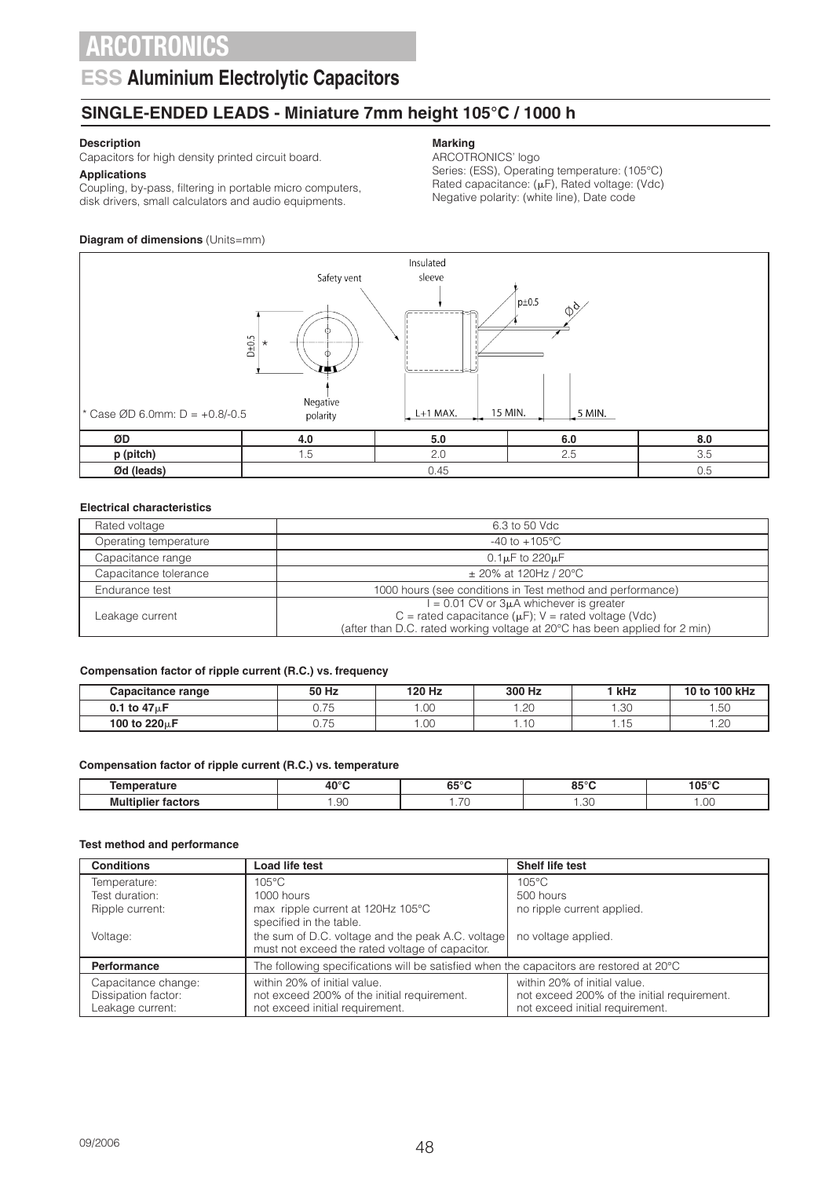### **ESS Aluminium Electrolytic Capacitors**

### **SINGLE-ENDED LEADS - Miniature 7mm height 105°C / 1000 h**

### **Description**

Capacitors for high density printed circuit board.

**Applications** Coupling, by-pass, filtering in portable micro computers, disk drivers, small calculators and audio equipments.

### **Diagram of dimensions (Units=mm)**

### **Marking**

ARCOTRONICS' logo

Series: (ESS), Operating temperature: (105°C) Rated capacitance:  $(\mu F)$ , Rated voltage: (Vdc) Negative polarity: (white line), Date code



#### **Electrical characteristics**

| Rated voltage         | 6.3 to 50 Vdc                                                                                                                           |
|-----------------------|-----------------------------------------------------------------------------------------------------------------------------------------|
| Operating temperature | $-40$ to $+105^{\circ}$ C                                                                                                               |
| Capacitance range     | $0.1\mu$ F to 220 $\mu$ F                                                                                                               |
| Capacitance tolerance | $\pm$ 20% at 120Hz / 20°C                                                                                                               |
| Endurance test        | 1000 hours (see conditions in Test method and performance)                                                                              |
|                       | $= 0.01$ CV or $3\mu A$ whichever is greater                                                                                            |
| Leakage current       | C = rated capacitance ( $\mu$ F); V = rated voltage (Vdc)<br>(after than D.C. rated working voltage at 20°C has been applied for 2 min) |

#### **Compensation factor of ripple current (R.C.) vs. frequency**

| Capacitance range         | 50 Hz          | 120 Hz | 300 Hz | ' kHz       | 10 to 100 kHz |
|---------------------------|----------------|--------|--------|-------------|---------------|
| 0.1 to $47\mu$ F          | - 75<br>U. I J | .00    | .20    | - 30<br>.טט | $\sim$<br>.5U |
| 100 to 220 <sub>u</sub> F | 75<br>U. I J   | .00    | .10    | .           | ാറ<br>ں ے .   |

#### **Compensation factor of ripple current (R.C.) vs. temperature**

| . <i>.</i><br>יסג                       | $40^{\circ}$ C | 65 $^{\circ}$ C | 0.50C<br>.      | $105^\circ$ C    |
|-----------------------------------------|----------------|-----------------|-----------------|------------------|
| <b>Multiplier f</b><br>.<br>™τors<br>ıa | .90            | $\sim$ $\sim$   | $\cap$<br>ںں. ، | $\cap$<br>$\sim$ |

#### **Test method and performance**

| <b>Conditions</b>                                              | Load life test                                                                                                                                                                                                                   | <b>Shelf life test</b>     |
|----------------------------------------------------------------|----------------------------------------------------------------------------------------------------------------------------------------------------------------------------------------------------------------------------------|----------------------------|
| Temperature:                                                   | $105^{\circ}$ C                                                                                                                                                                                                                  | $105^{\circ}$ C            |
| Test duration:                                                 | 1000 hours                                                                                                                                                                                                                       | 500 hours                  |
| Ripple current:                                                | max ripple current at 120Hz 105°C                                                                                                                                                                                                | no ripple current applied. |
|                                                                | specified in the table.                                                                                                                                                                                                          |                            |
| Voltage:                                                       | the sum of D.C. voltage and the peak A.C. voltage<br>must not exceed the rated voltage of capacitor.                                                                                                                             | no voltage applied.        |
| Performance                                                    | The following specifications will be satisfied when the capacitors are restored at 20°C                                                                                                                                          |                            |
| Capacitance change:<br>Dissipation factor:<br>Leakage current: | within 20% of initial value.<br>within 20% of initial value.<br>not exceed 200% of the initial requirement.<br>not exceed 200% of the initial requirement.<br>not exceed initial requirement.<br>not exceed initial requirement. |                            |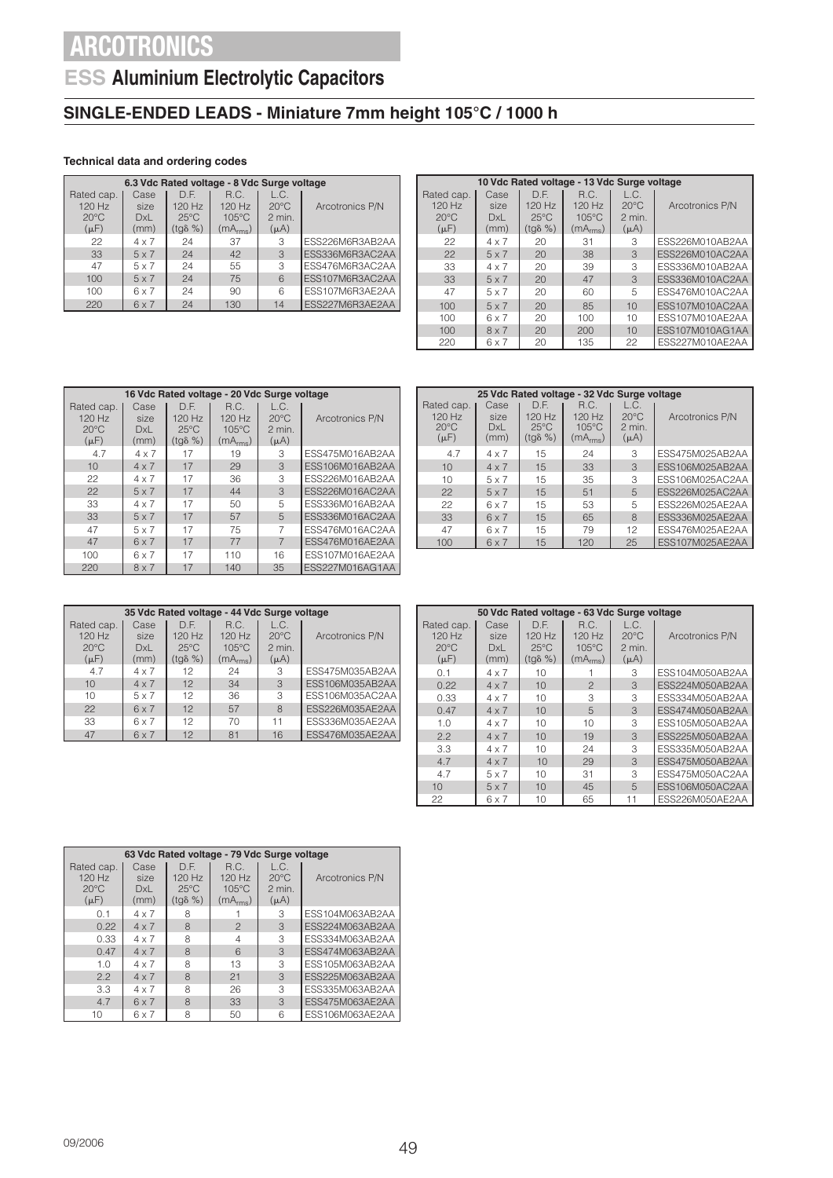## **ESS Aluminium Electrolytic Capacitors**

### **SINGLE-ENDED LEADS - Miniature 7mm height 105°C / 1000 h**

#### **Technical data and ordering codes**

| 6.3 Vdc Rated voltage - 8 Vdc Surge voltage           |                             |                                                      |                                                             |                                               |                 |  |  |
|-------------------------------------------------------|-----------------------------|------------------------------------------------------|-------------------------------------------------------------|-----------------------------------------------|-----------------|--|--|
| Rated cap.<br>$120$ Hz<br>$20^{\circ}$ C<br>$(\mu F)$ | Case<br>size<br>DxL<br>(mm) | D.F.<br>120 Hz<br>$25^{\circ}$ C<br>$(tq\delta \% )$ | R.C.<br>$120$ Hz<br>$105^{\circ}$ C<br>(mA <sub>rms</sub> ) | L.C.<br>$20^{\circ}$ C<br>2 min.<br>$(\mu A)$ | Arcotronics P/N |  |  |
| 22                                                    | $4 \times 7$                | 24                                                   | 37                                                          | 3                                             | ESS226M6R3AB2AA |  |  |
| 33                                                    | $5 \times 7$                | 24                                                   | 42                                                          | 3                                             | ESS336M6R3AC2AA |  |  |
| 47                                                    | $5 \times 7$                | 24                                                   | 55                                                          | 3                                             | ESS476M6R3AC2AA |  |  |
| 100                                                   | 5x7                         | 24                                                   | 75                                                          | 6                                             | ESS107M6R3AC2AA |  |  |
| 100                                                   | 6x7                         | 24                                                   | 90                                                          | 6                                             | ESS107M6R3AE2AA |  |  |
| 220                                                   | $6 \times 7$                | 24                                                   | 130                                                         | 14                                            | ESS227M6R3AE2AA |  |  |

|                                                       | 10 Vdc Rated voltage - 13 Vdc Surge voltage |                                                      |                                                             |                                                 |                 |  |  |  |
|-------------------------------------------------------|---------------------------------------------|------------------------------------------------------|-------------------------------------------------------------|-------------------------------------------------|-----------------|--|--|--|
| Rated cap.<br>$120$ Hz<br>$20^{\circ}$ C<br>$(\mu F)$ | Case<br>size<br><b>DxL</b><br>(mm)          | D.F.<br>120 Hz<br>$25^{\circ}$ C<br>$(tq\delta \% )$ | R.C.<br>$120$ Hz<br>$105^{\circ}$ C<br>(mA <sub>rms</sub> ) | L.C.<br>$20^{\circ}$ C<br>$2$ min.<br>$(\mu A)$ | Arcotronics P/N |  |  |  |
| 22                                                    | $4 \times 7$                                | 20                                                   | 31                                                          | 3                                               | ESS226M010AB2AA |  |  |  |
| 22                                                    | $5 \times 7$                                | 20                                                   | 38                                                          | 3                                               | ESS226M010AC2AA |  |  |  |
| 33                                                    | $4 \times 7$                                | 20                                                   | 39                                                          | 3                                               | ESS336M010AB2AA |  |  |  |
| 33                                                    | $5 \times 7$                                | 20                                                   | 47                                                          | 3                                               | ESS336M010AC2AA |  |  |  |
| 47                                                    | $5 \times 7$                                | 20                                                   | 60                                                          | 5                                               | ESS476M010AC2AA |  |  |  |
| 100                                                   | $5 \times 7$                                | 20                                                   | 85                                                          | 10                                              | ESS107M010AC2AA |  |  |  |
| 100                                                   | $6 \times 7$                                | 20                                                   | 100                                                         | 10                                              | ESS107M010AE2AA |  |  |  |
| 100                                                   | $8 \times 7$                                | 20                                                   | 200                                                         | 10                                              | ESS107M010AG1AA |  |  |  |
| 220                                                   | $6 \times 7$                                | 20                                                   | 135                                                         | 22                                              | ESS227M010AE2AA |  |  |  |

|                                                       | 16 Vdc Rated voltage - 20 Vdc Surge voltage |                                                        |                                                             |                                               |                 |  |  |
|-------------------------------------------------------|---------------------------------------------|--------------------------------------------------------|-------------------------------------------------------------|-----------------------------------------------|-----------------|--|--|
| Rated cap.<br>$120$ Hz<br>$20^{\circ}$ C<br>$(\mu F)$ | Case<br>size<br><b>DxL</b><br>(mm)          | D.F.<br>$120$ Hz<br>$25^{\circ}$ C<br>$(tq\delta \% )$ | R.C.<br>$120$ Hz<br>$105^{\circ}$ C<br>(mA <sub>rms</sub> ) | L.C.<br>$20^{\circ}$ C<br>2 min.<br>$(\mu A)$ | Arcotronics P/N |  |  |
| 4.7                                                   | $4 \times 7$                                | 17                                                     | 19                                                          | 3                                             | ESS475M016AB2AA |  |  |
| 10                                                    | $4 \times 7$                                | 17                                                     | 29                                                          | 3                                             | ESS106M016AB2AA |  |  |
| 22                                                    | $4 \times 7$                                | 17                                                     | 36                                                          | 3                                             | ESS226M016AB2AA |  |  |
| 22                                                    | $5 \times 7$                                | 17                                                     | 44                                                          | 3                                             | ESS226M016AC2AA |  |  |
| 33                                                    | $4 \times 7$                                | 17                                                     | 50                                                          | 5                                             | ESS336M016AB2AA |  |  |
| 33                                                    | $5 \times 7$                                | 17                                                     | 57                                                          | 5                                             | ESS336M016AC2AA |  |  |
| 47                                                    | $5 \times 7$                                | 17                                                     | 75                                                          |                                               | ESS476M016AC2AA |  |  |
| 47                                                    | 6x7                                         | 17                                                     | 77                                                          | $\overline{7}$                                | ESS476M016AE2AA |  |  |
| 100                                                   | 6x7                                         | 17                                                     | 110                                                         | 16                                            | ESS107M016AE2AA |  |  |
| 220                                                   | $8 \times 7$                                | 17                                                     | 140                                                         | 35                                            | ESS227M016AG1AA |  |  |

|                                                       | 25 Vdc Rated voltage - 32 Vdc Surge voltage |                                               |                                                             |                                                 |                 |  |  |  |
|-------------------------------------------------------|---------------------------------------------|-----------------------------------------------|-------------------------------------------------------------|-------------------------------------------------|-----------------|--|--|--|
| Rated cap.<br>$120$ Hz<br>$20^{\circ}$ C<br>$(\mu F)$ | Case<br>size<br>DxL<br>(mm)                 | D.F.<br>$120$ Hz<br>$25^{\circ}$ C<br>(tgδ %) | R.C.<br>$120$ Hz<br>$105^{\circ}$ C<br>(mA <sub>rms</sub> ) | L.C.<br>$20^{\circ}$ C<br>$2$ min.<br>$(\mu A)$ | Arcotronics P/N |  |  |  |
| 4.7                                                   | $4 \times 7$                                | 15                                            | 24                                                          | 3                                               | ESS475M025AB2AA |  |  |  |
| 10                                                    | $4 \times 7$                                | 15                                            | 33                                                          | 3                                               | ESS106M025AB2AA |  |  |  |
| 10                                                    | $5 \times 7$                                | 15                                            | 35                                                          | 3                                               | ESS106M025AC2AA |  |  |  |
| 22                                                    | $5 \times 7$                                | 15                                            | 51                                                          | 5                                               | ESS226M025AC2AA |  |  |  |
| 22                                                    | $6 \times 7$                                | 15                                            | 53                                                          | 5                                               | ESS226M025AE2AA |  |  |  |
| 33                                                    | 6x7                                         | 15                                            | 65                                                          | 8                                               | ESS336M025AE2AA |  |  |  |
| 47                                                    | 6x7                                         | 15                                            | 79                                                          | 12                                              | ESS476M025AE2AA |  |  |  |
| 100                                                   | $6 \times 7$                                | 15                                            | 120                                                         | 25                                              | ESS107M025AE2AA |  |  |  |

| 35 Vdc Rated voltage - 44 Vdc Surge voltage         |                             |                                                      |                                                           |                                               |                 |  |
|-----------------------------------------------------|-----------------------------|------------------------------------------------------|-----------------------------------------------------------|-----------------------------------------------|-----------------|--|
| Rated cap.<br>120 Hz<br>$20^{\circ}$ C<br>$(\mu F)$ | Case<br>size<br>DxL<br>(mm) | D.F.<br>120 Hz<br>$25^{\circ}$ C<br>$(tq\delta \% )$ | R.C.<br>120 Hz<br>$105^{\circ}$ C<br>(mA <sub>rms</sub> ) | L.C.<br>$20^{\circ}$ C<br>2 min.<br>$(\mu A)$ | Arcotronics P/N |  |
| 4.7                                                 | $4 \times 7$                | 12                                                   | 24                                                        | 3                                             | ESS475M035AB2AA |  |
| 10                                                  | $4 \times 7$                | 12                                                   | 34                                                        | $\mathcal{S}$                                 | ESS106M035AB2AA |  |
| 10                                                  | $5 \times 7$                | 12                                                   | 36                                                        | 3                                             | ESS106M035AC2AA |  |
| 22                                                  | 6x7                         | 12                                                   | 57                                                        | 8                                             | ESS226M035AE2AA |  |
| 33                                                  | $6 \times 7$                | 12                                                   | 70                                                        | 11                                            | ESS336M035AE2AA |  |
| 47                                                  | 6x7                         | 12                                                   | 81                                                        | 16                                            | ESS476M035AE2AA |  |

| 50 Vdc Rated voltage - 63 Vdc Surge voltage |                     |                                    |                                     |                                  |                        |  |  |
|---------------------------------------------|---------------------|------------------------------------|-------------------------------------|----------------------------------|------------------------|--|--|
| Rated cap.<br>$120$ Hz<br>$20^{\circ}$ C    | Case<br>size<br>DxL | D.F.<br>$120$ Hz<br>$25^{\circ}$ C | R.C.<br>$120$ Hz<br>$105^{\circ}$ C | L.C.<br>$20^{\circ}$ C<br>2 min. | Arcotronics P/N        |  |  |
| $(\mu F)$                                   | (mm)                | $(tq\delta \% )$                   | (mA <sub>rms</sub> )                | $(\mu A)$                        |                        |  |  |
| 0.1                                         | 4 x 7               | 10                                 |                                     | 3                                | ESS104M050AB2AA        |  |  |
| 0.22                                        | $4 \times 7$        | 10                                 | $\mathfrak{D}$                      | 3                                | ESS224M050AB2AA        |  |  |
| 0.33                                        | $4 \times 7$        | 10                                 | 3                                   | 3                                | ESS334M050AB2AA        |  |  |
| 0.47                                        | $4 \times 7$        | 10                                 | 5                                   | 3                                | FSS474M050AB2AA        |  |  |
| 1.0                                         | 4 x 7               | 10                                 | 10                                  | 3                                | ESS105M050AB2AA        |  |  |
| 2.2                                         | $4 \times 7$        | 10                                 | 19                                  | 3                                | <b>FSS225M050AB2AA</b> |  |  |
| 3.3                                         | 4 x 7               | 10                                 | 24                                  | 3                                | ESS335M050AB2AA        |  |  |
| 4.7                                         | $4 \times 7$        | 10                                 | 29                                  | 3                                | <b>FSS475M050AB2AA</b> |  |  |
| 4.7                                         | 5 x 7               | 10                                 | 31                                  | 3                                | ESS475M050AC2AA        |  |  |
| 10                                          | $5 \times 7$        | 10                                 | 45                                  | 5                                | ESS106M050AC2AA        |  |  |
| 22                                          | $6 \times 7$        | 10                                 | 65                                  | 11                               | ESS226M050AE2AA        |  |  |

|                | 63 Vdc Rated voltage - 79 Vdc Surge voltage |                  |                      |                |                        |  |  |
|----------------|---------------------------------------------|------------------|----------------------|----------------|------------------------|--|--|
| Rated cap.     | Case                                        | DE               | R.C.                 | L.C.           |                        |  |  |
| $120$ Hz       | size                                        | $120$ Hz         | $120$ Hz             | $20^{\circ}$ C | Arcotronics P/N        |  |  |
| $20^{\circ}$ C | DxL                                         | $25^{\circ}$ C   | $105^{\circ}$ C      | $2$ min.       |                        |  |  |
| $(\mu F)$      | (mm)                                        | $(tq\delta \% )$ | (mA <sub>rms</sub> ) | $(\mu A)$      |                        |  |  |
| 0.1            | 4 x 7                                       | 8                |                      | 3              | ESS104M063AB2AA        |  |  |
| 0.22           | $4 \times 7$                                | 8                | $\mathcal{P}$        | 3              | <b>FSS224M063AB2AA</b> |  |  |
| 0.33           | 4 x 7                                       | 8                |                      | 3              | ESS334M063AB2AA        |  |  |
| 0.47           | $4 \times 7$                                | 8                | 6                    | 3              | ESS474M063AB2AA        |  |  |
| 1.0            | $4 \times 7$                                | 8                | 13                   | 3              | ESS105M063AB2AA        |  |  |
| 2.2            | $4 \times 7$                                | 8                | 21                   | 3              | ESS225M063AB2AA        |  |  |
| 3.3            | 4 x 7                                       | 8                | 26                   | 3              | ESS335M063AB2AA        |  |  |
| 4.7            | 6x7                                         | 8                | 33                   | 3              | ESS475M063AE2AA        |  |  |
| 10             | 6 x 7                                       | 8                | 50                   | 6              | ESS106M063AE2AA        |  |  |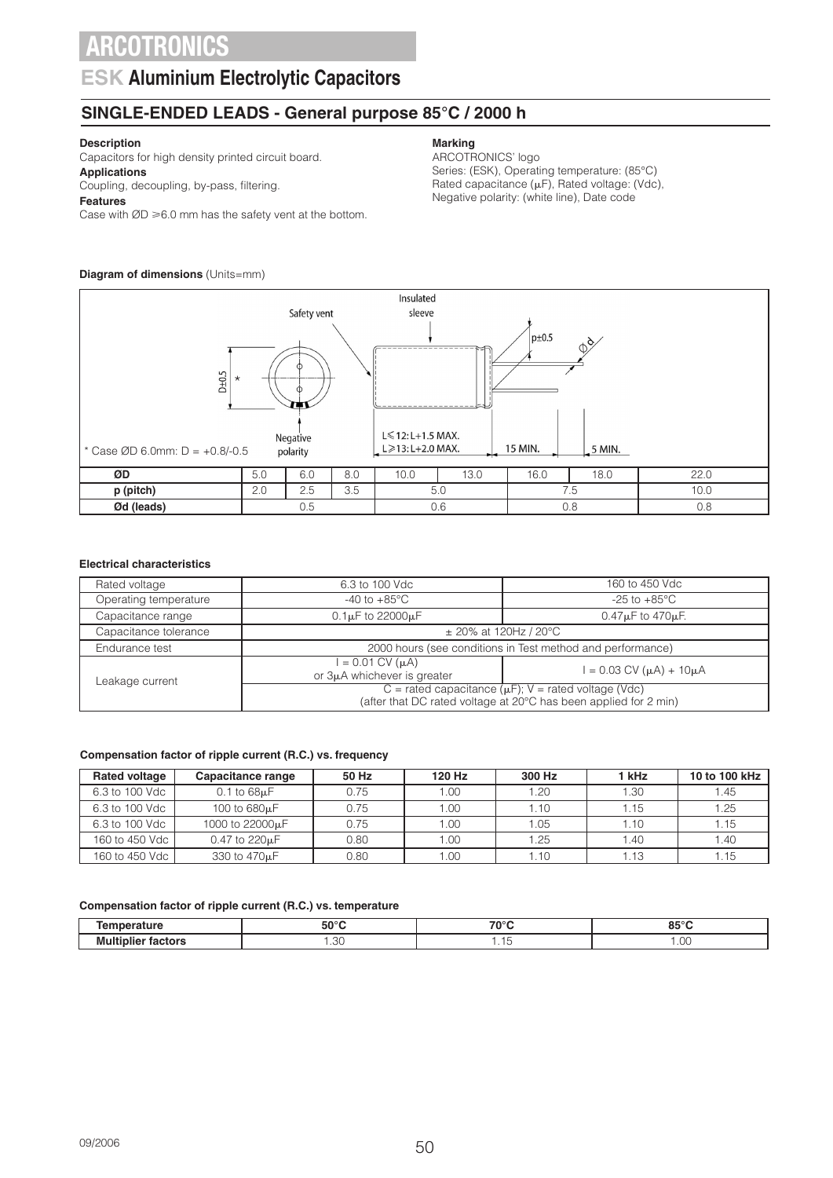### **ESK Aluminium Electrolytic Capacitors**

### **SINGLE-ENDED LEADS - General purpose 85°C / 2000 h**

#### **Description**

Capacitors for high density printed circuit board. **Applications**

### Coupling, decoupling, by-pass, filtering.

**Features**

Case with  $ØD \ge 6.0$  mm has the safety vent at the bottom.

#### **Diagram of dimensions** (Units=mm)

#### Insulated Safety vent sleeve  $p_{\pm 0.5}$ Ø  $D_{\pm}0.5$ \*  $L \le 12: L+1.5$  MAX. Negative L≥13: L+2.0 MAX. 15 MIN. 5 MIN. \* Case ØD 6.0mm: D = +0.8/-0.5polarity **ØD** 5.0 6.0 8.0 10.0 13.0 16.0 18.0 22.0 **p (pitch)** 2.0 | 2.5 | 3.5 | 5.0 | 7.5 | 10.0 *Ød* **(leads) | 0.5 | 0.6 | 0.8 | 0.8**

#### **Electrical characteristics**

| Rated voltage         | 6.3 to 100 Vdc                                                                                                                  | 160 to 450 Vdc                      |  |  |
|-----------------------|---------------------------------------------------------------------------------------------------------------------------------|-------------------------------------|--|--|
| Operating temperature | $-40$ to $+85^{\circ}$ C                                                                                                        | -25 to +85°C                        |  |  |
| Capacitance range     | $0.1\mu$ F to 22000 $\mu$ F                                                                                                     | $0.47\mu$ F to $470\mu$ F.          |  |  |
| Capacitance tolerance | $\pm$ 20% at 120Hz / 20°C                                                                                                       |                                     |  |  |
| Endurance test        | 2000 hours (see conditions in Test method and performance)                                                                      |                                     |  |  |
| Leakage current       | $= 0.01$ CV ( $\mu$ A)<br>or 3µA whichever is greater                                                                           | $= 0.03$ CV ( $\mu$ A) + 10 $\mu$ A |  |  |
|                       | $C$ = rated capacitance ( $\mu$ F); V = rated voltage (Vdc)<br>(after that DC rated voltage at 20°C has been applied for 2 min) |                                     |  |  |

#### **Compensation factor of ripple current (R.C.) vs. frequency**

| <b>Rated voltage</b> | Capacitance range            | 50 Hz | 120 Hz | 300 Hz | 1 kHz | 10 to 100 kHz |
|----------------------|------------------------------|-------|--------|--------|-------|---------------|
| 6.3 to 100 Vdc       | $0.1$ to $68\mu F$           | 0.75  | 1.00   | 1.20   | 1.30  | 1.45          |
| 6.3 to 100 Vdc       | 100 to 680µF                 | 0.75  | 1.00   | 1.10   | 1.15  | 1.25          |
| 6.3 to 100 Vdc       | 1000 to 22000 <sub>k</sub> F | 0.75  | 1.00   | .05    | 1.10  | 1.15          |
| 160 to 450 Vdc       | $0.47$ to $220\mu F$         | 0.80  | 1.00   | 1.25   | 1.40  | 1.40          |
| 160 to 450 Vdc       | 330 to 470 <sub>µ</sub> F    | 0.80  | 1.00   | 1.10   | 1.13  | 1.15          |

#### **Compensation factor of ripple current (R.C.) vs. temperature**

| .<br>___ | $E^{\alpha}$<br>יר | 700C<br>___ | $\sim$ $\sim$ $\sim$<br>.<br>$ -$ |
|----------|--------------------|-------------|-----------------------------------|
|          | $\sim$             |             | - -                               |
|          | .1.11.             |             | ヽ                                 |

#### **Marking**

ARCOTRONICS' logo Series: (ESK), Operating temperature: (85°C) Rated capacitance  $(\mu F)$ , Rated voltage: (Vdc), Negative polarity: (white line), Date code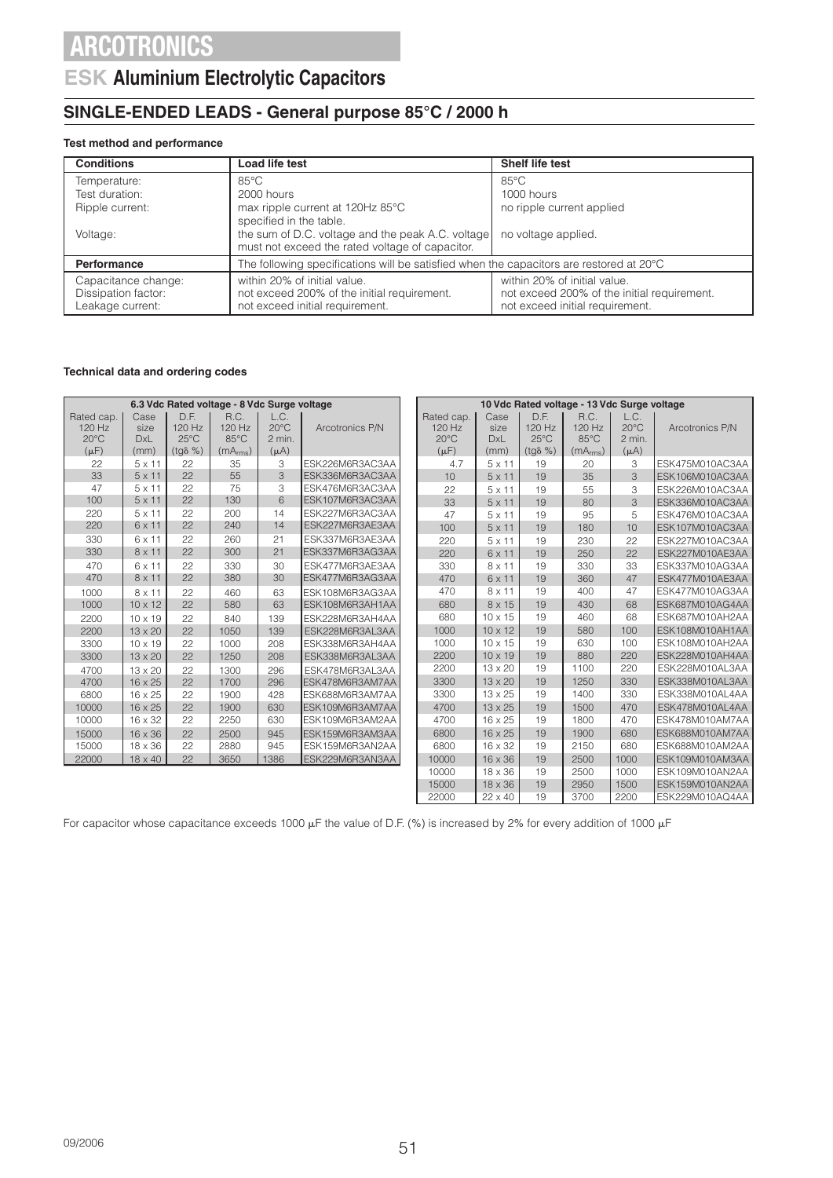### **ESK Aluminium Electrolytic Capacitors**

### **SINGLE-ENDED LEADS - General purpose 85°C / 2000 h**

#### **Test method and performance**

| <b>Conditions</b>                                              | Load life test                                                                                                 | Shelf life test                                                                                                |
|----------------------------------------------------------------|----------------------------------------------------------------------------------------------------------------|----------------------------------------------------------------------------------------------------------------|
| Temperature:                                                   | $85^{\circ}$ C                                                                                                 | $85^{\circ}$ C                                                                                                 |
| Test duration:                                                 | 2000 hours                                                                                                     | 1000 hours                                                                                                     |
| Ripple current:                                                | max ripple current at 120Hz 85°C                                                                               | no ripple current applied                                                                                      |
|                                                                | specified in the table.                                                                                        |                                                                                                                |
| Voltage:                                                       | the sum of D.C. voltage and the peak A.C. voltage<br>must not exceed the rated voltage of capacitor.           | no voltage applied.                                                                                            |
| <b>Performance</b>                                             | The following specifications will be satisfied when the capacitors are restored at 20°C                        |                                                                                                                |
| Capacitance change:<br>Dissipation factor:<br>Leakage current: | within 20% of initial value.<br>not exceed 200% of the initial requirement.<br>not exceed initial requirement. | within 20% of initial value.<br>not exceed 200% of the initial requirement.<br>not exceed initial requirement. |

#### **Technical data and ordering codes**

| 6.3 Vdc Rated voltage - 8 Vdc Surge voltage |                                                           |                  |                      |                         | 10 Vdc Rated voltage - 13 Vdc Surge voltage |  |                                                                  |                       |                  |                      |                         |                 |
|---------------------------------------------|-----------------------------------------------------------|------------------|----------------------|-------------------------|---------------------------------------------|--|------------------------------------------------------------------|-----------------------|------------------|----------------------|-------------------------|-----------------|
| Rated cap.                                  | Case                                                      | D.F.             | R.C.                 | L.C.                    |                                             |  | Rated cap.                                                       | Case                  | D.F.             | R.C.                 | L.C.                    |                 |
| 120 Hz                                      | size                                                      | 120 Hz           | 120 Hz               | $20^{\circ}$ C          | Arcotronics P/N                             |  | 120 Hz                                                           | size                  | 120 Hz           | 120 Hz               | $20^{\circ}$ C          | Arcotronics P/N |
| $20^{\circ}$ C                              | <b>DxL</b>                                                | $25^{\circ}$ C   | $85^{\circ}$ C       | 2 min.                  |                                             |  | $20^{\circ}$ C                                                   | <b>DxL</b>            | $25^{\circ}$ C   | 85°C                 | 2 min.                  |                 |
| $(\mu F)$                                   | (mm)                                                      | $(tq\delta \% )$ | (mA <sub>rms</sub> ) | $(\mu A)$               |                                             |  | $(\mu F)$                                                        | (mm)                  | $(tq\delta \% )$ | (mA <sub>rms</sub> ) | $(\mu A)$               |                 |
| 22                                          | $5 \times 11$                                             | 22               | 35                   | 3                       | ESK226M6R3AC3AA                             |  | 4.7                                                              | $5 \times 11$         | 19               | 20                   | 3                       | ESK475M010AC3AA |
| 33                                          | $5 \times 11$                                             | 22               | 55                   | $\overline{\mathbf{3}}$ | ESK336M6R3AC3AA                             |  | 10                                                               | $5 \times 11$         | 19               | 35                   | 3                       | ESK106M010AC3AA |
| 47                                          | $5 \times 11$                                             | 22               | 75                   | 3                       | ESK476M6R3AC3AA                             |  | 22                                                               | $5 \times 11$         | 19               | 55                   | 3                       | ESK226M010AC3AA |
| 100                                         | $5 \times 11$                                             | 22               | 130                  | 6                       | ESK107M6R3AC3AA                             |  | 33                                                               | $5 \times 11$         | 19               | 80                   | 3                       | ESK336M010AC3AA |
| 220                                         | $5 \times 11$                                             | 22               | 200                  | 14                      | ESK227M6R3AC3AA                             |  | 47                                                               | $5 \times 11$         | 19               | 95                   | 5                       | ESK476M010AC3AA |
| 220                                         | $6 \times 11$                                             | 22               | 240                  | 14                      | ESK227M6R3AE3AA                             |  | 100                                                              | $5 \times 11$         | 19               | 180                  | 10                      | ESK107M010AC3AA |
| 330                                         | 6 x 11                                                    | 22               | 260                  | 21                      | ESK337M6R3AE3AA                             |  | 220                                                              | $5 \times 11$         | 19               | 230                  | 22                      | ESK227M010AC3AA |
| 330                                         | $8 \times 11$                                             | 22               | 300                  | 21                      | ESK337M6R3AG3AA                             |  | 220                                                              | 6 x 11                | 19               | 250                  | 22                      | ESK227M010AE3AA |
| 470                                         | 6 x 11                                                    | 22               | 330                  | 30                      | ESK477M6R3AE3AA                             |  | 330                                                              | 8 x 11                | 19               | 330                  | 33                      | ESK337M010AG3AA |
| 470                                         | $8 \times 11$                                             | 22               | 380                  | 30                      | ESK477M6R3AG3AA                             |  | 470                                                              | 6 x 11                | 19               | 360                  | 47                      | ESK477M010AE3AA |
| 1000                                        | $8 \times 11$                                             | 22               | 460                  | 63                      | ESK108M6R3AG3AA                             |  | 470                                                              | 8 x 11                | 19               | 400                  | 47                      | ESK477M010AG3AA |
| 1000                                        | $10 \times 12$                                            | 22               | 580                  | 63                      | ESK108M6R3AH1AA                             |  | 680                                                              | $8 \times 15$         | 19               | 430                  | 68                      | ESK687M010AG4AA |
| 2200                                        | $10 \times 19$                                            | 22               | 840                  | 139                     | ESK228M6R3AH4AA                             |  | 680                                                              | 10 x 15               | 19               | 460                  | 68                      | ESK687M010AH2AA |
| 2200                                        | $13 \times 20$                                            | 22               | 1050                 | 139                     | ESK228M6R3AL3AA                             |  | 1000                                                             | $10 \times 12$        | 19               | 580                  | 100                     | ESK108M010AH1AA |
| 3300                                        | $10 \times 19$                                            | 22               | 1000                 | 208                     | ESK338M6R3AH4AA                             |  | 1000                                                             | 10 x 15               | 19               | 630                  | 100                     | ESK108M010AH2AA |
| 3300                                        | 13 x 20                                                   | 22               | 1250                 | 208                     | ESK338M6R3AL3AA                             |  | 2200                                                             | $10 \times 19$        | 19               | 880                  | 220                     | ESK228M010AH4AA |
| 4700                                        | $13 \times 20$                                            | 22               | 1300                 | 296                     | ESK478M6R3AL3AA                             |  | 2200                                                             | 13 x 20               | 19               | 1100                 | 220                     | ESK228M010AL3AA |
| 4700                                        | 16 x 25                                                   | 22               | 1700                 | 296                     | ESK478M6R3AM7AA                             |  | 3300                                                             | $13 \times 20$        | 19               | 1250                 | 330                     | ESK338M010AL3AA |
| 6800                                        | 16 x 25                                                   | 22               | 1900                 | 428                     | ESK688M6R3AM7AA                             |  | 3300                                                             | $13 \times 25$        | 19               | 1400                 | 330                     | ESK338M010AL4AA |
| 10000                                       | 16 x 25                                                   | 22               | 1900                 | 630                     | ESK109M6R3AM7AA                             |  | 4700                                                             | 13 x 25               | 19               | 1500                 | 470                     | ESK478M010AL4AA |
| 10000                                       | 16 x 32                                                   | 22               | 2250                 | 630                     | ESK109M6R3AM2AA                             |  | 4700                                                             | $16 \times 25$        | 19               | 1800                 | 470                     | ESK478M010AM7AA |
| 15000                                       | $16 \times 36$                                            | 22               | 2500                 | 945                     | ESK159M6R3AM3AA                             |  | 6800                                                             | $16 \times 25$        | 19               | 1900                 | 680                     | ESK688M010AM7AA |
| 15000                                       | $18 \times 36$                                            | 22               | 2880                 | 945                     | ESK159M6R3AN2AA                             |  | 6800                                                             | 16 x 32               | 19               | 2150                 | 680                     | ESK688M010AM2AA |
| 22000                                       | 18 x 40                                                   | 22               | 3650                 | 1386                    | ESK229M6R3AN3AA                             |  | 10000                                                            | 16 x 36               | 19               | 2500                 | 1000                    | ESK109M010AM3AA |
|                                             |                                                           |                  |                      |                         |                                             |  | 10000                                                            | $18 \times 36$        | 19               | 2500                 | 1000                    | ESK109M010AN2AA |
|                                             |                                                           |                  |                      |                         |                                             |  | 15000                                                            | 18 x 36               | 19               | 2950                 | 1500                    | ESK159M010AN2AA |
|                                             | 2200<br>ESK229M010AQ4AA<br>22000<br>19<br>3700<br>22 x 40 |                  |                      |                         |                                             |  |                                                                  |                       |                  |                      |                         |                 |
|                                             |                                                           |                  |                      | $\sim$ $\sim$ $\sim$    |                                             |  | $\epsilon$ $\sim$ $\epsilon$ $\sim$ $\epsilon$ $\sim$ $\epsilon$ | $\cdots$ and $\cdots$ |                  | 1.11.1               | $\epsilon$ , $\epsilon$ |                 |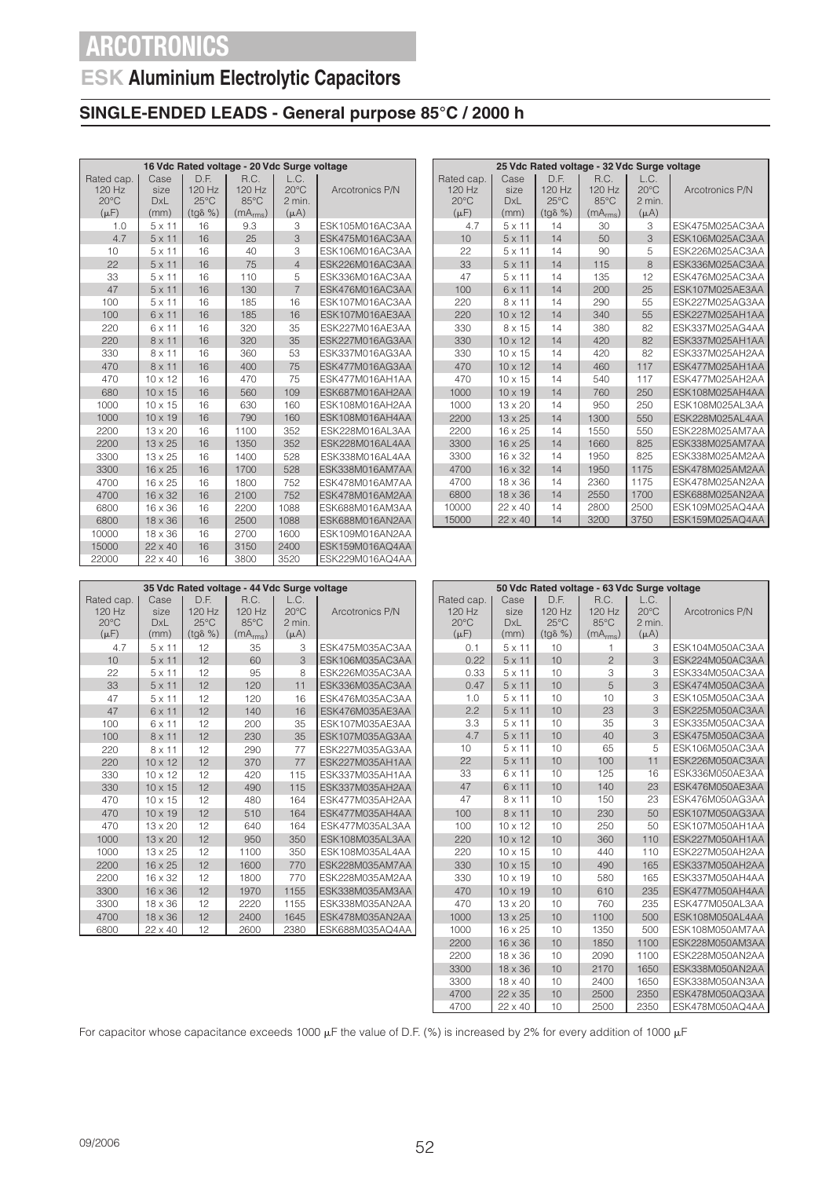## **ESK Aluminium Electrolytic Capacitors**

### **SINGLE-ENDED LEADS - General purpose 85°C / 2000 h**

| 16 Vdc Rated voltage - 20 Vdc Surge voltage         |                                    |                                                      |                                                          |                                               |                 |  |  |  |  |  |
|-----------------------------------------------------|------------------------------------|------------------------------------------------------|----------------------------------------------------------|-----------------------------------------------|-----------------|--|--|--|--|--|
| Rated cap.<br>120 Hz<br>$20^{\circ}$ C<br>$(\mu F)$ | Case<br>size<br><b>DxL</b><br>(mm) | D.F.<br>120 Hz<br>$25^{\circ}$ C<br>$(tg\delta \% )$ | R.C.<br>120 Hz<br>$85^{\circ}$ C<br>(mA <sub>rms</sub> ) | L.C.<br>$20^{\circ}$ C<br>2 min.<br>$(\mu A)$ | Arcotronics P/N |  |  |  |  |  |
| 1.0                                                 | $5 \times 11$                      | 16                                                   | 9.3                                                      | 3                                             | ESK105M016AC3AA |  |  |  |  |  |
| 4.7                                                 | $5 \times 11$                      | 16                                                   | 25                                                       | 3                                             | ESK475M016AC3AA |  |  |  |  |  |
| 10                                                  | $5 \times 11$                      | 16                                                   | 40                                                       | 3                                             | ESK106M016AC3AA |  |  |  |  |  |
| 22                                                  | $5 \times 11$                      | 16                                                   | 75                                                       | $\overline{4}$                                | ESK226M016AC3AA |  |  |  |  |  |
| 33                                                  | $5 \times 11$                      | 16                                                   | 110                                                      | 5                                             | ESK336M016AC3AA |  |  |  |  |  |
| 47                                                  | $5 \times 11$                      | 16                                                   | 130                                                      | $\overline{7}$                                | ESK476M016AC3AA |  |  |  |  |  |
| 100                                                 | $5 \times 11$                      | 16                                                   | 185                                                      | 16                                            | ESK107M016AC3AA |  |  |  |  |  |
| 100                                                 | 6 x 11                             | 16                                                   | 185                                                      | 16                                            | ESK107M016AE3AA |  |  |  |  |  |
| 220                                                 | $6 \times 11$                      | 16                                                   | 320                                                      | 35                                            | ESK227M016AE3AA |  |  |  |  |  |
| 220                                                 | $8 \times 11$                      | 16                                                   | 320                                                      | 35                                            | ESK227M016AG3AA |  |  |  |  |  |
| 330                                                 | $8 \times 11$                      | 16                                                   | 360                                                      | 53                                            | ESK337M016AG3AA |  |  |  |  |  |
| 470                                                 | $8 \times 11$                      | 16                                                   | 400                                                      | 75                                            | ESK477M016AG3AA |  |  |  |  |  |
| 470                                                 | $10 \times 12$                     | 16                                                   | 470                                                      | 75                                            | ESK477M016AH1AA |  |  |  |  |  |
| 680                                                 | $10 \times 15$                     | 16                                                   | 560                                                      | 109                                           | ESK687M016AH2AA |  |  |  |  |  |
| 1000                                                | $10 \times 15$                     | 16                                                   | 630                                                      | 160                                           | ESK108M016AH2AA |  |  |  |  |  |
| 1000                                                | $10 \times 19$                     | 16                                                   | 790                                                      | 160                                           | ESK108M016AH4AA |  |  |  |  |  |
| 2200                                                | $13 \times 20$                     | 16                                                   | 1100                                                     | 352                                           | ESK228M016AL3AA |  |  |  |  |  |
| 2200                                                | $13 \times 25$                     | 16                                                   | 1350                                                     | 352                                           | ESK228M016AL4AA |  |  |  |  |  |
| 3300                                                | $13 \times 25$                     | 16                                                   | 1400                                                     | 528                                           | ESK338M016AL4AA |  |  |  |  |  |
| 3300                                                | $16 \times 25$                     | 16                                                   | 1700                                                     | 528                                           | ESK338M016AM7AA |  |  |  |  |  |
| 4700                                                | $16 \times 25$                     | 16                                                   | 1800                                                     | 752                                           | ESK478M016AM7AA |  |  |  |  |  |
| 4700                                                | 16 x 32                            | 16                                                   | 2100                                                     | 752                                           | ESK478M016AM2AA |  |  |  |  |  |
| 6800                                                | $16 \times 36$                     | 16                                                   | 2200                                                     | 1088                                          | ESK688M016AM3AA |  |  |  |  |  |
| 6800                                                | $18 \times 36$                     | 16                                                   | 2500                                                     | 1088                                          | ESK688M016AN2AA |  |  |  |  |  |
| 10000                                               | $18 \times 36$                     | 16                                                   | 2700                                                     | 1600                                          | ESK109M016AN2AA |  |  |  |  |  |
| 15000                                               | $22 \times 40$                     | 16                                                   | 3150                                                     | 2400                                          | ESK159M016AQ4AA |  |  |  |  |  |
| 22000                                               | 22 x 40                            | 16                                                   | 3800                                                     | 3520                                          | ESK229M016AQ4AA |  |  |  |  |  |

| 25 Vdc Rated voltage - 32 Vdc Surge voltage |                            |                                  |                          |                                  |                        |  |  |  |  |
|---------------------------------------------|----------------------------|----------------------------------|--------------------------|----------------------------------|------------------------|--|--|--|--|
| Rated cap.<br>120 Hz<br>$20^{\circ}$ C      | Case<br>size<br><b>DxL</b> | D.F.<br>120 Hz<br>$25^{\circ}$ C | R.C.<br>$120$ Hz<br>85°C | L.C.<br>$20^{\circ}$ C<br>2 min. | Arcotronics P/N        |  |  |  |  |
| $(\mu F)$                                   | (mm)                       | $(tq\delta \% )$                 | (mA <sub>rms</sub> )     | $(\mu A)$                        |                        |  |  |  |  |
| 4.7                                         | $5 \times 11$              | 14                               | 30                       | 3                                | ESK475M025AC3AA        |  |  |  |  |
| 10                                          | $5 \times 11$              | 14                               | 50                       | $\overline{\mathcal{E}}$         | ESK106M025AC3AA        |  |  |  |  |
| 22                                          | $5 \times 11$              | 14                               | 90                       | 5                                | ESK226M025AC3AA        |  |  |  |  |
| 33                                          | $5 \times 11$              | 14                               | 115                      | $\overline{\mathcal{B}}$         | ESK336M025AC3AA        |  |  |  |  |
| 47                                          | $5 \times 11$              | 14                               | 135                      | 12                               | ESK476M025AC3AA        |  |  |  |  |
| 100                                         | $6 \times 11$              | 14                               | 200                      | 25                               | ESK107M025AE3AA        |  |  |  |  |
| 220                                         | $8 \times 11$              | 14                               | 290                      | 55                               | ESK227M025AG3AA        |  |  |  |  |
| 220                                         | $10 \times 12$             | 14                               | 340                      | 55                               | ESK227M025AH1AA        |  |  |  |  |
| 330                                         | 8 x 15                     | 14                               | 380                      | 82                               | ESK337M025AG4AA        |  |  |  |  |
| 330                                         | $10 \times 12$             | 14                               | 420                      | 82                               | ESK337M025AH1AA        |  |  |  |  |
| 330                                         | $10 \times 15$             | 14                               | 420                      | 82                               | ESK337M025AH2AA        |  |  |  |  |
| 470                                         | $10 \times 12$             | 14                               | 460                      | 117                              | ESK477M025AH1AA        |  |  |  |  |
| 470                                         | $10 \times 15$             | 14                               | 540                      | 117                              | ESK477M025AH2AA        |  |  |  |  |
| 1000                                        | $10 \times 19$             | 14                               | 760                      | 250                              | FSK108M025AH4AA        |  |  |  |  |
| 1000                                        | $13 \times 20$             | 14                               | 950                      | 250                              | ESK108M025AL3AA        |  |  |  |  |
| 2200                                        | $13 \times 25$             | 14                               | 1300                     | 550                              | <b>FSK228M025AL4AA</b> |  |  |  |  |
| 2200                                        | $16 \times 25$             | 14                               | 1550                     | 550                              | ESK228M025AM7AA        |  |  |  |  |
| 3300                                        | $16 \times 25$             | 14                               | 1660                     | 825                              | ESK338M025AM7AA        |  |  |  |  |
| 3300                                        | 16 x 32                    | 14                               | 1950                     | 825                              | ESK338M025AM2AA        |  |  |  |  |
| 4700                                        | $16 \times 32$             | 14                               | 1950                     | 1175                             | FSK478M025AM2AA        |  |  |  |  |
| 4700                                        | $18 \times 36$             | 14                               | 2360                     | 1175                             | ESK478M025AN2AA        |  |  |  |  |
| 6800                                        | 18 x 36                    | 14                               | 2550                     | 1700                             | ESK688M025AN2AA        |  |  |  |  |
| 10000                                       | $22 \times 40$             | 14                               | 2800                     | 2500                             | ESK109M025AQ4AA        |  |  |  |  |
| 15000                                       | $22 \times 40$             | 14                               | 3200                     | 3750                             | ESK159M025AQ4AA        |  |  |  |  |

| 35 Vdc Rated voltage - 44 Vdc Surge voltage           |                                    |                                                      |                                                |                                               |                 |  |  |  |  |  |  |
|-------------------------------------------------------|------------------------------------|------------------------------------------------------|------------------------------------------------|-----------------------------------------------|-----------------|--|--|--|--|--|--|
| Rated cap.<br>$120$ Hz<br>$20^{\circ}$ C<br>$(\mu F)$ | Case<br>size<br><b>DxL</b><br>(mm) | D.E.<br>120 Hz<br>$25^{\circ}$ C<br>$(tg\delta \% )$ | R.C.<br>120 Hz<br>85°C<br>(mA <sub>rms</sub> ) | L.C.<br>$20^{\circ}$ C<br>2 min.<br>$(\mu A)$ | Arcotronics P/N |  |  |  |  |  |  |
| 4.7                                                   | $5 \times 11$                      | 12                                                   | 35                                             | 3                                             | ESK475M035AC3AA |  |  |  |  |  |  |
| 10                                                    | $5 \times 11$                      | 12                                                   | 60                                             | 3                                             | ESK106M035AC3AA |  |  |  |  |  |  |
| 22                                                    | $5 \times 11$                      | 12                                                   | 95                                             | 8                                             | ESK226M035AC3AA |  |  |  |  |  |  |
| 33                                                    | $5 \times 11$                      | 12                                                   | 120                                            | 11                                            | ESK336M035AC3AA |  |  |  |  |  |  |
| 47                                                    | $5 \times 11$                      | 12                                                   | 120                                            | 16                                            | ESK476M035AC3AA |  |  |  |  |  |  |
| 47                                                    | $6 \times 11$                      | 12                                                   | 140                                            | 16                                            | ESK476M035AE3AA |  |  |  |  |  |  |
| 100                                                   | 6 x 11                             | 12                                                   | 200                                            | 35                                            | ESK107M035AE3AA |  |  |  |  |  |  |
| 100                                                   | $8 \times 11$                      | 12                                                   | 230                                            | 35                                            | ESK107M035AG3AA |  |  |  |  |  |  |
| 220                                                   | $8 \times 11$                      | 12                                                   | 290                                            | 77                                            | ESK227M035AG3AA |  |  |  |  |  |  |
| 220                                                   | $10 \times 12$                     | 12                                                   | 370                                            | 77                                            | ESK227M035AH1AA |  |  |  |  |  |  |
| 330                                                   | $10 \times 12$                     | 12                                                   | 420                                            | 115                                           | ESK337M035AH1AA |  |  |  |  |  |  |
| 330                                                   | $10 \times 15$                     | 12                                                   | 490                                            | 115                                           | ESK337M035AH2AA |  |  |  |  |  |  |
| 470                                                   | $10 \times 15$                     | 12                                                   | 480                                            | 164                                           | ESK477M035AH2AA |  |  |  |  |  |  |
| 470                                                   | $10 \times 19$                     | 12                                                   | 510                                            | 164                                           | ESK477M035AH4AA |  |  |  |  |  |  |
| 470                                                   | 13 x 20                            | 12                                                   | 640                                            | 164                                           | ESK477M035AL3AA |  |  |  |  |  |  |
| 1000                                                  | $13 \times 20$                     | 12                                                   | 950                                            | 350                                           | ESK108M035AL3AA |  |  |  |  |  |  |
| 1000                                                  | $13 \times 25$                     | 12                                                   | 1100                                           | 350                                           | ESK108M035AL4AA |  |  |  |  |  |  |
| 2200                                                  | $16 \times 25$                     | 12                                                   | 1600                                           | 770                                           | ESK228M035AM7AA |  |  |  |  |  |  |
| 2200                                                  | $16 \times 32$                     | 12                                                   | 1800                                           | 770                                           | ESK228M035AM2AA |  |  |  |  |  |  |
| 3300                                                  | $16 \times 36$                     | 12                                                   | 1970                                           | 1155                                          | ESK338M035AM3AA |  |  |  |  |  |  |
| 3300                                                  | $18 \times 36$                     | 12                                                   | 2220                                           | 1155                                          | ESK338M035AN2AA |  |  |  |  |  |  |
| 4700                                                  | $18 \times 36$                     | 12                                                   | 2400                                           | 1645                                          | ESK478M035AN2AA |  |  |  |  |  |  |
| 6800                                                  | $22 \times 40$                     | 12                                                   | 2600                                           | 2380                                          | ESK688M035AQ4AA |  |  |  |  |  |  |

| 50 Vdc Rated voltage - 63 Vdc Surge voltage         |                                    |                                                      |                                                |                                               |                 |  |  |  |  |
|-----------------------------------------------------|------------------------------------|------------------------------------------------------|------------------------------------------------|-----------------------------------------------|-----------------|--|--|--|--|
| Rated cap.<br>120 Hz<br>$20^{\circ}$ C<br>$(\mu F)$ | Case<br>size<br><b>DxL</b><br>(mm) | D.F.<br>120 Hz<br>$25^{\circ}$ C<br>$(tq\delta \% )$ | R.C.<br>120 Hz<br>85°C<br>(mA <sub>rms</sub> ) | L.C.<br>$20^{\circ}$ C<br>2 min.<br>$(\mu A)$ | Arcotronics P/N |  |  |  |  |
| 0.1                                                 | $5 \times 11$                      | 10                                                   | 1                                              | 3                                             | ESK104M050AC3AA |  |  |  |  |
| 0.22                                                | $5 \times 11$                      | 10                                                   | $\overline{c}$                                 | 3                                             | ESK224M050AC3AA |  |  |  |  |
| 0.33                                                | $5 \times 11$                      | 10                                                   | 3                                              | 3                                             | ESK334M050AC3AA |  |  |  |  |
| 0.47                                                | $5 \times 11$                      | 10                                                   | 5                                              | 3                                             | ESK474M050AC3AA |  |  |  |  |
| 1.0                                                 | $5 \times 11$                      | 10                                                   | 10                                             | 3                                             | ESK105M050AC3AA |  |  |  |  |
| 2.2                                                 | $5 \times 11$                      | 10                                                   | 23                                             | 3                                             | ESK225M050AC3AA |  |  |  |  |
| 3.3                                                 | $5 \times 11$                      | 10                                                   | 35                                             | 3                                             | ESK335M050AC3AA |  |  |  |  |
| 4.7                                                 | $5 \times 11$                      | 10                                                   | 40                                             | 3                                             | ESK475M050AC3AA |  |  |  |  |
| 10                                                  | $5 \times 11$                      | 10                                                   | 65                                             | 5                                             | ESK106M050AC3AA |  |  |  |  |
| 22                                                  | $5 \times 11$                      | 10                                                   | 100                                            | 11                                            | ESK226M050AC3AA |  |  |  |  |
| 33                                                  | $6 \times 11$                      | 10                                                   | 125                                            | 16                                            | ESK336M050AE3AA |  |  |  |  |
| 47                                                  | $6 \times 11$                      | 10                                                   | 140                                            | 23                                            | ESK476M050AE3AA |  |  |  |  |
| 47                                                  | $8 \times 11$                      | 10                                                   | 150                                            | 23                                            | ESK476M050AG3AA |  |  |  |  |
| 100                                                 | $8 \times 11$                      | 10                                                   | 230                                            | 50                                            | ESK107M050AG3AA |  |  |  |  |
| 100                                                 | $10 \times 12$                     | 10                                                   | 250                                            | 50                                            | ESK107M050AH1AA |  |  |  |  |
| 220                                                 | $10 \times 12$                     | 10                                                   | 360                                            | 110                                           | ESK227M050AH1AA |  |  |  |  |
| 220                                                 | $10 \times 15$                     | 10                                                   | 440                                            | 110                                           | ESK227M050AH2AA |  |  |  |  |
| 330                                                 | $10 \times 15$                     | 10                                                   | 490                                            | 165                                           | ESK337M050AH2AA |  |  |  |  |
| 330                                                 | $10 \times 19$                     | 10                                                   | 580                                            | 165                                           | ESK337M050AH4AA |  |  |  |  |
| 470                                                 | $10 \times 19$                     | 10                                                   | 610                                            | 235                                           | ESK477M050AH4AA |  |  |  |  |
| 470                                                 | $13 \times 20$                     | 10                                                   | 760                                            | 235                                           | ESK477M050AL3AA |  |  |  |  |
| 1000                                                | $13 \times 25$                     | 10                                                   | 1100                                           | 500                                           | ESK108M050AL4AA |  |  |  |  |
| 1000                                                | 16 x 25                            | 10                                                   | 1350                                           | 500                                           | ESK108M050AM7AA |  |  |  |  |
| 2200                                                | 16 x 36                            | 10                                                   | 1850                                           | 1100                                          | ESK228M050AM3AA |  |  |  |  |
| 2200                                                | 18 x 36                            | 10                                                   | 2090                                           | 1100                                          | ESK228M050AN2AA |  |  |  |  |
| 3300                                                | 18 x 36                            | 10                                                   | 2170                                           | 1650                                          | ESK338M050AN2AA |  |  |  |  |
| 3300                                                | 18 x 40                            | 10                                                   | 2400                                           | 1650                                          | ESK338M050AN3AA |  |  |  |  |
| 4700                                                | 22 x 35                            | 10                                                   | 2500                                           | 2350                                          | ESK478M050AQ3AA |  |  |  |  |
| 4700                                                | 22 x 40                            | 10                                                   | 2500                                           | 2350                                          | ESK478M050AQ4AA |  |  |  |  |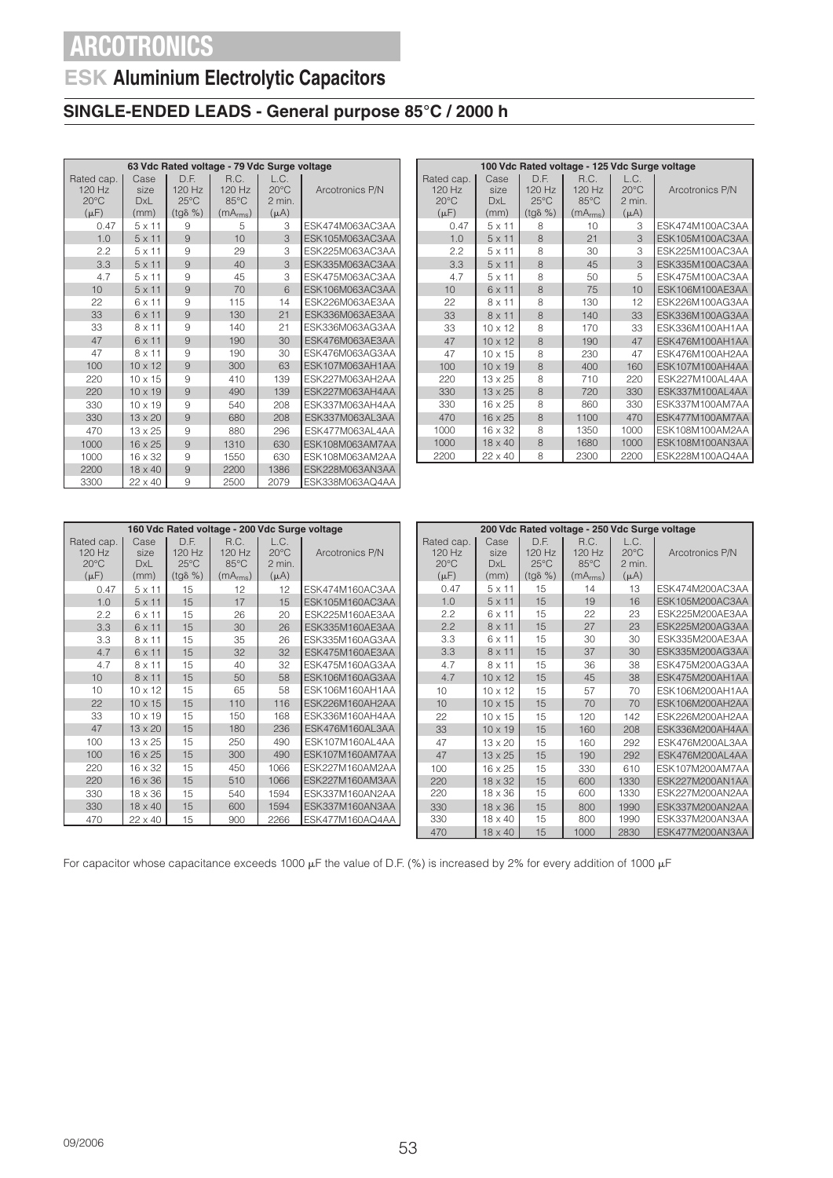## **ESK Aluminium Electrolytic Capacitors**

### **SINGLE-ENDED LEADS - General purpose 85°C / 2000 h**

| 63 Vdc Rated voltage - 79 Vdc Surge voltage |                            |                                    |                          |                                  |                 |  |  |  |  |
|---------------------------------------------|----------------------------|------------------------------------|--------------------------|----------------------------------|-----------------|--|--|--|--|
| Rated cap.<br>120 Hz<br>$20^{\circ}$ C      | Case<br>size<br><b>DxL</b> | D.F.<br>$120$ Hz<br>$25^{\circ}$ C | R.C.<br>$120$ Hz<br>85°C | L.C.<br>$20^{\circ}$ C<br>2 min. | Arcotronics P/N |  |  |  |  |
| $(\mu F)$                                   | (mm)                       | $(tg\delta \% )$                   | (mA <sub>rms</sub> )     | $(\mu A)$                        |                 |  |  |  |  |
| 0.47                                        | $5 \times 11$              | 9                                  | 5                        | 3                                | ESK474M063AC3AA |  |  |  |  |
| 1.0                                         | $5 \times 11$              | 9                                  | 10                       | 3                                | ESK105M063AC3AA |  |  |  |  |
| 2.2                                         | $5 \times 11$              | 9                                  | 29                       | 3                                | ESK225M063AC3AA |  |  |  |  |
| 3.3                                         | $5 \times 11$              | 9                                  | 40                       | 3                                | ESK335M063AC3AA |  |  |  |  |
| 4.7                                         | $5 \times 11$              | 9                                  | 45                       | 3                                | ESK475M063AC3AA |  |  |  |  |
| 10                                          | $5 \times 11$              | 9                                  | 70                       | 6                                | ESK106M063AC3AA |  |  |  |  |
| 22                                          | 6 x 11                     | 9                                  | 115                      | 14                               | ESK226M063AE3AA |  |  |  |  |
| 33                                          | 6 x 11                     | 9                                  | 130                      | 21                               | ESK336M063AE3AA |  |  |  |  |
| 33                                          | $8 \times 11$              | 9                                  | 140                      | 21                               | ESK336M063AG3AA |  |  |  |  |
| 47                                          | $6 \times 11$              | 9                                  | 190                      | 30                               | ESK476M063AE3AA |  |  |  |  |
| 47                                          | $8 \times 11$              | 9                                  | 190                      | 30                               | ESK476M063AG3AA |  |  |  |  |
| 100                                         | $10 \times 12$             | 9                                  | 300                      | 63                               | ESK107M063AH1AA |  |  |  |  |
| 220                                         | $10 \times 15$             | 9                                  | 410                      | 139                              | ESK227M063AH2AA |  |  |  |  |
| 220                                         | $10 \times 19$             | 9                                  | 490                      | 139                              | ESK227M063AH4AA |  |  |  |  |
| 330                                         | $10 \times 19$             | 9                                  | 540                      | 208                              | ESK337M063AH4AA |  |  |  |  |
| 330                                         | $13 \times 20$             | 9                                  | 680                      | 208                              | ESK337M063AL3AA |  |  |  |  |
| 470                                         | $13 \times 25$             | 9                                  | 880                      | 296                              | ESK477M063AL4AA |  |  |  |  |
| 1000                                        | $16 \times 25$             | 9                                  | 1310                     | 630                              | ESK108M063AM7AA |  |  |  |  |
| 1000                                        | $16 \times 32$             | 9                                  | 1550                     | 630                              | ESK108M063AM2AA |  |  |  |  |
| 2200                                        | 18 x 40                    | 9                                  | 2200                     | 1386                             | ESK228M063AN3AA |  |  |  |  |
| 3300                                        | 22 x 40                    | 9                                  | 2500                     | 2079                             | ESK338M063AQ4AA |  |  |  |  |

| 100 Vdc Rated voltage - 125 Vdc Surge voltage |                     |                                  |                                  |                                  |                 |  |  |  |  |
|-----------------------------------------------|---------------------|----------------------------------|----------------------------------|----------------------------------|-----------------|--|--|--|--|
| Rated cap.<br>$120$ Hz<br>$20^{\circ}$ C      | Case<br>size<br>DxL | D.F.<br>120 Hz<br>$25^{\circ}$ C | R.C.<br>120 Hz<br>$85^{\circ}$ C | L.C.<br>$20^{\circ}$ C<br>2 min. | Arcotronics P/N |  |  |  |  |
| $(\mu F)$                                     | (mm)                | $(tg\delta \% )$                 | (mA <sub>rms</sub> )             | $(\mu A)$                        |                 |  |  |  |  |
| 0.47                                          | $5 \times 11$       | 8                                | 10                               | 3                                | ESK474M100AC3AA |  |  |  |  |
| 1.0                                           | $5 \times 11$       | 8                                | 21                               | 3                                | ESK105M100AC3AA |  |  |  |  |
| 2.2                                           | $5 \times 11$       | 8                                | 30                               | 3                                | ESK225M100AC3AA |  |  |  |  |
| 3.3                                           | $5 \times 11$       | 8                                | 45                               | 3                                | ESK335M100AC3AA |  |  |  |  |
| 4.7                                           | $5 \times 11$       | 8                                | 50                               | 5                                | ESK475M100AC3AA |  |  |  |  |
| 10                                            | 6 x 11              | 8                                | 75                               | 10                               | ESK106M100AE3AA |  |  |  |  |
| 22                                            | $8 \times 11$       | 8                                | 130                              | 12                               | ESK226M100AG3AA |  |  |  |  |
| 33                                            | 8 x 11              | 8                                | 140                              | 33                               | ESK336M100AG3AA |  |  |  |  |
| 33                                            | $10 \times 12$      | 8                                | 170                              | 33                               | ESK336M100AH1AA |  |  |  |  |
| 47                                            | $10 \times 12$      | 8                                | 190                              | 47                               | ESK476M100AH1AA |  |  |  |  |
| 47                                            | $10 \times 15$      | 8                                | 230                              | 47                               | ESK476M100AH2AA |  |  |  |  |
| 100                                           | $10 \times 19$      | 8                                | 400                              | 160                              | ESK107M100AH4AA |  |  |  |  |
| 220                                           | $13 \times 25$      | 8                                | 710                              | 220                              | ESK227M100AL4AA |  |  |  |  |
| 330                                           | $13 \times 25$      | 8                                | 720                              | 330                              | ESK337M100AL4AA |  |  |  |  |
| 330                                           | $16 \times 25$      | 8                                | 860                              | 330                              | ESK337M100AM7AA |  |  |  |  |
| 470                                           | $16 \times 25$      | 8                                | 1100                             | 470                              | ESK477M100AM7AA |  |  |  |  |
| 1000                                          | 16 x 32             | 8                                | 1350                             | 1000                             | ESK108M100AM2AA |  |  |  |  |
| 1000                                          | 18 x 40             | 8                                | 1680                             | 1000                             | ESK108M100AN3AA |  |  |  |  |
| 2200                                          | $22 \times 40$      | 8                                | 2300                             | 2200                             | ESK228M100AQ4AA |  |  |  |  |

|                | 160 Vdc Rated voltage - 200 Vdc Surge voltage |                 |                      |                |                 |  | 200 Vdc Rated voltage - 250 Vdc Surge voltage |                |                  |                      |                |                 |
|----------------|-----------------------------------------------|-----------------|----------------------|----------------|-----------------|--|-----------------------------------------------|----------------|------------------|----------------------|----------------|-----------------|
| Rated cap.     | Case                                          | D.F.            | R.C.                 | L.C.           |                 |  | Rated cap.                                    | Case           | D.F.             | R.C.                 | L.C.           |                 |
| $120$ Hz       | size                                          | 120 Hz          | 120 Hz               | $20^{\circ}$ C | Arcotronics P/N |  | $120$ Hz                                      | size           | 120 Hz           | 120 Hz               | $20^{\circ}$ C | Arcotronics P/N |
| $20^{\circ}$ C | <b>DxL</b>                                    | $25^{\circ}$ C  | 85°C                 | 2 min.         |                 |  | $20^{\circ}$ C                                | <b>DxL</b>     | $25^{\circ}$ C   | $85^{\circ}$ C       | 2 min.         |                 |
| $(\mu F)$      | (mm)                                          | $(tq\delta\% )$ | (mA <sub>rms</sub> ) | $(\mu A)$      |                 |  | $(\mu F)$                                     | (mm)           | $(tq\delta \% )$ | (mA <sub>rms</sub> ) | $(\mu A)$      |                 |
| 0.47           | $5 \times 11$                                 | 15              | 12                   | 12             | ESK474M160AC3AA |  | 0.47                                          | $5 \times 11$  | 15               | 14                   | 13             | ESK474M200AC3AA |
| 1.0            | $5 \times 11$                                 | 15              | 17                   | 15             | ESK105M160AC3AA |  | 1.0                                           | $5 \times 11$  | 15               | 19                   | 16             | ESK105M200AC3AA |
| 2.2            | $6 \times 11$                                 | 15              | 26                   | 20             | ESK225M160AE3AA |  | 2.2                                           | $6 \times 11$  | 15               | 22                   | 23             | ESK225M200AE3AA |
| 3.3            | 6 x 11                                        | 15              | 30                   | 26             | ESK335M160AE3AA |  | 2.2                                           | $8 \times 11$  | 15               | 27                   | 23             | ESK225M200AG3AA |
| 3.3            | $8 \times 11$                                 | 15              | 35                   | 26             | ESK335M160AG3AA |  | 3.3                                           | $6 \times 11$  | 15               | 30                   | 30             | ESK335M200AE3AA |
| 4.7            | 6 x 11                                        | 15              | 32                   | 32             | ESK475M160AE3AA |  | 3.3                                           | $8 \times 11$  | 15               | 37                   | 30             | ESK335M200AG3AA |
| 4.7            | 8 x 11                                        | 15              | 40                   | 32             | ESK475M160AG3AA |  | 4.7                                           | $8 \times 11$  | 15               | 36                   | 38             | ESK475M200AG3AA |
| 10             | $8 \times 11$                                 | 15              | 50                   | 58             | ESK106M160AG3AA |  | 4.7                                           | $10 \times 12$ | 15               | 45                   | 38             | ESK475M200AH1AA |
| 10             | $10 \times 12$                                | 15              | 65                   | 58             | ESK106M160AH1AA |  | 10                                            | $10 \times 12$ | 15               | 57                   | 70             | ESK106M200AH1AA |
| 22             | $10 \times 15$                                | 15              | 110                  | 116            | ESK226M160AH2AA |  | 10                                            | $10 \times 15$ | 15               | 70                   | 70             | ESK106M200AH2AA |
| 33             | $10 \times 19$                                | 15              | 150                  | 168            | ESK336M160AH4AA |  | 22                                            | $10 \times 15$ | 15               | 120                  | 142            | ESK226M200AH2AA |
| 47             | 13 x 20                                       | 15              | 180                  | 236            | ESK476M160AL3AA |  | 33                                            | $10 \times 19$ | 15               | 160                  | 208            | ESK336M200AH4AA |
| 100            | $13 \times 25$                                | 15              | 250                  | 490            | ESK107M160AL4AA |  | 47                                            | $13 \times 20$ | 15               | 160                  | 292            | ESK476M200AL3AA |
| 100            | 16 x 25                                       | 15              | 300                  | 490            | ESK107M160AM7AA |  | 47                                            | $13 \times 25$ | 15               | 190                  | 292            | ESK476M200AL4AA |
| 220            | 16 x 32                                       | 15              | 450                  | 1066           | ESK227M160AM2AA |  | 100                                           | 16 x 25        | 15               | 330                  | 610            | ESK107M200AM7AA |
| 220            | 16 x 36                                       | 15              | 510                  | 1066           | ESK227M160AM3AA |  | 220                                           | 18 x 32        | 15               | 600                  | 1330           | ESK227M200AN1AA |
| 330            | $18 \times 36$                                | 15              | 540                  | 1594           | ESK337M160AN2AA |  | 220                                           | $18 \times 36$ | 15               | 600                  | 1330           | ESK227M200AN2AA |
| 330            | $18 \times 40$                                | 15              | 600                  | 1594           | ESK337M160AN3AA |  | 330                                           | $18 \times 36$ | 15               | 800                  | 1990           | ESK337M200AN2AA |
| 470            | 22 x 40                                       | 15              | 900                  | 2266           | ESK477M160AQ4AA |  | 330                                           | $18 \times 40$ | 15               | 800                  | 1990           | ESK337M200AN3AA |
|                |                                               |                 |                      |                |                 |  | 470                                           | $18 \times 40$ | 15               | 1000                 | 2830           | ESK477M200AN3AA |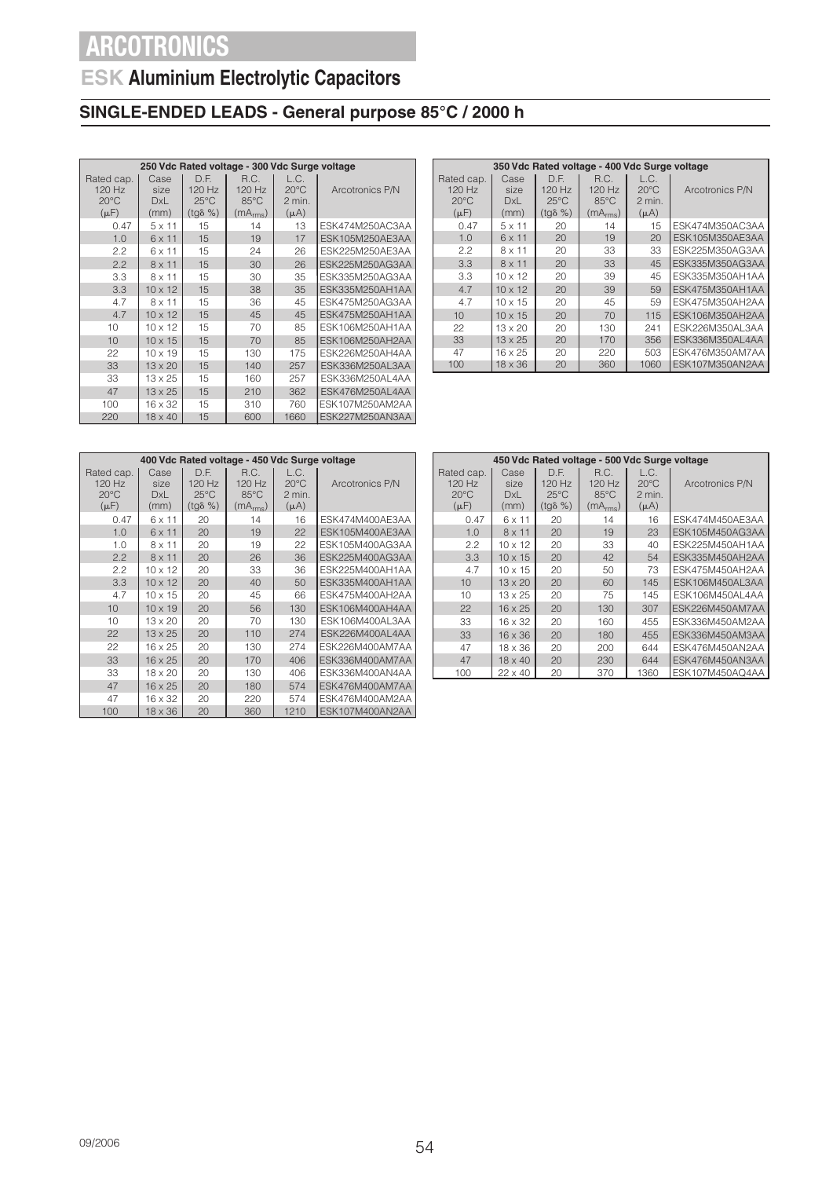## **ESK Aluminium Electrolytic Capacitors**

## **SINGLE-ENDED LEADS - General purpose 85°C / 2000 h**

|                                                     | 250 Vdc Rated voltage - 300 Vdc Surge voltage |                                                      |                                                          |                                               |                 |  |  |  |  |  |
|-----------------------------------------------------|-----------------------------------------------|------------------------------------------------------|----------------------------------------------------------|-----------------------------------------------|-----------------|--|--|--|--|--|
| Rated cap.<br>120 Hz<br>$20^{\circ}$ C<br>$(\mu F)$ | Case<br>size<br>DxL<br>(mm)                   | D.E.<br>120 Hz<br>$25^{\circ}$ C<br>$(tq\delta \% )$ | R.C.<br>120 Hz<br>$85^{\circ}$ C<br>(mA <sub>rms</sub> ) | L.C.<br>$20^{\circ}$ C<br>2 min.<br>$(\mu A)$ | Arcotronics P/N |  |  |  |  |  |
| 0.47                                                | $5 \times 11$                                 | 15                                                   | 14                                                       | 13                                            | ESK474M250AC3AA |  |  |  |  |  |
| 1.0                                                 | $6 \times 11$                                 | 15                                                   | 19                                                       | 17                                            | ESK105M250AE3AA |  |  |  |  |  |
| 2.2                                                 | 6 x 11                                        | 15                                                   | 24                                                       | 26                                            | ESK225M250AE3AA |  |  |  |  |  |
| 2.2                                                 | $8 \times 11$                                 | 15                                                   | 30                                                       | 26                                            | ESK225M250AG3AA |  |  |  |  |  |
| 3.3                                                 | $8 \times 11$                                 | 15                                                   | 30                                                       | 35                                            | ESK335M250AG3AA |  |  |  |  |  |
| 3.3                                                 | $10 \times 12$                                | 15                                                   | 38                                                       | 35                                            | ESK335M250AH1AA |  |  |  |  |  |
| 4.7                                                 | $8 \times 11$                                 | 15                                                   | 36                                                       | 45                                            | ESK475M250AG3AA |  |  |  |  |  |
| 4.7                                                 | $10 \times 12$                                | 15                                                   | 45                                                       | 45                                            | ESK475M250AH1AA |  |  |  |  |  |
| 10                                                  | $10 \times 12$                                | 15                                                   | 70                                                       | 85                                            | ESK106M250AH1AA |  |  |  |  |  |
| 10                                                  | $10 \times 15$                                | 15                                                   | 70                                                       | 85                                            | ESK106M250AH2AA |  |  |  |  |  |
| 22                                                  | $10 \times 19$                                | 15                                                   | 130                                                      | 175                                           | ESK226M250AH4AA |  |  |  |  |  |
| 33                                                  | $13 \times 20$                                | 15                                                   | 140                                                      | 257                                           | ESK336M250AL3AA |  |  |  |  |  |
| 33                                                  | $13 \times 25$                                | 15                                                   | 160                                                      | 257                                           | ESK336M250AL4AA |  |  |  |  |  |
| 47                                                  | $13 \times 25$                                | 15                                                   | 210                                                      | 362                                           | ESK476M250AL4AA |  |  |  |  |  |
| 100                                                 | $16 \times 32$                                | 15                                                   | 310                                                      | 760                                           | ESK107M250AM2AA |  |  |  |  |  |
| 220                                                 | $18 \times 40$                                | 15                                                   | 600                                                      | 1660                                          | ESK227M250AN3AA |  |  |  |  |  |

|                                                       | 350 Vdc Rated voltage - 400 Vdc Surge voltage |                                                        |                                                            |                                                 |                        |  |  |  |  |  |  |
|-------------------------------------------------------|-----------------------------------------------|--------------------------------------------------------|------------------------------------------------------------|-------------------------------------------------|------------------------|--|--|--|--|--|--|
| Rated cap.<br>$120$ Hz<br>$20^{\circ}$ C<br>$(\mu F)$ | Case<br>size<br>DxL<br>(mm)                   | D.E.<br>$120$ Hz<br>$25^{\circ}$ C<br>$(tq\delta \% )$ | R.C.<br>$120$ Hz<br>$85^{\circ}$ C<br>(mA <sub>rms</sub> ) | L.C.<br>$20^{\circ}$ C<br>$2$ min.<br>$(\mu A)$ | Arcotronics P/N        |  |  |  |  |  |  |
| 0.47                                                  | $5 \times 11$                                 | 20                                                     | 14                                                         | 15                                              | ESK474M350AC3AA        |  |  |  |  |  |  |
| 1.0                                                   | 6 x 11                                        | 20                                                     | 19                                                         | 20                                              | ESK105M350AE3AA        |  |  |  |  |  |  |
| 2.2                                                   | $8 \times 11$                                 | 20                                                     | 33                                                         | 33                                              | ESK225M350AG3AA        |  |  |  |  |  |  |
| 3.3                                                   | $8 \times 11$                                 | 20                                                     | 33                                                         | 45                                              | ESK335M350AG3AA        |  |  |  |  |  |  |
| 3.3                                                   | 10 x 12                                       | 20                                                     | 39                                                         | 45                                              | ESK335M350AH1AA        |  |  |  |  |  |  |
| 4.7                                                   | $10 \times 12$                                | 20                                                     | 39                                                         | 59                                              | <b>FSK475M350AH1AA</b> |  |  |  |  |  |  |
| 4.7                                                   | $10 \times 15$                                | 20                                                     | 45                                                         | 59                                              | ESK475M350AH2AA        |  |  |  |  |  |  |
| 10                                                    | $10 \times 15$                                | 20                                                     | 70                                                         | 115                                             | <b>FSK106M350AH2AA</b> |  |  |  |  |  |  |
| 22                                                    | $13 \times 20$                                | 20                                                     | 130                                                        | 241                                             | ESK226M350AL3AA        |  |  |  |  |  |  |
| 33                                                    | $13 \times 25$                                | 20                                                     | 170                                                        | 356                                             | ESK336M350AL4AA        |  |  |  |  |  |  |
| 47                                                    | 16 x 25                                       | 20                                                     | 220                                                        | 503                                             | ESK476M350AM7AA        |  |  |  |  |  |  |
| 100                                                   | 18 x 36                                       | 20                                                     | 360                                                        | 1060                                            | ESK107M350AN2AA        |  |  |  |  |  |  |

| 400 Vdc Rated voltage - 450 Vdc Surge voltage       |                             |                                                      |                                                          |                                               |                 |  |  |  |  |
|-----------------------------------------------------|-----------------------------|------------------------------------------------------|----------------------------------------------------------|-----------------------------------------------|-----------------|--|--|--|--|
| Rated cap.<br>120 Hz<br>$20^{\circ}$ C<br>$(\mu F)$ | Case<br>size<br>DxL<br>(mm) | D.E.<br>120 Hz<br>$25^{\circ}$ C<br>$(tg\delta \% )$ | R.C.<br>120 Hz<br>$85^{\circ}$ C<br>(mA <sub>rms</sub> ) | L.C.<br>$20^{\circ}$ C<br>2 min.<br>$(\mu A)$ | Arcotronics P/N |  |  |  |  |
| 0.47                                                | 6 x 11                      | 20                                                   | 14                                                       | 16                                            | ESK474M400AE3AA |  |  |  |  |
| 1.0                                                 | $6 \times 11$               | 20                                                   | 19                                                       | 22                                            | ESK105M400AE3AA |  |  |  |  |
| 1.0                                                 | $8 \times 11$               | 20                                                   | 19                                                       | 22                                            | ESK105M400AG3AA |  |  |  |  |
| 2.2                                                 | $8 \times 11$               | 20                                                   | 26                                                       | 36                                            | ESK225M400AG3AA |  |  |  |  |
| 2.2                                                 | $10 \times 12$              | 20                                                   | 33                                                       | 36                                            | ESK225M400AH1AA |  |  |  |  |
| 3.3                                                 | $10 \times 12$              | 20                                                   | 40                                                       | 50                                            | ESK335M400AH1AA |  |  |  |  |
| 4.7                                                 | $10 \times 15$              | 20                                                   | 45                                                       | 66                                            | ESK475M400AH2AA |  |  |  |  |
| 10                                                  | $10 \times 19$              | 20                                                   | 56                                                       | 130                                           | ESK106M400AH4AA |  |  |  |  |
| 10                                                  | $13 \times 20$              | 20                                                   | 70                                                       | 130                                           | ESK106M400AL3AA |  |  |  |  |
| 22                                                  | $13 \times 25$              | 20                                                   | 110                                                      | 274                                           | ESK226M400AL4AA |  |  |  |  |
| 22                                                  | $16 \times 25$              | 20                                                   | 130                                                      | 274                                           | ESK226M400AM7AA |  |  |  |  |
| 33                                                  | $16 \times 25$              | 20                                                   | 170                                                      | 406                                           | ESK336M400AM7AA |  |  |  |  |
| 33                                                  | $18 \times 20$              | 20                                                   | 130                                                      | 406                                           | ESK336M400AN4AA |  |  |  |  |
| 47                                                  | $16 \times 25$              | 20                                                   | 180                                                      | 574                                           | ESK476M400AM7AA |  |  |  |  |
| 47                                                  | $16 \times 32$              | 20                                                   | 220                                                      | 574                                           | ESK476M400AM2AA |  |  |  |  |
| 100                                                 | $18 \times 36$              | 20                                                   | 360                                                      | 1210                                          | ESK107M400AN2AA |  |  |  |  |

|                                                       | 450 Vdc Rated voltage - 500 Vdc Surge voltage |                                                        |                                                          |                                               |                        |  |  |  |  |  |  |
|-------------------------------------------------------|-----------------------------------------------|--------------------------------------------------------|----------------------------------------------------------|-----------------------------------------------|------------------------|--|--|--|--|--|--|
| Rated cap.<br>$120$ Hz<br>$20^{\circ}$ C<br>$(\mu F)$ | Case<br>size<br>DxL<br>(mm)                   | D.E.<br>$120$ Hz<br>$25^{\circ}$ C<br>$(tq\delta \% )$ | R.C.<br>120 Hz<br>$85^{\circ}$ C<br>(mA <sub>rms</sub> ) | L.C.<br>$20^{\circ}$ C<br>2 min.<br>$(\mu A)$ | Arcotronics P/N        |  |  |  |  |  |  |
| 0.47                                                  | 6 x 11                                        | 20                                                     | 14                                                       | 16                                            | ESK474M450AE3AA        |  |  |  |  |  |  |
| 1.0                                                   | $8 \times 11$                                 | 20                                                     | 19                                                       | 23                                            | <b>FSK105M450AG3AA</b> |  |  |  |  |  |  |
| 22                                                    | $10 \times 12$                                | 20                                                     | 33                                                       | 40                                            | ESK225M450AH1AA        |  |  |  |  |  |  |
| 3.3                                                   | $10 \times 15$                                | 20                                                     | 42                                                       | 54                                            | ESK335M450AH2AA        |  |  |  |  |  |  |
| 4.7                                                   | $10 \times 15$                                | 20                                                     | 50                                                       | 73                                            | ESK475M450AH2AA        |  |  |  |  |  |  |
| 10                                                    | $13 \times 20$                                | 20                                                     | 60                                                       | 145                                           | ESK106M450AL3AA        |  |  |  |  |  |  |
| 10                                                    | 13 x 25                                       | 20                                                     | 75                                                       | 145                                           | ESK106M450AL4AA        |  |  |  |  |  |  |
| 22                                                    | $16 \times 25$                                | 20                                                     | 130                                                      | 307                                           | ESK226M450AM7AA        |  |  |  |  |  |  |
| 33                                                    | $16 \times 32$                                | 20                                                     | 160                                                      | 455                                           | ESK336M450AM2AA        |  |  |  |  |  |  |
| 33                                                    | $16 \times 36$                                | 20                                                     | 180                                                      | 455                                           | ESK336M450AM3AA        |  |  |  |  |  |  |
| 47                                                    | 18 x 36                                       | 20                                                     | 200                                                      | 644                                           | ESK476M450AN2AA        |  |  |  |  |  |  |
| 47                                                    | $18 \times 40$                                | 20                                                     | 230                                                      | 644                                           | ESK476M450AN3AA        |  |  |  |  |  |  |
| 100                                                   | 22 x 40                                       | 20                                                     | 370                                                      | 1360                                          | ESK107M450AQ4AA        |  |  |  |  |  |  |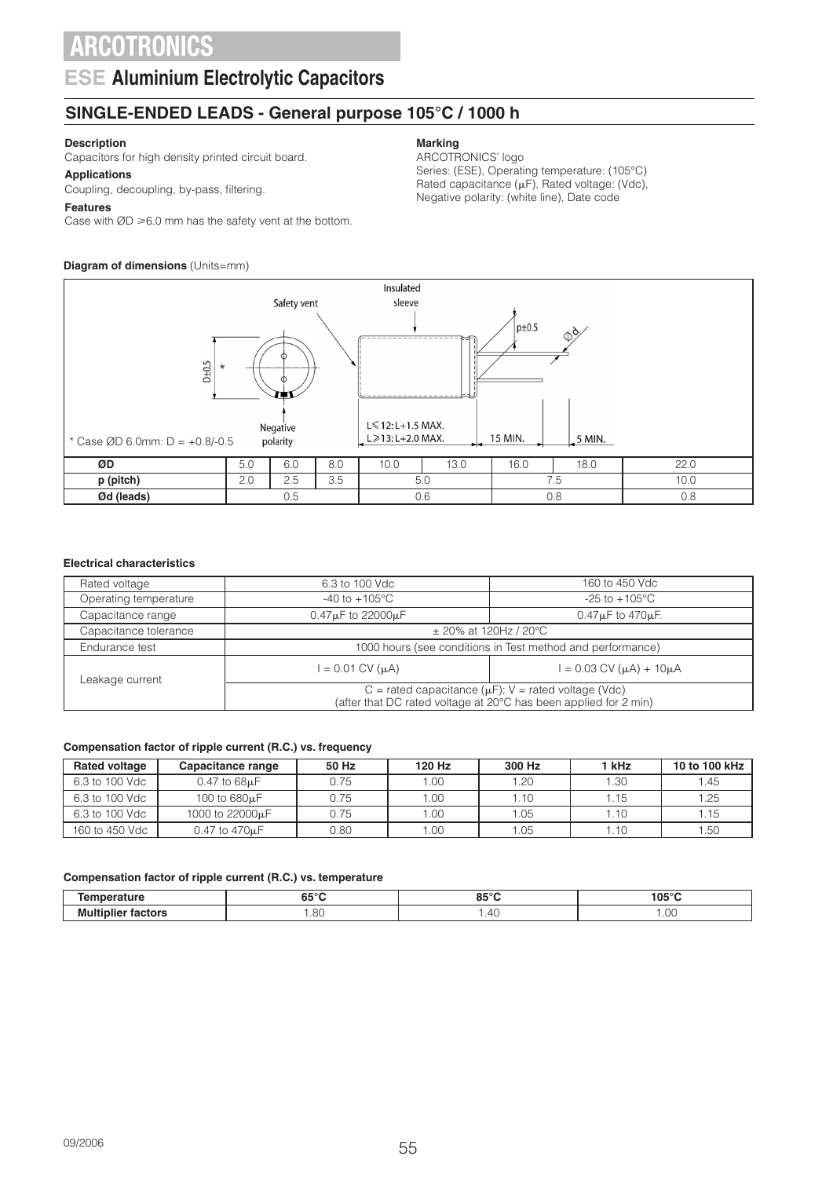### **ESE Aluminium Electrolytic Capacitors**

### **SINGLE-ENDED LEADS - General purpose 105°C / 1000 h**

### **Description**

Capacitors for high density printed circuit board.

#### **Applications**

Coupling, decoupling, by-pass, filtering.

### **Features**

Case with  $ØD \ge 6.0$  mm has the safety vent at the bottom.

### **Diagram of dimensions** (Units=mm)

#### Insulated Safety vent sleeve  $p\pm 0.5$ Ø  $D + 0.5$ \*L≤12: L+1.5 MAX. Negative 15 MIN polarity L≥13: L+2.0 MAX. 5 MIN. \* Case ØD 6.0mm: D = +0.8/-0.5 **ØD** 5.0 6.0 8.0 10.0 13.0 16.0 18.0 22.0 **p (pitch)** 2.0 2.5 3.5 5.0 7.5 10.0 *Ød* **(leads) | 0.5 | 0.6 | 0.8 | 0.8**

### **Electrical characteristics**

| Rated voltage                                      | 6.3 to 100 Vdc                                                                                                                | 160 to 450 Vdc                                             |  |  |  |  |
|----------------------------------------------------|-------------------------------------------------------------------------------------------------------------------------------|------------------------------------------------------------|--|--|--|--|
| Operating temperature<br>$-40$ to $+105^{\circ}$ C |                                                                                                                               | $-25$ to $+105^{\circ}$ C                                  |  |  |  |  |
| Capacitance range                                  | $0.47 \mu$ F to 22000 $\mu$ F                                                                                                 | $0.47\mu$ F to $470\mu$ F.                                 |  |  |  |  |
| Capacitance tolerance                              | $\pm$ 20% at 120Hz / 20°C                                                                                                     |                                                            |  |  |  |  |
| Endurance test                                     |                                                                                                                               | 1000 hours (see conditions in Test method and performance) |  |  |  |  |
| Leakage current                                    | $= 0.03$ CV ( $\mu$ A) + 10 $\mu$ A<br>$= 0.01$ CV ( $\mu$ A)                                                                 |                                                            |  |  |  |  |
|                                                    | C = rated capacitance ( $\mu$ F); V = rated voltage (Vdc)<br>(after that DC rated voltage at 20°C has been applied for 2 min) |                                                            |  |  |  |  |

### **Compensation factor of ripple current (R.C.) vs. frequency**

| <b>Rated voltage</b> | Capacitance range            | 50 Hz | 120 Hz | 300 Hz | 1 kHz | 10 to 100 kHz |
|----------------------|------------------------------|-------|--------|--------|-------|---------------|
| 6.3 to 100 Vdc       | $0.47$ to $68\mu F$          | 0.75  | 1.00   | 1.20   | 1.30  | 1.45          |
| 6.3 to 100 Vdc       | 100 to 680 <sub>u</sub> F    | 0.75  | 1.00   | 1.10   | 1.15  | 1.25          |
| 6.3 to 100 Vdc       | 1000 to 22000 <sub>k</sub> F | 0.75  | 1.00   | 1.05   | 1.10  | 1.15          |
| 160 to 450 Vdc       | 0.47 to 470 <sub>u</sub> F   | 0.80  | 0.00   | .05    | 1.10  | 1.50          |

### **Compensation factor of ripple current (R.C.) vs. temperature**

|     | $C = C$<br>ວວ | 0.50<br>oə | י⊼^1 ח<br>1 U.V<br>` |
|-----|---------------|------------|----------------------|
| . . | $\sim$        | . 40       | $\sim$               |
| M.  | .ul           |            | .uc                  |

### **Marking**

ARCOTRONICS' logo Series: (ESE), Operating temperature: (105°C) Rated capacitance  $(\mu F)$ , Rated voltage: (Vdc), Negative polarity: (white line), Date code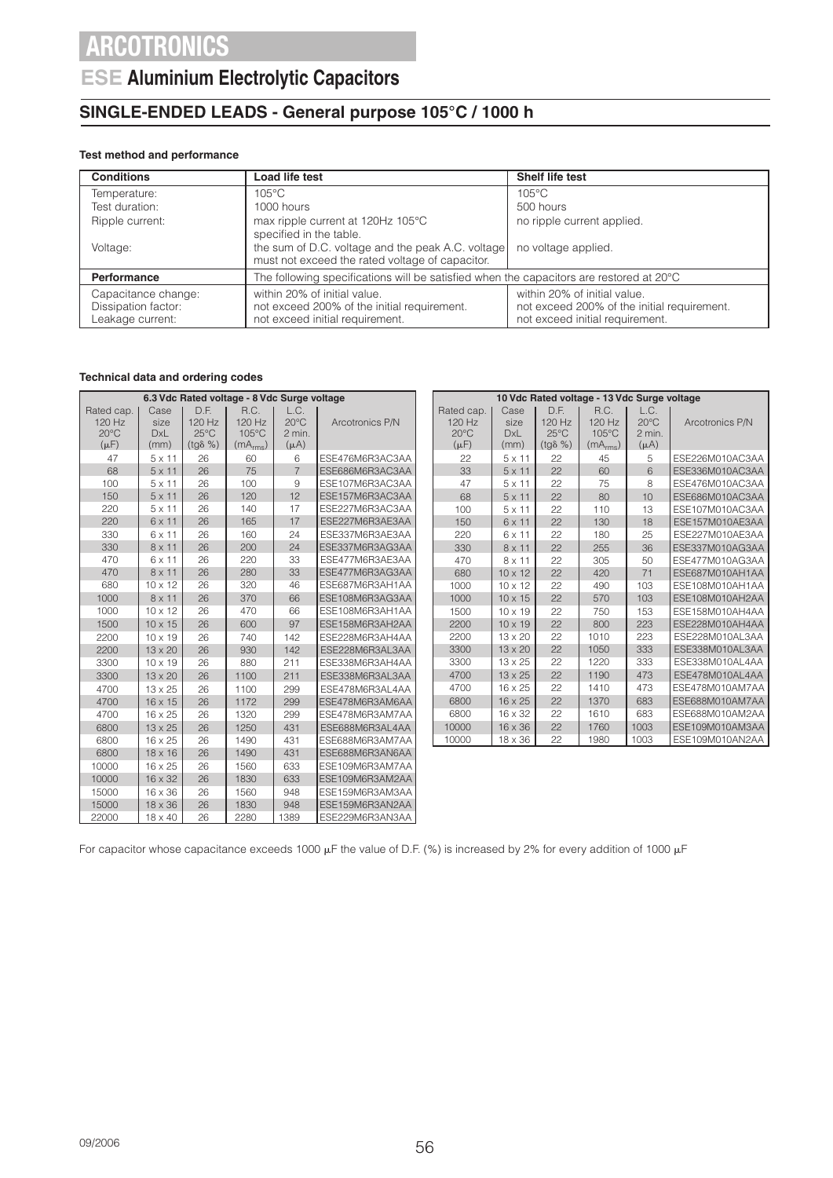### **ESE Aluminium Electrolytic Capacitors**

### **SINGLE-ENDED LEADS - General purpose 105°C / 1000 h**

### **Test method and performance**

| <b>Conditions</b>                                              | Load life test                                                                                                 | Shelf life test                                                                                                |  |  |
|----------------------------------------------------------------|----------------------------------------------------------------------------------------------------------------|----------------------------------------------------------------------------------------------------------------|--|--|
| Temperature:                                                   | $105^{\circ}$ C                                                                                                | $105^{\circ}$ C                                                                                                |  |  |
| Test duration:                                                 | 1000 hours                                                                                                     | 500 hours                                                                                                      |  |  |
| Ripple current:                                                | max ripple current at 120Hz 105°C<br>specified in the table.                                                   | no ripple current applied.                                                                                     |  |  |
| Voltage:                                                       | the sum of D.C. voltage and the peak A.C. voltage<br>must not exceed the rated voltage of capacitor.           | no voltage applied.                                                                                            |  |  |
| <b>Performance</b>                                             | The following specifications will be satisfied when the capacitors are restored at $20^{\circ}$ C              |                                                                                                                |  |  |
| Capacitance change:<br>Dissipation factor:<br>Leakage current: | within 20% of initial value.<br>not exceed 200% of the initial requirement.<br>not exceed initial requirement. | within 20% of initial value.<br>not exceed 200% of the initial requirement.<br>not exceed initial requirement. |  |  |

#### **Technical data and ordering codes**

| 6.3 Vdc Rated voltage - 8 Vdc Surge voltage |                |                |                  | 10 Vdc Rated voltage - 13 Vdc Surge voltage |                |                 |                |                |                  |                      |                |                 |
|---------------------------------------------|----------------|----------------|------------------|---------------------------------------------|----------------|-----------------|----------------|----------------|------------------|----------------------|----------------|-----------------|
|                                             | Rated cap.     | Case           | D.F.             | R.C.                                        | L.C.           |                 | Rated cap.     | Case           | D.F.             | R.C.                 | L.C.           |                 |
|                                             | 120 Hz         | size           | 120 Hz           | $120$ Hz                                    | $20^{\circ}$ C | Arcotronics P/N | 120 Hz         | size           | $120$ Hz         | 120 Hz               | $20^{\circ}$ C | Arcotronics P/N |
|                                             | $20^{\circ}$ C | <b>DxL</b>     | $25^{\circ}$ C   | $105^{\circ}$ C                             | 2 min.         |                 | $20^{\circ}$ C | <b>DxL</b>     | $25^{\circ}$ C   | 105°C                | 2 min.         |                 |
|                                             | $(\mu F)$      | (mm)           | $(tg\delta \% )$ | (mA <sub>rms</sub> )                        | $(\mu A)$      |                 | $(\mu F)$      | (mm)           | $(tg\delta \% )$ | (mA <sub>rms</sub> ) | $(\mu A)$      |                 |
|                                             | 47             | $5 \times 11$  | 26               | 60                                          | 6              | ESE476M6R3AC3AA | 22             | $5 \times 11$  | 22               | 45                   | 5              | ESE226M010AC3AA |
|                                             | 68             | $5 \times 11$  | 26               | 75                                          | $\overline{7}$ | ESE686M6R3AC3AA | 33             | $5 \times 11$  | 22               | 60                   | 6              | ESE336M010AC3AA |
|                                             | 100            | $5 \times 11$  | 26               | 100                                         | 9              | ESE107M6R3AC3AA | 47             | $5 \times 11$  | 22               | 75                   | 8              | ESE476M010AC3AA |
|                                             | 150            | $5 \times 11$  | 26               | 120                                         | 12             | ESE157M6R3AC3AA | 68             | $5 \times 11$  | 22               | 80                   | 10             | ESE686M010AC3AA |
|                                             | 220            | $5 \times 11$  | 26               | 140                                         | 17             | ESE227M6R3AC3AA | 100            | $5 \times 11$  | 22               | 110                  | 13             | ESE107M010AC3AA |
|                                             | 220            | $6 \times 11$  | 26               | 165                                         | 17             | ESE227M6R3AE3AA | 150            | $6 \times 11$  | 22               | 130                  | 18             | ESE157M010AE3AA |
|                                             | 330            | $6 \times 11$  | 26               | 160                                         | 24             | ESE337M6R3AE3AA | 220            | $6 \times 11$  | 22               | 180                  | 25             | ESE227M010AE3AA |
|                                             | 330            | $8 \times 11$  | 26               | 200                                         | 24             | ESE337M6R3AG3AA | 330            | $8 \times 11$  | 22               | 255                  | 36             | ESE337M010AG3AA |
|                                             | 470            | 6 x 11         | 26               | 220                                         | 33             | ESE477M6R3AE3AA | 470            | 8 x 11         | 22               | 305                  | 50             | ESE477M010AG3AA |
|                                             | 470            | $8 \times 11$  | 26               | 280                                         | 33             | ESE477M6R3AG3AA | 680            | $10 \times 12$ | 22               | 420                  | 71             | ESE687M010AH1AA |
|                                             | 680            | $10 \times 12$ | 26               | 320                                         | 46             | ESE687M6R3AH1AA | 1000           | $10 \times 12$ | 22               | 490                  | 103            | ESE108M010AH1AA |
|                                             | 1000           | $8 \times 11$  | 26               | 370                                         | 66             | ESE108M6R3AG3AA | 1000           | $10 \times 15$ | 22               | 570                  | 103            | ESE108M010AH2AA |
|                                             | 1000           | $10 \times 12$ | 26               | 470                                         | 66             | ESE108M6R3AH1AA | 1500           | $10 \times 19$ | 22               | 750                  | 153            | ESE158M010AH4AA |
|                                             | 1500           | $10 \times 15$ | 26               | 600                                         | 97             | ESE158M6R3AH2AA | 2200           | $10 \times 19$ | 22               | 800                  | 223            | ESE228M010AH4AA |
|                                             | 2200           | $10 \times 19$ | 26               | 740                                         | 142            | ESE228M6R3AH4AA | 2200           | $13 \times 20$ | 22               | 1010                 | 223            | ESE228M010AL3AA |
|                                             | 2200           | $13 \times 20$ | 26               | 930                                         | 142            | ESE228M6R3AL3AA | 3300           | $13 \times 20$ | 22               | 1050                 | 333            | ESE338M010AL3AA |
|                                             | 3300           | $10 \times 19$ | 26               | 880                                         | 211            | ESE338M6R3AH4AA | 3300           | $13 \times 25$ | 22               | 1220                 | 333            | ESE338M010AL4AA |
|                                             | 3300           | $13 \times 20$ | 26               | 1100                                        | 211            | ESE338M6R3AL3AA | 4700           | $13 \times 25$ | 22               | 1190                 | 473            | ESE478M010AL4AA |
|                                             | 4700           | $13 \times 25$ | 26               | 1100                                        | 299            | ESE478M6R3AL4AA | 4700           | $16 \times 25$ | 22               | 1410                 | 473            | ESE478M010AM7AA |
|                                             | 4700           | $16 \times 15$ | 26               | 1172                                        | 299            | ESE478M6R3AM6AA | 6800           | $16 \times 25$ | 22               | 1370                 | 683            | ESE688M010AM7AA |
|                                             | 4700           | 16 x 25        | 26               | 1320                                        | 299            | ESE478M6R3AM7AA | 6800           | $16 \times 32$ | 22               | 1610                 | 683            | ESE688M010AM2AA |
|                                             | 6800           | $13 \times 25$ | 26               | 1250                                        | 431            | ESE688M6R3AL4AA | 10000          | $16 \times 36$ | 22               | 1760                 | 1003           | ESE109M010AM3AA |
|                                             | 6800           | 16 x 25        | 26               | 1490                                        | 431            | ESE688M6R3AM7AA | 10000          | $18 \times 36$ | 22               | 1980                 | 1003           | ESE109M010AN2AA |
|                                             | 6800           | $18 \times 16$ | 26               | 1490                                        | 431            | ESE688M6R3AN6AA |                |                |                  |                      |                |                 |
|                                             | 10000          | $16 \times 25$ | 26               | 1560                                        | 633            | ESE109M6R3AM7AA |                |                |                  |                      |                |                 |
|                                             | 10000          | 16 x 32        | 26               | 1830                                        | 633            | ESE109M6R3AM2AA |                |                |                  |                      |                |                 |
|                                             | 15000          | $16 \times 36$ | 26               | 1560                                        | 948            | ESE159M6R3AM3AA |                |                |                  |                      |                |                 |
|                                             | 15000          | 18 x 36        | 26               | 1830                                        | 948            | ESE159M6R3AN2AA |                |                |                  |                      |                |                 |
|                                             |                |                |                  |                                             |                |                 |                |                |                  |                      |                |                 |

For capacitor whose capacitance exceeds 1000  $\mu$ F the value of D.F. (%) is increased by 2% for every addition of 1000  $\mu$ F

22000 18 x 40 26 2280 1389 ESE229M6R3AN3AA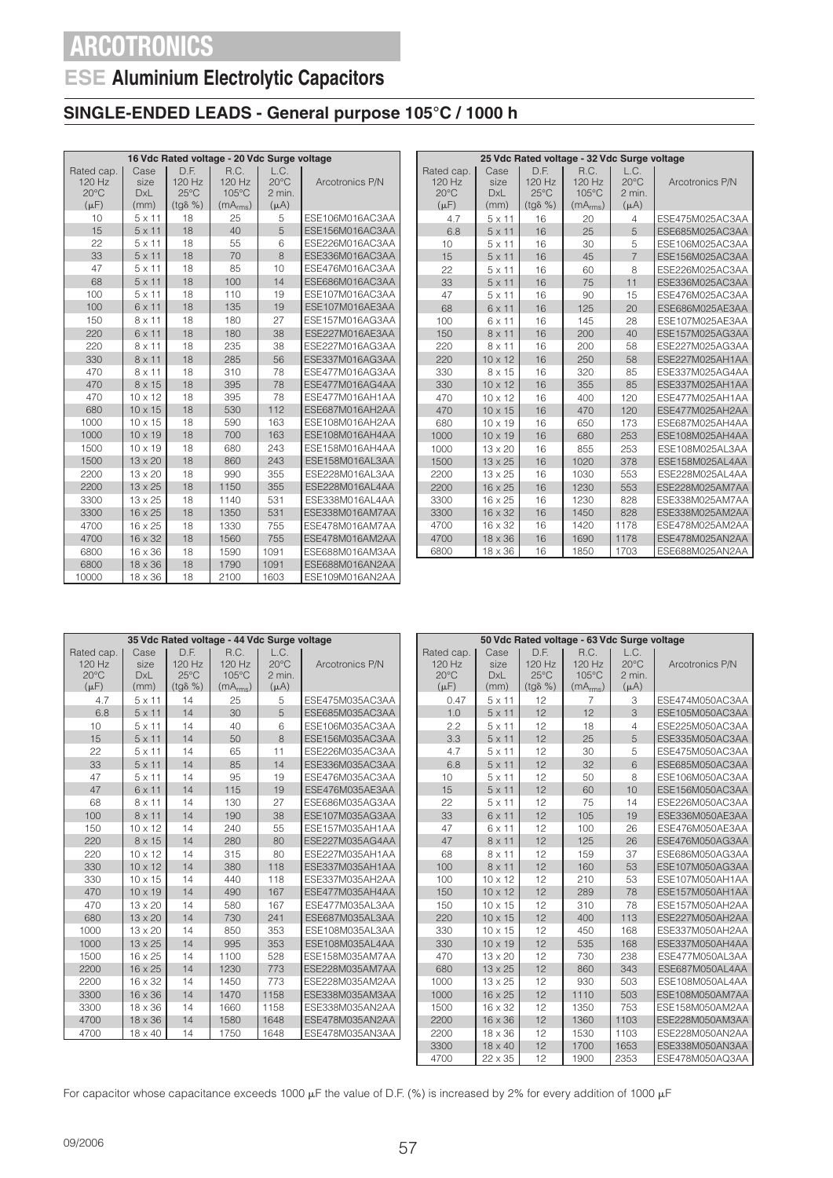## **ESE Aluminium Electrolytic Capacitors**

### **SINGLE-ENDED LEADS - General purpose 105°C / 1000 h**

|                                                     | 16 Vdc Rated voltage - 20 Vdc Surge voltage |                                                      |                                                 |                                               |                        |  |  |  |  |
|-----------------------------------------------------|---------------------------------------------|------------------------------------------------------|-------------------------------------------------|-----------------------------------------------|------------------------|--|--|--|--|
| Rated cap.<br>120 Hz<br>$20^{\circ}$ C<br>$(\mu F)$ | Case<br>size<br><b>DxL</b><br>(mm)          | D.F.<br>120 Hz<br>$25^{\circ}$ C<br>$(tq\delta \% )$ | R.C.<br>120 Hz<br>105°C<br>(mA <sub>rms</sub> ) | L.C.<br>$20^{\circ}$ C<br>2 min.<br>$(\mu A)$ | Arcotronics P/N        |  |  |  |  |
| 10                                                  | $5 \times 11$                               | 18                                                   | 25                                              | 5                                             | ESE106M016AC3AA        |  |  |  |  |
| 15                                                  | $5 \times 11$                               | 18                                                   | 40                                              | 5                                             | ESE156M016AC3AA        |  |  |  |  |
| 22                                                  | $5 \times 11$                               | 18                                                   | 55                                              | 6                                             | ESE226M016AC3AA        |  |  |  |  |
| 33                                                  | $5 \times 11$                               | 18                                                   | 70                                              | $\overline{8}$                                | ESE336M016AC3AA        |  |  |  |  |
| 47                                                  | $5 \times 11$                               | 18                                                   | 85                                              | 10                                            | ESE476M016AC3AA        |  |  |  |  |
| 68                                                  | $5 \times 11$                               | 18                                                   | 100                                             | 14                                            | ESE686M016AC3AA        |  |  |  |  |
| 100                                                 | $5 \times 11$                               | 18                                                   | 110                                             | 19                                            | ESE107M016AC3AA        |  |  |  |  |
| 100                                                 | $6 \times 11$                               | 18                                                   | 135                                             | 19                                            | ESE107M016AE3AA        |  |  |  |  |
| 150                                                 | $8 \times 11$                               | 18                                                   | 180                                             | 27                                            | ESE157M016AG3AA        |  |  |  |  |
| 220                                                 | $6 \times 11$                               | 18                                                   | 180                                             | 38                                            | <b>FSE227M016AE3AA</b> |  |  |  |  |
| 220                                                 | $8 \times 11$                               | 18                                                   | 235                                             | 38                                            | ESE227M016AG3AA        |  |  |  |  |
| 330                                                 | $8 \times 11$                               | 18                                                   | 285                                             | 56                                            | ESE337M016AG3AA        |  |  |  |  |
| 470                                                 | $8 \times 11$                               | 18                                                   | 310                                             | 78                                            | ESE477M016AG3AA        |  |  |  |  |
| 470                                                 | $8 \times 15$                               | 18                                                   | 395                                             | 78                                            | ESE477M016AG4AA        |  |  |  |  |
| 470                                                 | $10 \times 12$                              | 18                                                   | 395                                             | 78                                            | ESE477M016AH1AA        |  |  |  |  |
| 680                                                 | $10 \times 15$                              | 18                                                   | 530                                             | 112                                           | ESE687M016AH2AA        |  |  |  |  |
| 1000                                                | $10 \times 15$                              | 18                                                   | 590                                             | 163                                           | ESE108M016AH2AA        |  |  |  |  |
| 1000                                                | $10 \times 19$                              | 18                                                   | 700                                             | 163                                           | ESE108M016AH4AA        |  |  |  |  |
| 1500                                                | $10 \times 19$                              | 18                                                   | 680                                             | 243                                           | ESE158M016AH4AA        |  |  |  |  |
| 1500                                                | $13 \times 20$                              | 18                                                   | 860                                             | 243                                           | ESE158M016AL3AA        |  |  |  |  |
| 2200                                                | $13 \times 20$                              | 18                                                   | 990                                             | 355                                           | ESE228M016AL3AA        |  |  |  |  |
| 2200                                                | $13 \times 25$                              | 18                                                   | 1150                                            | 355                                           | ESE228M016AL4AA        |  |  |  |  |
| 3300                                                | $13 \times 25$                              | 18                                                   | 1140                                            | 531                                           | ESE338M016AL4AA        |  |  |  |  |
| 3300                                                | $16 \times 25$                              | 18                                                   | 1350                                            | 531                                           | ESE338M016AM7AA        |  |  |  |  |
| 4700                                                | 16 x 25                                     | 18                                                   | 1330                                            | 755                                           | ESE478M016AM7AA        |  |  |  |  |
| 4700                                                | 16 x 32                                     | 18                                                   | 1560                                            | 755                                           | ESE478M016AM2AA        |  |  |  |  |
| 6800                                                | 16 x 36                                     | 18                                                   | 1590                                            | 1091                                          | ESE688M016AM3AA        |  |  |  |  |
| 6800                                                | 18 x 36                                     | 18                                                   | 1790                                            | 1091                                          | ESE688M016AN2AA        |  |  |  |  |
| 10000                                               | 18 x 36                                     | 18                                                   | 2100                                            | 1603                                          | ESE109M016AN2AA        |  |  |  |  |

| 25 Vdc Rated voltage - 32 Vdc Surge voltage |                |                  |                      |                        |                        |  |  |  |  |
|---------------------------------------------|----------------|------------------|----------------------|------------------------|------------------------|--|--|--|--|
|                                             |                | D.F.             | R.C.                 |                        |                        |  |  |  |  |
| Rated cap.<br>120Hz                         | Case<br>size   | $120$ Hz         | $120$ Hz             | L.C.<br>$20^{\circ}$ C | Arcotronics P/N        |  |  |  |  |
| $20^{\circ}$ C                              | <b>DxL</b>     | $25^{\circ}$ C   | 105°C                | 2 min.                 |                        |  |  |  |  |
| $(\mu F)$                                   | (mm)           | $(tq\delta \% )$ | (mA <sub>rms</sub> ) | $(\mu A)$              |                        |  |  |  |  |
| 4.7                                         | $5 \times 11$  | 16               | 20                   | 4                      | ESE475M025AC3AA        |  |  |  |  |
| 6.8                                         | $5 \times 11$  | 16               | 25                   | 5                      | ESE685M025AC3AA        |  |  |  |  |
| 10                                          | $5 \times 11$  | 16               | 30                   | 5                      | ESE106M025AC3AA        |  |  |  |  |
| 15                                          | $5 \times 11$  | 16               | 45                   | $\overline{7}$         | ESE156M025AC3AA        |  |  |  |  |
| 22                                          | $5 \times 11$  | 16               | 60                   | 8                      | ESE226M025AC3AA        |  |  |  |  |
| 33                                          | $5 \times 11$  | 16               | 75                   | 11                     | ESE336M025AC3AA        |  |  |  |  |
| 47                                          | $5 \times 11$  | 16               | 90                   | 15                     | ESE476M025AC3AA        |  |  |  |  |
| 68                                          | 6 x 11         | 16               | 125                  | 20                     | ESE686M025AE3AA        |  |  |  |  |
| 100                                         | 6 x 11         | 16               | 145                  | 28                     | ESE107M025AE3AA        |  |  |  |  |
| 150                                         | $8 \times 11$  | 16               | 200                  | 40                     | ESE157M025AG3AA        |  |  |  |  |
| 220                                         | $8 \times 11$  | 16               | 200                  | 58                     | ESE227M025AG3AA        |  |  |  |  |
| 220                                         | $10 \times 12$ | 16               | 250                  | 58                     | ESE227M025AH1AA        |  |  |  |  |
| 330                                         | 8 x 15         | 16               | 320                  | 85                     | ESE337M025AG4AA        |  |  |  |  |
| 330                                         | $10 \times 12$ | 16               | 355                  | 85                     | <b>FSE337M025AH1AA</b> |  |  |  |  |
| 470                                         | $10 \times 12$ | 16               | 400                  | 120                    | ESE477M025AH1AA        |  |  |  |  |
| 470                                         | $10 \times 15$ | 16               | 470                  | 120                    | ESE477M025AH2AA        |  |  |  |  |
| 680                                         | $10 \times 19$ | 16               | 650                  | 173                    | ESE687M025AH4AA        |  |  |  |  |
| 1000                                        | $10 \times 19$ | 16               | 680                  | 253                    | FSE108M025AH4AA        |  |  |  |  |
| 1000                                        | $13 \times 20$ | 16               | 855                  | 253                    | ESE108M025AL3AA        |  |  |  |  |
| 1500                                        | $13 \times 25$ | 16               | 1020                 | 378                    | ESE158M025AL4AA        |  |  |  |  |
| 2200                                        | $13 \times 25$ | 16               | 1030                 | 553                    | ESE228M025AL4AA        |  |  |  |  |
| 2200                                        | $16 \times 25$ | 16               | 1230                 | 553                    | ESE228M025AM7AA        |  |  |  |  |
| 3300                                        | $16 \times 25$ | 16               | 1230                 | 828                    | ESE338M025AM7AA        |  |  |  |  |
| 3300                                        | $16 \times 32$ | 16               | 1450                 | 828                    | ESE338M025AM2AA        |  |  |  |  |
| 4700                                        | $16 \times 32$ | 16               | 1420                 | 1178                   | ESE478M025AM2AA        |  |  |  |  |
| 4700                                        | $18 \times 36$ | 16               | 1690                 | 1178                   | ESE478M025AN2AA        |  |  |  |  |
| 6800                                        | $18 \times 36$ | 16               | 1850                 | 1703                   | ESE688M025AN2AA        |  |  |  |  |

|                                                     | 35 Vdc Rated voltage - 44 Vdc Surge voltage |                                                      |                                                 |                                               |                 |
|-----------------------------------------------------|---------------------------------------------|------------------------------------------------------|-------------------------------------------------|-----------------------------------------------|-----------------|
| Rated cap.<br>120 Hz<br>$20^{\circ}$ C<br>$(\mu F)$ | Case<br>size<br><b>DxL</b><br>(mm)          | D.F.<br>120 Hz<br>$25^{\circ}$ C<br>$(tq\delta \% )$ | R.C.<br>120 Hz<br>105°C<br>(mA <sub>rms</sub> ) | L.C.<br>$20^{\circ}$ C<br>2 min.<br>$(\mu A)$ | Arcotronics P/N |
| 4.7                                                 | $5 \times 11$                               | 14                                                   | 25                                              | 5                                             | ESE475M035AC3AA |
| 6.8                                                 | $5 \times 11$                               | 14                                                   | 30                                              | 5                                             | ESE685M035AC3AA |
| 10                                                  | $5 \times 11$                               | 14                                                   | 40                                              | 6                                             | ESE106M035AC3AA |
| 15                                                  | $5 \times 11$                               | 14                                                   | 50                                              | 8                                             | ESE156M035AC3AA |
| 22                                                  | $5 \times 11$                               | 14                                                   | 65                                              | 11                                            | ESE226M035AC3AA |
| 33                                                  | $5 \times 11$                               | 14                                                   | 85                                              | 14                                            | ESE336M035AC3AA |
| 47                                                  | $5 \times 11$                               | 14                                                   | 95                                              | 19                                            | ESE476M035AC3AA |
| 47                                                  | 6 x 11                                      | 14                                                   | 115                                             | 19                                            | ESE476M035AE3AA |
| 68                                                  | $8 \times 11$                               | 14                                                   | 130                                             | 27                                            | ESE686M035AG3AA |
| 100                                                 | $8 \times 11$                               | 14                                                   | 190                                             | 38                                            | ESE107M035AG3AA |
| 150                                                 | $10 \times 12$                              | 14                                                   | 240                                             | 55                                            | ESE157M035AH1AA |
| 220                                                 | 8 x 15                                      | 14                                                   | 280                                             | 80                                            | ESE227M035AG4AA |
| 220                                                 | $10 \times 12$                              | 14                                                   | 315                                             | 80                                            | ESE227M035AH1AA |
| 330                                                 | $10 \times 12$                              | 14                                                   | 380                                             | 118                                           | ESE337M035AH1AA |
| 330                                                 | $10 \times 15$                              | 14                                                   | 440                                             | 118                                           | ESE337M035AH2AA |
| 470                                                 | $10 \times 19$                              | 14                                                   | 490                                             | 167                                           | ESE477M035AH4AA |
| 470                                                 | $13 \times 20$                              | 14                                                   | 580                                             | 167                                           | ESE477M035AL3AA |
| 680                                                 | $13 \times 20$                              | 14                                                   | 730                                             | 241                                           | ESE687M035AL3AA |
| 1000                                                | $13 \times 20$                              | 14                                                   | 850                                             | 353                                           | ESE108M035AL3AA |
| 1000                                                | $13 \times 25$                              | 14                                                   | 995                                             | 353                                           | ESE108M035AL4AA |
| 1500                                                | $16 \times 25$                              | 14                                                   | 1100                                            | 528                                           | ESE158M035AM7AA |
| 2200                                                | 16 x 25                                     | 14                                                   | 1230                                            | 773                                           | ESE228M035AM7AA |
| 2200                                                | $16 \times 32$                              | 14                                                   | 1450                                            | 773                                           | ESE228M035AM2AA |
| 3300                                                | $16 \times 36$                              | 14                                                   | 1470                                            | 1158                                          | ESE338M035AM3AA |
| 3300                                                | $18 \times 36$                              | 14                                                   | 1660                                            | 1158                                          | ESE338M035AN2AA |
| 4700                                                | $18 \times 36$                              | 14                                                   | 1580                                            | 1648                                          | ESE478M035AN2AA |
| 4700                                                | 18 x 40                                     | 14                                                   | 1750                                            | 1648                                          | ESE478M035AN3AA |
|                                                     |                                             |                                                      |                                                 |                                               |                 |

| 50 Vdc Rated voltage - 63 Vdc Surge voltage         |                                    |                                                     |                                                           |                                               |                 |  |  |  |
|-----------------------------------------------------|------------------------------------|-----------------------------------------------------|-----------------------------------------------------------|-----------------------------------------------|-----------------|--|--|--|
| Rated cap.<br>120 Hz<br>$20^{\circ}$ C<br>$(\mu F)$ | Case<br>size<br><b>DxL</b><br>(mm) | D.F.<br>120 Hz<br>$25^{\circ}$ C<br>$(tg\delta\% )$ | R.C.<br>120 Hz<br>$105^{\circ}$ C<br>(mA <sub>rms</sub> ) | L.C.<br>$20^{\circ}$ C<br>2 min.<br>$(\mu A)$ | Arcotronics P/N |  |  |  |
| 0.47                                                | $5 \times 11$                      | 12                                                  | $\overline{7}$                                            | 3                                             | ESE474M050AC3AA |  |  |  |
| 1.0                                                 | $5 \times 11$                      | 12                                                  | 12                                                        | 3                                             | ESE105M050AC3AA |  |  |  |
| 2.2                                                 | $5 \times 11$                      | 12                                                  | 18                                                        | 4                                             | ESE225M050AC3AA |  |  |  |
| 3.3                                                 | $5 \times 11$                      | 12                                                  | 25                                                        | 5                                             | ESE335M050AC3AA |  |  |  |
| 4.7                                                 | $5 \times 11$                      | 12                                                  | 30                                                        | 5                                             | ESE475M050AC3AA |  |  |  |
| 6.8                                                 | $5 \times 11$                      | 12                                                  | 32                                                        | 6                                             | ESE685M050AC3AA |  |  |  |
| 10                                                  | $5 \times 11$                      | 12                                                  | 50                                                        | 8                                             | ESE106M050AC3AA |  |  |  |
| 15                                                  | $5 \times 11$                      | 12                                                  | 60                                                        | 10                                            | ESE156M050AC3AA |  |  |  |
| 22                                                  | $5 \times 11$                      | 12                                                  | 75                                                        | 14                                            | ESE226M050AC3AA |  |  |  |
| 33                                                  | $6 \times 11$                      | 12                                                  | 105                                                       | 19                                            | ESE336M050AE3AA |  |  |  |
| 47                                                  | 6 x 11                             | 12                                                  | 100                                                       | 26                                            | ESE476M050AE3AA |  |  |  |
| 47                                                  | $8 \times 11$                      | 12                                                  | 125                                                       | 26                                            | ESE476M050AG3AA |  |  |  |
| 68                                                  | $8 \times 11$                      | 12                                                  | 159                                                       | 37                                            | ESE686M050AG3AA |  |  |  |
| 100                                                 | $8 \times 11$                      | 12                                                  | 160                                                       | 53                                            | ESE107M050AG3AA |  |  |  |
| 100                                                 | $10 \times 12$                     | 12                                                  | 210                                                       | 53                                            | ESE107M050AH1AA |  |  |  |
| 150                                                 | $10 \times 12$                     | 12                                                  | 289                                                       | 78                                            | ESE157M050AH1AA |  |  |  |
| 150                                                 | $10 \times 15$                     | 12                                                  | 310                                                       | 78                                            | ESE157M050AH2AA |  |  |  |
| 220                                                 | $10 \times 15$                     | 12                                                  | 400                                                       | 113                                           | ESE227M050AH2AA |  |  |  |
| 330                                                 | $10 \times 15$                     | 12                                                  | 450                                                       | 168                                           | ESE337M050AH2AA |  |  |  |
| 330                                                 | $10 \times 19$                     | 12                                                  | 535                                                       | 168                                           | ESE337M050AH4AA |  |  |  |
| 470                                                 | $13 \times 20$                     | 12                                                  | 730                                                       | 238                                           | ESE477M050AL3AA |  |  |  |
| 680                                                 | $13 \times 25$                     | 12                                                  | 860                                                       | 343                                           | ESE687M050AL4AA |  |  |  |
| 1000                                                | $13 \times 25$                     | 12                                                  | 930                                                       | 503                                           | ESE108M050AL4AA |  |  |  |
| 1000                                                | 16 x 25                            | 12                                                  | 1110                                                      | 503                                           | ESE108M050AM7AA |  |  |  |
| 1500                                                | $16 \times 32$                     | 12                                                  | 1350                                                      | 753                                           | ESE158M050AM2AA |  |  |  |
| 2200                                                | $16 \times 36$                     | 12                                                  | 1360                                                      | 1103                                          | ESE228M050AM3AA |  |  |  |
| 2200                                                | $18 \times 36$                     | 12                                                  | 1530                                                      | 1103                                          | ESE228M050AN2AA |  |  |  |
| 3300                                                | $18 \times 40$                     | 12                                                  | 1700                                                      | 1653                                          | ESE338M050AN3AA |  |  |  |
| 4700                                                | 22 x 35                            | 12                                                  | 1900                                                      | 2353                                          | ESE478M050AQ3AA |  |  |  |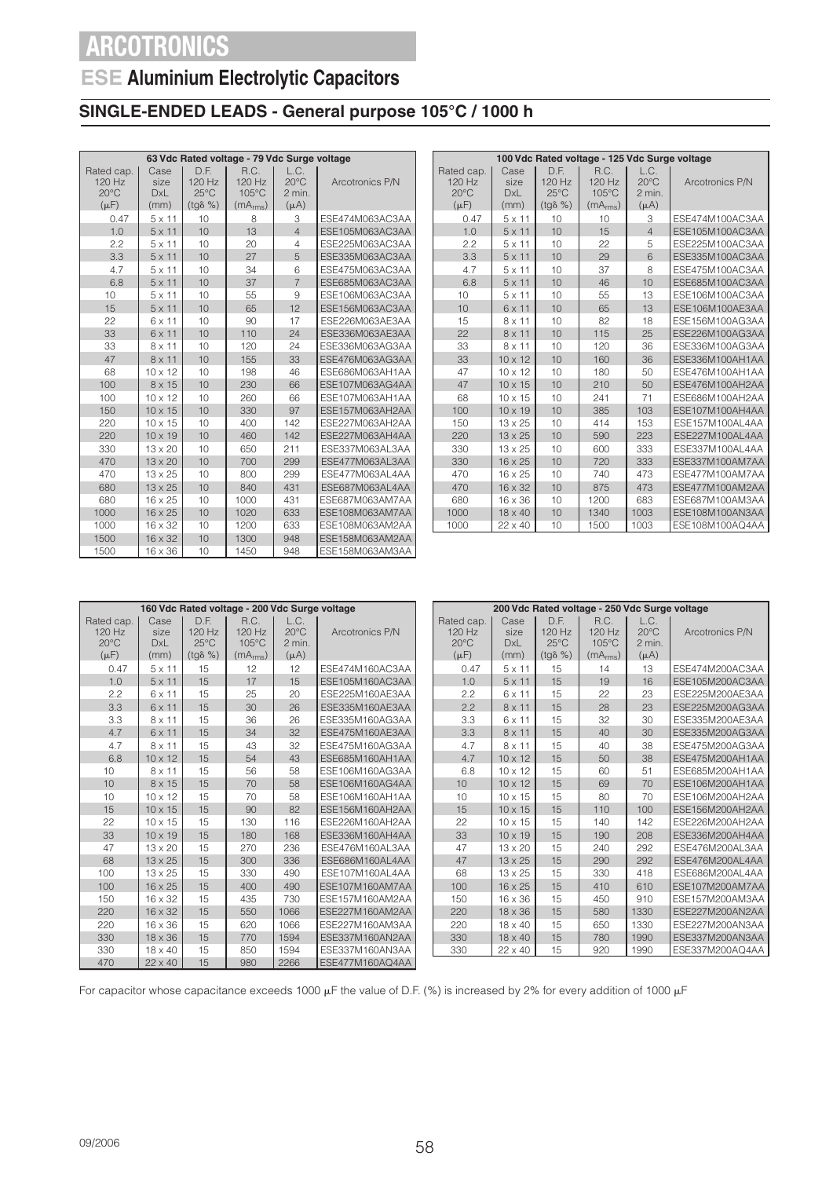### **ESE Aluminium Electrolytic Capacitors**

### **SINGLE-ENDED LEADS - General purpose 105°C / 1000 h**

|                                                     | 63 Vdc Rated voltage - 79 Vdc Surge voltage |                                                        |                                                 |                                               |                 |  |  |  |  |
|-----------------------------------------------------|---------------------------------------------|--------------------------------------------------------|-------------------------------------------------|-----------------------------------------------|-----------------|--|--|--|--|
| Rated cap.<br>120 Hz<br>$20^{\circ}$ C<br>$(\mu F)$ | Case<br>size<br><b>DxL</b><br>(mm)          | D.F.<br>$120$ Hz<br>$25^{\circ}$ C<br>$(tg\delta \% )$ | R.C.<br>120 Hz<br>105°C<br>(mA <sub>rms</sub> ) | L.C.<br>$20^{\circ}$ C<br>2 min.<br>$(\mu A)$ | Arcotronics P/N |  |  |  |  |
| 0.47                                                | $5 \times 11$                               | 10                                                     | 8                                               | 3                                             | ESE474M063AC3AA |  |  |  |  |
| 1.0                                                 | $5 \times 11$                               | 10                                                     | 13                                              | $\overline{4}$                                | ESE105M063AC3AA |  |  |  |  |
| 2.2                                                 | $5 \times 11$                               | 10                                                     | 20                                              | 4                                             | ESE225M063AC3AA |  |  |  |  |
| 3.3                                                 | $5 \times 11$                               | 10                                                     | 27                                              | 5                                             | ESE335M063AC3AA |  |  |  |  |
| 4.7                                                 | $5 \times 11$                               | 10                                                     | 34                                              | 6                                             | ESE475M063AC3AA |  |  |  |  |
| 6.8                                                 | $5 \times 11$                               | 10                                                     | 37                                              | $\overline{7}$                                | ESE685M063AC3AA |  |  |  |  |
| 10                                                  | $5 \times 11$                               | 10                                                     | 55                                              | 9                                             | ESE106M063AC3AA |  |  |  |  |
| 15                                                  | $5 \times 11$                               | 10                                                     | 65                                              | 12                                            | ESE156M063AC3AA |  |  |  |  |
| 22                                                  | 6 x 11                                      | 10                                                     | 90                                              | 17                                            | ESE226M063AE3AA |  |  |  |  |
| 33                                                  | $6 \times 11$                               | 10                                                     | 110                                             | 24                                            | ESE336M063AE3AA |  |  |  |  |
| 33                                                  | $8 \times 11$                               | 10                                                     | 120                                             | 24                                            | ESE336M063AG3AA |  |  |  |  |
| 47                                                  | $8 \times 11$                               | 10                                                     | 155                                             | 33                                            | ESE476M063AG3AA |  |  |  |  |
| 68                                                  | $10 \times 12$                              | 10                                                     | 198                                             | 46                                            | ESE686M063AH1AA |  |  |  |  |
| 100                                                 | $8 \times 15$                               | 10                                                     | 230                                             | 66                                            | ESE107M063AG4AA |  |  |  |  |
| 100                                                 | $10 \times 12$                              | 10                                                     | 260                                             | 66                                            | ESE107M063AH1AA |  |  |  |  |
| 150                                                 | $10 \times 15$                              | 10                                                     | 330                                             | 97                                            | ESE157M063AH2AA |  |  |  |  |
| 220                                                 | $10 \times 15$                              | 10                                                     | 400                                             | 142                                           | ESE227M063AH2AA |  |  |  |  |
| 220                                                 | $10 \times 19$                              | 10                                                     | 460                                             | 142                                           | ESE227M063AH4AA |  |  |  |  |
| 330                                                 | $13 \times 20$                              | 10                                                     | 650                                             | 211                                           | ESE337M063AL3AA |  |  |  |  |
| 470                                                 | $13 \times 20$                              | 10                                                     | 700                                             | 299                                           | ESE477M063AL3AA |  |  |  |  |
| 470                                                 | $13 \times 25$                              | 10                                                     | 800                                             | 299                                           | ESE477M063AL4AA |  |  |  |  |
| 680                                                 | $13 \times 25$                              | 10                                                     | 840                                             | 431                                           | ESE687M063AL4AA |  |  |  |  |
| 680                                                 | $16 \times 25$                              | 10                                                     | 1000                                            | 431                                           | ESE687M063AM7AA |  |  |  |  |
| 1000                                                | $16 \times 25$                              | 10                                                     | 1020                                            | 633                                           | ESE108M063AM7AA |  |  |  |  |
| 1000                                                | $16 \times 32$                              | 10                                                     | 1200                                            | 633                                           | ESE108M063AM2AA |  |  |  |  |
| 1500                                                | $16 \times 32$                              | 10                                                     | 1300                                            | 948                                           | ESE158M063AM2AA |  |  |  |  |
| 1500                                                | 16 x 36                                     | 10                                                     | 1450                                            | 948                                           | ESE158M063AM3AA |  |  |  |  |

| 100 Vdc Rated voltage - 125 Vdc Surge voltage |                |                  |                      |                |                 |  |  |  |  |  |
|-----------------------------------------------|----------------|------------------|----------------------|----------------|-----------------|--|--|--|--|--|
| Rated cap.                                    | Case           | D.F.             | R.C.                 | L.C.           |                 |  |  |  |  |  |
| 120 Hz                                        | size           | 120 Hz           | 120 Hz               | $20^{\circ}$ C | Arcotronics P/N |  |  |  |  |  |
| $20^{\circ}$ C                                | <b>DxL</b>     | $25^{\circ}$ C   | 105°C                | 2 min.         |                 |  |  |  |  |  |
| $(\mu F)$                                     | (mm)           | $(tq\delta \% )$ | (mA <sub>rms</sub> ) | $(\mu A)$      |                 |  |  |  |  |  |
| 0.47                                          | $5 \times 11$  | 10               | 10                   | 3              | ESE474M100AC3AA |  |  |  |  |  |
| 1.0                                           | $5 \times 11$  | 10               | 15                   | $\overline{4}$ | ESE105M100AC3AA |  |  |  |  |  |
| 2.2                                           | $5 \times 11$  | 10               | 22                   | 5              | ESE225M100AC3AA |  |  |  |  |  |
| 3.3                                           | $5 \times 11$  | 10               | 29                   | 6              | ESE335M100AC3AA |  |  |  |  |  |
| 4.7                                           | $5 \times 11$  | 10               | 37                   | 8              | ESE475M100AC3AA |  |  |  |  |  |
| 6.8                                           | $5 \times 11$  | 10               | 46                   | 10             | ESE685M100AC3AA |  |  |  |  |  |
| 10                                            | $5 \times 11$  | 10               | 55                   | 13             | ESE106M100AC3AA |  |  |  |  |  |
| 10                                            | $6 \times 11$  | 10               | 65                   | 13             | ESE106M100AE3AA |  |  |  |  |  |
| 15                                            | $8 \times 11$  | 10               | 82                   | 18             | ESE156M100AG3AA |  |  |  |  |  |
| 22                                            | $8 \times 11$  | 10               | 115                  | 25             | ESE226M100AG3AA |  |  |  |  |  |
| 33                                            | $8 \times 11$  | 10               | 120                  | 36             | ESE336M100AG3AA |  |  |  |  |  |
| 33                                            | $10 \times 12$ | 10               | 160                  | 36             | ESE336M100AH1AA |  |  |  |  |  |
| 47                                            | $10 \times 12$ | 10               | 180                  | 50             | ESE476M100AH1AA |  |  |  |  |  |
| 47                                            | $10 \times 15$ | 10               | 210                  | 50             | FSE476M100AH2AA |  |  |  |  |  |
| 68                                            | $10 \times 15$ | 10               | 241                  | 71             | ESE686M100AH2AA |  |  |  |  |  |
| 100                                           | $10 \times 19$ | 10               | 385                  | 103            | FSE107M100AH4AA |  |  |  |  |  |
| 150                                           | $13 \times 25$ | 10               | 414                  | 153            | ESE157M100AL4AA |  |  |  |  |  |
| 220                                           | $13 \times 25$ | 10               | 590                  | 223            | ESE227M100AL4AA |  |  |  |  |  |
| 330                                           | 13 x 25        | 10               | 600                  | 333            | ESE337M100AL4AA |  |  |  |  |  |
| 330                                           | 16 x 25        | 10               | 720                  | 333            | ESE337M100AM7AA |  |  |  |  |  |
| 470                                           | $16 \times 25$ | 10               | 740                  | 473            | ESE477M100AM7AA |  |  |  |  |  |
| 470                                           | $16 \times 32$ | 10               | 875                  | 473            | ESE477M100AM2AA |  |  |  |  |  |
| 680                                           | $16 \times 36$ | 10               | 1200                 | 683            | ESE687M100AM3AA |  |  |  |  |  |
| 1000                                          | $18 \times 40$ | 10               | 1340                 | 1003           | ESE108M100AN3AA |  |  |  |  |  |
| 1000                                          | $22 \times 40$ | 10               | 1500                 | 1003           | ESE108M100AQ4AA |  |  |  |  |  |

|                                                     |                             |                                                      | 160 Vdc Rated voltage - 200 Vdc Surge voltage             |                                                 |                 |                                                     |                                    |                                                     | 200 Vdc Rated voltage - 250 Vdc Surge voltage             |                                                 |                 |
|-----------------------------------------------------|-----------------------------|------------------------------------------------------|-----------------------------------------------------------|-------------------------------------------------|-----------------|-----------------------------------------------------|------------------------------------|-----------------------------------------------------|-----------------------------------------------------------|-------------------------------------------------|-----------------|
| Rated cap.<br>120 Hz<br>$20^{\circ}$ C<br>$(\mu F)$ | Case<br>size<br>DxL<br>(mm) | D.F.<br>120 Hz<br>$25^{\circ}$ C<br>$(tg\delta \% )$ | R.C.<br>120 Hz<br>$105^{\circ}$ C<br>(mA <sub>rms</sub> ) | L.C.<br>$20^{\circ}$ C<br>$2$ min.<br>$(\mu A)$ | Arcotronics P/N | Rated cap.<br>120 Hz<br>$20^{\circ}$ C<br>$(\mu F)$ | Case<br>size<br><b>DxL</b><br>(mm) | D.E.<br>120 Hz<br>$25^{\circ}$ C<br>$(tg\delta\% )$ | R.C.<br>120 Hz<br>$105^{\circ}$ C<br>(mA <sub>rms</sub> ) | L.C.<br>$20^{\circ}$ C<br>$2$ min.<br>$(\mu A)$ | Arcotronics P/N |
| 0.47                                                | $5 \times 11$               | 15                                                   | 12                                                        | 12                                              | ESE474M160AC3AA | 0.47                                                | $5 \times 11$                      | 15                                                  | 14                                                        | 13                                              | ESE474M200AC3AA |
| 1.0                                                 | $5 \times 11$               | 15                                                   | 17                                                        | 15                                              | ESE105M160AC3AA | 1.0                                                 | $5 \times 11$                      | 15                                                  | 19                                                        | 16                                              | ESE105M200AC3AA |
| 2.2                                                 | $6 \times 11$               | 15                                                   | 25                                                        | 20                                              | ESE225M160AE3AA | 2.2                                                 | 6 x 11                             | 15                                                  | 22                                                        | 23                                              | ESE225M200AE3AA |
| 3.3                                                 | $6 \times 11$               | 15                                                   | 30                                                        | 26                                              | ESE335M160AE3AA | 2.2                                                 | $8 \times 11$                      | 15                                                  | 28                                                        | 23                                              | ESE225M200AG3AA |
| 3.3                                                 | $8 \times 11$               | 15                                                   | 36                                                        | 26                                              | ESE335M160AG3AA | 3.3                                                 | $6 \times 11$                      | 15                                                  | 32                                                        | 30                                              | ESE335M200AE3AA |
| 4.7                                                 | $6 \times 11$               | 15                                                   | 34                                                        | 32                                              | ESE475M160AE3AA | 3.3                                                 | $8 \times 11$                      | 15                                                  | 40                                                        | 30                                              | ESE335M200AG3AA |
| 4.7                                                 | $8 \times 11$               | 15                                                   | 43                                                        | 32                                              | ESE475M160AG3AA | 4.7                                                 | 8 x 11                             | 15                                                  | 40                                                        | 38                                              | ESE475M200AG3AA |
| 6.8                                                 | $10 \times 12$              | 15                                                   | 54                                                        | 43                                              | ESE685M160AH1AA | 4.7                                                 | $10 \times 12$                     | 15                                                  | 50                                                        | 38                                              | ESE475M200AH1AA |
| 10                                                  | $8 \times 11$               | 15                                                   | 56                                                        | 58                                              | ESE106M160AG3AA | 6.8                                                 | $10 \times 12$                     | 15                                                  | 60                                                        | 51                                              | ESE685M200AH1AA |
| 10                                                  | 8 x 15                      | 15                                                   | 70                                                        | 58                                              | ESE106M160AG4AA | 10                                                  | $10 \times 12$                     | 15                                                  | 69                                                        | 70                                              | ESE106M200AH1AA |
| 10                                                  | $10 \times 12$              | 15                                                   | 70                                                        | 58                                              | ESE106M160AH1AA | 10                                                  | $10 \times 15$                     | 15                                                  | 80                                                        | 70                                              | ESE106M200AH2AA |
| 15                                                  | $10 \times 15$              | 15                                                   | 90                                                        | 82                                              | ESE156M160AH2AA | 15                                                  | $10 \times 15$                     | 15                                                  | 110                                                       | 100                                             | ESE156M200AH2AA |
| 22                                                  | $10 \times 15$              | 15                                                   | 130                                                       | 116                                             | ESE226M160AH2AA | 22                                                  | $10 \times 15$                     | 15                                                  | 140                                                       | 142                                             | ESE226M200AH2AA |
| 33                                                  | $10 \times 19$              | 15                                                   | 180                                                       | 168                                             | ESE336M160AH4AA | 33                                                  | $10 \times 19$                     | 15                                                  | 190                                                       | 208                                             | ESE336M200AH4AA |
| 47                                                  | $13 \times 20$              | 15                                                   | 270                                                       | 236                                             | ESE476M160AL3AA | 47                                                  | 13 x 20                            | 15                                                  | 240                                                       | 292                                             | ESE476M200AL3AA |
| 68                                                  | $13 \times 25$              | 15                                                   | 300                                                       | 336                                             | ESE686M160AL4AA | 47                                                  | $13 \times 25$                     | 15                                                  | 290                                                       | 292                                             | ESE476M200AL4AA |
| 100                                                 | $13 \times 25$              | 15                                                   | 330                                                       | 490                                             | ESE107M160AL4AA | 68                                                  | $13 \times 25$                     | 15                                                  | 330                                                       | 418                                             | ESE686M200AL4AA |
| 100                                                 | 16 x 25                     | 15                                                   | 400                                                       | 490                                             | ESE107M160AM7AA | 100                                                 | $16 \times 25$                     | 15                                                  | 410                                                       | 610                                             | ESE107M200AM7AA |
| 150                                                 | $16 \times 32$              | 15                                                   | 435                                                       | 730                                             | ESE157M160AM2AA | 150                                                 | $16 \times 36$                     | 15                                                  | 450                                                       | 910                                             | ESE157M200AM3AA |
| 220                                                 | $16 \times 32$              | 15                                                   | 550                                                       | 1066                                            | ESE227M160AM2AA | 220                                                 | $18 \times 36$                     | 15                                                  | 580                                                       | 1330                                            | ESE227M200AN2AA |
| 220                                                 | $16 \times 36$              | 15                                                   | 620                                                       | 1066                                            | ESE227M160AM3AA | 220                                                 | $18 \times 40$                     | 15                                                  | 650                                                       | 1330                                            | ESE227M200AN3AA |
| 330                                                 | $18 \times 36$              | 15                                                   | 770                                                       | 1594                                            | ESE337M160AN2AA | 330                                                 | 18 x 40                            | 15                                                  | 780                                                       | 1990                                            | ESE337M200AN3AA |
| 330                                                 | $18 \times 40$              | 15                                                   | 850                                                       | 1594                                            | ESE337M160AN3AA | 330                                                 | $22 \times 40$                     | 15                                                  | 920                                                       | 1990                                            | ESE337M200AQ4AA |
| 470                                                 | $22 \times 40$              | 15                                                   | 980                                                       | 2266                                            | ESE477M160AQ4AA |                                                     |                                    |                                                     |                                                           |                                                 |                 |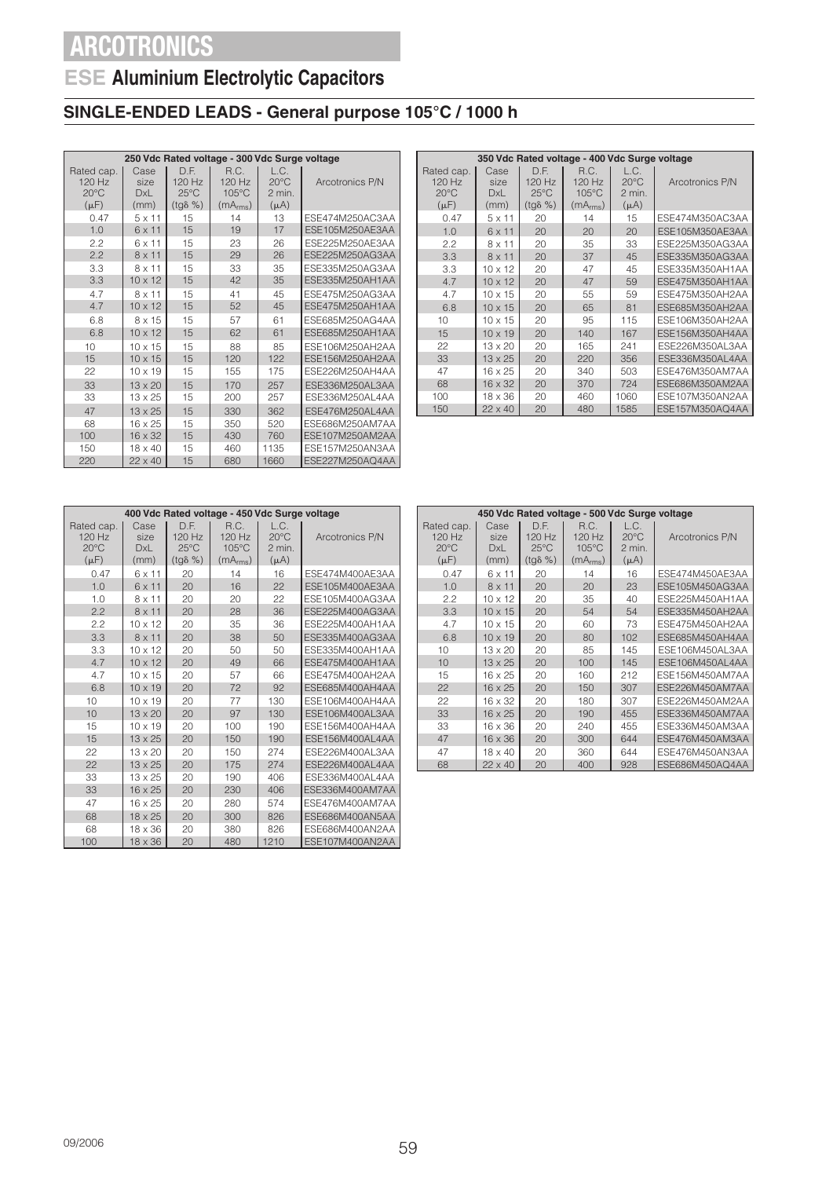## **ESE Aluminium Electrolytic Capacitors**

### **SINGLE-ENDED LEADS - General purpose 105°C / 1000 h**

| 250 Vdc Rated voltage - 300 Vdc Surge voltage         |                                    |                                                        |                                                           |                                               |                 |  |  |  |
|-------------------------------------------------------|------------------------------------|--------------------------------------------------------|-----------------------------------------------------------|-----------------------------------------------|-----------------|--|--|--|
| Rated cap.<br>$120$ Hz<br>$20^{\circ}$ C<br>$(\mu F)$ | Case<br>size<br><b>DxL</b><br>(mm) | D.F.<br>$120$ Hz<br>$25^{\circ}$ C<br>$(tg\delta \% )$ | R.C.<br>120 Hz<br>$105^{\circ}$ C<br>(mA <sub>rms</sub> ) | L.C.<br>$20^{\circ}$ C<br>2 min.<br>$(\mu A)$ | Arcotronics P/N |  |  |  |
| 0.47                                                  | $5 \times 11$                      | 15                                                     | 14                                                        | 13                                            | ESE474M250AC3AA |  |  |  |
| 1.0                                                   | 6 x 11                             | 15                                                     | 19                                                        | 17                                            | ESE105M250AE3AA |  |  |  |
| 2.2                                                   | 6 x 11                             | 15                                                     | 23                                                        | 26                                            | ESE225M250AE3AA |  |  |  |
| 2.2                                                   | $8 \times 11$                      | 15                                                     | 29                                                        | 26                                            | ESE225M250AG3AA |  |  |  |
| 3.3                                                   | 8 x 11                             | 15                                                     | 33                                                        | 35                                            | ESE335M250AG3AA |  |  |  |
| 3.3                                                   | $10 \times 12$                     | 15                                                     | 42                                                        | 35                                            | ESE335M250AH1AA |  |  |  |
| 4.7                                                   | 8 x 11                             | 15                                                     | 41                                                        | 45                                            | ESE475M250AG3AA |  |  |  |
| 4.7                                                   | $10 \times 12$                     | 15                                                     | 52                                                        | 45                                            | ESE475M250AH1AA |  |  |  |
| 6.8                                                   | 8 x 15                             | 15                                                     | 57                                                        | 61                                            | ESE685M250AG4AA |  |  |  |
| 6.8                                                   | $10 \times 12$                     | 15                                                     | 62                                                        | 61                                            | ESE685M250AH1AA |  |  |  |
| 10                                                    | $10 \times 15$                     | 15                                                     | 88                                                        | 85                                            | ESE106M250AH2AA |  |  |  |
| 15                                                    | $10 \times 15$                     | 15                                                     | 120                                                       | 122                                           | ESE156M250AH2AA |  |  |  |
| 22                                                    | $10 \times 19$                     | 15                                                     | 155                                                       | 175                                           | ESE226M250AH4AA |  |  |  |
| 33                                                    | $13 \times 20$                     | 15                                                     | 170                                                       | 257                                           | ESE336M250AL3AA |  |  |  |
| 33                                                    | $13 \times 25$                     | 15                                                     | 200                                                       | 257                                           | ESE336M250AL4AA |  |  |  |
| 47                                                    | $13 \times 25$                     | 15                                                     | 330                                                       | 362                                           | ESE476M250AL4AA |  |  |  |
| 68                                                    | $16 \times 25$                     | 15                                                     | 350                                                       | 520                                           | ESE686M250AM7AA |  |  |  |
| 100                                                   | $16 \times 32$                     | 15                                                     | 430                                                       | 760                                           | ESE107M250AM2AA |  |  |  |
| 150                                                   | 18 x 40                            | 15                                                     | 460                                                       | 1135                                          | ESE157M250AN3AA |  |  |  |
| 220                                                   | $22 \times 40$                     | 15                                                     | 680                                                       | 1660                                          | ESE227M250AQ4AA |  |  |  |

|                | 350 Vdc Rated voltage - 400 Vdc Surge voltage |                  |                      |                |                 |  |  |  |  |
|----------------|-----------------------------------------------|------------------|----------------------|----------------|-----------------|--|--|--|--|
| Rated cap.     | Case                                          | D.F.             | R.C.                 | L.C.           |                 |  |  |  |  |
| 120 Hz         | size                                          | 120 Hz           | 120 Hz               | $20^{\circ}$ C | Arcotronics P/N |  |  |  |  |
| $20^{\circ}$ C | <b>DxL</b>                                    | $25^{\circ}$ C   | $105^{\circ}$ C      | 2 min.         |                 |  |  |  |  |
| $(\mu F)$      | (mm)                                          | $(tq\delta \% )$ | (mA <sub>rms</sub> ) | $(\mu A)$      |                 |  |  |  |  |
| 0.47           | $5 \times 11$                                 | 20               | 14                   | 15             | ESE474M350AC3AA |  |  |  |  |
| 1.0            | 6 x 11                                        | 20               | 20                   | 20             | ESE105M350AE3AA |  |  |  |  |
| 2.2            | $8 \times 11$                                 | 20               | 35                   | 33             | ESE225M350AG3AA |  |  |  |  |
| 3.3            | $8 \times 11$                                 | 20               | 37                   | 45             | ESE335M350AG3AA |  |  |  |  |
| 3.3            | $10 \times 12$                                | 20               | 47                   | 45             | ESE335M350AH1AA |  |  |  |  |
| 4.7            | $10 \times 12$                                | 20               | 47                   | 59             | ESE475M350AH1AA |  |  |  |  |
| 4.7            | $10 \times 15$                                | 20               | 55                   | 59             | ESE475M350AH2AA |  |  |  |  |
| 6.8            | $10 \times 15$                                | 20               | 65                   | 81             | ESE685M350AH2AA |  |  |  |  |
| 10             | $10 \times 15$                                | 20               | 95                   | 115            | ESE106M350AH2AA |  |  |  |  |
| 15             | $10 \times 19$                                | 20               | 140                  | 167            | ESE156M350AH4AA |  |  |  |  |
| 22             | $13 \times 20$                                | 20               | 165                  | 241            | ESE226M350AL3AA |  |  |  |  |
| 33             | $13 \times 25$                                | 20               | 220                  | 356            | ESE336M350AL4AA |  |  |  |  |
| 47             | $16 \times 25$                                | 20               | 340                  | 503            | ESE476M350AM7AA |  |  |  |  |
| 68             | $16 \times 32$                                | 20               | 370                  | 724            | ESE686M350AM2AA |  |  |  |  |
| 100            | $18 \times 36$                                | 20               | 460                  | 1060           | ESE107M350AN2AA |  |  |  |  |
| 150            | $22 \times 40$                                | 20               | 480                  | 1585           | ESE157M350AQ4AA |  |  |  |  |

|                                          | 400 Vdc Rated voltage - 450 Vdc Surge voltage |                                    |                         |                                  |                 |  |  |  |  |
|------------------------------------------|-----------------------------------------------|------------------------------------|-------------------------|----------------------------------|-----------------|--|--|--|--|
| Rated cap.<br>$120$ Hz<br>$20^{\circ}$ C | Case<br>size<br><b>DxL</b>                    | D.F.<br>$120$ Hz<br>$25^{\circ}$ C | R.C.<br>120 Hz<br>105°C | L.C.<br>$20^{\circ}$ C<br>2 min. | Arcotronics P/N |  |  |  |  |
| $(\mu F)$                                | (mm)                                          | $(tq\delta \% )$                   | (mA <sub>rms</sub> )    | $(\mu A)$                        |                 |  |  |  |  |
| 0.47                                     | 6 x 11                                        | 20                                 | 14                      | 16                               | ESE474M400AE3AA |  |  |  |  |
| 1.0                                      | 6 x 11                                        | 20                                 | 16                      | 22                               | ESE105M400AE3AA |  |  |  |  |
| 1.0                                      | 8 x 11                                        | 20                                 | 20                      | 22                               | ESE105M400AG3AA |  |  |  |  |
| 2.2                                      | $8 \times 11$                                 | 20                                 | 28                      | 36                               | ESE225M400AG3AA |  |  |  |  |
| 2.2                                      | $10 \times 12$                                | 20                                 | 35                      | 36                               | ESE225M400AH1AA |  |  |  |  |
| 3.3                                      | $8 \times 11$                                 | 20                                 | 38                      | 50                               | ESE335M400AG3AA |  |  |  |  |
| 3.3                                      | $10 \times 12$                                | 20                                 | 50                      | 50                               | ESE335M400AH1AA |  |  |  |  |
| 4.7                                      | $10 \times 12$                                | 20                                 | 49                      | 66                               | ESE475M400AH1AA |  |  |  |  |
| 4.7                                      | $10 \times 15$                                | 20                                 | 57                      | 66                               | ESE475M400AH2AA |  |  |  |  |
| 6.8                                      | $10 \times 19$                                | 20                                 | 72                      | 92                               | ESE685M400AH4AA |  |  |  |  |
| 10                                       | $10 \times 19$                                | 20                                 | 77                      | 130                              | ESE106M400AH4AA |  |  |  |  |
| 10                                       | $13 \times 20$                                | 20                                 | 97                      | 130                              | ESE106M400AL3AA |  |  |  |  |
| 15                                       | $10 \times 19$                                | 20                                 | 100                     | 190                              | ESE156M400AH4AA |  |  |  |  |
| 15                                       | $13 \times 25$                                | 20                                 | 150                     | 190                              | ESE156M400AL4AA |  |  |  |  |
| 22                                       | $13 \times 20$                                | 20                                 | 150                     | 274                              | ESE226M400AL3AA |  |  |  |  |
| 22                                       | $13 \times 25$                                | 20                                 | 175                     | 274                              | FSE226M400AL4AA |  |  |  |  |
| 33                                       | $13 \times 25$                                | 20                                 | 190                     | 406                              | ESE336M400AL4AA |  |  |  |  |
| 33                                       | $16 \times 25$                                | 20                                 | 230                     | 406                              | ESE336M400AM7AA |  |  |  |  |
| 47                                       | $16 \times 25$                                | 20                                 | 280                     | 574                              | ESE476M400AM7AA |  |  |  |  |
| 68                                       | $18 \times 25$                                | 20                                 | 300                     | 826                              | ESE686M400AN5AA |  |  |  |  |
| 68                                       | $18 \times 36$                                | 20                                 | 380                     | 826                              | ESE686M400AN2AA |  |  |  |  |
| 100                                      | $18 \times 36$                                | 20                                 | 480                     | 1210                             | ESE107M400AN2AA |  |  |  |  |

| 450 Vdc Rated voltage - 500 Vdc Surge voltage         |                                    |                                                      |                                                           |                                               |                 |  |  |  |  |
|-------------------------------------------------------|------------------------------------|------------------------------------------------------|-----------------------------------------------------------|-----------------------------------------------|-----------------|--|--|--|--|
| Rated cap.<br>$120$ Hz<br>$20^{\circ}$ C<br>$(\mu F)$ | Case<br>size<br><b>DxL</b><br>(mm) | D.F.<br>120 Hz<br>$25^{\circ}$ C<br>$(tq\delta \% )$ | R.C.<br>120 Hz<br>$105^{\circ}$ C<br>(mA <sub>rms</sub> ) | L.C.<br>$20^{\circ}$ C<br>2 min.<br>$(\mu A)$ | Arcotronics P/N |  |  |  |  |
| 0.47                                                  | 6 x 11                             | 20                                                   | 14                                                        | 16                                            | ESE474M450AE3AA |  |  |  |  |
| 1.0                                                   | $8 \times 11$                      | 20                                                   | 20                                                        | 23                                            | ESE105M450AG3AA |  |  |  |  |
| 2.2                                                   | $10 \times 12$                     | 20                                                   | 35                                                        | 40                                            | ESE225M450AH1AA |  |  |  |  |
| 3.3                                                   | $10 \times 15$                     | 20                                                   | 54                                                        | 54                                            | ESE335M450AH2AA |  |  |  |  |
| 4.7                                                   | $10 \times 15$                     | 20                                                   | 60                                                        | 73                                            | ESE475M450AH2AA |  |  |  |  |
| 6.8                                                   | $10 \times 19$                     | 20                                                   | 80                                                        | 102                                           | ESE685M450AH4AA |  |  |  |  |
| 10                                                    | $13 \times 20$                     | 20                                                   | 85                                                        | 145                                           | ESE106M450AL3AA |  |  |  |  |
| 10                                                    | $13 \times 25$                     | 20                                                   | 100                                                       | 145                                           | ESE106M450AL4AA |  |  |  |  |
| 15                                                    | $16 \times 25$                     | 20                                                   | 160                                                       | 212                                           | ESE156M450AM7AA |  |  |  |  |
| 22                                                    | $16 \times 25$                     | 20                                                   | 150                                                       | 307                                           | ESE226M450AM7AA |  |  |  |  |
| 22                                                    | 16 x 32                            | 20                                                   | 180                                                       | 307                                           | ESE226M450AM2AA |  |  |  |  |
| 33                                                    | $16 \times 25$                     | 20                                                   | 190                                                       | 455                                           | ESE336M450AM7AA |  |  |  |  |
| 33                                                    | $16 \times 36$                     | 20                                                   | 240                                                       | 455                                           | ESE336M450AM3AA |  |  |  |  |
| 47                                                    | $16 \times 36$                     | 20                                                   | 300                                                       | 644                                           | ESE476M450AM3AA |  |  |  |  |
| 47                                                    | $18 \times 40$                     | 20                                                   | 360                                                       | 644                                           | ESE476M450AN3AA |  |  |  |  |
| 68                                                    | $22 \times 40$                     | 20                                                   | 400                                                       | 928                                           | ESE686M450AQ4AA |  |  |  |  |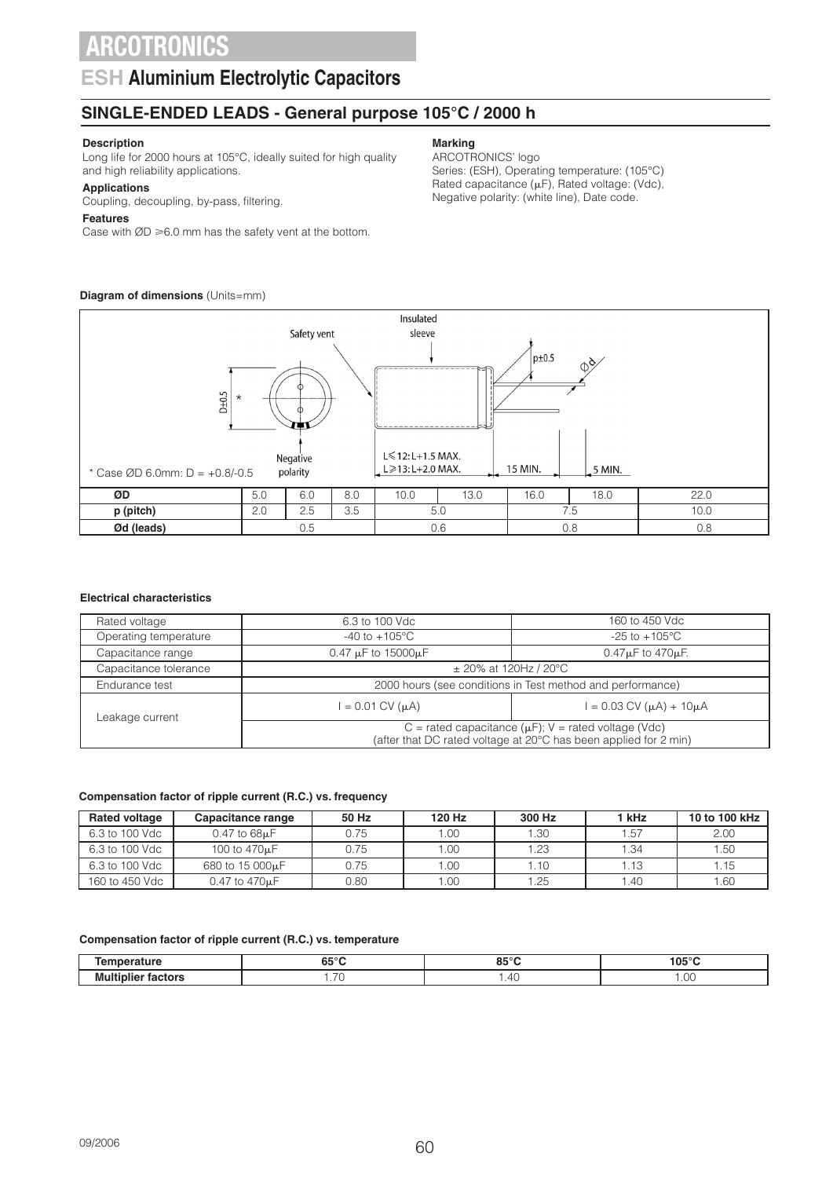### **ESH Aluminium Electrolytic Capacitors**

### **SINGLE-ENDED LEADS - General purpose 105°C / 2000 h**

### **Description**

Long life for 2000 hours at 105°C, ideally suited for high quality and high reliability applications.

#### **Applications**

Coupling, decoupling, by-pass, filtering.

#### **Features**

Case with  $ØD \ge 6.0$  mm has the safety vent at the bottom.

### **Diagram of dimensions** (Units=mm)

**Marking**

### ARCOTRONICS' logo

Series: (ESH), Operating temperature: (105°C) Rated capacitance  $(\mu F)$ , Rated voltage: (Vdc), Negative polarity: (white line), Date code.



#### **Electrical characteristics**

| Rated voltage         | 6.3 to 100 Vdc                                                                                                                | 160 to 450 Vdc               |  |  |  |  |
|-----------------------|-------------------------------------------------------------------------------------------------------------------------------|------------------------------|--|--|--|--|
| Operating temperature | $-40$ to $+105^{\circ}$ C                                                                                                     | $-25$ to $+105^{\circ}$ C    |  |  |  |  |
| Capacitance range     | $0.47 \mu F$ to 15000 $\mu F$                                                                                                 | $0.47 \mu$ F to 470 $\mu$ F. |  |  |  |  |
| Capacitance tolerance | $\pm$ 20% at 120Hz / 20°C                                                                                                     |                              |  |  |  |  |
| Endurance test        | 2000 hours (see conditions in Test method and performance)                                                                    |                              |  |  |  |  |
| Leakage current       | $= 0.03$ CV ( $\mu$ A) + 10 $\mu$ A<br>$= 0.01$ CV ( $\mu$ A)                                                                 |                              |  |  |  |  |
|                       | C = rated capacitance ( $\mu$ F); V = rated voltage (Vdc)<br>(after that DC rated voltage at 20°C has been applied for 2 min) |                              |  |  |  |  |

#### **Compensation factor of ripple current (R.C.) vs. frequency**

| <b>Rated voltage</b> | Capacitance range            | 50 Hz | 120 Hz | 300 Hz | 1 kHz | 10 to 100 kHz |
|----------------------|------------------------------|-------|--------|--------|-------|---------------|
| 6.3 to 100 Vdc       | $0.47$ to $68\mu F$          | 0.75  | 1.00   | 1.30   | 1.57  | 2.00          |
| 6.3 to 100 Vdc       | 100 to 470 <sub>u</sub> F    | 0.75  | 1.00   | 1.23   | 1.34  | 1.50          |
| 6.3 to 100 Vdc       | 680 to 15 000 <sub>k</sub> F | 0.75  | 1.00   | 1.10   | 1.13  | 1.15          |
| 160 to 450 Vdc       | 0.47 to 470 <sub>u</sub> F   | 0.80  | 1.00   | . 25   | l.40  | 1.60          |

#### **Compensation factor of ripple current (R.C.) vs. temperature**

|                 | $\sim$ $\sim$ $\sim$<br> | 0.50<br>œ      | $05^\circ$ |
|-----------------|--------------------------|----------------|------------|
| - -<br>--<br>MU | $\overline{\phantom{a}}$ | $\mathcal{A}'$ | .00.       |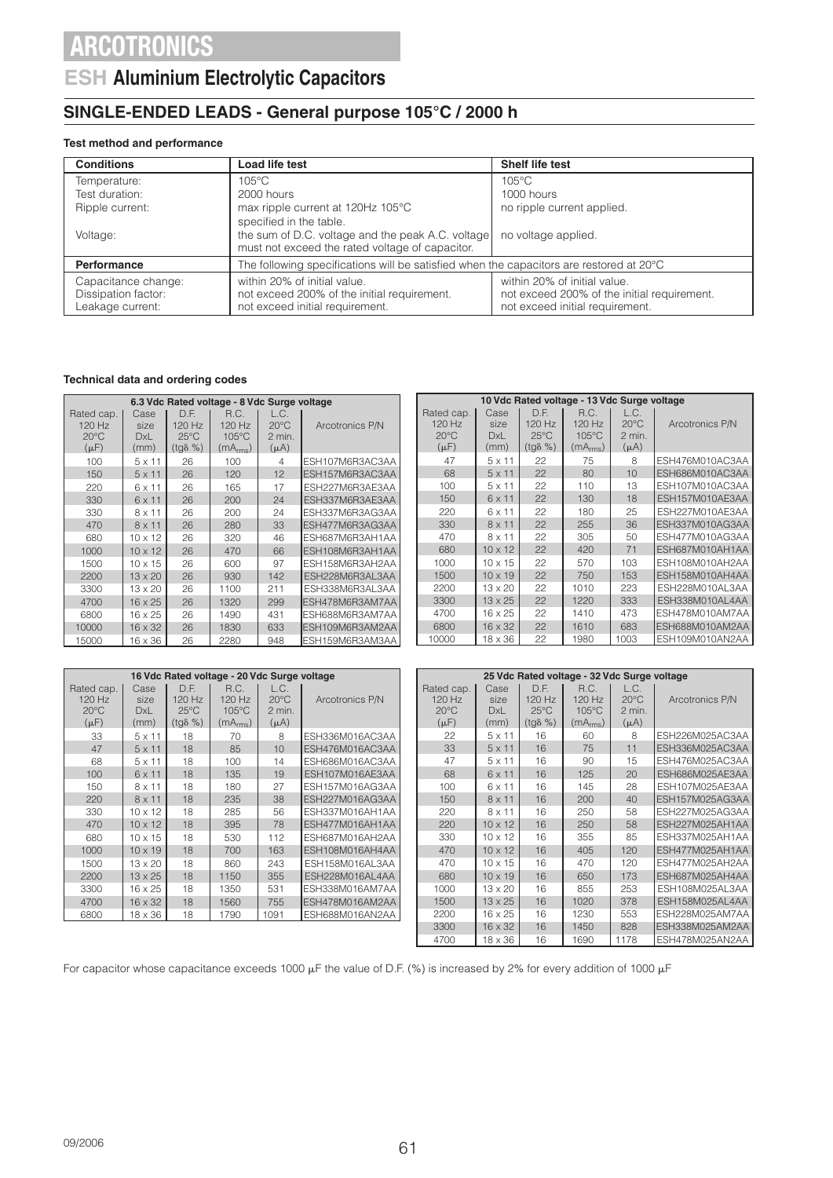### **ESH Aluminium Electrolytic Capacitors**

### **SINGLE-ENDED LEADS - General purpose 105°C / 2000 h**

#### **Test method and performance**

| <b>Conditions</b>                                              | Load life test                                                                                                 | Shelf life test                                                                                                |  |  |
|----------------------------------------------------------------|----------------------------------------------------------------------------------------------------------------|----------------------------------------------------------------------------------------------------------------|--|--|
| Temperature:                                                   | $105^{\circ}$ C                                                                                                | 105°C                                                                                                          |  |  |
| Test duration:                                                 | 2000 hours                                                                                                     | 1000 hours                                                                                                     |  |  |
| Ripple current:                                                | max ripple current at 120Hz 105°C                                                                              | no ripple current applied.                                                                                     |  |  |
|                                                                | specified in the table.                                                                                        |                                                                                                                |  |  |
| Voltage:                                                       | the sum of D.C. voltage and the peak A.C. voltage<br>must not exceed the rated voltage of capacitor.           | no voltage applied.                                                                                            |  |  |
| <b>Performance</b>                                             | The following specifications will be satisfied when the capacitors are restored at 20°C                        |                                                                                                                |  |  |
| Capacitance change:<br>Dissipation factor:<br>Leakage current: | within 20% of initial value.<br>not exceed 200% of the initial requirement.<br>not exceed initial requirement. | within 20% of initial value.<br>not exceed 200% of the initial requirement.<br>not exceed initial requirement. |  |  |

#### **Technical data and ordering codes**

|                                                     | 6.3 Vdc Rated voltage - 8 Vdc Surge voltage |                                                      |                                                 |                                               |                         |                                                     |                                    |                                                      | 10 Vdc Rated voltage - 13 Vdc Surge voltage               |                                               |                 |
|-----------------------------------------------------|---------------------------------------------|------------------------------------------------------|-------------------------------------------------|-----------------------------------------------|-------------------------|-----------------------------------------------------|------------------------------------|------------------------------------------------------|-----------------------------------------------------------|-----------------------------------------------|-----------------|
| Rated cap.<br>120 Hz<br>$20^{\circ}$ C<br>$(\mu F)$ | Case<br>size<br><b>DxL</b><br>(mm)          | D.F.<br>120 Hz<br>$25^{\circ}$ C<br>$(tq\delta \% )$ | R.C.<br>120 Hz<br>105°C<br>(mA <sub>rms</sub> ) | L.C.<br>$20^{\circ}$ C<br>2 min.<br>$(\mu A)$ | Arcotronics P/N         | Rated cap.<br>120 Hz<br>$20^{\circ}$ C<br>$(\mu F)$ | Case<br>size<br><b>DxL</b><br>(mm) | D.F.<br>120 Hz<br>$25^{\circ}$ C<br>$(tq\delta \% )$ | R.C.<br>120 Hz<br>$105^{\circ}$ C<br>(mA <sub>rms</sub> ) | L.C.<br>$20^{\circ}$ C<br>2 min.<br>$(\mu A)$ | Arcotronics P/N |
| 100                                                 | $5 \times 11$                               | 26                                                   | 100                                             | 4                                             | ESH107M6R3AC3AA         | 47                                                  | $5 \times 11$                      | 22                                                   | 75                                                        | 8                                             | ESH476M010AC3AA |
| 150                                                 | $5 \times 11$                               | 26                                                   | 120                                             | 12                                            | ESH157M6R3AC3AA         | 68                                                  | $5 \times 11$                      | 22                                                   | 80                                                        | 10                                            | ESH686M010AC3AA |
| 220                                                 | 6 x 11                                      | 26                                                   | 165                                             | 17                                            | ESH227M6R3AE3AA         | 100                                                 | $5 \times 11$                      | 22                                                   | 110                                                       | 13                                            | ESH107M010AC3AA |
| 330                                                 | $6 \times 11$                               | 26                                                   | 200                                             | 24                                            | ESH337M6R3AE3AA         | 150                                                 | $6 \times 11$                      | 22                                                   | 130                                                       | 18                                            | ESH157M010AE3AA |
| 330                                                 | $8 \times 11$                               | 26                                                   | 200                                             | 24                                            | ESH337M6R3AG3AA         | 220                                                 | 6 x 11                             | 22                                                   | 180                                                       | 25                                            | ESH227M010AE3AA |
| 470                                                 | $8 \times 11$                               | 26                                                   | 280                                             | 33                                            | ESH477M6R3AG3AA         | 330                                                 | $8 \times 11$                      | 22                                                   | 255                                                       | 36                                            | ESH337M010AG3AA |
| 680                                                 | $10 \times 12$                              | 26                                                   | 320                                             | 46                                            | ESH687M6R3AH1AA         | 470                                                 | $8 \times 11$                      | 22                                                   | 305                                                       | 50                                            | ESH477M010AG3AA |
| 1000                                                | $10 \times 12$                              | 26                                                   | 470                                             | 66                                            | ESH108M6R3AH1AA         | 680                                                 | $10 \times 12$                     | 22                                                   | 420                                                       | 71                                            | ESH687M010AH1AA |
| 1500                                                | $10 \times 15$                              | 26                                                   | 600                                             | 97                                            | ESH158M6R3AH2AA         | 1000                                                | $10 \times 15$                     | 22                                                   | 570                                                       | 103                                           | ESH108M010AH2AA |
| 2200                                                | $13 \times 20$                              | 26                                                   | 930                                             | 142                                           | ESH228M6R3AL3AA         | 1500                                                | $10 \times 19$                     | 22                                                   | 750                                                       | 153                                           | ESH158M010AH4AA |
| 3300                                                | $13 \times 20$                              | 26                                                   | 1100                                            | 211                                           | ESH338M6R3AL3AA         | 2200                                                | $13 \times 20$                     | 22                                                   | 1010                                                      | 223                                           | ESH228M010AL3AA |
| 4700                                                | $16 \times 25$                              | 26                                                   | 1320                                            | 299                                           | ESH478M6R3AM7AA         | 3300                                                | $13 \times 25$                     | 22                                                   | 1220                                                      | 333                                           | ESH338M010AL4AA |
| 6800                                                | 16 x 25                                     | 26                                                   | 1490                                            | 431                                           | ESH688M6R3AM7AA         | 4700                                                | $16 \times 25$                     | 22                                                   | 1410                                                      | 473                                           | ESH478M010AM7AA |
| 10000                                               | 16 x 32                                     | 26                                                   | 1830                                            | 633                                           | ESH109M6R3AM2AA         | 6800                                                | $16 \times 32$                     | 22                                                   | 1610                                                      | 683                                           | ESH688M010AM2AA |
| 15000                                               | $16 \times 36$                              | 26                                                   | 2280                                            | 948                                           | <b>IESH159M6R3AM3AA</b> | 10000                                               | $18 \times 36$                     | 22                                                   | 1980                                                      | 1003                                          | ESH109M010AN2AA |
|                                                     |                                             |                                                      |                                                 |                                               |                         |                                                     |                                    |                                                      |                                                           |                                               |                 |

|                                                     | 16 Vdc Rated voltage - 20 Vdc Surge voltage |                                                      |                                                 |                                               |                 |  |  |  |  |
|-----------------------------------------------------|---------------------------------------------|------------------------------------------------------|-------------------------------------------------|-----------------------------------------------|-----------------|--|--|--|--|
| Rated cap.<br>120 Hz<br>$20^{\circ}$ C<br>$(\mu F)$ | Case<br>size<br><b>DxL</b><br>(mm)          | D.F.<br>120 Hz<br>$25^{\circ}$ C<br>$(tq\delta \% )$ | R.C.<br>120 Hz<br>105°C<br>(mA <sub>rms</sub> ) | L.C.<br>$20^{\circ}$ C<br>2 min.<br>$(\mu A)$ | Arcotronics P/N |  |  |  |  |
| 33                                                  | $5 \times 11$                               | 18                                                   | 70                                              | 8                                             | ESH336M016AC3AA |  |  |  |  |
| 47                                                  | $5 \times 11$                               | 18                                                   | 85                                              | 10                                            | ESH476M016AC3AA |  |  |  |  |
| 68                                                  | $5 \times 11$                               | 18                                                   | 100                                             | 14                                            | ESH686M016AC3AA |  |  |  |  |
| 100                                                 | $6 \times 11$                               | 18                                                   | 135                                             | 19                                            | ESH107M016AE3AA |  |  |  |  |
| 150                                                 | 8 x 11                                      | 18                                                   | 180                                             | 27                                            | ESH157M016AG3AA |  |  |  |  |
| 220                                                 | $8 \times 11$                               | 18                                                   | 235                                             | 38                                            | ESH227M016AG3AA |  |  |  |  |
| 330                                                 | $10 \times 12$                              | 18                                                   | 285                                             | 56                                            | ESH337M016AH1AA |  |  |  |  |
| 470                                                 | $10 \times 12$                              | 18                                                   | 395                                             | 78                                            | ESH477M016AH1AA |  |  |  |  |
| 680                                                 | $10 \times 15$                              | 18                                                   | 530                                             | 112                                           | ESH687M016AH2AA |  |  |  |  |
| 1000                                                | $10 \times 19$                              | 18                                                   | 700                                             | 163                                           | ESH108M016AH4AA |  |  |  |  |
| 1500                                                | $13 \times 20$                              | 18                                                   | 860                                             | 243                                           | ESH158M016AL3AA |  |  |  |  |
| 2200                                                | $13 \times 25$                              | 18                                                   | 1150                                            | 355                                           | ESH228M016AL4AA |  |  |  |  |
| 3300                                                | 16 x 25                                     | 18                                                   | 1350                                            | 531                                           | ESH338M016AM7AA |  |  |  |  |
| 4700                                                | $16 \times 32$                              | 18                                                   | 1560                                            | 755                                           | ESH478M016AM2AA |  |  |  |  |
| 6800                                                | 18 x 36                                     | 18                                                   | 1790                                            | 1091                                          | ESH688M016AN2AA |  |  |  |  |

|                                                       | 25 Vdc Rated voltage - 32 Vdc Surge voltage |                                                        |                                                             |                                               |                 |  |  |  |  |  |
|-------------------------------------------------------|---------------------------------------------|--------------------------------------------------------|-------------------------------------------------------------|-----------------------------------------------|-----------------|--|--|--|--|--|
| Rated cap.<br>$120$ Hz<br>$20^{\circ}$ C<br>$(\mu F)$ | Case<br>size<br><b>DxL</b><br>(mm)          | D.F.<br>$120$ Hz<br>$25^{\circ}$ C<br>$(tq\delta \% )$ | R.C.<br>$120$ Hz<br>$105^{\circ}$ C<br>(mA <sub>rms</sub> ) | L.C.<br>$20^{\circ}$ C<br>2 min.<br>$(\mu A)$ | Arcotronics P/N |  |  |  |  |  |
| 22                                                    | 5 x 11                                      | 16                                                     | 60                                                          | 8                                             | ESH226M025AC3AA |  |  |  |  |  |
| 33                                                    | $5 \times 11$                               | 16                                                     | 75                                                          | 11                                            | ESH336M025AC3AA |  |  |  |  |  |
| 47                                                    | $5 \times 11$                               | 16                                                     | 90                                                          | 15                                            | ESH476M025AC3AA |  |  |  |  |  |
| 68                                                    | 6 x 11                                      | 16                                                     | 125                                                         | 20                                            | ESH686M025AE3AA |  |  |  |  |  |
| 100                                                   | 6 x 11                                      | 16                                                     | 145                                                         | 28                                            | ESH107M025AE3AA |  |  |  |  |  |
| 150                                                   | $8 \times 11$                               | 16                                                     | 200                                                         | 40                                            | ESH157M025AG3AA |  |  |  |  |  |
| 220                                                   | $8 \times 11$                               | 16                                                     | 250                                                         | 58                                            | ESH227M025AG3AA |  |  |  |  |  |
| 220                                                   | $10 \times 12$                              | 16                                                     | 250                                                         | 58                                            | ESH227M025AH1AA |  |  |  |  |  |
| 330                                                   | $10 \times 12$                              | 16                                                     | 355                                                         | 85                                            | ESH337M025AH1AA |  |  |  |  |  |
| 470                                                   | $10 \times 12$                              | 16                                                     | 405                                                         | 120                                           | ESH477M025AH1AA |  |  |  |  |  |
| 470                                                   | 10 x 15                                     | 16                                                     | 470                                                         | 120                                           | ESH477M025AH2AA |  |  |  |  |  |
| 680                                                   | $10 \times 19$                              | 16                                                     | 650                                                         | 173                                           | ESH687M025AH4AA |  |  |  |  |  |
| 1000                                                  | $13 \times 20$                              | 16                                                     | 855                                                         | 253                                           | ESH108M025AL3AA |  |  |  |  |  |
| 1500                                                  | $13 \times 25$                              | 16                                                     | 1020                                                        | 378                                           | ESH158M025AL4AA |  |  |  |  |  |
| 2200                                                  | 16 x 25                                     | 16                                                     | 1230                                                        | 553                                           | ESH228M025AM7AA |  |  |  |  |  |
| 3300                                                  | $16 \times 32$                              | 16                                                     | 1450                                                        | 828                                           | ESH338M025AM2AA |  |  |  |  |  |
| 4700                                                  | $18 \times 36$                              | 16                                                     | 1690                                                        | 1178                                          | ESH478M025AN2AA |  |  |  |  |  |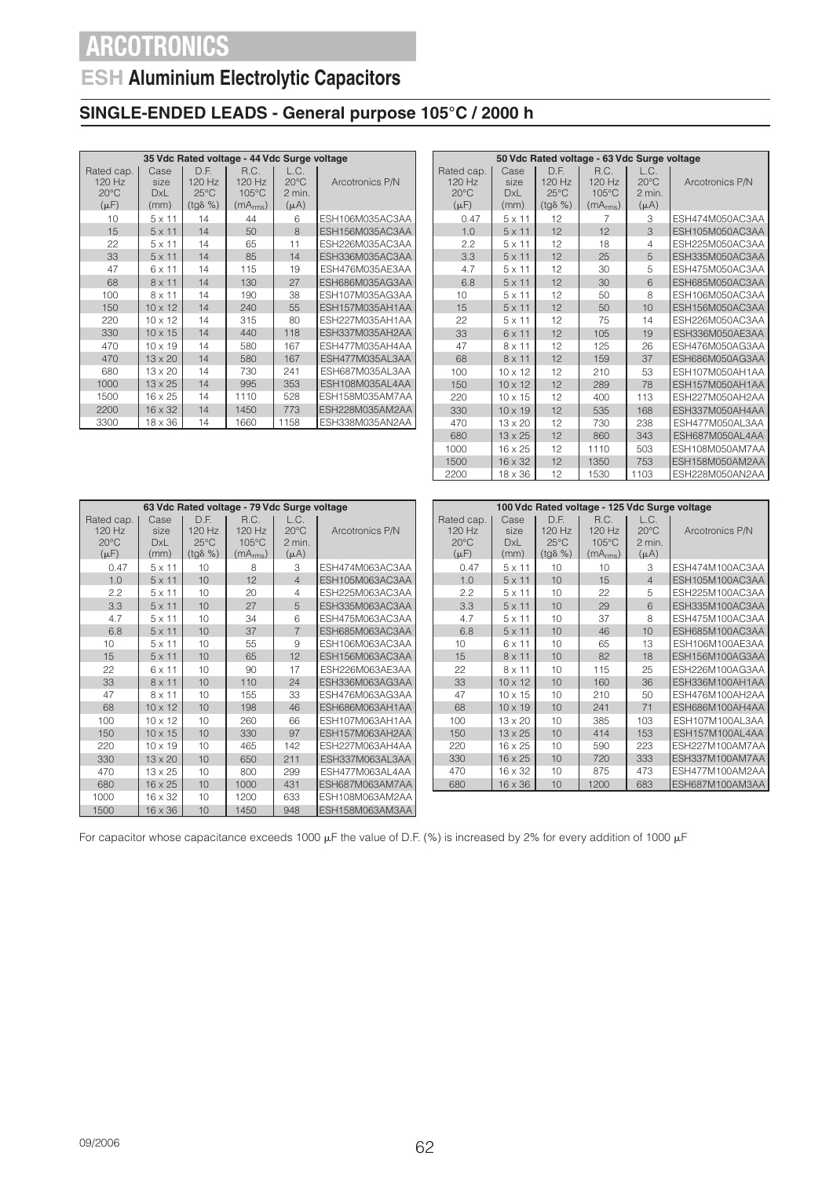## **ESH Aluminium Electrolytic Capacitors**

### **SINGLE-ENDED LEADS - General purpose 105°C / 2000 h**

|                                                     |                             |                                                      | 35 Vdc Rated voltage - 44 Vdc Surge voltage               |                                               |                 |  |  |  |
|-----------------------------------------------------|-----------------------------|------------------------------------------------------|-----------------------------------------------------------|-----------------------------------------------|-----------------|--|--|--|
| Rated cap.<br>120 Hz<br>$20^{\circ}$ C<br>$(\mu F)$ | Case<br>size<br>DxL<br>(mm) | D.E.<br>120 Hz<br>$25^{\circ}$ C<br>$(tq\delta \% )$ | R.C.<br>120 Hz<br>$105^{\circ}$ C<br>(mA <sub>rms</sub> ) | L.C.<br>$20^{\circ}$ C<br>2 min.<br>$(\mu A)$ | Arcotronics P/N |  |  |  |
| 10                                                  | $5 \times 11$               | 14                                                   | 44                                                        | 6                                             | ESH106M035AC3AA |  |  |  |
| 15                                                  | $5 \times 11$               | 14                                                   | 50                                                        | $\mathcal{B}$                                 | ESH156M035AC3AA |  |  |  |
| 22                                                  | $5 \times 11$               | 14                                                   | 65                                                        | 11                                            | ESH226M035AC3AA |  |  |  |
| 33                                                  | $5 \times 11$               | 14                                                   | 85                                                        | 14                                            | ESH336M035AC3AA |  |  |  |
| 47                                                  | 6 x 11                      | 14                                                   | 115                                                       | 19                                            | ESH476M035AE3AA |  |  |  |
| 68                                                  | $8 \times 11$               | 14                                                   | 130                                                       | 27                                            | ESH686M035AG3AA |  |  |  |
| 100                                                 | $8 \times 11$               | 14                                                   | 190                                                       | 38                                            | ESH107M035AG3AA |  |  |  |
| 150                                                 | $10 \times 12$              | 14                                                   | 240                                                       | 55                                            | ESH157M035AH1AA |  |  |  |
| 220                                                 | $10 \times 12$              | 14                                                   | 315                                                       | 80                                            | ESH227M035AH1AA |  |  |  |
| 330                                                 | $10 \times 15$              | 14                                                   | 440                                                       | 118                                           | ESH337M035AH2AA |  |  |  |
| 470                                                 | $10 \times 19$              | 14                                                   | 580                                                       | 167                                           | ESH477M035AH4AA |  |  |  |
| 470                                                 | $13 \times 20$              | 14                                                   | 580                                                       | 167                                           | ESH477M035AL3AA |  |  |  |
| 680                                                 | $13 \times 20$              | 14                                                   | 730                                                       | 241                                           | ESH687M035AL3AA |  |  |  |
| 1000                                                | $13 \times 25$              | 14                                                   | 995                                                       | 353                                           | ESH108M035AL4AA |  |  |  |
| 1500                                                | 16 x 25                     | 14                                                   | 1110                                                      | 528                                           | ESH158M035AM7AA |  |  |  |
| 2200                                                | $16 \times 32$              | 14                                                   | 1450                                                      | 773                                           | ESH228M035AM2AA |  |  |  |
| 3300                                                | 18 x 36                     | 14                                                   | 1660                                                      | 1158                                          | ESH338M035AN2AA |  |  |  |

| 50 Vdc Rated voltage - 63 Vdc Surge voltage |                            |                                  |                                   |                                  |                 |  |  |  |  |  |  |
|---------------------------------------------|----------------------------|----------------------------------|-----------------------------------|----------------------------------|-----------------|--|--|--|--|--|--|
|                                             |                            |                                  |                                   |                                  |                 |  |  |  |  |  |  |
| Rated cap.<br>$120$ Hz<br>$20^{\circ}$ C    | Case<br>size<br><b>DxL</b> | D.E.<br>120 Hz<br>$25^{\circ}$ C | R.C.<br>120 Hz<br>$105^{\circ}$ C | L.C.<br>$20^{\circ}$ C<br>2 min. | Arcotronics P/N |  |  |  |  |  |  |
| $(\mu F)$                                   | (mm)                       | $(tg\delta \% )$                 | (mA <sub>rms</sub> )              | $(\mu A)$                        |                 |  |  |  |  |  |  |
| 0.47                                        | $5 \times 11$              | 12                               | 7                                 | 3                                | ESH474M050AC3AA |  |  |  |  |  |  |
| 1.0                                         | $5 \times 11$              | 12                               | 12                                | $\overline{\mathcal{E}}$         | ESH105M050AC3AA |  |  |  |  |  |  |
| 2.2                                         | $5 \times 11$              | 12                               | 18                                | $\overline{4}$                   | ESH225M050AC3AA |  |  |  |  |  |  |
| 3.3                                         | $5 \times 11$              | 12                               | 25                                | 5                                | ESH335M050AC3AA |  |  |  |  |  |  |
| 4.7                                         | $5 \times 11$              | 12                               | 30                                | 5                                | ESH475M050AC3AA |  |  |  |  |  |  |
| 6.8                                         | $5 \times 11$              | 12                               | 30                                | 6                                | ESH685M050AC3AA |  |  |  |  |  |  |
| 10                                          | $5 \times 11$              | 12                               | 50                                | 8                                | ESH106M050AC3AA |  |  |  |  |  |  |
| 15                                          | $5 \times 11$              | 12                               | 50                                | 10                               | ESH156M050AC3AA |  |  |  |  |  |  |
| 22                                          | $5 \times 11$              | 12                               | 75                                | 14                               | ESH226M050AC3AA |  |  |  |  |  |  |
| 33                                          | $6 \times 11$              | 12                               | 105                               | 19                               | ESH336M050AE3AA |  |  |  |  |  |  |
| 47                                          | $8 \times 11$              | 12                               | 125                               | 26                               | ESH476M050AG3AA |  |  |  |  |  |  |
| 68                                          | $8 \times 11$              | 12                               | 159                               | 37                               | ESH686M050AG3AA |  |  |  |  |  |  |
| 100                                         | $10 \times 12$             | 12                               | 210                               | 53                               | ESH107M050AH1AA |  |  |  |  |  |  |
| 150                                         | $10 \times 12$             | 12                               | 289                               | 78                               | ESH157M050AH1AA |  |  |  |  |  |  |
| 220                                         | $10 \times 15$             | 12                               | 400                               | 113                              | ESH227M050AH2AA |  |  |  |  |  |  |
| 330                                         | $10 \times 19$             | 12                               | 535                               | 168                              | ESH337M050AH4AA |  |  |  |  |  |  |
| 470                                         | $13 \times 20$             | 12                               | 730                               | 238                              | ESH477M050AL3AA |  |  |  |  |  |  |
| 680                                         | $13 \times 25$             | 12                               | 860                               | 343                              | ESH687M050AL4AA |  |  |  |  |  |  |
| 1000                                        | $16 \times 25$             | 12                               | 1110                              | 503                              | ESH108M050AM7AA |  |  |  |  |  |  |
| 1500                                        | 16 x 32                    | 12                               | 1350                              | 753                              | ESH158M050AM2AA |  |  |  |  |  |  |
| 2200                                        | 18 x 36                    | 12                               | 1530                              | 1103                             | ESH228M050AN2AA |  |  |  |  |  |  |

|                                                       |                             |                                                      | 63 Vdc Rated voltage - 79 Vdc Surge voltage               |                                               |                 |
|-------------------------------------------------------|-----------------------------|------------------------------------------------------|-----------------------------------------------------------|-----------------------------------------------|-----------------|
| Rated cap.  <br>120 Hz<br>$20^{\circ}$ C<br>$(\mu F)$ | Case<br>size<br>DxL<br>(mm) | D.E.<br>120 Hz<br>$25^{\circ}$ C<br>$(tg\delta \% )$ | R.C.<br>120 Hz<br>$105^{\circ}$ C<br>(mA <sub>rms</sub> ) | L.C.<br>$20^{\circ}$ C<br>2 min.<br>$(\mu A)$ | Arcotronics P/N |
| 0.47                                                  | $5 \times 11$               | 10                                                   | 8                                                         | 3                                             | ESH474M063AC3AA |
| 1.0                                                   | $5 \times 11$               | 10                                                   | 12                                                        | $\overline{4}$                                | ESH105M063AC3AA |
| 2.2                                                   | $5 \times 11$               | 10                                                   | 20                                                        | 4                                             | ESH225M063AC3AA |
| 3.3                                                   | $5 \times 11$               | 10                                                   | 27                                                        | 5                                             | ESH335M063AC3AA |
| 4.7                                                   | $5 \times 11$               | 10                                                   | 34                                                        | 6                                             | ESH475M063AC3AA |
| 6.8                                                   | $5 \times 11$               | 10                                                   | 37                                                        | $\overline{7}$                                | ESH685M063AC3AA |
| 10                                                    | $5 \times 11$               | 10                                                   | 55                                                        | 9                                             | ESH106M063AC3AA |
| 15                                                    | $5 \times 11$               | 10                                                   | 65                                                        | 12                                            | ESH156M063AC3AA |
| 22                                                    | 6 x 11                      | 10                                                   | 90                                                        | 17                                            | ESH226M063AE3AA |
| 33                                                    | $8 \times 11$               | 10                                                   | 110                                                       | 24                                            | ESH336M063AG3AA |
| 47                                                    | $8 \times 11$               | 10                                                   | 155                                                       | 33                                            | ESH476M063AG3AA |
| 68                                                    | $10 \times 12$              | 10                                                   | 198                                                       | 46                                            | ESH686M063AH1AA |
| 100                                                   | $10 \times 12$              | 10                                                   | 260                                                       | 66                                            | ESH107M063AH1AA |
| 150                                                   | $10 \times 15$              | 10                                                   | 330                                                       | 97                                            | ESH157M063AH2AA |
| 220                                                   | $10 \times 19$              | 10                                                   | 465                                                       | 142                                           | ESH227M063AH4AA |
| 330                                                   | 13 x 20                     | 10                                                   | 650                                                       | 211                                           | ESH337M063AL3AA |
| 470                                                   | 13 x 25                     | 10                                                   | 800                                                       | 299                                           | ESH477M063AL4AA |
| 680                                                   | $16 \times 25$              | 10                                                   | 1000                                                      | 431                                           | ESH687M063AM7AA |
| 1000                                                  | 16 x 32                     | 10                                                   | 1200                                                      | 633                                           | ESH108M063AM2AA |
| 1500                                                  | $16 \times 36$              | 10                                                   | 1450                                                      | 948                                           | ESH158M063AM3AA |

| 100 Vdc Rated voltage - 125 Vdc Surge voltage         |                                    |                                                      |                                                           |                                                 |                 |  |  |  |  |  |  |
|-------------------------------------------------------|------------------------------------|------------------------------------------------------|-----------------------------------------------------------|-------------------------------------------------|-----------------|--|--|--|--|--|--|
| Rated cap.<br>$120$ Hz<br>$20^{\circ}$ C<br>$(\mu F)$ | Case<br>size<br><b>DxL</b><br>(mm) | D.E.<br>120 Hz<br>$25^{\circ}$ C<br>$(tg\delta \% )$ | R.C.<br>120 Hz<br>$105^{\circ}$ C<br>(mA <sub>rms</sub> ) | L.C.<br>$20^{\circ}$ C<br>$2$ min.<br>$(\mu A)$ | Arcotronics P/N |  |  |  |  |  |  |
| 0.47                                                  | $5 \times 11$                      | 10                                                   | 10                                                        | 3                                               | ESH474M100AC3AA |  |  |  |  |  |  |
| 1.0                                                   | $5 \times 11$                      | 10                                                   | 15                                                        | $\overline{4}$                                  | ESH105M100AC3AA |  |  |  |  |  |  |
| 2.2                                                   | $5 \times 11$                      | 10                                                   | 22                                                        | 5                                               | ESH225M100AC3AA |  |  |  |  |  |  |
| 3.3                                                   | $5 \times 11$                      | 10                                                   | 29                                                        | 6                                               | ESH335M100AC3AA |  |  |  |  |  |  |
| 4.7                                                   | $5 \times 11$                      | 10                                                   | 37                                                        | 8                                               | ESH475M100AC3AA |  |  |  |  |  |  |
| 6.8                                                   | $5 \times 11$                      | 10                                                   | 46                                                        | 10                                              | ESH685M100AC3AA |  |  |  |  |  |  |
| 10                                                    | 6 x 11                             | 10                                                   | 65                                                        | 13                                              | ESH106M100AE3AA |  |  |  |  |  |  |
| 15                                                    | $8 \times 11$                      | 10                                                   | 82                                                        | 18                                              | ESH156M100AG3AA |  |  |  |  |  |  |
| 22                                                    | 8 x 11                             | 10                                                   | 115                                                       | 25                                              | ESH226M100AG3AA |  |  |  |  |  |  |
| 33                                                    | $10 \times 12$                     | 10                                                   | 160                                                       | 36                                              | ESH336M100AH1AA |  |  |  |  |  |  |
| 47                                                    | $10 \times 15$                     | 10                                                   | 210                                                       | 50                                              | ESH476M100AH2AA |  |  |  |  |  |  |
| 68                                                    | $10 \times 19$                     | 10                                                   | 241                                                       | 71                                              | ESH686M100AH4AA |  |  |  |  |  |  |
| 100                                                   | $13 \times 20$                     | 10                                                   | 385                                                       | 103                                             | ESH107M100AL3AA |  |  |  |  |  |  |
| 150                                                   | $13 \times 25$                     | 10                                                   | 414                                                       | 153                                             | ESH157M100AL4AA |  |  |  |  |  |  |
| 220                                                   | $16 \times 25$                     | 10                                                   | 590                                                       | 223                                             | ESH227M100AM7AA |  |  |  |  |  |  |
| 330                                                   | $16 \times 25$                     | 10                                                   | 720                                                       | 333                                             | ESH337M100AM7AA |  |  |  |  |  |  |
| 470                                                   | $16 \times 32$                     | 10                                                   | 875                                                       | 473                                             | ESH477M100AM2AA |  |  |  |  |  |  |
| 680                                                   | 16 x 36                            | 10                                                   | 1200                                                      | 683                                             | ESH687M100AM3AA |  |  |  |  |  |  |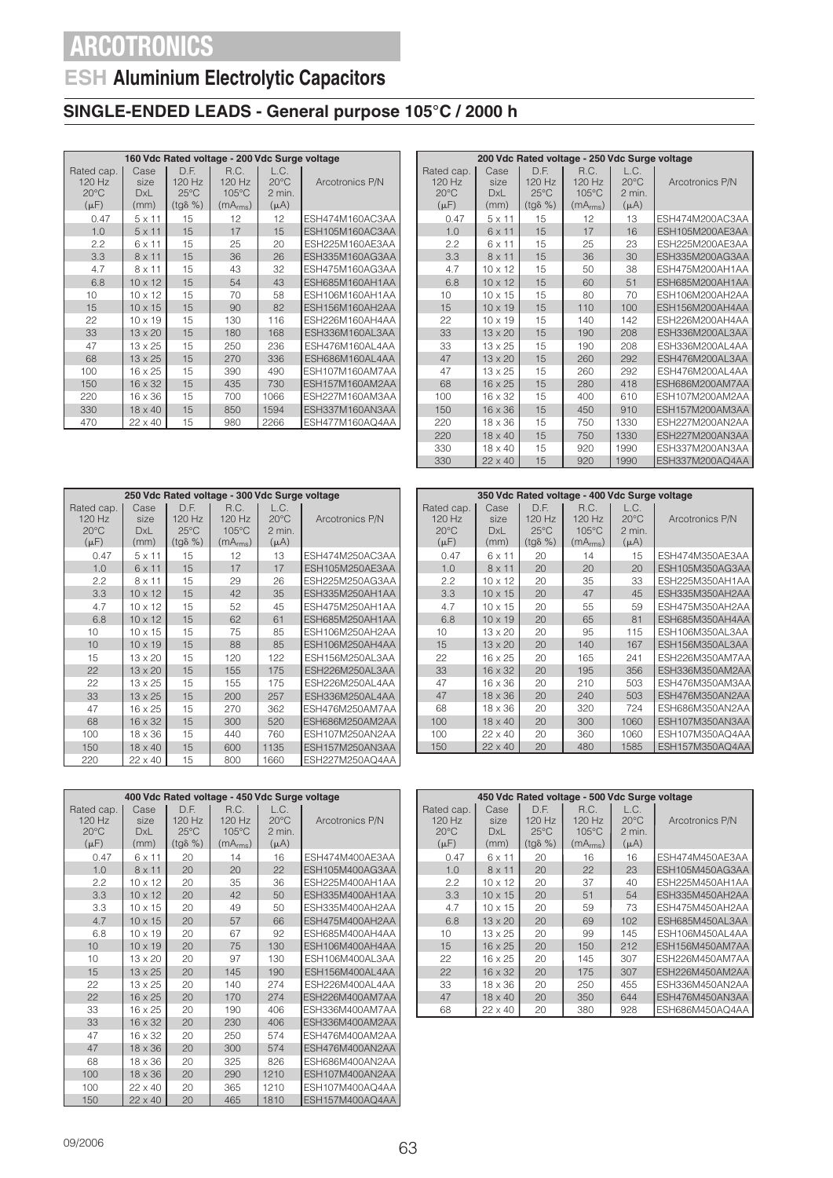## **ESH Aluminium Electrolytic Capacitors**

### **SINGLE-ENDED LEADS - General purpose 105°C / 2000 h**

|                                                     | 160 Vdc Rated voltage - 200 Vdc Surge voltage |                                                      |                                                           |                                               |                 |  |  |  |  |
|-----------------------------------------------------|-----------------------------------------------|------------------------------------------------------|-----------------------------------------------------------|-----------------------------------------------|-----------------|--|--|--|--|
| Rated cap.<br>120 Hz<br>$20^{\circ}$ C<br>$(\mu F)$ | Case<br>size<br>DxL<br>(mm)                   | D.F.<br>120 Hz<br>$25^{\circ}$ C<br>$(tq\delta \% )$ | R.C.<br>120 Hz<br>$105^{\circ}$ C<br>(mA <sub>rms</sub> ) | L.C.<br>$20^{\circ}$ C<br>2 min.<br>$(\mu A)$ | Arcotronics P/N |  |  |  |  |
| 0.47                                                | $5 \times 11$                                 | 15                                                   | 12                                                        | 12                                            | ESH474M160AC3AA |  |  |  |  |
| 1.0                                                 | $5 \times 11$                                 | 15                                                   | 17                                                        | 15                                            | ESH105M160AC3AA |  |  |  |  |
| 2.2                                                 | 6 x 11                                        | 15                                                   | 25                                                        | 20                                            | ESH225M160AE3AA |  |  |  |  |
| 3.3                                                 | $8 \times 11$                                 | 15                                                   | 36                                                        | 26                                            | ESH335M160AG3AA |  |  |  |  |
| 4.7                                                 | $8 \times 11$                                 | 15                                                   | 43                                                        | 32                                            | ESH475M160AG3AA |  |  |  |  |
| 6.8                                                 | $10 \times 12$                                | 15                                                   | 54                                                        | 43                                            | ESH685M160AH1AA |  |  |  |  |
| 10                                                  | $10 \times 12$                                | 15                                                   | 70                                                        | 58                                            | ESH106M160AH1AA |  |  |  |  |
| 15                                                  | $10 \times 15$                                | 15                                                   | 90                                                        | 82                                            | ESH156M160AH2AA |  |  |  |  |
| 22                                                  | $10 \times 19$                                | 15                                                   | 130                                                       | 116                                           | ESH226M160AH4AA |  |  |  |  |
| 33                                                  | $13 \times 20$                                | 15                                                   | 180                                                       | 168                                           | ESH336M160AL3AA |  |  |  |  |
| 47                                                  | $13 \times 25$                                | 15                                                   | 250                                                       | 236                                           | ESH476M160AL4AA |  |  |  |  |
| 68                                                  | $13 \times 25$                                | 15                                                   | 270                                                       | 336                                           | ESH686M160AL4AA |  |  |  |  |
| 100                                                 | $16 \times 25$                                | 15                                                   | 390                                                       | 490                                           | ESH107M160AM7AA |  |  |  |  |
| 150                                                 | $16 \times 32$                                | 15                                                   | 435                                                       | 730                                           | ESH157M160AM2AA |  |  |  |  |
| 220                                                 | $16 \times 36$                                | 15                                                   | 700                                                       | 1066                                          | ESH227M160AM3AA |  |  |  |  |
| 330                                                 | $18 \times 40$                                | 15                                                   | 850                                                       | 1594                                          | ESH337M160AN3AA |  |  |  |  |
| 470                                                 | 22 x 40                                       | 15                                                   | 980                                                       | 2266                                          | ESH477M160AQ4AA |  |  |  |  |

|                |                |                  | 200 Vdc Rated voltage - 250 Vdc Surge voltage |                |                        |  |  |  |  |  |  |
|----------------|----------------|------------------|-----------------------------------------------|----------------|------------------------|--|--|--|--|--|--|
| Rated cap.     | Case           | D.F.             | R.C.                                          | L.C.           |                        |  |  |  |  |  |  |
| $120$ Hz       | size           | $120$ Hz         | 120 Hz                                        | $20^{\circ}$ C | Arcotronics P/N        |  |  |  |  |  |  |
| $20^{\circ}$ C | <b>DxL</b>     | $25^{\circ}$ C   | $105^{\circ}$ C                               | 2 min.         |                        |  |  |  |  |  |  |
| $(\mu F)$      | (mm)           | $(tq\delta \% )$ | (mA <sub>rms</sub> )                          | $(\mu A)$      |                        |  |  |  |  |  |  |
| 0.47           | $5 \times 11$  | 15               | 12                                            | 13             | ESH474M200AC3AA        |  |  |  |  |  |  |
| 1.0            | $6 \times 11$  | 15               | 17                                            | 16             | ESH105M200AE3AA        |  |  |  |  |  |  |
| 2.2            | 6 x 11         | 15               | 25                                            | 23             | ESH225M200AE3AA        |  |  |  |  |  |  |
| 3.3            | $8 \times 11$  | 15               | 36                                            | 30             | <b>ESH335M200AG3AA</b> |  |  |  |  |  |  |
| 4.7            | $10 \times 12$ | 15               | 50                                            | 38             | ESH475M200AH1AA        |  |  |  |  |  |  |
| 6.8            | $10 \times 12$ | 15               | 60                                            | 51             | ESH685M200AH1AA        |  |  |  |  |  |  |
| 10             | $10 \times 15$ | 15               | 80                                            | 70             | ESH106M200AH2AA        |  |  |  |  |  |  |
| 15             | $10 \times 19$ | 15               | 110                                           | 100            | ESH156M200AH4AA        |  |  |  |  |  |  |
| 22             | $10 \times 19$ | 15               | 140                                           | 142            | ESH226M200AH4AA        |  |  |  |  |  |  |
| 33             | $13 \times 20$ | 15               | 190                                           | 208            | ESH336M200AL3AA        |  |  |  |  |  |  |
| 33             | $13 \times 25$ | 15               | 190                                           | 208            | ESH336M200AL4AA        |  |  |  |  |  |  |
| 47             | $13 \times 20$ | 15               | 260                                           | 292            | ESH476M200AL3AA        |  |  |  |  |  |  |
| 47             | $13 \times 25$ | 15               | 260                                           | 292            | ESH476M200AL4AA        |  |  |  |  |  |  |
| 68             | $16 \times 25$ | 15               | 280                                           | 418            | ESH686M200AM7AA        |  |  |  |  |  |  |
| 100            | $16 \times 32$ | 15               | 400                                           | 610            | ESH107M200AM2AA        |  |  |  |  |  |  |
| 150            | $16 \times 36$ | 15               | 450                                           | 910            | ESH157M200AM3AA        |  |  |  |  |  |  |
| 220            | $18 \times 36$ | 15               | 750                                           | 1330           | ESH227M200AN2AA        |  |  |  |  |  |  |
| 220            | $18 \times 40$ | 15               | 750                                           | 1330           | ESH227M200AN3AA        |  |  |  |  |  |  |
| 330            | $18 \times 40$ | 15               | 920                                           | 1990           | ESH337M200AN3AA        |  |  |  |  |  |  |
| 330            | $22 \times 40$ | 15               | 920                                           | 1990           | ESH337M200AQ4AA        |  |  |  |  |  |  |

|                             |                                                     | 250 Vdc Rated voltage - 300 Vdc Surge voltage |                                                        |                                                           |                                               |                 |  |  |  |  |  |
|-----------------------------|-----------------------------------------------------|-----------------------------------------------|--------------------------------------------------------|-----------------------------------------------------------|-----------------------------------------------|-----------------|--|--|--|--|--|
|                             | Rated cap.<br>120 Hz<br>$20^{\circ}$ C<br>$(\mu F)$ | Case<br>size<br><b>DxL</b><br>(mm)            | D.F.<br>$120$ Hz<br>$25^{\circ}$ C<br>$(tq\delta \% )$ | R.C.<br>120 Hz<br>$105^{\circ}$ C<br>(mA <sub>rms</sub> ) | L.C.<br>$20^{\circ}$ C<br>2 min.<br>$(\mu A)$ | Arcotronics P/N |  |  |  |  |  |
|                             | 0.47                                                | $5 \times 11$                                 | 15                                                     | 12                                                        | 13                                            | ESH474M250AC3AA |  |  |  |  |  |
|                             | 1.0                                                 | 6 x 11                                        | 15                                                     | 17                                                        | 17                                            | ESH105M250AE3AA |  |  |  |  |  |
|                             | 2.2                                                 | $8 \times 11$                                 | 15                                                     | 29                                                        | 26                                            | ESH225M250AG3AA |  |  |  |  |  |
|                             | 3.3                                                 | $10 \times 12$                                | 15                                                     | 42                                                        | 35                                            | ESH335M250AH1AA |  |  |  |  |  |
| 4.7<br>15<br>$10 \times 12$ |                                                     |                                               | 52                                                     | 45                                                        | ESH475M250AH1AA                               |                 |  |  |  |  |  |
|                             | 6.8                                                 | 15<br>$10 \times 12$                          |                                                        | 62                                                        | 61                                            | ESH685M250AH1AA |  |  |  |  |  |
|                             | 10                                                  | $10 \times 15$                                | 15                                                     | 75                                                        | 85                                            | ESH106M250AH2AA |  |  |  |  |  |
|                             | 10                                                  | $10 \times 19$                                | 15                                                     | 88                                                        | 85                                            | ESH106M250AH4AA |  |  |  |  |  |
|                             | 15                                                  | 13 x 20                                       | 15                                                     | 120                                                       | 122                                           | ESH156M250AL3AA |  |  |  |  |  |
|                             | 22                                                  | $13 \times 20$                                | 15                                                     | 155                                                       | 175                                           | ESH226M250AL3AA |  |  |  |  |  |
|                             | 22                                                  | $13 \times 25$                                | 15                                                     | 155                                                       | 175                                           | ESH226M250AL4AA |  |  |  |  |  |
|                             | 33                                                  | $13 \times 25$                                | 15                                                     | 200                                                       | 257                                           | ESH336M250AL4AA |  |  |  |  |  |
|                             | 47                                                  | 16 x 25                                       | 15                                                     | 270                                                       | 362                                           | ESH476M250AM7AA |  |  |  |  |  |
| 68<br>$16 \times 32$<br>15  |                                                     | 300                                           | 520                                                    | ESH686M250AM2AA                                           |                                               |                 |  |  |  |  |  |
|                             | 100                                                 | $18 \times 36$                                | 15                                                     | 440                                                       | 760                                           | ESH107M250AN2AA |  |  |  |  |  |
|                             | 150                                                 | $18 \times 40$                                | 15                                                     | 600                                                       | 1135                                          | ESH157M250AN3AA |  |  |  |  |  |
|                             | 220                                                 | $22 \times 40$                                | 15                                                     | 800                                                       | 1660                                          | ESH227M250AQ4AA |  |  |  |  |  |

| 350 Vdc Rated voltage - 400 Vdc Surge voltage         |                                    |                                                        |                                                             |                                               |                 |  |  |  |  |  |  |
|-------------------------------------------------------|------------------------------------|--------------------------------------------------------|-------------------------------------------------------------|-----------------------------------------------|-----------------|--|--|--|--|--|--|
| Rated cap.<br>$120$ Hz<br>$20^{\circ}$ C<br>$(\mu F)$ | Case<br>size<br><b>DxL</b><br>(mm) | D.F.<br>$120$ Hz<br>$25^{\circ}$ C<br>$(tq\delta \% )$ | R.C.<br>$120$ Hz<br>$105^{\circ}$ C<br>(mA <sub>rms</sub> ) | L.C.<br>$20^{\circ}$ C<br>2 min.<br>$(\mu A)$ | Arcotronics P/N |  |  |  |  |  |  |
| 0.47                                                  | 6 x 11                             | 20                                                     | 14                                                          | 15                                            | ESH474M350AE3AA |  |  |  |  |  |  |
| 1.0                                                   | 8 x 11                             | 20                                                     | 20                                                          | 20                                            | ESH105M350AG3AA |  |  |  |  |  |  |
| 2.2                                                   | $10 \times 12$                     | 20                                                     | 35                                                          | 33                                            | ESH225M350AH1AA |  |  |  |  |  |  |
| 3.3                                                   | $10 \times 15$                     | 20                                                     | 47                                                          | 45                                            | ESH335M350AH2AA |  |  |  |  |  |  |
| 4.7                                                   | 10 x 15                            | 20                                                     | 55                                                          | 59                                            | ESH475M350AH2AA |  |  |  |  |  |  |
| 6.8                                                   | $10 \times 19$                     | 20                                                     | 65                                                          | 81                                            | ESH685M350AH4AA |  |  |  |  |  |  |
| 10                                                    | $13 \times 20$                     | 20                                                     | 95                                                          | 115                                           | ESH106M350AL3AA |  |  |  |  |  |  |
| 15                                                    | $13 \times 20$                     | 20                                                     | 140                                                         | 167                                           | ESH156M350AL3AA |  |  |  |  |  |  |
| 22                                                    | $16 \times 25$                     | 20                                                     | 165                                                         | 241                                           | ESH226M350AM7AA |  |  |  |  |  |  |
| 33                                                    | $16 \times 32$                     | 20                                                     | 195                                                         | 356                                           | ESH336M350AM2AA |  |  |  |  |  |  |
| 47                                                    | $16 \times 36$                     | 20                                                     | 210                                                         | 503                                           | ESH476M350AM3AA |  |  |  |  |  |  |
| 47                                                    | $18 \times 36$                     | 20                                                     | 240                                                         | 503                                           | ESH476M350AN2AA |  |  |  |  |  |  |
| 68                                                    | $18 \times 36$                     | 20                                                     | 320                                                         | 724                                           | ESH686M350AN2AA |  |  |  |  |  |  |
| 100                                                   | $18 \times 40$                     | 20                                                     | 300                                                         | 1060                                          | ESH107M350AN3AA |  |  |  |  |  |  |
| 100                                                   | $22 \times 40$                     | 20                                                     | 360                                                         | 1060                                          | ESH107M350AQ4AA |  |  |  |  |  |  |
| 150                                                   | $22 \times 40$                     | 20                                                     | 480                                                         | 1585                                          | ESH157M350AQ4AA |  |  |  |  |  |  |

|                                                     |                                    |                                                      | 400 Vdc Rated voltage - 450 Vdc Surge voltage               |                                               |                        |  |  |  |  |  |  |
|-----------------------------------------------------|------------------------------------|------------------------------------------------------|-------------------------------------------------------------|-----------------------------------------------|------------------------|--|--|--|--|--|--|
| Rated cap.<br>120 Hz<br>$20^{\circ}$ C<br>$(\mu F)$ | Case<br>size<br><b>DxL</b><br>(mm) | D.F.<br>120 Hz<br>$25^{\circ}$ C<br>$(tq\delta \% )$ | R.C.<br>$120$ Hz<br>$105^{\circ}$ C<br>(mA <sub>rms</sub> ) | L.C.<br>$20^{\circ}$ C<br>2 min.<br>$(\mu A)$ | Arcotronics P/N        |  |  |  |  |  |  |
| 0.47                                                | 6 x 11                             | 20                                                   | 14                                                          | 16                                            | ESH474M400AE3AA        |  |  |  |  |  |  |
| 1.0                                                 | 8 x 11                             | 20                                                   | 20                                                          | 22                                            | ESH105M400AG3AA        |  |  |  |  |  |  |
| 2.2                                                 | $10 \times 12$                     | 20                                                   | 35                                                          | 36                                            | ESH225M400AH1AA        |  |  |  |  |  |  |
| 3.3                                                 | $10 \times 12$                     | 20                                                   | 42                                                          | 50                                            | ESH335M400AH1AA        |  |  |  |  |  |  |
| 3.3                                                 | $10 \times 15$                     | 20                                                   | 49                                                          | 50                                            | ESH335M400AH2AA        |  |  |  |  |  |  |
| 4.7                                                 | $10 \times 15$                     | 20                                                   | 57                                                          | 66                                            | ESH475M400AH2AA        |  |  |  |  |  |  |
| 6.8                                                 | $10 \times 19$                     | 20                                                   | 67                                                          | 92                                            | ESH685M400AH4AA        |  |  |  |  |  |  |
| 10                                                  | $10 \times 19$                     | 20                                                   | 75                                                          | 130                                           | ESH106M400AH4AA        |  |  |  |  |  |  |
| 10                                                  | $13 \times 20$                     | 20                                                   | 97                                                          | 130                                           | ESH106M400AL3AA        |  |  |  |  |  |  |
| 15                                                  | $13 \times 25$                     | 20                                                   | 145                                                         | 190                                           | <b>ESH156M400AL4AA</b> |  |  |  |  |  |  |
| 22                                                  | $13 \times 25$                     | 20                                                   | 140                                                         | 274                                           | ESH226M400AL4AA        |  |  |  |  |  |  |
| 22                                                  | $16 \times 25$                     | 20                                                   | 170                                                         | 274                                           | ESH226M400AM7AA        |  |  |  |  |  |  |
| 33                                                  | $16 \times 25$                     | 20                                                   | 190                                                         | 406                                           | ESH336M400AM7AA        |  |  |  |  |  |  |
| 33                                                  | 16 x 32                            | 20                                                   | 230                                                         | 406                                           | ESH336M400AM2AA        |  |  |  |  |  |  |
| 47                                                  | $16 \times 32$                     | 20                                                   | 250                                                         | 574                                           | ESH476M400AM2AA        |  |  |  |  |  |  |
| 47                                                  | $18 \times 36$                     | 20                                                   | 300                                                         | 574                                           | ESH476M400AN2AA        |  |  |  |  |  |  |
| 68                                                  | $18 \times 36$                     | 20                                                   | 325                                                         | 826                                           | ESH686M400AN2AA        |  |  |  |  |  |  |
| 100                                                 | $18 \times 36$                     | 20                                                   | 290                                                         | 1210                                          | ESH107M400AN2AA        |  |  |  |  |  |  |
| 100                                                 | $22 \times 40$                     | 20                                                   | 365                                                         | 1210                                          | ESH107M400AQ4AA        |  |  |  |  |  |  |
| 150                                                 | $22 \times 40$                     | 20                                                   | 465                                                         | 1810                                          | ESH157M400AQ4AA        |  |  |  |  |  |  |

|                                                       | 450 Vdc Rated voltage - 500 Vdc Surge voltage |                                                        |                                                           |                                                 |                        |  |  |  |  |  |  |  |
|-------------------------------------------------------|-----------------------------------------------|--------------------------------------------------------|-----------------------------------------------------------|-------------------------------------------------|------------------------|--|--|--|--|--|--|--|
| Rated cap.<br>$120$ Hz<br>$20^{\circ}$ C<br>$(\mu F)$ | Case<br>size<br>DxL<br>(mm)                   | D.F.<br>$120$ Hz<br>$25^{\circ}$ C<br>$(tq\delta \% )$ | R.C.<br>120 Hz<br>$105^{\circ}$ C<br>(mA <sub>rms</sub> ) | L.C.<br>$20^{\circ}$ C<br>$2$ min.<br>$(\mu A)$ | Arcotronics P/N        |  |  |  |  |  |  |  |
| 0.47                                                  | 6 x 11                                        | 20                                                     | 16                                                        | 16                                              | ESH474M450AE3AA        |  |  |  |  |  |  |  |
| 1.0                                                   | $8 \times 11$                                 | 20                                                     | 22                                                        | 23                                              | ESH105M450AG3AA        |  |  |  |  |  |  |  |
| 2.2                                                   | $10 \times 12$                                | 20                                                     | 37                                                        | 40                                              | ESH225M450AH1AA        |  |  |  |  |  |  |  |
| 3.3                                                   | $10 \times 15$                                | 20                                                     | 51                                                        | 54                                              | ESH335M450AH2AA        |  |  |  |  |  |  |  |
| 4.7                                                   | $10 \times 15$                                | 20                                                     | 59                                                        | 73                                              | ESH475M450AH2AA        |  |  |  |  |  |  |  |
| 6.8                                                   | $13 \times 20$                                | 20                                                     | 69                                                        | 102                                             | <b>ESH685M450AL3AA</b> |  |  |  |  |  |  |  |
| 10                                                    | $13 \times 25$                                | 20                                                     | 99                                                        | 145                                             | ESH106M450AL4AA        |  |  |  |  |  |  |  |
| 15                                                    | $16 \times 25$                                | 20                                                     | 150                                                       | 212                                             | ESH156M450AM7AA        |  |  |  |  |  |  |  |
| 22                                                    | 16 x 25                                       | 20                                                     | 145                                                       | 307                                             | ESH226M450AM7AA        |  |  |  |  |  |  |  |
| 22                                                    | $16 \times 32$                                | 20                                                     | 175                                                       | 307                                             | ESH226M450AM2AA        |  |  |  |  |  |  |  |
| 33                                                    | 18 x 36                                       | 20                                                     | 250                                                       | 455                                             | ESH336M450AN2AA        |  |  |  |  |  |  |  |
| 47                                                    | $18 \times 40$                                | 20                                                     | 350                                                       | 644                                             | ESH476M450AN3AA        |  |  |  |  |  |  |  |
| 68                                                    | $22 \times 40$                                | 20                                                     | 380                                                       | 928                                             | ESH686M450AQ4AA        |  |  |  |  |  |  |  |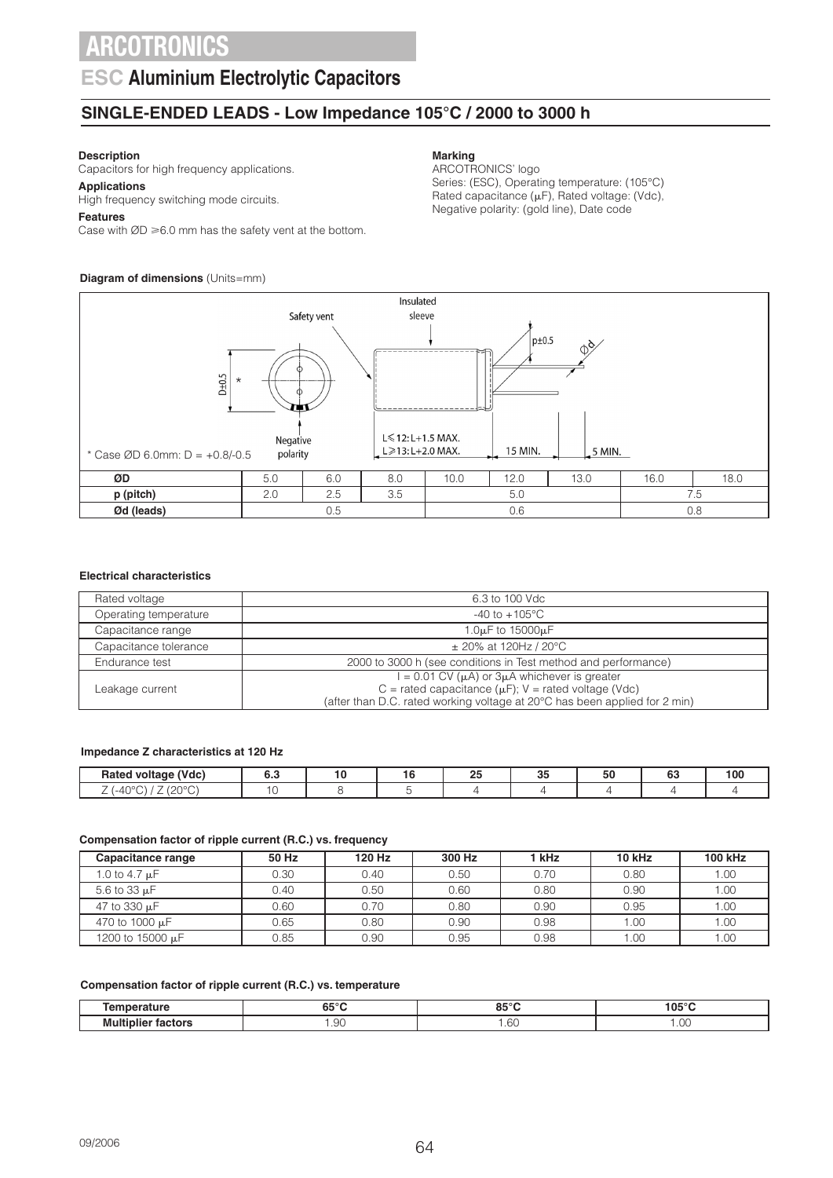### **ESC Aluminium Electrolytic Capacitors**

### **SINGLE-ENDED LEADS - Low Impedance 105°C / 2000 to 3000 h**

### **Description**

Capacitors for high frequency applications.

**Applications** High frequency switching mode circuits.

#### **Features**

Case with  $ØD \ge 6.0$  mm has the safety vent at the bottom.

### **Diagram of dimensions** (Units=mm)

#### **Marking**

ARCOTRONICS' logo Series: (ESC), Operating temperature: (105°C) Rated capacitance  $(\mu F)$ , Rated voltage: (Vdc), Negative polarity: (gold line), Date code



#### **Electrical characteristics**

| 6.3 to 100 Vdc                                                                                                                          |
|-----------------------------------------------------------------------------------------------------------------------------------------|
| $-40$ to $+105^{\circ}$ C                                                                                                               |
| 1.0 $\mu$ F to 15000 $\mu$ F                                                                                                            |
| $\pm$ 20% at 120Hz / 20°C                                                                                                               |
| 2000 to 3000 h (see conditions in Test method and performance)                                                                          |
| $= 0.01$ CV $(\mu A)$ or 3 $\mu A$ whichever is greater                                                                                 |
| C = rated capacitance ( $\mu$ F); V = rated voltage (Vdc)<br>(after than D.C. rated working voltage at 20°C has been applied for 2 min) |
|                                                                                                                                         |

#### **Impedance Z characteristics at 120 Hz**

| (Vdc)<br>Ratr<br>-                               | u.L |  | n E<br>∼<br>__ | 0E<br>ັບ | - -<br>้วเ | $\sim$<br>v | 100 |
|--------------------------------------------------|-----|--|----------------|----------|------------|-------------|-----|
| 1000C<br>$\sim$ $\sim$ $\sim$<br>. .<br><u>_</u> |     |  |                |          |            |             |     |

#### **Compensation factor of ripple current (R.C.) vs. frequency**

| Capacitance range  | 50 Hz | 120 Hz | 300 Hz | 1 kHz | 10 kHz | <b>100 kHz</b> |
|--------------------|-------|--------|--------|-------|--------|----------------|
| 1.0 to 4.7 $\mu$ F | 0.30  | 0.40   | 0.50   | 0.70  | 0.80   | 1.00           |
| 5.6 to 33 $\mu$ F  | 0.40  | 0.50   | 0.60   | 0.80  | 0.90   | 1.00           |
| 47 to 330 uF       | 0.60  | 0.70   | 0.80   | 0.90  | 0.95   | 1.00           |
| 470 to 1000 µF     | 0.65  | 0.80   | 0.90   | 0.98  | 1.00   | 1.00           |
| 1200 to 15000 µF   | 0.85  | 0.90   | 0.95   | 0.98  | 1.00   | 1.00           |

#### **Compensation factor of ripple current (R.C.) vs. temperature**

| .<br>.                                                       | $\sim$ $\sim$ $\sim$<br>--<br>ິບ<br>∼ | 0.50C<br>oə                       | 105°C      |
|--------------------------------------------------------------|---------------------------------------|-----------------------------------|------------|
| ---<br>Muli<br>-------<br>.<br>- -<br>:tors<br>шн<br>--<br>. | QΩ<br>.JU<br>___                      | $\sim$<br>$\sim$<br>$\sim$<br>___ | .00<br>___ |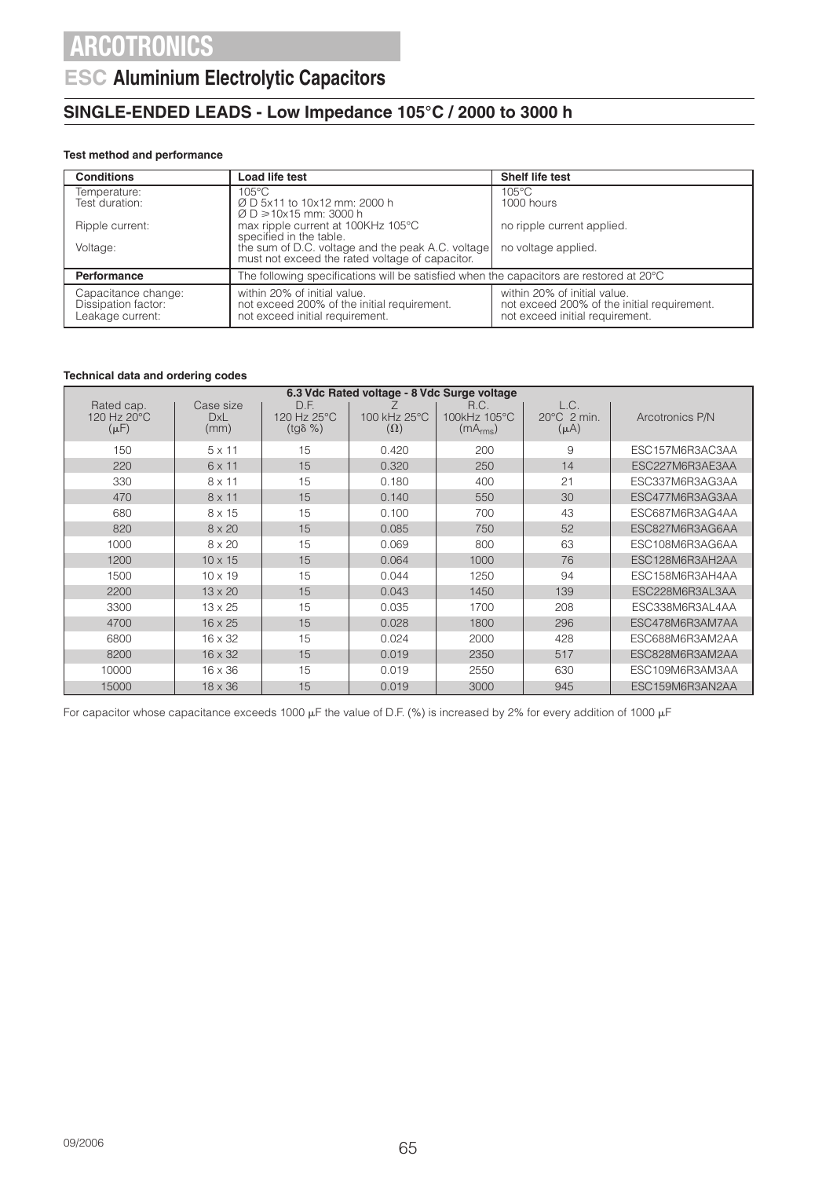### **ESC Aluminium Electrolytic Capacitors**

### **SINGLE-ENDED LEADS - Low Impedance 105°C / 2000 to 3000 h**

### **Test method and performance**

| <b>Conditions</b>                                              | Load life test                                                                                                 | <b>Shelf life test</b>                                                                                         |
|----------------------------------------------------------------|----------------------------------------------------------------------------------------------------------------|----------------------------------------------------------------------------------------------------------------|
| Temperature:                                                   | $105^{\circ}$ C                                                                                                | $105^{\circ}$ C                                                                                                |
| Test duration:                                                 | Ø D 5x11 to 10x12 mm: 2000 h<br>$\varnothing$ D $\geq$ 10x15 mm: 3000 h                                        | 1000 hours                                                                                                     |
| Ripple current:                                                | max ripple current at 100KHz 105°C<br>specified in the table.                                                  | no ripple current applied.                                                                                     |
| Voltage:                                                       | the sum of D.C. voltage and the peak A.C. voltage<br>must not exceed the rated voltage of capacitor.           | no voltage applied.                                                                                            |
| Performance                                                    | The following specifications will be satisfied when the capacitors are restored at $20^{\circ}$ C              |                                                                                                                |
| Capacitance change:<br>Dissipation factor:<br>Leakage current: | within 20% of initial value.<br>not exceed 200% of the initial requirement.<br>not exceed initial requirement. | within 20% of initial value.<br>not exceed 200% of the initial requirement.<br>not exceed initial requirement. |

#### **Technical data and ordering codes**

| 6.3 Vdc Rated voltage - 8 Vdc Surge voltage |                                 |                                         |                            |                                              |                                            |                 |  |
|---------------------------------------------|---------------------------------|-----------------------------------------|----------------------------|----------------------------------------------|--------------------------------------------|-----------------|--|
| Rated cap.<br>120 Hz 20°C<br>$(\mu F)$      | Case size<br><b>DxL</b><br>(mm) | D.F.<br>120 Hz 25°C<br>$(tq\delta \% )$ | 100 kHz 25°C<br>$(\Omega)$ | R.C.<br>100kHz 105°C<br>(mA <sub>rms</sub> ) | L.C.<br>$20^{\circ}$ C 2 min.<br>$(\mu A)$ | Arcotronics P/N |  |
| 150                                         | $5 \times 11$                   | 15                                      | 0.420                      | 200                                          | 9                                          | ESC157M6R3AC3AA |  |
| 220                                         | 6 x 11                          | 15                                      | 0.320                      | 250                                          | 14                                         | ESC227M6R3AE3AA |  |
| 330                                         | $8 \times 11$                   | 15                                      | 0.180                      | 400                                          | 21                                         | ESC337M6R3AG3AA |  |
| 470                                         | $8 \times 11$                   | 15                                      | 0.140                      | 550                                          | 30                                         | ESC477M6R3AG3AA |  |
| 680                                         | 8 x 15                          | 15                                      | 0.100                      | 700                                          | 43                                         | ESC687M6R3AG4AA |  |
| 820                                         | $8 \times 20$                   | 15                                      | 0.085                      | 750                                          | 52                                         | ESC827M6R3AG6AA |  |
| 1000                                        | $8 \times 20$                   | 15                                      | 0.069                      | 800                                          | 63                                         | ESC108M6R3AG6AA |  |
| 1200                                        | $10 \times 15$                  | 15                                      | 0.064                      | 1000                                         | 76                                         | ESC128M6R3AH2AA |  |
| 1500                                        | $10 \times 19$                  | 15                                      | 0.044                      | 1250                                         | 94                                         | ESC158M6R3AH4AA |  |
| 2200                                        | $13 \times 20$                  | 15                                      | 0.043                      | 1450                                         | 139                                        | ESC228M6R3AL3AA |  |
| 3300                                        | $13 \times 25$                  | 15                                      | 0.035                      | 1700                                         | 208                                        | ESC338M6R3AL4AA |  |
| 4700                                        | $16 \times 25$                  | 15                                      | 0.028                      | 1800                                         | 296                                        | ESC478M6R3AM7AA |  |
| 6800                                        | $16 \times 32$                  | 15                                      | 0.024                      | 2000                                         | 428                                        | ESC688M6R3AM2AA |  |
| 8200                                        | $16 \times 32$                  | 15                                      | 0.019                      | 2350                                         | 517                                        | ESC828M6R3AM2AA |  |
| 10000                                       | 16 x 36                         | 15                                      | 0.019                      | 2550                                         | 630                                        | ESC109M6R3AM3AA |  |
| 15000                                       | $18 \times 36$                  | 15                                      | 0.019                      | 3000                                         | 945                                        | ESC159M6R3AN2AA |  |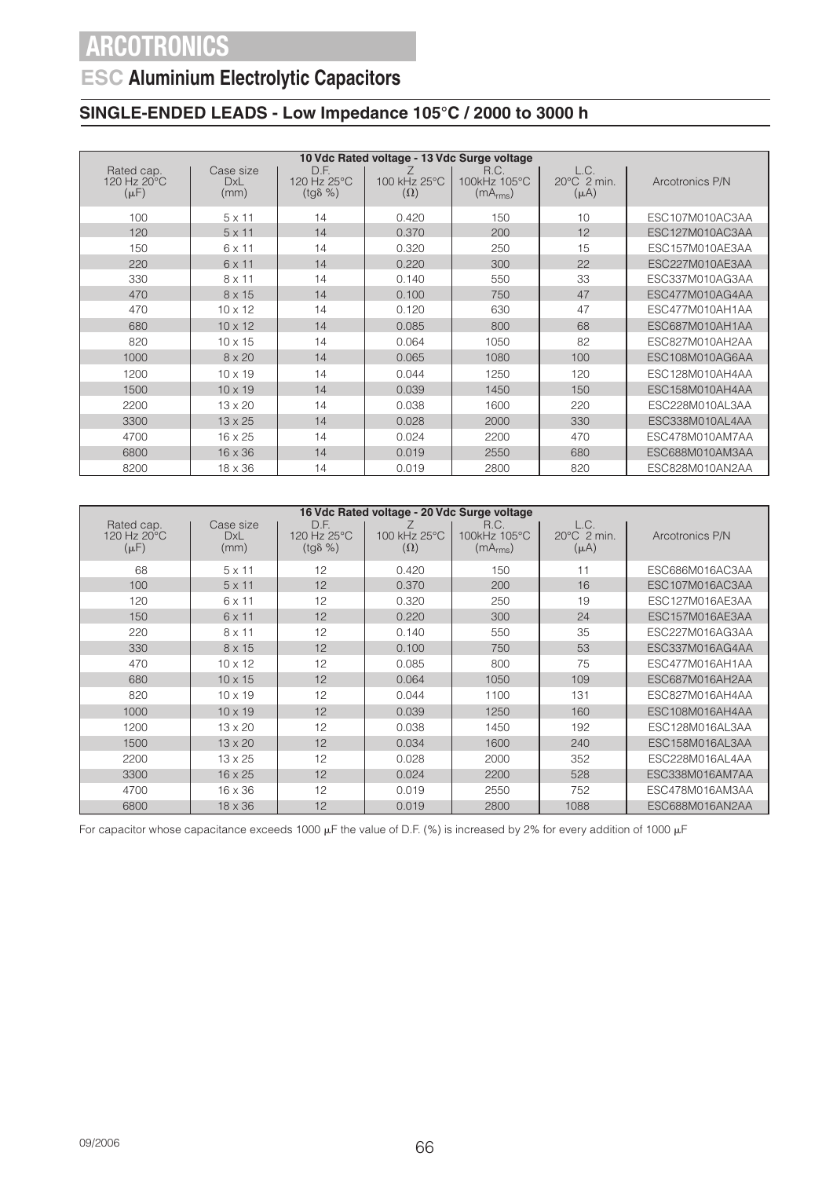## **ESC Aluminium Electrolytic Capacitors**

### **SINGLE-ENDED LEADS - Low Impedance 105°C / 2000 to 3000 h**

|                                        | 10 Vdc Rated voltage - 13 Vdc Surge voltage |                                         |                            |                                              |                                            |                 |  |  |  |
|----------------------------------------|---------------------------------------------|-----------------------------------------|----------------------------|----------------------------------------------|--------------------------------------------|-----------------|--|--|--|
| Rated cap.<br>120 Hz 20°C<br>$(\mu F)$ | Case size<br>DxL<br>(mm)                    | D.F.<br>120 Hz 25°C<br>$(tq\delta \% )$ | 100 kHz 25°C<br>$(\Omega)$ | R.C.<br>100kHz 105°C<br>(mA <sub>rms</sub> ) | L.C.<br>$20^{\circ}$ C 2 min.<br>$(\mu A)$ | Arcotronics P/N |  |  |  |
| 100                                    | $5 \times 11$                               | 14                                      | 0.420                      | 150                                          | 10                                         | ESC107M010AC3AA |  |  |  |
| 120                                    | $5 \times 11$                               | 14                                      | 0.370                      | 200                                          | 12                                         | ESC127M010AC3AA |  |  |  |
| 150                                    | $6 \times 11$                               | 14                                      | 0.320                      | 250                                          | 15                                         | ESC157M010AE3AA |  |  |  |
| 220                                    | 6 x 11                                      | 14                                      | 0.220                      | 300                                          | 22                                         | ESC227M010AE3AA |  |  |  |
| 330                                    | $8 \times 11$                               | 14                                      | 0.140                      | 550                                          | 33                                         | ESC337M010AG3AA |  |  |  |
| 470                                    | 8 x 15                                      | 14                                      | 0.100                      | 750                                          | 47                                         | ESC477M010AG4AA |  |  |  |
| 470                                    | $10 \times 12$                              | 14                                      | 0.120                      | 630                                          | 47                                         | ESC477M010AH1AA |  |  |  |
| 680                                    | $10 \times 12$                              | 14                                      | 0.085                      | 800                                          | 68                                         | ESC687M010AH1AA |  |  |  |
| 820                                    | $10 \times 15$                              | 14                                      | 0.064                      | 1050                                         | 82                                         | ESC827M010AH2AA |  |  |  |
| 1000                                   | $8 \times 20$                               | 14                                      | 0.065                      | 1080                                         | 100                                        | ESC108M010AG6AA |  |  |  |
| 1200                                   | $10 \times 19$                              | 14                                      | 0.044                      | 1250                                         | 120                                        | ESC128M010AH4AA |  |  |  |
| 1500                                   | $10 \times 19$                              | 14                                      | 0.039                      | 1450                                         | 150                                        | ESC158M010AH4AA |  |  |  |
| 2200                                   | $13 \times 20$                              | 14                                      | 0.038                      | 1600                                         | 220                                        | ESC228M010AL3AA |  |  |  |
| 3300                                   | $13 \times 25$                              | 14                                      | 0.028                      | 2000                                         | 330                                        | ESC338M010AL4AA |  |  |  |
| 4700                                   | $16 \times 25$                              | 14                                      | 0.024                      | 2200                                         | 470                                        | ESC478M010AM7AA |  |  |  |
| 6800                                   | $16 \times 36$                              | 14                                      | 0.019                      | 2550                                         | 680                                        | ESC688M010AM3AA |  |  |  |
| 8200                                   | $18 \times 36$                              | 14                                      | 0.019                      | 2800                                         | 820                                        | ESC828M010AN2AA |  |  |  |

| 16 Vdc Rated voltage - 20 Vdc Surge voltage      |                          |                                         |                            |                                              |                                            |                 |  |
|--------------------------------------------------|--------------------------|-----------------------------------------|----------------------------|----------------------------------------------|--------------------------------------------|-----------------|--|
| Rated cap.<br>120 Hz $20^{\circ}$ C<br>$(\mu F)$ | Case size<br>DxL<br>(mm) | D.F.<br>120 Hz 25°C<br>$(tq\delta \% )$ | 100 kHz 25°C<br>$(\Omega)$ | R.C.<br>100kHz 105°C<br>(mA <sub>rms</sub> ) | L.C.<br>$20^{\circ}$ C 2 min.<br>$(\mu A)$ | Arcotronics P/N |  |
| 68                                               | $5 \times 11$            | 12                                      | 0.420                      | 150                                          | 11                                         | ESC686M016AC3AA |  |
| 100                                              | $5 \times 11$            | 12                                      | 0.370                      | 200                                          | 16                                         | ESC107M016AC3AA |  |
| 120                                              | $6 \times 11$            | 12                                      | 0.320                      | 250                                          | 19                                         | ESC127M016AE3AA |  |
| 150                                              | $6 \times 11$            | 12                                      | 0.220                      | 300                                          | 24                                         | ESC157M016AE3AA |  |
| 220                                              | $8 \times 11$            | 12                                      | 0.140                      | 550                                          | 35                                         | ESC227M016AG3AA |  |
| 330                                              | 8 x 15                   | 12                                      | 0.100                      | 750                                          | 53                                         | ESC337M016AG4AA |  |
| 470                                              | $10 \times 12$           | 12                                      | 0.085                      | 800                                          | 75                                         | ESC477M016AH1AA |  |
| 680                                              | $10 \times 15$           | 12                                      | 0.064                      | 1050                                         | 109                                        | ESC687M016AH2AA |  |
| 820                                              | $10 \times 19$           | 12                                      | 0.044                      | 1100                                         | 131                                        | ESC827M016AH4AA |  |
| 1000                                             | $10 \times 19$           | 12                                      | 0.039                      | 1250                                         | 160                                        | ESC108M016AH4AA |  |
| 1200                                             | $13 \times 20$           | 12                                      | 0.038                      | 1450                                         | 192                                        | ESC128M016AL3AA |  |
| 1500                                             | $13 \times 20$           | 12                                      | 0.034                      | 1600                                         | 240                                        | ESC158M016AL3AA |  |
| 2200                                             | $13 \times 25$           | 12                                      | 0.028                      | 2000                                         | 352                                        | ESC228M016AL4AA |  |
| 3300                                             | $16 \times 25$           | 12                                      | 0.024                      | 2200                                         | 528                                        | ESC338M016AM7AA |  |
| 4700                                             | $16 \times 36$           | 12                                      | 0.019                      | 2550                                         | 752                                        | ESC478M016AM3AA |  |
| 6800                                             | $18 \times 36$           | 12                                      | 0.019                      | 2800                                         | 1088                                       | ESC688M016AN2AA |  |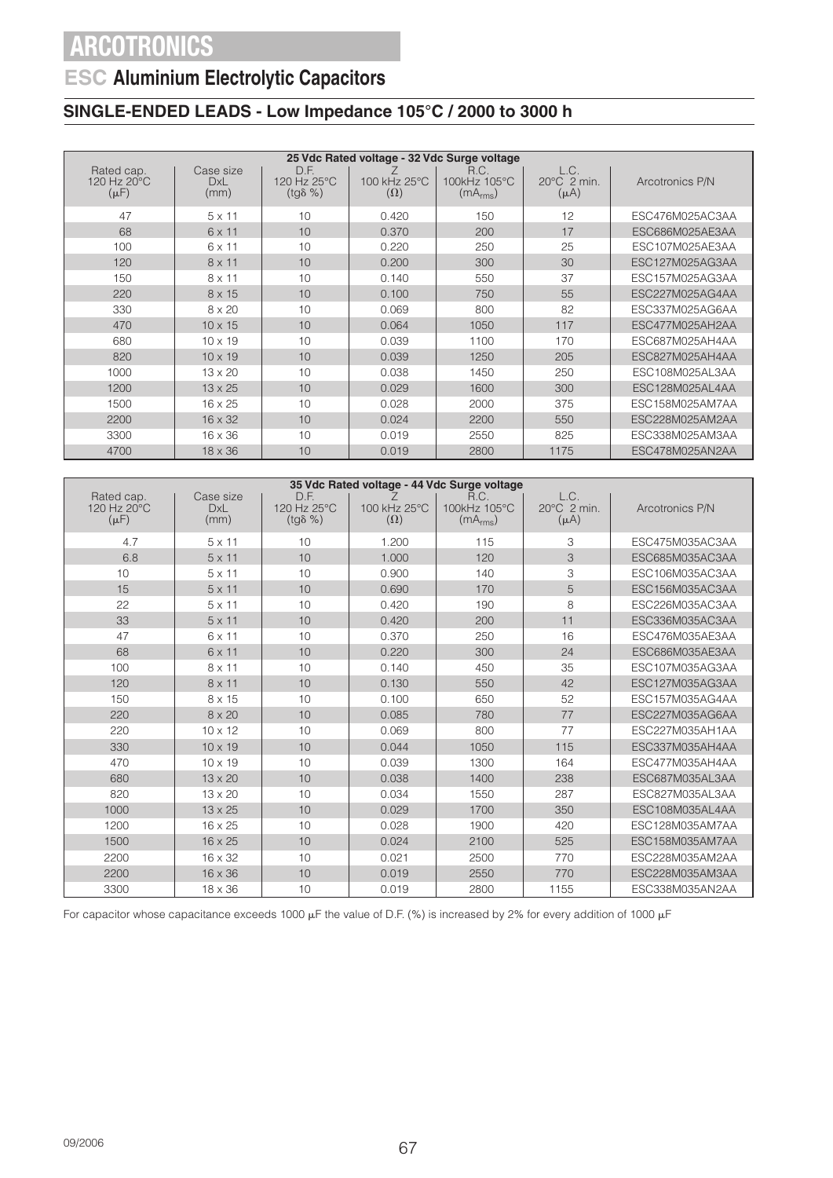### **ESC Aluminium Electrolytic Capacitors**

### **SINGLE-ENDED LEADS - Low Impedance 105°C / 2000 to 3000 h**

| 25 Vdc Rated voltage - 32 Vdc Surge voltage |                          |                                         |                            |                                              |                                              |                 |  |
|---------------------------------------------|--------------------------|-----------------------------------------|----------------------------|----------------------------------------------|----------------------------------------------|-----------------|--|
| Rated cap.<br>120 Hz 20°C<br>$(\mu F)$      | Case size<br>DxL<br>(mm) | D.F.<br>120 Hz 25°C<br>$(tg\delta \% )$ | 100 kHz 25°C<br>$(\Omega)$ | R.C.<br>100kHz 105°C<br>(mA <sub>rms</sub> ) | L.C.<br>$20^{\circ}$ C $2$ min.<br>$(\mu A)$ | Arcotronics P/N |  |
| 47                                          | $5 \times 11$            | 10                                      | 0.420                      | 150                                          | 12                                           | ESC476M025AC3AA |  |
| 68                                          | $6 \times 11$            | 10                                      | 0.370                      | 200                                          | 17                                           | ESC686M025AE3AA |  |
| 100                                         | 6 x 11                   | 10                                      | 0.220                      | 250                                          | 25                                           | ESC107M025AE3AA |  |
| 120                                         | $8 \times 11$            | 10                                      | 0.200                      | 300                                          | 30                                           | ESC127M025AG3AA |  |
| 150                                         | $8 \times 11$            | 10                                      | 0.140                      | 550                                          | 37                                           | ESC157M025AG3AA |  |
| 220                                         | 8 x 15                   | 10                                      | 0.100                      | 750                                          | 55                                           | ESC227M025AG4AA |  |
| 330                                         | 8 x 20                   | 10                                      | 0.069                      | 800                                          | 82                                           | ESC337M025AG6AA |  |
| 470                                         | $10 \times 15$           | 10                                      | 0.064                      | 1050                                         | 117                                          | ESC477M025AH2AA |  |
| 680                                         | $10 \times 19$           | 10                                      | 0.039                      | 1100                                         | 170                                          | ESC687M025AH4AA |  |
| 820                                         | $10 \times 19$           | 10                                      | 0.039                      | 1250                                         | 205                                          | ESC827M025AH4AA |  |
| 1000                                        | $13 \times 20$           | 10                                      | 0.038                      | 1450                                         | 250                                          | ESC108M025AL3AA |  |
| 1200                                        | $13 \times 25$           | 10                                      | 0.029                      | 1600                                         | 300                                          | ESC128M025AL4AA |  |
| 1500                                        | $16 \times 25$           | 10                                      | 0.028                      | 2000                                         | 375                                          | ESC158M025AM7AA |  |
| 2200                                        | $16 \times 32$           | 10                                      | 0.024                      | 2200                                         | 550                                          | ESC228M025AM2AA |  |
| 3300                                        | $16 \times 36$           | 10                                      | 0.019                      | 2550                                         | 825                                          | ESC338M025AM3AA |  |
| 4700                                        | $18 \times 36$           | 10                                      | 0.019                      | 2800                                         | 1175                                         | ESC478M025AN2AA |  |

| 35 Vdc Rated voltage - 44 Vdc Surge voltage |                                 |                                         |                            |                                              |                                  |                 |  |
|---------------------------------------------|---------------------------------|-----------------------------------------|----------------------------|----------------------------------------------|----------------------------------|-----------------|--|
| Rated cap.<br>120 Hz 20°C<br>$(\mu F)$      | Case size<br><b>DxL</b><br>(mm) | D.F.<br>120 Hz 25°C<br>$(tg\delta \% )$ | 100 kHz 25°C<br>$(\Omega)$ | R.C.<br>100kHz 105°C<br>(mA <sub>rms</sub> ) | L.C.<br>20°C 2 min.<br>$(\mu A)$ | Arcotronics P/N |  |
| 4.7                                         | $5 \times 11$                   | 10                                      | 1.200                      | 115                                          | 3                                | ESC475M035AC3AA |  |
| 6.8                                         | $5 \times 11$                   | 10                                      | 1.000                      | 120                                          | 3                                | ESC685M035AC3AA |  |
| 10                                          | $5 \times 11$                   | 10                                      | 0.900                      | 140                                          | 3                                | ESC106M035AC3AA |  |
| 15                                          | $5 \times 11$                   | 10                                      | 0.690                      | 170                                          | 5                                | ESC156M035AC3AA |  |
| 22                                          | $5 \times 11$                   | 10                                      | 0.420                      | 190                                          | 8                                | ESC226M035AC3AA |  |
| 33                                          | $5 \times 11$                   | 10                                      | 0.420                      | 200                                          | 11                               | ESC336M035AC3AA |  |
| 47                                          | 6 x 11                          | 10                                      | 0.370                      | 250                                          | 16                               | ESC476M035AE3AA |  |
| 68                                          | $6 \times 11$                   | 10                                      | 0.220                      | 300                                          | 24                               | ESC686M035AE3AA |  |
| 100                                         | $8 \times 11$                   | 10                                      | 0.140                      | 450                                          | 35                               | ESC107M035AG3AA |  |
| 120                                         | $8 \times 11$                   | 10                                      | 0.130                      | 550                                          | 42                               | ESC127M035AG3AA |  |
| 150                                         | 8 x 15                          | 10                                      | 0.100                      | 650                                          | 52                               | ESC157M035AG4AA |  |
| 220                                         | $8 \times 20$                   | 10                                      | 0.085                      | 780                                          | 77                               | ESC227M035AG6AA |  |
| 220                                         | $10 \times 12$                  | 10                                      | 0.069                      | 800                                          | 77                               | ESC227M035AH1AA |  |
| 330                                         | $10 \times 19$                  | 10                                      | 0.044                      | 1050                                         | 115                              | ESC337M035AH4AA |  |
| 470                                         | $10 \times 19$                  | 10                                      | 0.039                      | 1300                                         | 164                              | ESC477M035AH4AA |  |
| 680                                         | $13 \times 20$                  | 10                                      | 0.038                      | 1400                                         | 238                              | ESC687M035AL3AA |  |
| 820                                         | $13 \times 20$                  | 10                                      | 0.034                      | 1550                                         | 287                              | ESC827M035AL3AA |  |
| 1000                                        | $13 \times 25$                  | 10                                      | 0.029                      | 1700                                         | 350                              | ESC108M035AL4AA |  |
| 1200                                        | 16 x 25                         | 10                                      | 0.028                      | 1900                                         | 420                              | ESC128M035AM7AA |  |
| 1500                                        | $16 \times 25$                  | 10                                      | 0.024                      | 2100                                         | 525                              | ESC158M035AM7AA |  |
| 2200                                        | $16 \times 32$                  | 10                                      | 0.021                      | 2500                                         | 770                              | ESC228M035AM2AA |  |
| 2200                                        | 16 x 36                         | 10                                      | 0.019                      | 2550                                         | 770                              | ESC228M035AM3AA |  |
| 3300                                        | 18 x 36                         | 10                                      | 0.019                      | 2800                                         | 1155                             | ESC338M035AN2AA |  |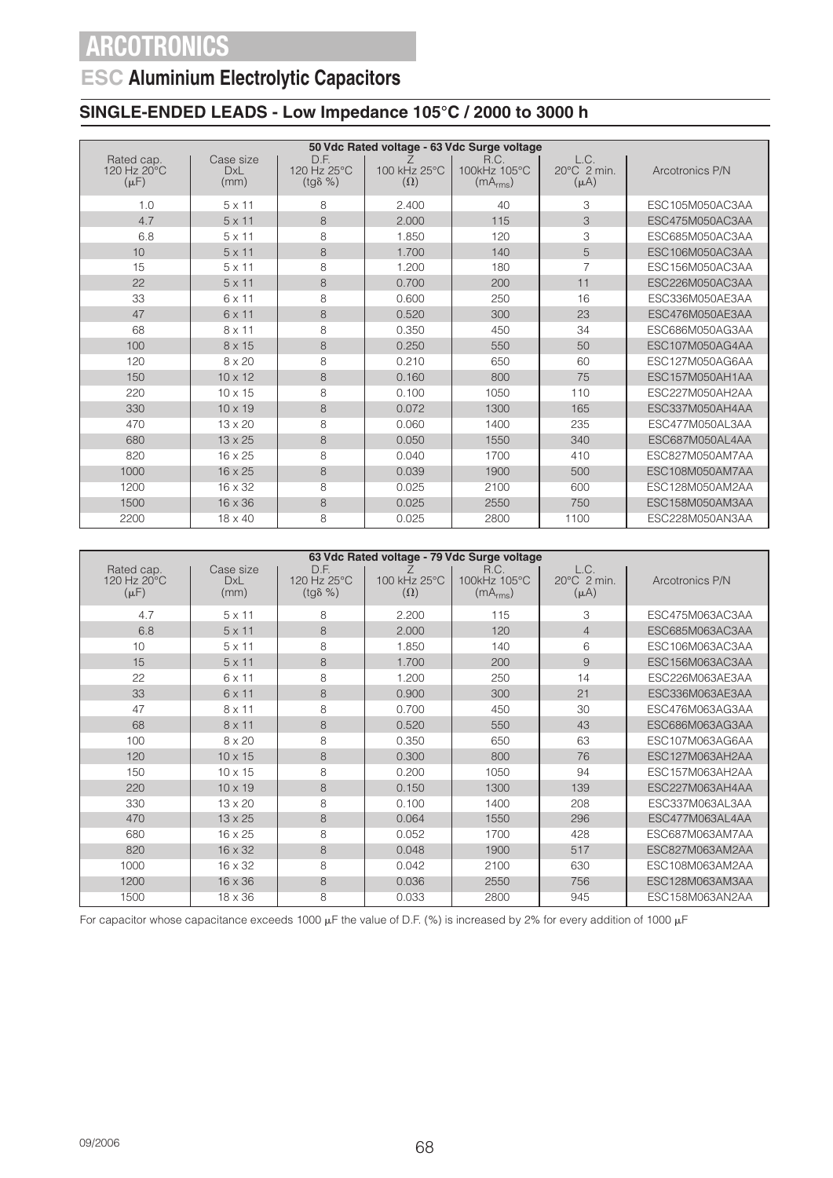### **ESC Aluminium Electrolytic Capacitors**

### **SINGLE-ENDED LEADS - Low Impedance 105°C / 2000 to 3000 h**

|                                        | 50 Vdc Rated voltage - 63 Vdc Surge voltage |                                         |                            |                                              |                                  |                 |  |  |
|----------------------------------------|---------------------------------------------|-----------------------------------------|----------------------------|----------------------------------------------|----------------------------------|-----------------|--|--|
| Rated cap.<br>120 Hz 20°C<br>$(\mu F)$ | Case size<br><b>DxL</b><br>(mm)             | D.E.<br>120 Hz 25°C<br>$(tg\delta \% )$ | 100 kHz 25°C<br>$(\Omega)$ | R.C.<br>100kHz 105°C<br>(mA <sub>rms</sub> ) | L.C.<br>20°C 2 min.<br>$(\mu A)$ | Arcotronics P/N |  |  |
| 1.0                                    | $5 \times 11$                               | 8                                       | 2.400                      | 40                                           | 3                                | ESC105M050AC3AA |  |  |
| 4.7                                    | $5 \times 11$                               | $\mathsf{R}$                            | 2.000                      | 115                                          | $\overline{\mathcal{E}}$         | ESC475M050AC3AA |  |  |
| 6.8                                    | $5 \times 11$                               | 8                                       | 1.850                      | 120                                          | 3                                | ESC685M050AC3AA |  |  |
| 10                                     | $5 \times 11$                               | 8                                       | 1.700                      | 140                                          | 5                                | ESC106M050AC3AA |  |  |
| 15                                     | $5 \times 11$                               | 8                                       | 1.200                      | 180                                          | $\overline{7}$                   | ESC156M050AC3AA |  |  |
| 22                                     | $5 \times 11$                               | 8                                       | 0.700                      | 200                                          | 11                               | ESC226M050AC3AA |  |  |
| 33                                     | $6 \times 11$                               | 8                                       | 0.600                      | 250                                          | 16                               | ESC336M050AE3AA |  |  |
| 47                                     | 6 x 11                                      | 8                                       | 0.520                      | 300                                          | 23                               | ESC476M050AE3AA |  |  |
| 68                                     | 8 x 11                                      | 8                                       | 0.350                      | 450                                          | 34                               | ESC686M050AG3AA |  |  |
| 100                                    | 8 x 15                                      | 8                                       | 0.250                      | 550                                          | 50                               | ESC107M050AG4AA |  |  |
| 120                                    | $8 \times 20$                               | 8                                       | 0.210                      | 650                                          | 60                               | ESC127M050AG6AA |  |  |
| 150                                    | $10 \times 12$                              | 8                                       | 0.160                      | 800                                          | 75                               | ESC157M050AH1AA |  |  |
| 220                                    | $10 \times 15$                              | 8                                       | 0.100                      | 1050                                         | 110                              | ESC227M050AH2AA |  |  |
| 330                                    | $10 \times 19$                              | 8                                       | 0.072                      | 1300                                         | 165                              | ESC337M050AH4AA |  |  |
| 470                                    | $13 \times 20$                              | 8                                       | 0.060                      | 1400                                         | 235                              | ESC477M050AL3AA |  |  |
| 680                                    | $13 \times 25$                              | 8                                       | 0.050                      | 1550                                         | 340                              | ESC687M050AL4AA |  |  |
| 820                                    | $16 \times 25$                              | 8                                       | 0.040                      | 1700                                         | 410                              | ESC827M050AM7AA |  |  |
| 1000                                   | $16 \times 25$                              | 8                                       | 0.039                      | 1900                                         | 500                              | ESC108M050AM7AA |  |  |
| 1200                                   | $16 \times 32$                              | 8                                       | 0.025                      | 2100                                         | 600                              | ESC128M050AM2AA |  |  |
| 1500                                   | $16 \times 36$                              | 8                                       | 0.025                      | 2550                                         | 750                              | ESC158M050AM3AA |  |  |
| 2200                                   | $18 \times 40$                              | 8                                       | 0.025                      | 2800                                         | 1100                             | ESC228M050AN3AA |  |  |

|                                        | 63 Vdc Rated voltage - 79 Vdc Surge voltage |                                         |                            |                                              |                                            |                 |  |  |  |
|----------------------------------------|---------------------------------------------|-----------------------------------------|----------------------------|----------------------------------------------|--------------------------------------------|-----------------|--|--|--|
| Rated cap.<br>120 Hz 20°C<br>$(\mu F)$ | Case size<br>DxL<br>(mm)                    | D.F.<br>120 Hz 25°C<br>$(tq\delta \% )$ | 100 kHz 25°C<br>$(\Omega)$ | R.C.<br>100kHz 105°C<br>(mA <sub>rms</sub> ) | L.C.<br>$20^{\circ}$ C 2 min.<br>$(\mu A)$ | Arcotronics P/N |  |  |  |
| 4.7                                    | $5 \times 11$                               | 8                                       | 2.200                      | 115                                          | 3                                          | ESC475M063AC3AA |  |  |  |
| 6.8                                    | $5 \times 11$                               | 8                                       | 2.000                      | 120                                          | $\overline{4}$                             | ESC685M063AC3AA |  |  |  |
| 10                                     | $5 \times 11$                               | 8                                       | 1.850                      | 140                                          | 6                                          | ESC106M063AC3AA |  |  |  |
| 15                                     | $5 \times 11$                               | 8                                       | 1.700                      | 200                                          | 9                                          | ESC156M063AC3AA |  |  |  |
| 22                                     | 6 x 11                                      | 8                                       | 1.200                      | 250                                          | 14                                         | ESC226M063AE3AA |  |  |  |
| 33                                     | 6 x 11                                      | 8                                       | 0.900                      | 300                                          | 21                                         | ESC336M063AE3AA |  |  |  |
| 47                                     | $8 \times 11$                               | 8                                       | 0.700                      | 450                                          | 30                                         | ESC476M063AG3AA |  |  |  |
| 68                                     | $8 \times 11$                               | 8                                       | 0.520                      | 550                                          | 43                                         | ESC686M063AG3AA |  |  |  |
| 100                                    | $8 \times 20$                               | 8                                       | 0.350                      | 650                                          | 63                                         | ESC107M063AG6AA |  |  |  |
| 120                                    | $10 \times 15$                              | 8                                       | 0.300                      | 800                                          | 76                                         | ESC127M063AH2AA |  |  |  |
| 150                                    | $10 \times 15$                              | 8                                       | 0.200                      | 1050                                         | 94                                         | ESC157M063AH2AA |  |  |  |
| 220                                    | $10 \times 19$                              | 8                                       | 0.150                      | 1300                                         | 139                                        | ESC227M063AH4AA |  |  |  |
| 330                                    | $13 \times 20$                              | 8                                       | 0.100                      | 1400                                         | 208                                        | ESC337M063AL3AA |  |  |  |
| 470                                    | $13 \times 25$                              | 8                                       | 0.064                      | 1550                                         | 296                                        | ESC477M063AL4AA |  |  |  |
| 680                                    | $16 \times 25$                              | 8                                       | 0.052                      | 1700                                         | 428                                        | ESC687M063AM7AA |  |  |  |
| 820                                    | 16 x 32                                     | 8                                       | 0.048                      | 1900                                         | 517                                        | ESC827M063AM2AA |  |  |  |
| 1000                                   | $16 \times 32$                              | 8                                       | 0.042                      | 2100                                         | 630                                        | ESC108M063AM2AA |  |  |  |
| 1200                                   | $16 \times 36$                              | 8                                       | 0.036                      | 2550                                         | 756                                        | ESC128M063AM3AA |  |  |  |
| 1500                                   | $18 \times 36$                              | 8                                       | 0.033                      | 2800                                         | 945                                        | ESC158M063AN2AA |  |  |  |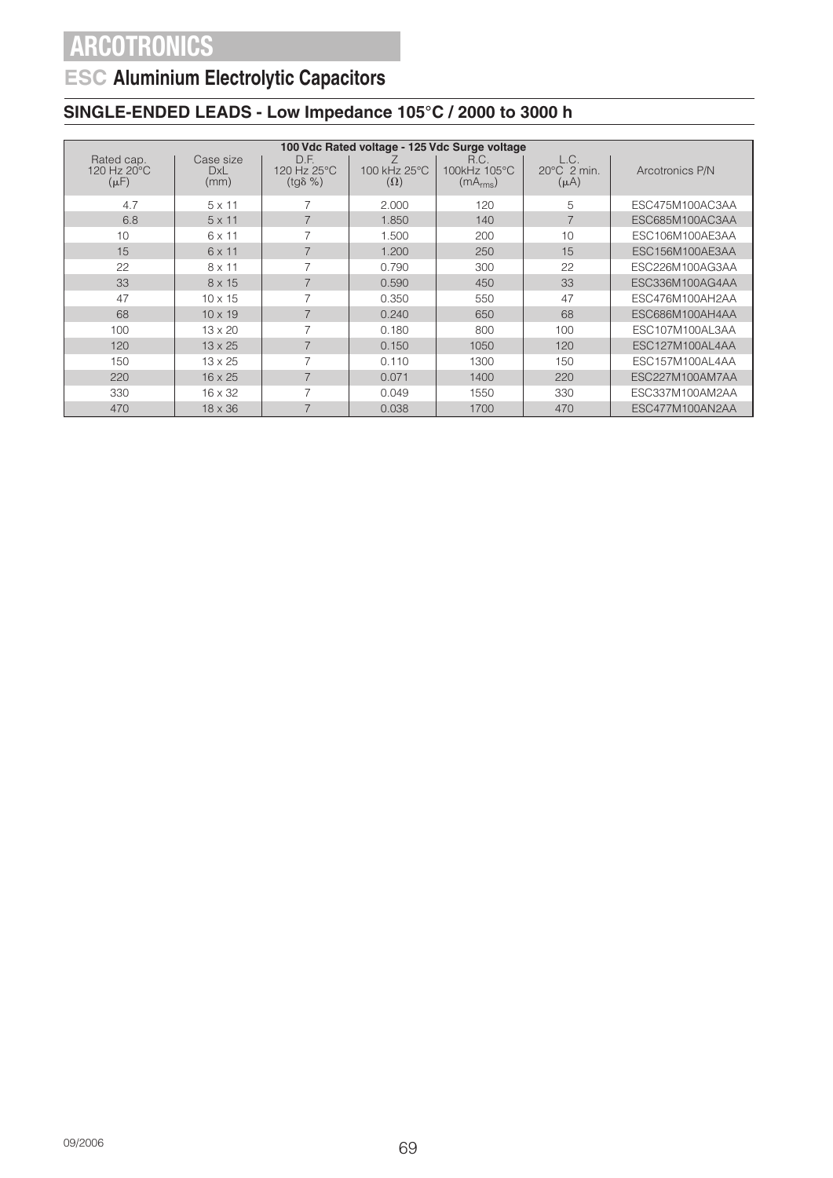## **ESC Aluminium Electrolytic Capacitors**

### **SINGLE-ENDED LEADS - Low Impedance 105°C / 2000 to 3000 h**

|                                        | 100 Vdc Rated voltage - 125 Vdc Surge voltage |                                         |                            |                                              |                                            |                 |  |  |
|----------------------------------------|-----------------------------------------------|-----------------------------------------|----------------------------|----------------------------------------------|--------------------------------------------|-----------------|--|--|
| Rated cap.<br>120 Hz 20°C<br>$(\mu F)$ | Case size<br><b>DxL</b><br>(mm)               | D.F.<br>120 Hz 25°C<br>$(tq\delta \% )$ | 100 kHz 25°C<br>$(\Omega)$ | R.C.<br>100kHz 105°C<br>(mA <sub>rms</sub> ) | L.C.<br>$20^{\circ}$ C 2 min.<br>$(\mu A)$ | Arcotronics P/N |  |  |
| 4.7                                    | $5 \times 11$                                 | $\overline{7}$                          | 2.000                      | 120                                          | 5                                          | ESC475M100AC3AA |  |  |
| 6.8                                    | $5 \times 11$                                 | $\overline{7}$                          | 1.850                      | 140                                          | 7                                          | ESC685M100AC3AA |  |  |
| 10                                     | 6 x 11                                        | 7                                       | 1.500                      | 200                                          | 10                                         | ESC106M100AE3AA |  |  |
| 15                                     | $6 \times 11$                                 | $\overline{7}$                          | 1.200                      | 250                                          | 15                                         | ESC156M100AE3AA |  |  |
| 22                                     | $8 \times 11$                                 | 7                                       | 0.790                      | 300                                          | 22                                         | ESC226M100AG3AA |  |  |
| 33                                     | 8 x 15                                        | $\overline{7}$                          | 0.590                      | 450                                          | 33                                         | ESC336M100AG4AA |  |  |
| 47                                     | $10 \times 15$                                | $\overline{7}$                          | 0.350                      | 550                                          | 47                                         | ESC476M100AH2AA |  |  |
| 68                                     | $10 \times 19$                                | $\overline{7}$                          | 0.240                      | 650                                          | 68                                         | ESC686M100AH4AA |  |  |
| 100                                    | $13 \times 20$                                | $\overline{7}$                          | 0.180                      | 800                                          | 100                                        | ESC107M100AL3AA |  |  |
| 120                                    | $13 \times 25$                                | $\overline{7}$                          | 0.150                      | 1050                                         | 120                                        | ESC127M100AL4AA |  |  |
| 150                                    | $13 \times 25$                                | 7                                       | 0.110                      | 1300                                         | 150                                        | ESC157M100AL4AA |  |  |
| 220                                    | $16 \times 25$                                | $\overline{7}$                          | 0.071                      | 1400                                         | 220                                        | ESC227M100AM7AA |  |  |
| 330                                    | $16 \times 32$                                | 7                                       | 0.049                      | 1550                                         | 330                                        | ESC337M100AM2AA |  |  |
| 470                                    | $18 \times 36$                                | 7                                       | 0.038                      | 1700                                         | 470                                        | ESC477M100AN2AA |  |  |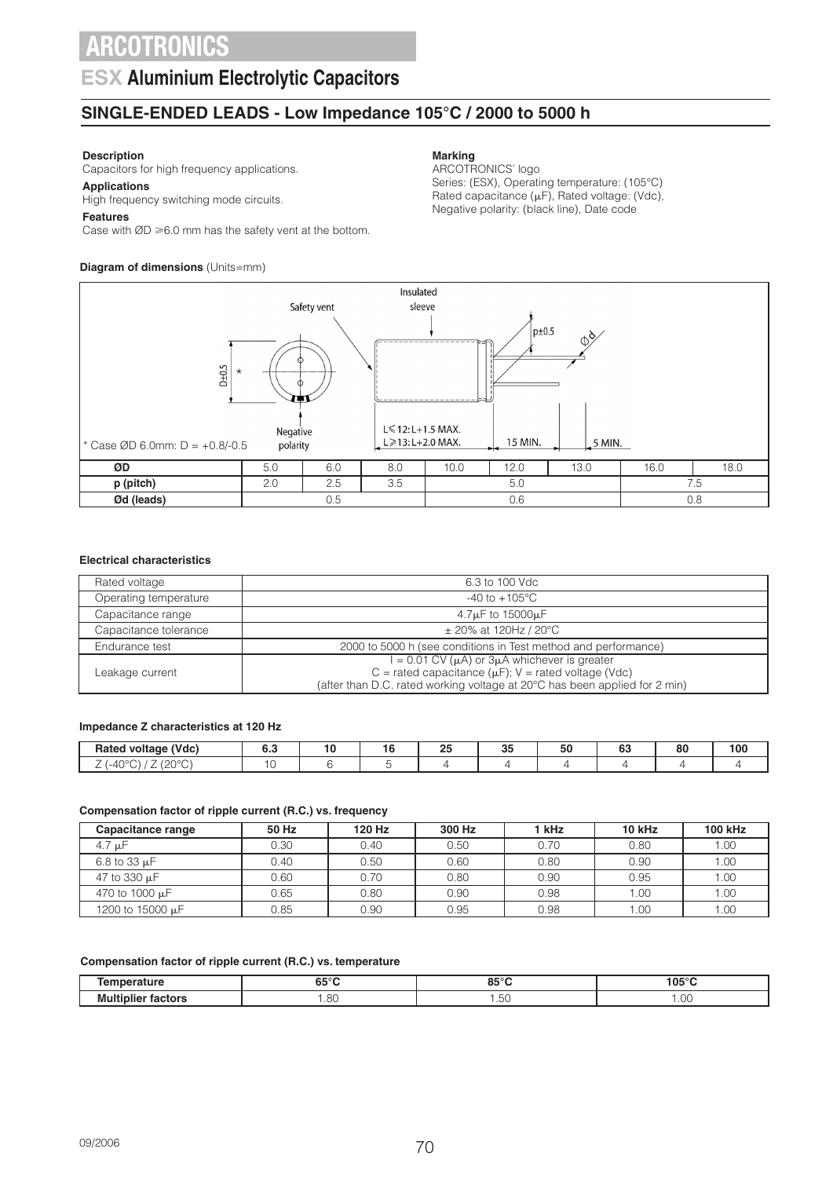### **ESX Aluminium Electrolytic Capacitors**

### **SINGLE-ENDED LEADS - Low Impedance 105°C / 2000 to 5000 h**

#### **Description**

Capacitors for high frequency applications.

**Applications** High frequency switching mode circuits.

#### **Features**

Case with  $ØD \ge 6.0$  mm has the safety vent at the bottom.

#### **Diagram of dimensions** (Units=mm)

#### **Marking**

ARCOTRONICS' logo Series: (ESX), Operating temperature: (105°C) Rated capacitance  $(\mu F)$ , Rated voltage: (Vdc), Negative polarity: (black line), Date code



#### **Electrical characteristics**

| Rated voltage         | 6.3 to 100 Vdc                                                                                                                                                                                       |
|-----------------------|------------------------------------------------------------------------------------------------------------------------------------------------------------------------------------------------------|
| Operating temperature | $-40$ to $+105^{\circ}$ C                                                                                                                                                                            |
| Capacitance range     | $4.7\mu$ F to 15000 $\mu$ F                                                                                                                                                                          |
| Capacitance tolerance | $\pm$ 20% at 120Hz / 20°C                                                                                                                                                                            |
| Endurance test        | 2000 to 5000 h (see conditions in Test method and performance)                                                                                                                                       |
| Leakage current       | $I = 0.01$ CV ( $\mu$ A) or $3\mu$ A whichever is greater<br>C = rated capacitance ( $\mu$ F); V = rated voltage (Vdc)<br>(after than D.C. rated working voltage at 20°C has been applied for 2 min) |

#### **Impedance Z characteristics at 120 Hz**

| (Vdc)<br>Rated<br>voltage                         | υ., | . .<br>. v | $\mathbf{a}$<br>-- | $\sim$<br>ິ | $\overline{\phantom{a}}$<br>่วเ | --<br>uu | $\Omega$<br>ou | 100 |
|---------------------------------------------------|-----|------------|--------------------|-------------|---------------------------------|----------|----------------|-----|
| -<br>-<br>$\sim$<br>$\Lambda$<br>$-4$<br>∼<br>. . |     |            |                    |             |                                 |          |                |     |

#### **Compensation factor of ripple current (R.C.) vs. frequency**

| Capacitance range   | 50 Hz | 120 Hz | 300 Hz | 1 kHz | 10 kHz | 100 kHz |
|---------------------|-------|--------|--------|-------|--------|---------|
| $4.7 \mu F$         | 0.30  | 0.40   | 0.50   | 0.70  | 0.80   | 1.00    |
| $6.8$ to 33 $\mu$ F | 0.40  | 0.50   | 0.60   | 0.80  | 0.90   | 1.00    |
| 47 to 330 µF        | 0.60  | 0.70   | 0.80   | 0.90  | 0.95   | 1.00    |
| 470 to 1000 µF      | 0.65  | 0.80   | 0.90   | 0.98  | 1.00   | 1.00    |
| 1200 to 15000 µF    | 0.85  | 0.90   | 0.95   | 0.98  | 1.00   | 1.00    |

#### **Compensation factor of ripple current (R.C.) vs. temperature**

| ------<br>.  | c=°r<br>.       | OE <sup>o</sup><br>.            | 105°C<br>__ |
|--------------|-----------------|---------------------------------|-------------|
| Mι<br>.<br>. | $\Omega$<br>.uu | $\overline{\phantom{a}}$<br>.∪∪ | 1111        |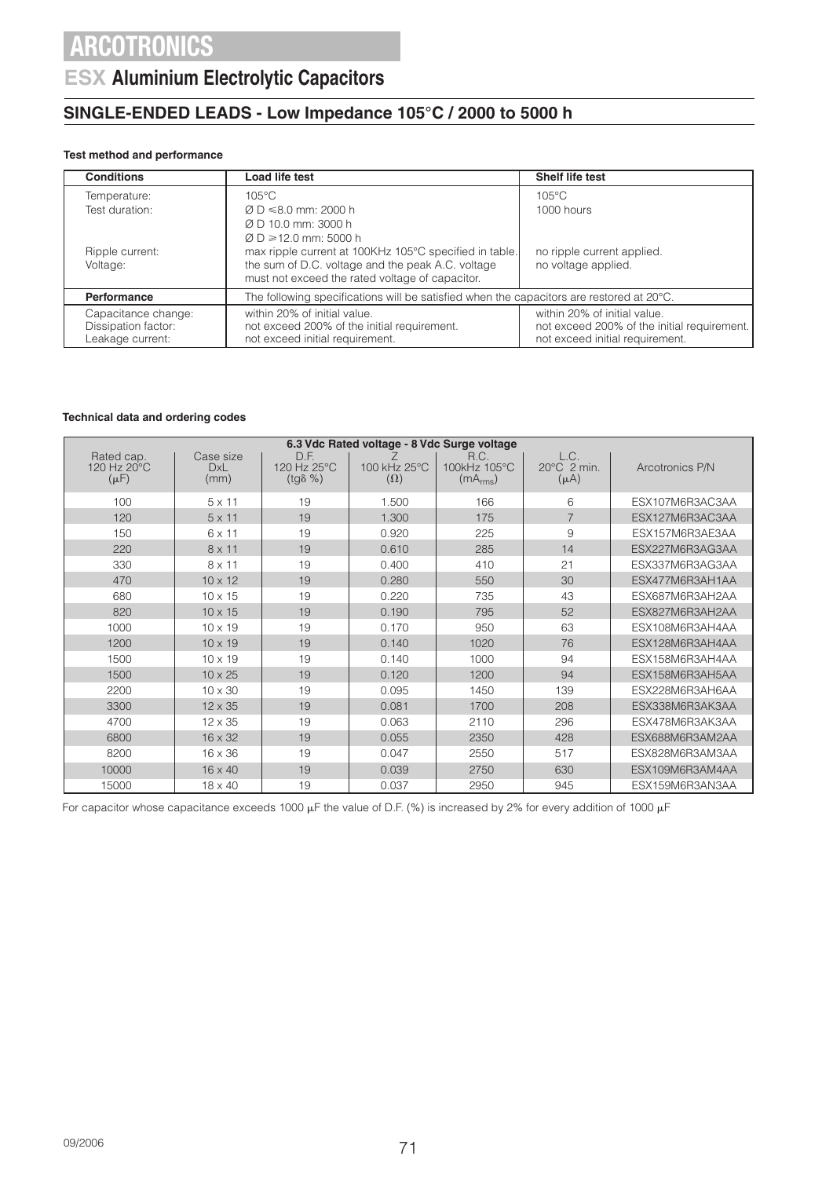### **ESX Aluminium Electrolytic Capacitors**

### **SINGLE-ENDED LEADS - Low Impedance 105°C / 2000 to 5000 h**

### **Test method and performance**

| <b>Conditions</b>           | Load life test                                                                                              | <b>Shelf life test</b>                            |
|-----------------------------|-------------------------------------------------------------------------------------------------------------|---------------------------------------------------|
| Temperature:                | $105^{\circ}$ C                                                                                             | $105^{\circ}$ C                                   |
| Test duration:              | $\varnothing$ D $\leq 8.0$ mm: 2000 h                                                                       | 1000 hours                                        |
|                             | $\varnothing$ D 10.0 mm: 3000 h                                                                             |                                                   |
|                             | $\varnothing$ D $\geq$ 12.0 mm: 5000 h                                                                      |                                                   |
| Ripple current:<br>Voltage: | max ripple current at 100KHz 105°C specified in table.<br>the sum of D.C. voltage and the peak A.C. voltage | no ripple current applied.<br>no voltage applied. |
|                             | must not exceed the rated voltage of capacitor.                                                             |                                                   |
| Performance                 | The following specifications will be satisfied when the capacitors are restored at 20°C.                    |                                                   |
| Capacitance change:         | within 20% of initial value.                                                                                | within 20% of initial value.                      |
| Dissipation factor:         | not exceed 200% of the initial requirement.                                                                 | not exceed 200% of the initial requirement.       |
| Leakage current:            | not exceed initial requirement.                                                                             | not exceed initial requirement.                   |

#### **Technical data and ordering codes**

| 6.3 Vdc Rated voltage - 8 Vdc Surge voltage |                                 |                                         |                            |                                              |                                            |                 |  |
|---------------------------------------------|---------------------------------|-----------------------------------------|----------------------------|----------------------------------------------|--------------------------------------------|-----------------|--|
| Rated cap.<br>120 Hz 20°C<br>$(\mu F)$      | Case size<br><b>DxL</b><br>(mm) | D.F.<br>120 Hz 25°C<br>$(tg\delta \% )$ | 100 kHz 25°C<br>$(\Omega)$ | R.C.<br>100kHz 105°C<br>(mA <sub>rms</sub> ) | L.C.<br>$20^{\circ}$ C 2 min.<br>$(\mu A)$ | Arcotronics P/N |  |
| 100                                         | $5 \times 11$                   | 19                                      | 1.500                      | 166                                          | 6                                          | ESX107M6R3AC3AA |  |
| 120                                         | $5 \times 11$                   | 19                                      | 1.300                      | 175                                          | $\overline{7}$                             | ESX127M6R3AC3AA |  |
| 150                                         | 6 x 11                          | 19                                      | 0.920                      | 225                                          | 9                                          | ESX157M6R3AE3AA |  |
| 220                                         | $8 \times 11$                   | 19                                      | 0.610                      | 285                                          | 14                                         | ESX227M6R3AG3AA |  |
| 330                                         | $8 \times 11$                   | 19                                      | 0.400                      | 410                                          | 21                                         | ESX337M6R3AG3AA |  |
| 470                                         | $10 \times 12$                  | 19                                      | 0.280                      | 550                                          | 30                                         | ESX477M6R3AH1AA |  |
| 680                                         | $10 \times 15$                  | 19                                      | 0.220                      | 735                                          | 43                                         | ESX687M6R3AH2AA |  |
| 820                                         | $10 \times 15$                  | 19                                      | 0.190                      | 795                                          | 52                                         | ESX827M6R3AH2AA |  |
| 1000                                        | $10 \times 19$                  | 19                                      | 0.170                      | 950                                          | 63                                         | ESX108M6R3AH4AA |  |
| 1200                                        | $10 \times 19$                  | 19                                      | 0.140                      | 1020                                         | 76                                         | ESX128M6R3AH4AA |  |
| 1500                                        | $10 \times 19$                  | 19                                      | 0.140                      | 1000                                         | 94                                         | ESX158M6R3AH4AA |  |
| 1500                                        | $10 \times 25$                  | 19                                      | 0.120                      | 1200                                         | 94                                         | ESX158M6R3AH5AA |  |
| 2200                                        | $10 \times 30$                  | 19                                      | 0.095                      | 1450                                         | 139                                        | ESX228M6R3AH6AA |  |
| 3300                                        | $12 \times 35$                  | 19                                      | 0.081                      | 1700                                         | 208                                        | ESX338M6R3AK3AA |  |
| 4700                                        | $12 \times 35$                  | 19                                      | 0.063                      | 2110                                         | 296                                        | ESX478M6R3AK3AA |  |
| 6800                                        | $16 \times 32$                  | 19                                      | 0.055                      | 2350                                         | 428                                        | ESX688M6R3AM2AA |  |
| 8200                                        | $16 \times 36$                  | 19                                      | 0.047                      | 2550                                         | 517                                        | ESX828M6R3AM3AA |  |
| 10000                                       | $16 \times 40$                  | 19                                      | 0.039                      | 2750                                         | 630                                        | ESX109M6R3AM4AA |  |
| 15000                                       | $18 \times 40$                  | 19                                      | 0.037                      | 2950                                         | 945                                        | ESX159M6R3AN3AA |  |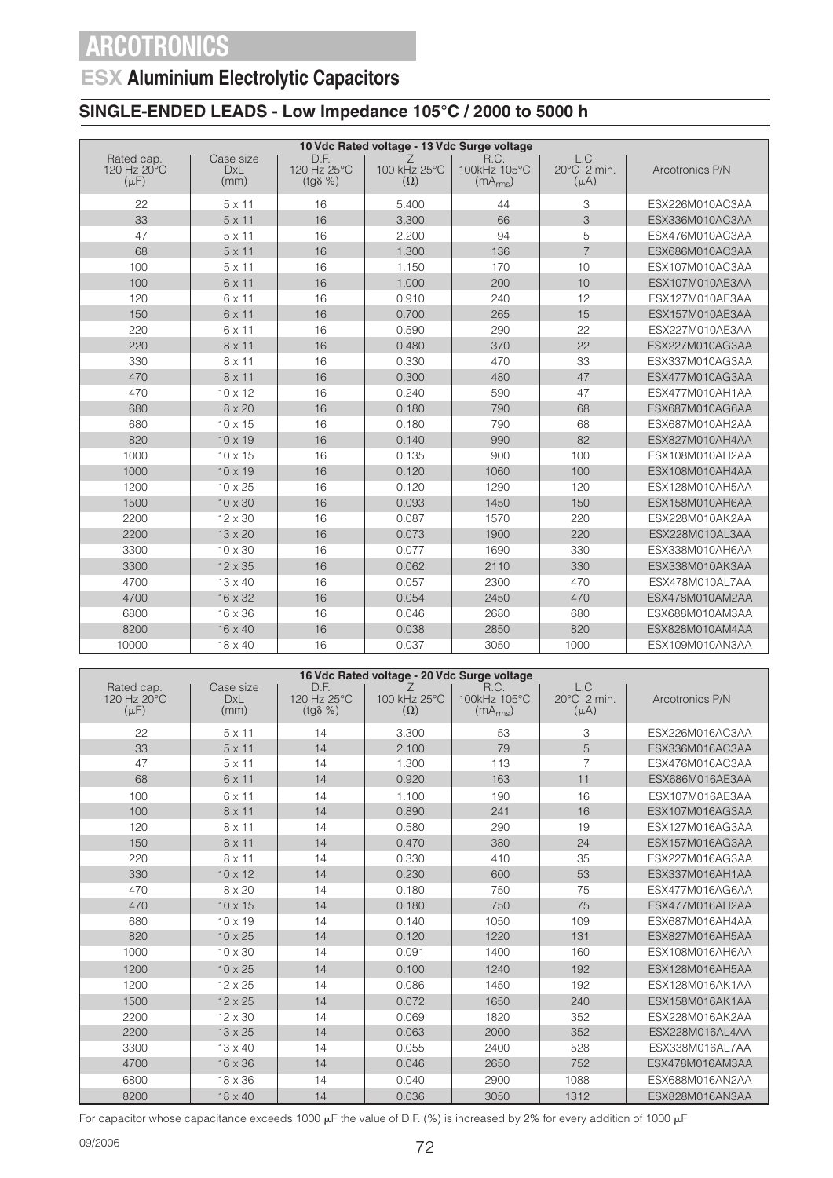### **ESX Aluminium Electrolytic Capacitors**

### **SINGLE-ENDED LEADS - Low Impedance 105°C / 2000 to 5000 h**

|                                        | 10 Vdc Rated voltage - 13 Vdc Surge voltage |                                         |                                 |                                              |                                  |                 |  |  |
|----------------------------------------|---------------------------------------------|-----------------------------------------|---------------------------------|----------------------------------------------|----------------------------------|-----------------|--|--|
| Rated cap.<br>120 Hz 20°C<br>$(\mu F)$ | Case size<br><b>DxL</b><br>(mm)             | D.F.<br>120 Hz 25°C<br>$(tq\delta \% )$ | Z<br>100 kHz 25°C<br>$(\Omega)$ | R.C.<br>100kHz 105°C<br>(mA <sub>rms</sub> ) | L.C.<br>20°C 2 min.<br>$(\mu A)$ | Arcotronics P/N |  |  |
| 22                                     | $5 \times 11$                               | 16                                      | 5.400                           | 44                                           | 3                                | ESX226M010AC3AA |  |  |
| 33                                     | $5 \times 11$                               | 16                                      | 3.300                           | 66                                           | 3                                | ESX336M010AC3AA |  |  |
| 47                                     | $5 \times 11$                               | 16                                      | 2.200                           | 94                                           | 5                                | ESX476M010AC3AA |  |  |
| 68                                     | $5 \times 11$                               | 16                                      | 1.300                           | 136                                          | $\overline{7}$                   | ESX686M010AC3AA |  |  |
| 100                                    | $5 \times 11$                               | 16                                      | 1.150                           | 170                                          | 10                               | ESX107M010AC3AA |  |  |
| 100                                    | $6 \times 11$                               | 16                                      | 1.000                           | 200                                          | 10                               | ESX107M010AE3AA |  |  |
| 120                                    | 6 x 11                                      | 16                                      | 0.910                           | 240                                          | 12                               | ESX127M010AE3AA |  |  |
| 150                                    | 6 x 11                                      | 16                                      | 0.700                           | 265                                          | 15                               | ESX157M010AE3AA |  |  |
| 220                                    | 6 x 11                                      | 16                                      | 0.590                           | 290                                          | 22                               | ESX227M010AE3AA |  |  |
| 220                                    | $8 \times 11$                               | 16                                      | 0.480                           | 370                                          | 22                               | ESX227M010AG3AA |  |  |
| 330                                    | $8 \times 11$                               | 16                                      | 0.330                           | 470                                          | 33                               | ESX337M010AG3AA |  |  |
| 470                                    | $8 \times 11$                               | 16                                      | 0.300                           | 480                                          | 47                               | ESX477M010AG3AA |  |  |
| 470                                    | $10 \times 12$                              | 16                                      | 0.240                           | 590                                          | 47                               | ESX477M010AH1AA |  |  |
| 680                                    | $8 \times 20$                               | 16                                      | 0.180                           | 790                                          | 68                               | ESX687M010AG6AA |  |  |
| 680                                    | $10 \times 15$                              | 16                                      | 0.180                           | 790                                          | 68                               | ESX687M010AH2AA |  |  |
| 820                                    | $10 \times 19$                              | 16                                      | 0.140                           | 990                                          | 82                               | ESX827M010AH4AA |  |  |
| 1000                                   | $10 \times 15$                              | 16                                      | 0.135                           | 900                                          | 100                              | ESX108M010AH2AA |  |  |
| 1000                                   | $10 \times 19$                              | 16                                      | 0.120                           | 1060                                         | 100                              | ESX108M010AH4AA |  |  |
| 1200                                   | $10 \times 25$                              | 16                                      | 0.120                           | 1290                                         | 120                              | ESX128M010AH5AA |  |  |
| 1500                                   | $10 \times 30$                              | 16                                      | 0.093                           | 1450                                         | 150                              | ESX158M010AH6AA |  |  |
| 2200                                   | 12 x 30                                     | 16                                      | 0.087                           | 1570                                         | 220                              | ESX228M010AK2AA |  |  |
| 2200                                   | 13 x 20                                     | 16                                      | 0.073                           | 1900                                         | 220                              | ESX228M010AL3AA |  |  |
| 3300                                   | 10 x 30                                     | 16                                      | 0.077                           | 1690                                         | 330                              | ESX338M010AH6AA |  |  |
| 3300                                   | 12 x 35                                     | 16                                      | 0.062                           | 2110                                         | 330                              | ESX338M010AK3AA |  |  |
| 4700                                   | $13 \times 40$                              | 16                                      | 0.057                           | 2300                                         | 470                              | ESX478M010AL7AA |  |  |
| 4700                                   | 16 x 32                                     | 16                                      | 0.054                           | 2450                                         | 470                              | ESX478M010AM2AA |  |  |
| 6800                                   | 16 x 36                                     | 16                                      | 0.046                           | 2680                                         | 680                              | ESX688M010AM3AA |  |  |
| 8200                                   | $16 \times 40$                              | 16                                      | 0.038                           | 2850                                         | 820                              | ESX828M010AM4AA |  |  |
| 10000                                  | 18 x 40                                     | 16                                      | 0.037                           | 3050                                         | 1000                             | ESX109M010AN3AA |  |  |

|                                        |                                 |                                         | 16 Vdc Rated voltage - 20 Vdc Surge voltage |                                              |                                  |                 |
|----------------------------------------|---------------------------------|-----------------------------------------|---------------------------------------------|----------------------------------------------|----------------------------------|-----------------|
| Rated cap.<br>120 Hz 20°C<br>$(\mu F)$ | Case size<br><b>DxL</b><br>(mm) | D.F.<br>120 Hz 25°C<br>$(tq\delta \% )$ | $\angle$<br>100 kHz 25°C<br>$(\Omega)$      | R.C.<br>100kHz 105°C<br>(mA <sub>rms</sub> ) | L.C.<br>20°C 2 min.<br>$(\mu A)$ | Arcotronics P/N |
| 22                                     | $5 \times 11$                   | 14                                      | 3.300                                       | 53                                           | 3                                | ESX226M016AC3AA |
| 33                                     | $5 \times 11$                   | 14                                      | 2.100                                       | 79                                           | 5                                | ESX336M016AC3AA |
| 47                                     | $5 \times 11$                   | 14                                      | 1.300                                       | 113                                          | $\overline{7}$                   | ESX476M016AC3AA |
| 68                                     | 6 x 11                          | 14                                      | 0.920                                       | 163                                          | 11                               | ESX686M016AE3AA |
| 100                                    | $6 \times 11$                   | 14                                      | 1.100                                       | 190                                          | 16                               | ESX107M016AE3AA |
| 100                                    | $8 \times 11$                   | 14                                      | 0.890                                       | 241                                          | 16                               | ESX107M016AG3AA |
| 120                                    | $8 \times 11$                   | 14                                      | 0.580                                       | 290                                          | 19                               | ESX127M016AG3AA |
| 150                                    | $8 \times 11$                   | 14                                      | 0.470                                       | 380                                          | 24                               | ESX157M016AG3AA |
| 220                                    | $8 \times 11$                   | 14                                      | 0.330                                       | 410                                          | 35                               | ESX227M016AG3AA |
| 330                                    | $10 \times 12$                  | 14                                      | 0.230                                       | 600                                          | 53                               | ESX337M016AH1AA |
| 470                                    | $8 \times 20$                   | 14                                      | 0.180                                       | 750                                          | 75                               | ESX477M016AG6AA |
| 470                                    | $10 \times 15$                  | 14                                      | 0.180                                       | 750                                          | 75                               | ESX477M016AH2AA |
| 680                                    | $10 \times 19$                  | 14                                      | 0.140                                       | 1050                                         | 109                              | ESX687M016AH4AA |
| 820                                    | $10 \times 25$                  | 14                                      | 0.120                                       | 1220                                         | 131                              | ESX827M016AH5AA |
| 1000                                   | $10 \times 30$                  | 14                                      | 0.091                                       | 1400                                         | 160                              | ESX108M016AH6AA |
| 1200                                   | $10 \times 25$                  | 14                                      | 0.100                                       | 1240                                         | 192                              | ESX128M016AH5AA |
| 1200                                   | $12 \times 25$                  | 14                                      | 0.086                                       | 1450                                         | 192                              | ESX128M016AK1AA |
| 1500                                   | $12 \times 25$                  | 14                                      | 0.072                                       | 1650                                         | 240                              | ESX158M016AK1AA |
| 2200                                   | 12 x 30                         | 14                                      | 0.069                                       | 1820                                         | 352                              | ESX228M016AK2AA |
| 2200                                   | $13 \times 25$                  | 14                                      | 0.063                                       | 2000                                         | 352                              | ESX228M016AL4AA |
| 3300                                   | $13 \times 40$                  | 14                                      | 0.055                                       | 2400                                         | 528                              | ESX338M016AL7AA |
| 4700                                   | 16 x 36                         | 14                                      | 0.046                                       | 2650                                         | 752                              | ESX478M016AM3AA |
| 6800                                   | 18 x 36                         | 14                                      | 0.040                                       | 2900                                         | 1088                             | ESX688M016AN2AA |
| 8200                                   | 18 x 40                         | 14                                      | 0.036                                       | 3050                                         | 1312                             | ESX828M016AN3AA |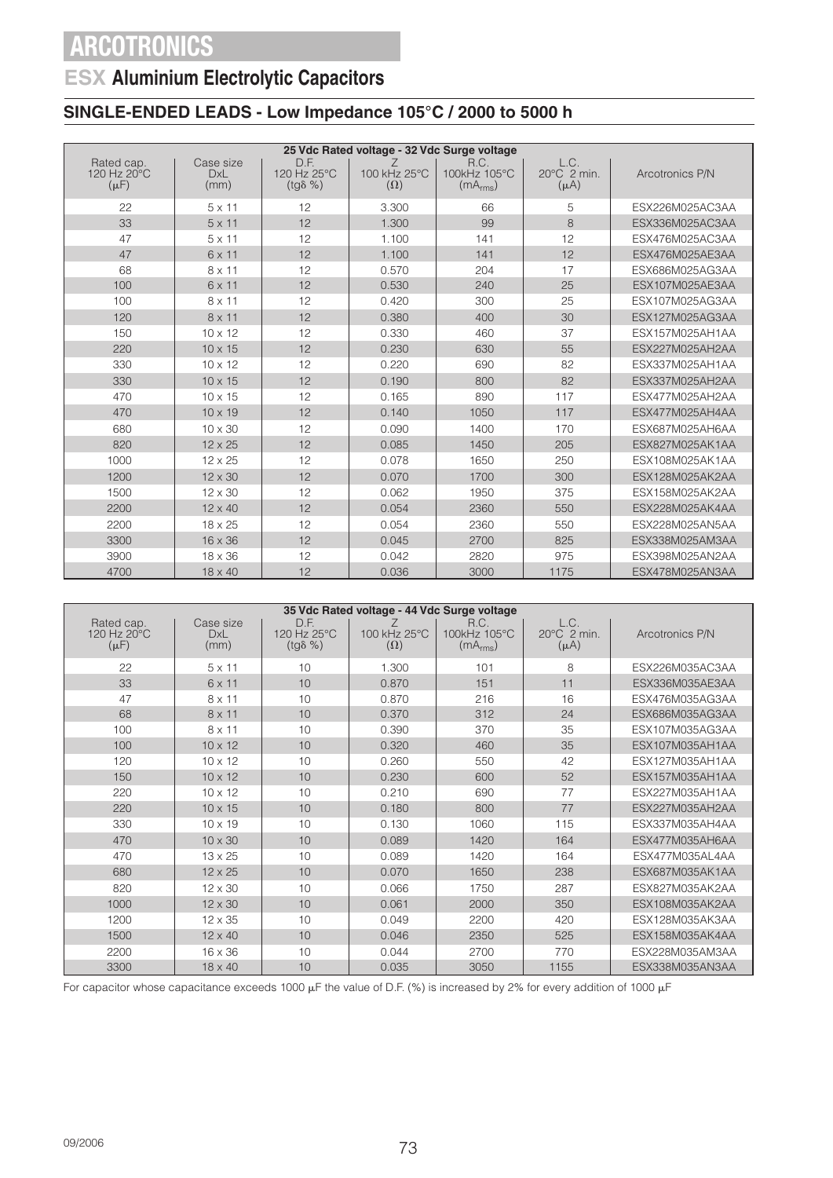## **ESX Aluminium Electrolytic Capacitors**

### **SINGLE-ENDED LEADS - Low Impedance 105°C / 2000 to 5000 h**

|                                        |                                 |                                         | 25 Vdc Rated voltage - 32 Vdc Surge voltage |                                              |                                            |                 |
|----------------------------------------|---------------------------------|-----------------------------------------|---------------------------------------------|----------------------------------------------|--------------------------------------------|-----------------|
| Rated cap.<br>120 Hz 20°C<br>$(\mu F)$ | Case size<br><b>DxL</b><br>(mm) | D.F.<br>120 Hz 25°C<br>$(tq\delta \% )$ | 100 kHz 25°C<br>$(\Omega)$                  | R.C.<br>100kHz 105°C<br>(mA <sub>rms</sub> ) | L.C.<br>$20^{\circ}$ C 2 min.<br>$(\mu A)$ | Arcotronics P/N |
| 22                                     | $5 \times 11$                   | 12                                      | 3.300                                       | 66                                           | 5                                          | ESX226M025AC3AA |
| 33                                     | $5 \times 11$                   | 12                                      | 1.300                                       | 99                                           | 8                                          | ESX336M025AC3AA |
| 47                                     | $5 \times 11$                   | 12                                      | 1.100                                       | 141                                          | 12                                         | ESX476M025AC3AA |
| 47                                     | 6 x 11                          | 12                                      | 1.100                                       | 141                                          | 12                                         | ESX476M025AE3AA |
| 68                                     | $8 \times 11$                   | 12                                      | 0.570                                       | 204                                          | 17                                         | ESX686M025AG3AA |
| 100                                    | 6 x 11                          | 12                                      | 0.530                                       | 240                                          | 25                                         | ESX107M025AE3AA |
| 100                                    | 8 x 11                          | 12                                      | 0.420                                       | 300                                          | 25                                         | ESX107M025AG3AA |
| 120                                    | $8 \times 11$                   | 12                                      | 0.380                                       | 400                                          | 30                                         | ESX127M025AG3AA |
| 150                                    | $10 \times 12$                  | 12                                      | 0.330                                       | 460                                          | 37                                         | ESX157M025AH1AA |
| 220                                    | $10 \times 15$                  | 12                                      | 0.230                                       | 630                                          | 55                                         | ESX227M025AH2AA |
| 330                                    | $10 \times 12$                  | 12                                      | 0.220                                       | 690                                          | 82                                         | ESX337M025AH1AA |
| 330                                    | $10 \times 15$                  | 12                                      | 0.190                                       | 800                                          | 82                                         | ESX337M025AH2AA |
| 470                                    | $10 \times 15$                  | 12                                      | 0.165                                       | 890                                          | 117                                        | ESX477M025AH2AA |
| 470                                    | $10 \times 19$                  | 12                                      | 0.140                                       | 1050                                         | 117                                        | ESX477M025AH4AA |
| 680                                    | $10 \times 30$                  | 12                                      | 0.090                                       | 1400                                         | 170                                        | ESX687M025AH6AA |
| 820                                    | $12 \times 25$                  | 12                                      | 0.085                                       | 1450                                         | 205                                        | ESX827M025AK1AA |
| 1000                                   | $12 \times 25$                  | 12                                      | 0.078                                       | 1650                                         | 250                                        | ESX108M025AK1AA |
| 1200                                   | $12 \times 30$                  | 12                                      | 0.070                                       | 1700                                         | 300                                        | ESX128M025AK2AA |
| 1500                                   | $12 \times 30$                  | 12                                      | 0.062                                       | 1950                                         | 375                                        | ESX158M025AK2AA |
| 2200                                   | $12 \times 40$                  | 12                                      | 0.054                                       | 2360                                         | 550                                        | ESX228M025AK4AA |
| 2200                                   | $18 \times 25$                  | 12                                      | 0.054                                       | 2360                                         | 550                                        | ESX228M025AN5AA |
| 3300                                   | $16 \times 36$                  | 12                                      | 0.045                                       | 2700                                         | 825                                        | ESX338M025AM3AA |
| 3900                                   | $18 \times 36$                  | 12                                      | 0.042                                       | 2820                                         | 975                                        | ESX398M025AN2AA |
| 4700                                   | $18 \times 40$                  | 12                                      | 0.036                                       | 3000                                         | 1175                                       | ESX478M025AN3AA |

|                                                    |                                 |                                         | 35 Vdc Rated voltage - 44 Vdc Surge voltage |                                              |                                  |                 |
|----------------------------------------------------|---------------------------------|-----------------------------------------|---------------------------------------------|----------------------------------------------|----------------------------------|-----------------|
| Rated cap.<br>$120$ Hz $20^{\circ}$ C<br>$(\mu F)$ | Case size<br><b>DxL</b><br>(mm) | D.F.<br>120 Hz 25°C<br>$(tg\delta \% )$ | 100 kHz 25°C<br>$(\Omega)$                  | R.C.<br>100kHz 105°C<br>(mA <sub>rms</sub> ) | L.C.<br>20°C 2 min.<br>$(\mu A)$ | Arcotronics P/N |
| 22                                                 | $5 \times 11$                   | 10                                      | 1.300                                       | 101                                          | 8                                | ESX226M035AC3AA |
| 33                                                 | 6 x 11                          | 10                                      | 0.870                                       | 151                                          | 11                               | ESX336M035AE3AA |
| 47                                                 | 8 x 11                          | 10                                      | 0.870                                       | 216                                          | 16                               | ESX476M035AG3AA |
| 68                                                 | $8 \times 11$                   | 10                                      | 0.370                                       | 312                                          | 24                               | ESX686M035AG3AA |
| 100                                                | 8 x 11                          | 10                                      | 0.390                                       | 370                                          | 35                               | ESX107M035AG3AA |
| 100                                                | $10 \times 12$                  | 10                                      | 0.320                                       | 460                                          | 35                               | ESX107M035AH1AA |
| 120                                                | $10 \times 12$                  | 10                                      | 0.260                                       | 550                                          | 42                               | ESX127M035AH1AA |
| 150                                                | $10 \times 12$                  | 10                                      | 0.230                                       | 600                                          | 52                               | ESX157M035AH1AA |
| 220                                                | $10 \times 12$                  | 10                                      | 0.210                                       | 690                                          | 77                               | ESX227M035AH1AA |
| 220                                                | $10 \times 15$                  | 10                                      | 0.180                                       | 800                                          | 77                               | ESX227M035AH2AA |
| 330                                                | $10 \times 19$                  | 10                                      | 0.130                                       | 1060                                         | 115                              | ESX337M035AH4AA |
| 470                                                | $10 \times 30$                  | 10                                      | 0.089                                       | 1420                                         | 164                              | ESX477M035AH6AA |
| 470                                                | $13 \times 25$                  | 10                                      | 0.089                                       | 1420                                         | 164                              | ESX477M035AL4AA |
| 680                                                | $12 \times 25$                  | 10                                      | 0.070                                       | 1650                                         | 238                              | ESX687M035AK1AA |
| 820                                                | $12 \times 30$                  | 10                                      | 0.066                                       | 1750                                         | 287                              | ESX827M035AK2AA |
| 1000                                               | $12 \times 30$                  | 10                                      | 0.061                                       | 2000                                         | 350                              | ESX108M035AK2AA |
| 1200                                               | $12 \times 35$                  | 10                                      | 0.049                                       | 2200                                         | 420                              | ESX128M035AK3AA |
| 1500                                               | $12 \times 40$                  | 10                                      | 0.046                                       | 2350                                         | 525                              | ESX158M035AK4AA |
| 2200                                               | $16 \times 36$                  | 10                                      | 0.044                                       | 2700                                         | 770                              | ESX228M035AM3AA |
| 3300                                               | $18 \times 40$                  | 10                                      | 0.035                                       | 3050                                         | 1155                             | ESX338M035AN3AA |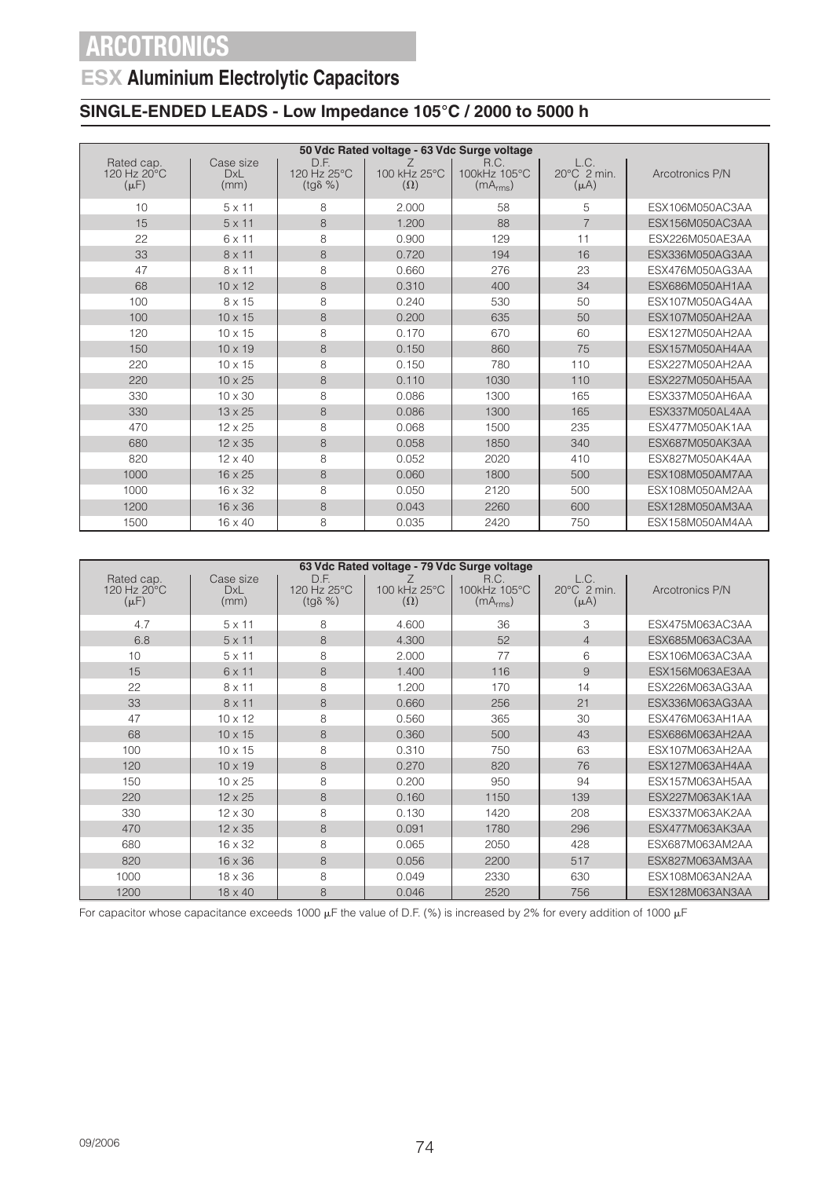### **ESX Aluminium Electrolytic Capacitors**

### **SINGLE-ENDED LEADS - Low Impedance 105°C / 2000 to 5000 h**

|                                                    |                          |                                         | 50 Vdc Rated voltage - 63 Vdc Surge voltage |                                              |                                            |                 |
|----------------------------------------------------|--------------------------|-----------------------------------------|---------------------------------------------|----------------------------------------------|--------------------------------------------|-----------------|
| Rated cap.<br>$120$ Hz $20^{\circ}$ C<br>$(\mu F)$ | Case size<br>DxL<br>(mm) | D.F.<br>120 Hz 25°C<br>$(tg\delta \% )$ | 100 kHz 25°C<br>$(\Omega)$                  | R.C.<br>100kHz 105°C<br>(mA <sub>rms</sub> ) | L.C.<br>$20^{\circ}$ C 2 min.<br>$(\mu A)$ | Arcotronics P/N |
| 10                                                 | $5 \times 11$            | 8                                       | 2.000                                       | 58                                           | 5                                          | ESX106M050AC3AA |
| 15                                                 | $5 \times 11$            | 8                                       | 1.200                                       | 88                                           | $\overline{7}$                             | ESX156M050AC3AA |
| 22                                                 | 6 x 11                   | 8                                       | 0.900                                       | 129                                          | 11                                         | ESX226M050AE3AA |
| 33                                                 | $8 \times 11$            | 8                                       | 0.720                                       | 194                                          | 16                                         | ESX336M050AG3AA |
| 47                                                 | $8 \times 11$            | 8                                       | 0.660                                       | 276                                          | 23                                         | ESX476M050AG3AA |
| 68                                                 | $10 \times 12$           | 8                                       | 0.310                                       | 400                                          | 34                                         | ESX686M050AH1AA |
| 100                                                | 8 x 15                   | 8                                       | 0.240                                       | 530                                          | 50                                         | ESX107M050AG4AA |
| 100                                                | $10 \times 15$           | 8                                       | 0.200                                       | 635                                          | 50                                         | ESX107M050AH2AA |
| 120                                                | $10 \times 15$           | 8                                       | 0.170                                       | 670                                          | 60                                         | ESX127M050AH2AA |
| 150                                                | $10 \times 19$           | 8                                       | 0.150                                       | 860                                          | 75                                         | ESX157M050AH4AA |
| 220                                                | $10 \times 15$           | 8                                       | 0.150                                       | 780                                          | 110                                        | ESX227M050AH2AA |
| 220                                                | $10 \times 25$           | 8                                       | 0.110                                       | 1030                                         | 110                                        | ESX227M050AH5AA |
| 330                                                | $10 \times 30$           | 8                                       | 0.086                                       | 1300                                         | 165                                        | ESX337M050AH6AA |
| 330                                                | $13 \times 25$           | 8                                       | 0.086                                       | 1300                                         | 165                                        | ESX337M050AL4AA |
| 470                                                | $12 \times 25$           | 8                                       | 0.068                                       | 1500                                         | 235                                        | ESX477M050AK1AA |
| 680                                                | $12 \times 35$           | 8                                       | 0.058                                       | 1850                                         | 340                                        | ESX687M050AK3AA |
| 820                                                | $12 \times 40$           | 8                                       | 0.052                                       | 2020                                         | 410                                        | ESX827M050AK4AA |
| 1000                                               | $16 \times 25$           | 8                                       | 0.060                                       | 1800                                         | 500                                        | ESX108M050AM7AA |
| 1000                                               | $16 \times 32$           | 8                                       | 0.050                                       | 2120                                         | 500                                        | ESX108M050AM2AA |
| 1200                                               | $16 \times 36$           | 8                                       | 0.043                                       | 2260                                         | 600                                        | ESX128M050AM3AA |
| 1500                                               | $16 \times 40$           | 8                                       | 0.035                                       | 2420                                         | 750                                        | ESX158M050AM4AA |

|                                        |                          |                                         | 63 Vdc Rated voltage - 79 Vdc Surge voltage |                                              |                                            |                 |
|----------------------------------------|--------------------------|-----------------------------------------|---------------------------------------------|----------------------------------------------|--------------------------------------------|-----------------|
| Rated cap.<br>120 Hz 20°C<br>$(\mu F)$ | Case size<br>DxL<br>(mm) | D.F.<br>120 Hz 25°C<br>$(tg\delta \% )$ | 100 kHz 25°C<br>$(\Omega)$                  | R.C.<br>100kHz 105°C<br>(mA <sub>rms</sub> ) | L.C.<br>$20^{\circ}$ C 2 min.<br>$(\mu A)$ | Arcotronics P/N |
| 4.7                                    | $5 \times 11$            | 8                                       | 4.600                                       | 36                                           | 3                                          | ESX475M063AC3AA |
| 6.8                                    | $5 \times 11$            | 8                                       | 4.300                                       | 52                                           | $\overline{4}$                             | ESX685M063AC3AA |
| 10                                     | $5 \times 11$            | 8                                       | 2.000                                       | 77                                           | 6                                          | ESX106M063AC3AA |
| 15                                     | 6 x 11                   | 8                                       | 1.400                                       | 116                                          | 9                                          | ESX156M063AE3AA |
| 22                                     | 8 x 11                   | 8                                       | 1.200                                       | 170                                          | 14                                         | ESX226M063AG3AA |
| 33                                     | $8 \times 11$            | 8                                       | 0.660                                       | 256                                          | 21                                         | ESX336M063AG3AA |
| 47                                     | $10 \times 12$           | 8                                       | 0.560                                       | 365                                          | 30                                         | ESX476M063AH1AA |
| 68                                     | $10 \times 15$           | 8                                       | 0.360                                       | 500                                          | 43                                         | ESX686M063AH2AA |
| 100                                    | $10 \times 15$           | 8                                       | 0.310                                       | 750                                          | 63                                         | ESX107M063AH2AA |
| 120                                    | $10 \times 19$           | 8                                       | 0.270                                       | 820                                          | 76                                         | ESX127M063AH4AA |
| 150                                    | $10 \times 25$           | 8                                       | 0.200                                       | 950                                          | 94                                         | ESX157M063AH5AA |
| 220                                    | $12 \times 25$           | 8                                       | 0.160                                       | 1150                                         | 139                                        | ESX227M063AK1AA |
| 330                                    | $12 \times 30$           | 8                                       | 0.130                                       | 1420                                         | 208                                        | ESX337M063AK2AA |
| 470                                    | $12 \times 35$           | 8                                       | 0.091                                       | 1780                                         | 296                                        | ESX477M063AK3AA |
| 680                                    | 16 x 32                  | 8                                       | 0.065                                       | 2050                                         | 428                                        | ESX687M063AM2AA |
| 820                                    | $16 \times 36$           | 8                                       | 0.056                                       | 2200                                         | 517                                        | ESX827M063AM3AA |
| 1000                                   | $18 \times 36$           | 8                                       | 0.049                                       | 2330                                         | 630                                        | ESX108M063AN2AA |
| 1200                                   | $18 \times 40$           | 8                                       | 0.046                                       | 2520                                         | 756                                        | ESX128M063AN3AA |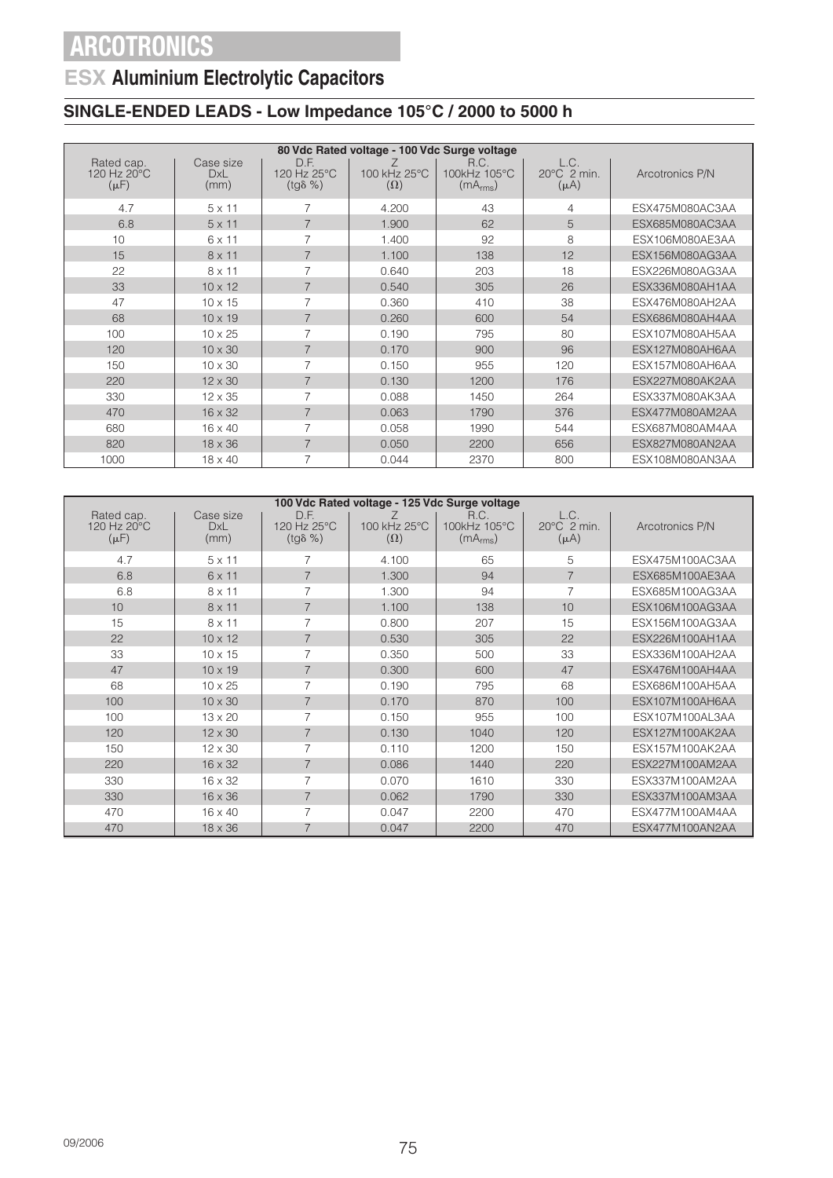## **ESX Aluminium Electrolytic Capacitors**

### **SINGLE-ENDED LEADS - Low Impedance 105°C / 2000 to 5000 h**

|                                                  |                                 |                                         | 80 Vdc Rated voltage - 100 Vdc Surge voltage |                                              |                                              |                 |
|--------------------------------------------------|---------------------------------|-----------------------------------------|----------------------------------------------|----------------------------------------------|----------------------------------------------|-----------------|
| Rated cap.<br>120 Hz $20^{\circ}$ C<br>$(\mu F)$ | Case size<br><b>DxL</b><br>(mm) | D.F.<br>120 Hz 25°C<br>$(tq\delta \% )$ | 100 kHz 25°C<br>$(\Omega)$                   | R.C.<br>100kHz 105°C<br>(mA <sub>rms</sub> ) | L.C.<br>$20^{\circ}$ C $2$ min.<br>$(\mu A)$ | Arcotronics P/N |
| 4.7                                              | $5 \times 11$                   | 7                                       | 4.200                                        | 43                                           | 4                                            | ESX475M080AC3AA |
| 6.8                                              | $5 \times 11$                   | $\overline{7}$                          | 1.900                                        | 62                                           | 5                                            | ESX685M080AC3AA |
| 10                                               | 6 x 11                          | 7                                       | 1.400                                        | 92                                           | 8                                            | ESX106M080AE3AA |
| 15                                               | $8 \times 11$                   | $\overline{7}$                          | 1.100                                        | 138                                          | 12                                           | ESX156M080AG3AA |
| 22                                               | $8 \times 11$                   | 7                                       | 0.640                                        | 203                                          | 18                                           | ESX226M080AG3AA |
| 33                                               | $10 \times 12$                  | $\overline{7}$                          | 0.540                                        | 305                                          | 26                                           | ESX336M080AH1AA |
| 47                                               | $10 \times 15$                  | 7                                       | 0.360                                        | 410                                          | 38                                           | ESX476M080AH2AA |
| 68                                               | $10 \times 19$                  | $\overline{7}$                          | 0.260                                        | 600                                          | 54                                           | ESX686M080AH4AA |
| 100                                              | $10 \times 25$                  | 7                                       | 0.190                                        | 795                                          | 80                                           | ESX107M080AH5AA |
| 120                                              | $10 \times 30$                  | $\overline{7}$                          | 0.170                                        | 900                                          | 96                                           | ESX127M080AH6AA |
| 150                                              | $10 \times 30$                  | $\overline{7}$                          | 0.150                                        | 955                                          | 120                                          | ESX157M080AH6AA |
| 220                                              | $12 \times 30$                  | $\overline{7}$                          | 0.130                                        | 1200                                         | 176                                          | ESX227M080AK2AA |
| 330                                              | $12 \times 35$                  | 7                                       | 0.088                                        | 1450                                         | 264                                          | ESX337M080AK3AA |
| 470                                              | $16 \times 32$                  | $\overline{7}$                          | 0.063                                        | 1790                                         | 376                                          | ESX477M080AM2AA |
| 680                                              | $16 \times 40$                  | $\overline{7}$                          | 0.058                                        | 1990                                         | 544                                          | ESX687M080AM4AA |
| 820                                              | $18 \times 36$                  | $\overline{7}$                          | 0.050                                        | 2200                                         | 656                                          | ESX827M080AN2AA |
| 1000                                             | $18 \times 40$                  | 7                                       | 0.044                                        | 2370                                         | 800                                          | ESX108M080AN3AA |

| 100 Vdc Rated voltage - 125 Vdc Surge voltage |                                 |                                         |                            |                                              |                                  |                 |  |  |  |
|-----------------------------------------------|---------------------------------|-----------------------------------------|----------------------------|----------------------------------------------|----------------------------------|-----------------|--|--|--|
| Rated cap.<br>120 Hz 20°C<br>$(\mu F)$        | Case size<br><b>DxL</b><br>(mm) | D.F.<br>120 Hz 25°C<br>$(tg\delta \% )$ | 100 kHz 25°C<br>$(\Omega)$ | R.C.<br>100kHz 105°C<br>(mA <sub>rms</sub> ) | L.C.<br>20°C 2 min.<br>$(\mu A)$ | Arcotronics P/N |  |  |  |
| 4.7                                           | $5 \times 11$                   | 7                                       | 4.100                      | 65                                           | 5                                | ESX475M100AC3AA |  |  |  |
| 6.8                                           | 6 x 11                          | $\overline{7}$                          | 1.300                      | 94                                           | $\overline{7}$                   | ESX685M100AE3AA |  |  |  |
| 6.8                                           | $8 \times 11$                   | 7                                       | 1.300                      | 94                                           | $\overline{7}$                   | ESX685M100AG3AA |  |  |  |
| 10                                            | $8 \times 11$                   | 7                                       | 1.100                      | 138                                          | 10                               | ESX106M100AG3AA |  |  |  |
| 15                                            | $8 \times 11$                   | 7                                       | 0.800                      | 207                                          | 15                               | ESX156M100AG3AA |  |  |  |
| 22                                            | $10 \times 12$                  | $\overline{7}$                          | 0.530                      | 305                                          | 22                               | ESX226M100AH1AA |  |  |  |
| 33                                            | $10 \times 15$                  | 7                                       | 0.350                      | 500                                          | 33                               | ESX336M100AH2AA |  |  |  |
| 47                                            | $10 \times 19$                  | $\overline{7}$                          | 0.300                      | 600                                          | 47                               | ESX476M100AH4AA |  |  |  |
| 68                                            | $10 \times 25$                  | 7                                       | 0.190                      | 795                                          | 68                               | ESX686M100AH5AA |  |  |  |
| 100                                           | $10 \times 30$                  | $\overline{7}$                          | 0.170                      | 870                                          | 100                              | ESX107M100AH6AA |  |  |  |
| 100                                           | $13 \times 20$                  | 7                                       | 0.150                      | 955                                          | 100                              | ESX107M100AL3AA |  |  |  |
| 120                                           | $12 \times 30$                  | $\overline{7}$                          | 0.130                      | 1040                                         | 120                              | ESX127M100AK2AA |  |  |  |
| 150                                           | $12 \times 30$                  | 7                                       | 0.110                      | 1200                                         | 150                              | ESX157M100AK2AA |  |  |  |
| 220                                           | $16 \times 32$                  | 7                                       | 0.086                      | 1440                                         | 220                              | ESX227M100AM2AA |  |  |  |
| 330                                           | $16 \times 32$                  | 7                                       | 0.070                      | 1610                                         | 330                              | ESX337M100AM2AA |  |  |  |
| 330                                           | $16 \times 36$                  | $\overline{7}$                          | 0.062                      | 1790                                         | 330                              | ESX337M100AM3AA |  |  |  |
| 470                                           | 16 x 40                         | 7                                       | 0.047                      | 2200                                         | 470                              | ESX477M100AM4AA |  |  |  |
| 470                                           | $18 \times 36$                  | 7                                       | 0.047                      | 2200                                         | 470                              | ESX477M100AN2AA |  |  |  |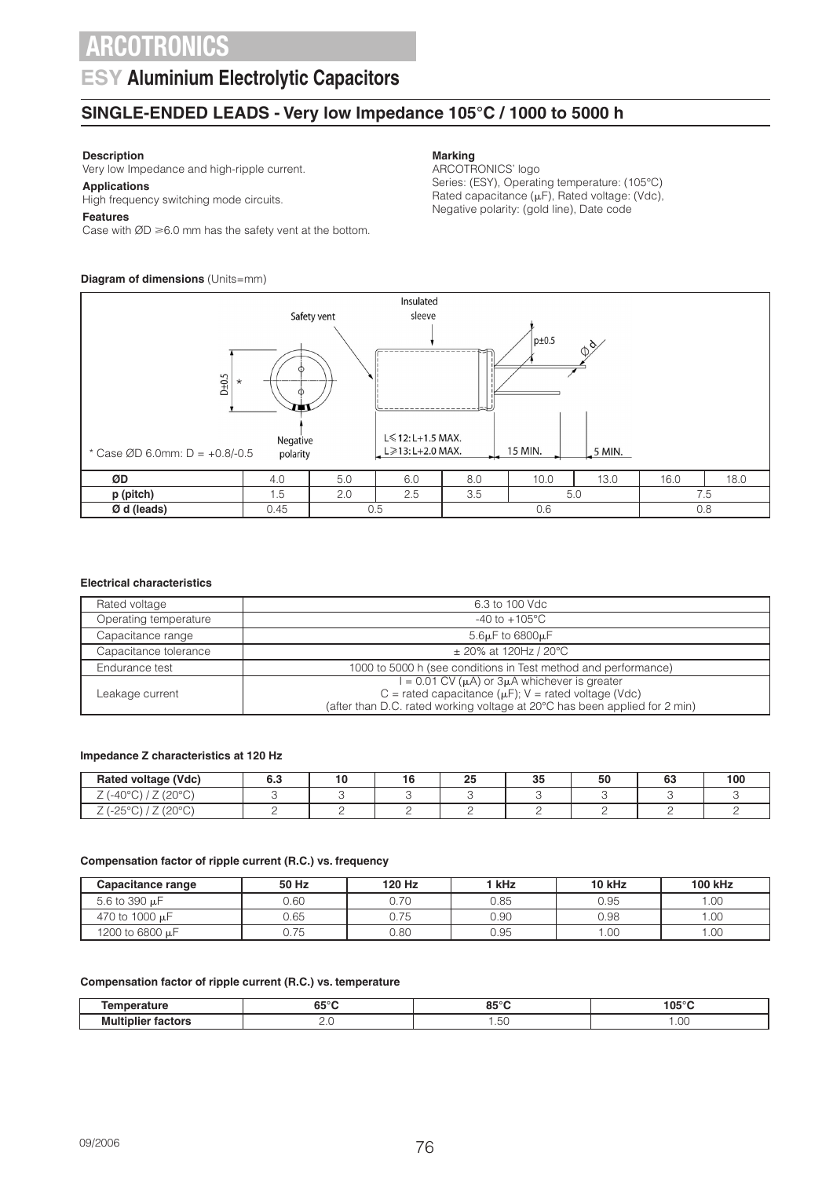### **ESY Aluminium Electrolytic Capacitors**

### **SINGLE-ENDED LEADS - Very low Impedance 105°C / 1000 to 5000 h**

### **Description**

Very low Impedance and high-ripple current.

**Applications** High frequency switching mode circuits.

#### **Features**

Case with  $ØD \ge 6.0$  mm has the safety vent at the bottom.

### **Diagram of dimensions** (Units=mm)

#### **Marking**

ARCOTRONICS' logo Series: (ESY), Operating temperature: (105°C) Rated capacitance  $(\mu F)$ , Rated voltage: (Vdc), Negative polarity: (gold line), Date code



#### **Electrical characteristics**

| Rated voltage         | 6.3 to 100 Vdc                                                             |
|-----------------------|----------------------------------------------------------------------------|
| Operating temperature | $-40$ to $+105^{\circ}$ C                                                  |
| Capacitance range     | $5.6\mu$ F to $6800\mu$ F                                                  |
| Capacitance tolerance | $\pm$ 20% at 120Hz / 20°C                                                  |
| Endurance test        | 1000 to 5000 h (see conditions in Test method and performance)             |
|                       | $1 = 0.01$ CV ( $\mu$ A) or $3\mu$ A whichever is greater                  |
| Leakage current       | C = rated capacitance ( $\mu$ F); V = rated voltage (Vdc)                  |
|                       | (after than D.C. rated working voltage at 20°C has been applied for 2 min) |

#### **Impedance Z characteristics at 120 Hz**

| voltage (Vdc)<br>Rated                                                                                    | U.C<br>- - | יי | n-<br>∼ | つに<br>ື | 50 | $\sim$<br>טט | 100 |
|-----------------------------------------------------------------------------------------------------------|------------|----|---------|---------|----|--------------|-----|
| $\overline{\phantom{a}}$<br>$\sim$<br>-<br>$\sim$ $\sim$ $\sim$ $\sim$<br>'-40<br><u>_</u><br>◡<br>∸<br>◡ |            |    |         |         |    |              |     |
| nnon.<br>$\sim$ $\sim$<br>OF<br>ں ے۔<br><u>_</u><br>◡<br>∸                                                |            |    |         |         |    |              |     |

#### **Compensation factor of ripple current (R.C.) vs. frequency**

| Capacitance range | 50 Hz | 120 Hz | ' kHz | 10 kHz | <b>100 kHz</b> |
|-------------------|-------|--------|-------|--------|----------------|
| 5.6 to 390 µF     | 0.60  | 0.70   | 0.85  | 0.95   | .00            |
| 470 to 1000 µF    | 0.65  | 0.75   | 0.90  | 0.98   | .00            |
| 1200 to 6800 µF   | 0.75  | 0.80   | 0.95  | .00    | .00            |

#### **Compensation factor of ripple current (R.C.) vs. temperature**

| -----          | $\bullet$<br>$\cdots$<br>. .<br>uJ<br>. . | 0.50<br>oa              | .<br>                     |
|----------------|-------------------------------------------|-------------------------|---------------------------|
| ----<br>M<br>. | ے ۔                                       | $\cdot$ $\circ$<br>$ -$ | $\bigcap$<br>1.00<br>____ |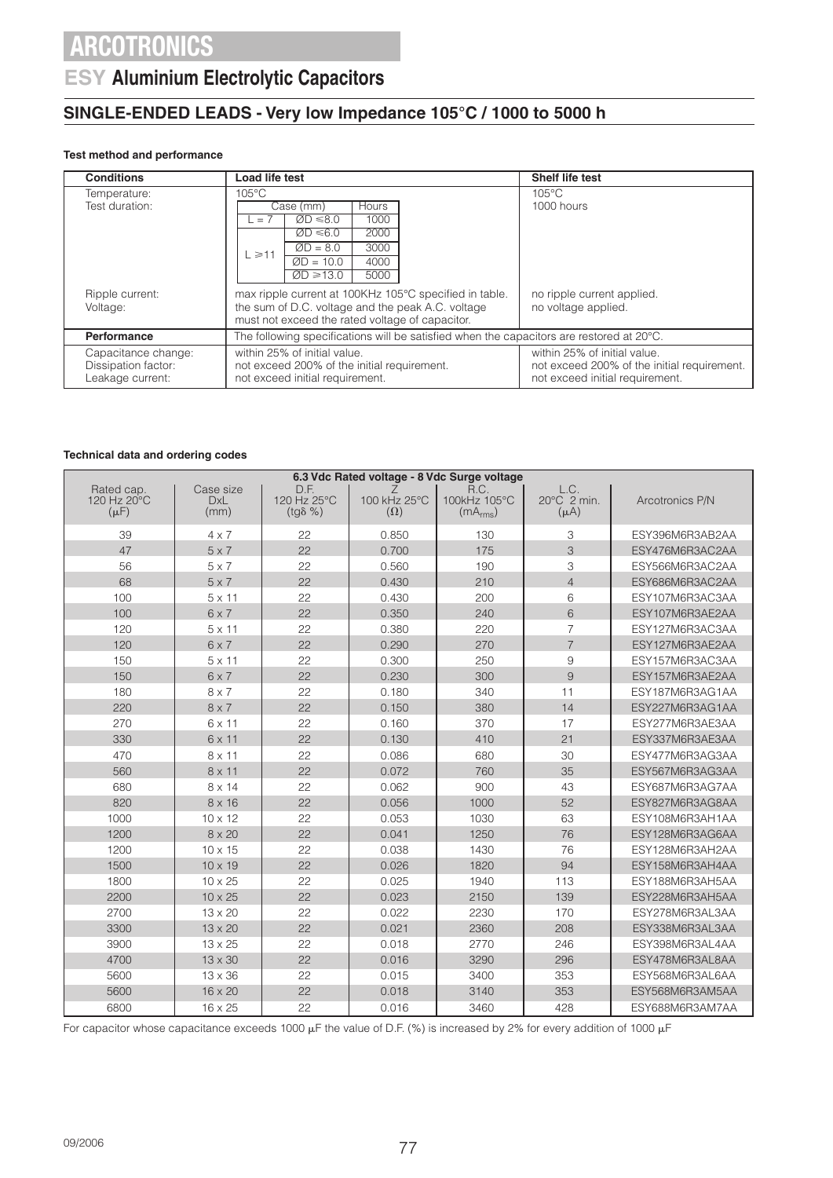### **ESY Aluminium Electrolytic Capacitors**

### **SINGLE-ENDED LEADS - Very low Impedance 105°C / 1000 to 5000 h**

#### **Test method and performance**

| <b>Conditions</b>                                              | Load life test                                                                                                                                                                                     | <b>Shelf life test</b>                                                                                         |
|----------------------------------------------------------------|----------------------------------------------------------------------------------------------------------------------------------------------------------------------------------------------------|----------------------------------------------------------------------------------------------------------------|
| Temperature:<br>Test duration:                                 | $105^{\circ}$ C<br>Hours<br>Case (mm)<br>1000<br>$ØD \le 8.0$<br>$\cdot$ , $=$ $\cdot$<br>$ØD \le 6.0$<br>2000<br>3000<br>$ØD = 8.0$<br>$L \ge 11$<br>4000<br>$ØD = 10.0$<br>$ØD \ge 13.0$<br>5000 | $105^{\circ}$ C<br>1000 hours                                                                                  |
| Ripple current:<br>Voltage:                                    | max ripple current at 100KHz 105°C specified in table.<br>the sum of D.C. voltage and the peak A.C. voltage<br>must not exceed the rated voltage of capacitor.                                     | no ripple current applied.<br>no voltage applied.                                                              |
| Performance                                                    | The following specifications will be satisfied when the capacitors are restored at $20^{\circ}$ C.                                                                                                 |                                                                                                                |
| Capacitance change:<br>Dissipation factor:<br>Leakage current: | within 25% of initial value.<br>not exceed 200% of the initial requirement.<br>not exceed initial requirement.                                                                                     | within 25% of initial value.<br>not exceed 200% of the initial requirement.<br>not exceed initial requirement. |

#### **Technical data and ordering codes**

| 6.3 Vdc Rated voltage - 8 Vdc Surge voltage |                                 |                                         |                                 |                                              |                                  |                 |  |  |
|---------------------------------------------|---------------------------------|-----------------------------------------|---------------------------------|----------------------------------------------|----------------------------------|-----------------|--|--|
| Rated cap.<br>120 Hz 20°C<br>$(\mu F)$      | Case size<br><b>DxL</b><br>(mm) | D.F.<br>120 Hz 25°C<br>$(tg\delta \% )$ | Ζ<br>100 kHz 25°C<br>$(\Omega)$ | R.C.<br>100kHz 105°C<br>(mA <sub>rms</sub> ) | L.C.<br>20°C 2 min.<br>$(\mu A)$ | Arcotronics P/N |  |  |
| 39                                          | $4 \times 7$                    | 22                                      | 0.850                           | 130                                          | 3                                | ESY396M6R3AB2AA |  |  |
| 47                                          | $5 \times 7$                    | 22                                      | 0.700                           | 175                                          | 3                                | ESY476M6R3AC2AA |  |  |
| 56                                          | $5 \times 7$                    | 22                                      | 0.560                           | 190                                          | 3                                | ESY566M6R3AC2AA |  |  |
| 68                                          | $5 \times 7$                    | 22                                      | 0.430                           | 210                                          | $\overline{4}$                   | ESY686M6R3AC2AA |  |  |
| 100                                         | $5 \times 11$                   | 22                                      | 0.430                           | 200                                          | 6                                | ESY107M6R3AC3AA |  |  |
| 100                                         | $6 \times 7$                    | 22                                      | 0.350                           | 240                                          | 6                                | ESY107M6R3AE2AA |  |  |
| 120                                         | $5 \times 11$                   | 22                                      | 0.380                           | 220                                          | $\overline{7}$                   | ESY127M6R3AC3AA |  |  |
| 120                                         | $6 \times 7$                    | 22                                      | 0.290                           | 270                                          | $\overline{7}$                   | ESY127M6R3AE2AA |  |  |
| 150                                         | $5 \times 11$                   | 22                                      | 0.300                           | 250                                          | 9                                | ESY157M6R3AC3AA |  |  |
| 150                                         | $6 \times 7$                    | 22                                      | 0.230                           | 300                                          | 9                                | ESY157M6R3AE2AA |  |  |
| 180                                         | $8 \times 7$                    | 22                                      | 0.180                           | 340                                          | 11                               | ESY187M6R3AG1AA |  |  |
| 220                                         | $8 \times 7$                    | 22                                      | 0.150                           | 380                                          | 14                               | ESY227M6R3AG1AA |  |  |
| 270                                         | 6 x 11                          | 22                                      | 0.160                           | 370                                          | 17                               | ESY277M6R3AE3AA |  |  |
| 330                                         | $6 \times 11$                   | 22                                      | 0.130                           | 410                                          | 21                               | ESY337M6R3AE3AA |  |  |
| 470                                         | 8 x 11                          | 22                                      | 0.086                           | 680                                          | 30                               | ESY477M6R3AG3AA |  |  |
| 560                                         | $8 \times 11$                   | 22                                      | 0.072                           | 760                                          | 35                               | ESY567M6R3AG3AA |  |  |
| 680                                         | $8 \times 14$                   | 22                                      | 0.062                           | 900                                          | 43                               | ESY687M6R3AG7AA |  |  |
| 820                                         | $8 \times 16$                   | 22                                      | 0.056                           | 1000                                         | 52                               | ESY827M6R3AG8AA |  |  |
| 1000                                        | $10 \times 12$                  | 22                                      | 0.053                           | 1030                                         | 63                               | ESY108M6R3AH1AA |  |  |
| 1200                                        | $8 \times 20$                   | 22                                      | 0.041                           | 1250                                         | 76                               | ESY128M6R3AG6AA |  |  |
| 1200                                        | $10 \times 15$                  | 22                                      | 0.038                           | 1430                                         | 76                               | ESY128M6R3AH2AA |  |  |
| 1500                                        | $10 \times 19$                  | 22                                      | 0.026                           | 1820                                         | 94                               | ESY158M6R3AH4AA |  |  |
| 1800                                        | 10 x 25                         | 22                                      | 0.025                           | 1940                                         | 113                              | ESY188M6R3AH5AA |  |  |
| 2200                                        | $10 \times 25$                  | 22                                      | 0.023                           | 2150                                         | 139                              | ESY228M6R3AH5AA |  |  |
| 2700                                        | 13 x 20                         | 22                                      | 0.022                           | 2230                                         | 170                              | ESY278M6R3AL3AA |  |  |
| 3300                                        | $13 \times 20$                  | 22                                      | 0.021                           | 2360                                         | 208                              | ESY338M6R3AL3AA |  |  |
| 3900                                        | 13 x 25                         | 22                                      | 0.018                           | 2770                                         | 246                              | ESY398M6R3AL4AA |  |  |
| 4700                                        | 13 x 30                         | 22                                      | 0.016                           | 3290                                         | 296                              | ESY478M6R3AL8AA |  |  |
| 5600                                        | $13 \times 36$                  | 22                                      | 0.015                           | 3400                                         | 353                              | ESY568M6R3AL6AA |  |  |
| 5600                                        | 16 x 20                         | 22                                      | 0.018                           | 3140                                         | 353                              | ESY568M6R3AM5AA |  |  |
| 6800                                        | 16 x 25                         | 22                                      | 0.016                           | 3460                                         | 428                              | ESY688M6R3AM7AA |  |  |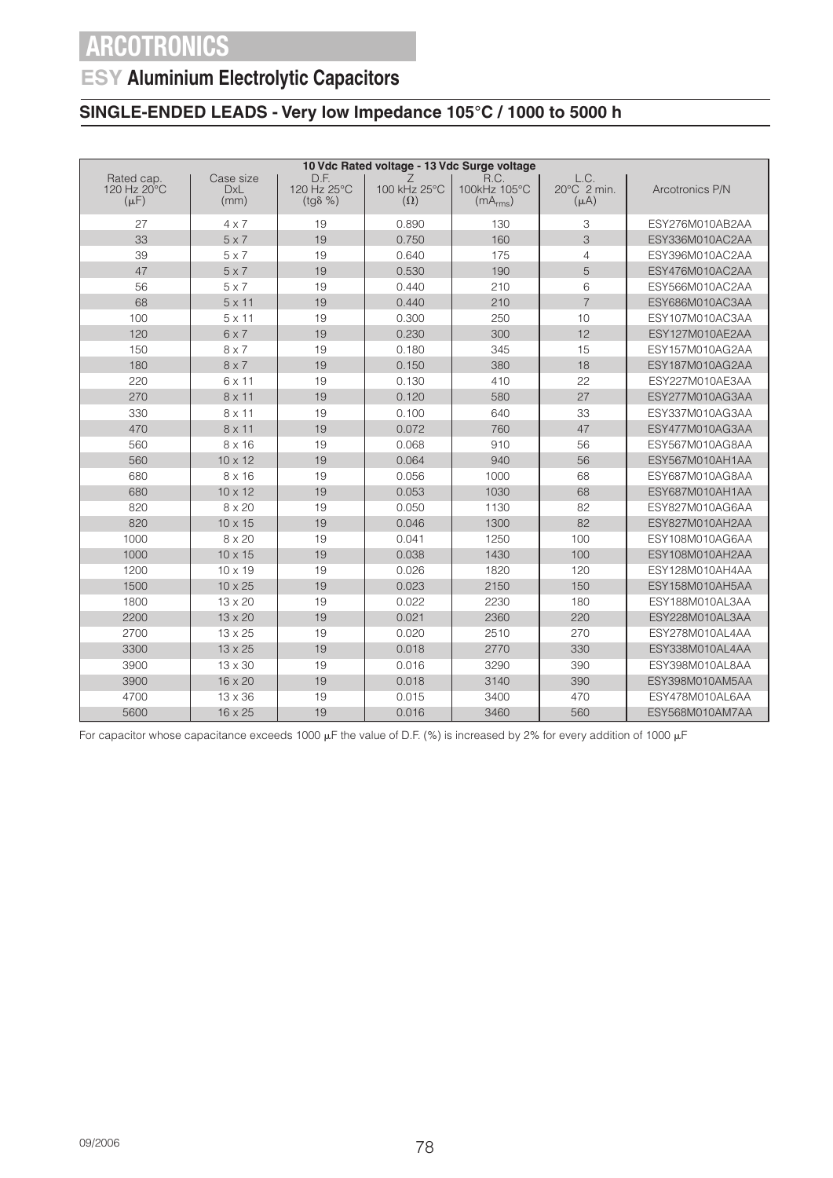### **ESY Aluminium Electrolytic Capacitors**

### **SINGLE-ENDED LEADS - Very low Impedance 105°C / 1000 to 5000 h**

| 10 Vdc Rated voltage - 13 Vdc Surge voltage |                                 |                                         |                                 |                                              |                                  |                 |  |  |
|---------------------------------------------|---------------------------------|-----------------------------------------|---------------------------------|----------------------------------------------|----------------------------------|-----------------|--|--|
| Rated cap.<br>120 Hz 20°C<br>$(\mu F)$      | Case size<br><b>DxL</b><br>(mm) | D.F.<br>120 Hz 25°C<br>$(tq\delta \% )$ | Ζ<br>100 kHz 25°C<br>$(\Omega)$ | R.C.<br>100kHz 105°C<br>(mA <sub>rms</sub> ) | L.C.<br>20°C 2 min.<br>$(\mu A)$ | Arcotronics P/N |  |  |
| 27                                          | $4\times 7$                     | 19                                      | 0.890                           | 130                                          | 3                                | ESY276M010AB2AA |  |  |
| 33                                          | $5 \times 7$                    | 19                                      | 0.750                           | 160                                          | 3                                | ESY336M010AC2AA |  |  |
| 39                                          | $5 \times 7$                    | 19                                      | 0.640                           | 175                                          | $\overline{4}$                   | ESY396M010AC2AA |  |  |
| 47                                          | $5 \times 7$                    | 19                                      | 0.530                           | 190                                          | 5                                | ESY476M010AC2AA |  |  |
| 56                                          | $5 \times 7$                    | 19                                      | 0.440                           | 210                                          | 6                                | ESY566M010AC2AA |  |  |
| 68                                          | $5 \times 11$                   | 19                                      | 0.440                           | 210                                          | $\overline{7}$                   | ESY686M010AC3AA |  |  |
| 100                                         | $5 \times 11$                   | 19                                      | 0.300                           | 250                                          | 10                               | ESY107M010AC3AA |  |  |
| 120                                         | $6 \times 7$                    | 19                                      | 0.230                           | 300                                          | 12                               | ESY127M010AE2AA |  |  |
| 150                                         | $8 \times 7$                    | 19                                      | 0.180                           | 345                                          | 15                               | ESY157M010AG2AA |  |  |
| 180                                         | $8 \times 7$                    | 19                                      | 0.150                           | 380                                          | 18                               | ESY187M010AG2AA |  |  |
| 220                                         | 6 x 11                          | 19                                      | 0.130                           | 410                                          | 22                               | ESY227M010AE3AA |  |  |
| 270                                         | $8 \times 11$                   | 19                                      | 0.120                           | 580                                          | 27                               | ESY277M010AG3AA |  |  |
| 330                                         | 8 x 11                          | 19                                      | 0.100                           | 640                                          | 33                               | ESY337M010AG3AA |  |  |
| 470                                         | $8 \times 11$                   | 19                                      | 0.072                           | 760                                          | 47                               | ESY477M010AG3AA |  |  |
| 560                                         | $8 \times 16$                   | 19                                      | 0.068                           | 910                                          | 56                               | ESY567M010AG8AA |  |  |
| 560                                         | $10 \times 12$                  | 19                                      | 0.064                           | 940                                          | 56                               | ESY567M010AH1AA |  |  |
| 680                                         | $8 \times 16$                   | 19                                      | 0.056                           | 1000                                         | 68                               | ESY687M010AG8AA |  |  |
| 680                                         | $10 \times 12$                  | 19                                      | 0.053                           | 1030                                         | 68                               | ESY687M010AH1AA |  |  |
| 820                                         | 8 x 20                          | 19                                      | 0.050                           | 1130                                         | 82                               | ESY827M010AG6AA |  |  |
| 820                                         | $10 \times 15$                  | 19                                      | 0.046                           | 1300                                         | 82                               | ESY827M010AH2AA |  |  |
| 1000                                        | $8 \times 20$                   | 19                                      | 0.041                           | 1250                                         | 100                              | ESY108M010AG6AA |  |  |
| 1000                                        | $10 \times 15$                  | 19                                      | 0.038                           | 1430                                         | 100                              | ESY108M010AH2AA |  |  |
| 1200                                        | $10 \times 19$                  | 19                                      | 0.026                           | 1820                                         | 120                              | ESY128M010AH4AA |  |  |
| 1500                                        | $10 \times 25$                  | 19                                      | 0.023                           | 2150                                         | 150                              | ESY158M010AH5AA |  |  |
| 1800                                        | 13 x 20                         | 19                                      | 0.022                           | 2230                                         | 180                              | ESY188M010AL3AA |  |  |
| 2200                                        | $13 \times 20$                  | 19                                      | 0.021                           | 2360                                         | 220                              | ESY228M010AL3AA |  |  |
| 2700                                        | 13 x 25                         | 19                                      | 0.020                           | 2510                                         | 270                              | ESY278M010AL4AA |  |  |
| 3300                                        | $13 \times 25$                  | 19                                      | 0.018                           | 2770                                         | 330                              | ESY338M010AL4AA |  |  |
| 3900                                        | 13 x 30                         | 19                                      | 0.016                           | 3290                                         | 390                              | ESY398M010AL8AA |  |  |
| 3900                                        | 16 x 20                         | 19                                      | 0.018                           | 3140                                         | 390                              | ESY398M010AM5AA |  |  |
| 4700                                        | 13 x 36                         | 19                                      | 0.015                           | 3400                                         | 470                              | ESY478M010AL6AA |  |  |
| 5600                                        | 16 x 25                         | 19                                      | 0.016                           | 3460                                         | 560                              | ESY568M010AM7AA |  |  |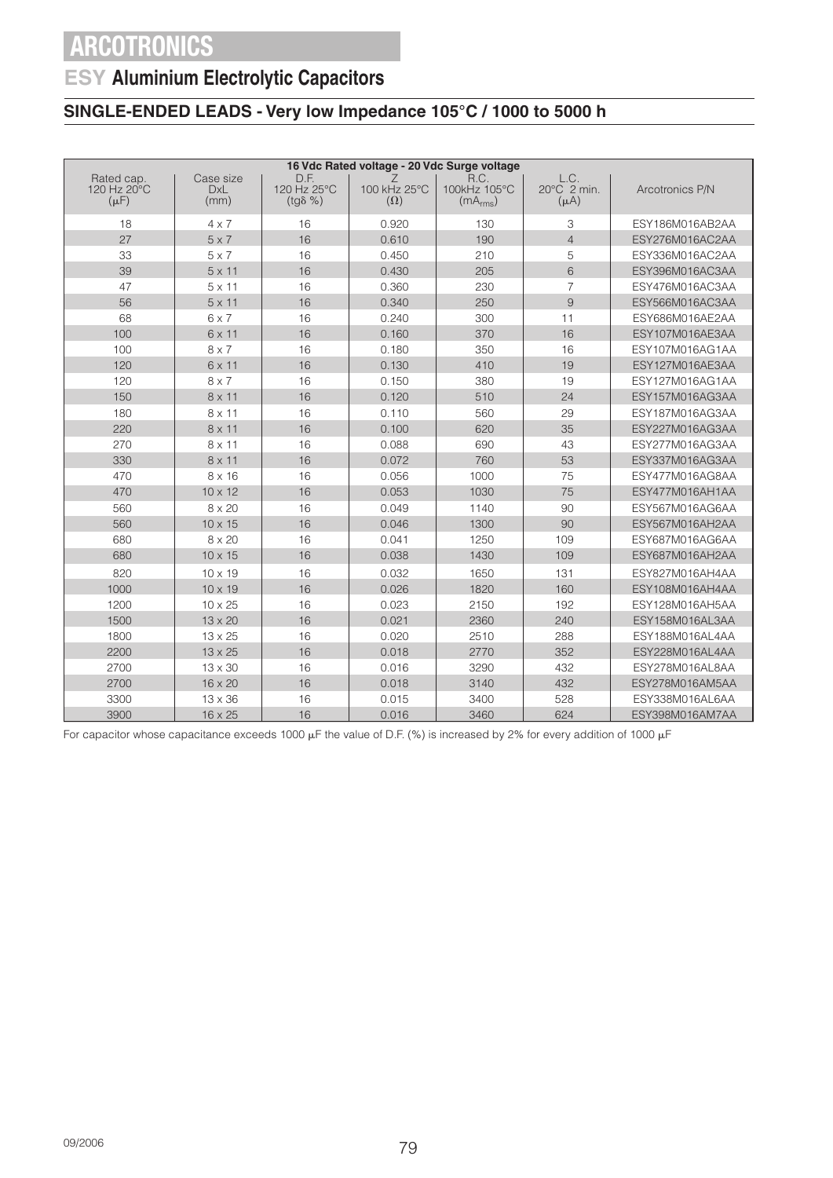### **ESY Aluminium Electrolytic Capacitors**

### **SINGLE-ENDED LEADS - Very low Impedance 105°C / 1000 to 5000 h**

| 16 Vdc Rated voltage - 20 Vdc Surge voltage |                                 |                                         |                                 |                                              |                                            |                 |  |  |
|---------------------------------------------|---------------------------------|-----------------------------------------|---------------------------------|----------------------------------------------|--------------------------------------------|-----------------|--|--|
| Rated cap.<br>120 Hz 20°C<br>$(\mu F)$      | Case size<br><b>DxL</b><br>(mm) | D.F.<br>120 Hz 25°C<br>$(tg\delta \% )$ | Ζ<br>100 kHz 25°C<br>$(\Omega)$ | R.C.<br>100kHz 105°C<br>(mA <sub>rms</sub> ) | L.C.<br>$20^{\circ}$ C 2 min.<br>$(\mu A)$ | Arcotronics P/N |  |  |
| 18                                          | $4 \times 7$                    | 16                                      | 0.920                           | 130                                          | 3                                          | ESY186M016AB2AA |  |  |
| 27                                          | $5 \times 7$                    | 16                                      | 0.610                           | 190                                          | $\overline{4}$                             | ESY276M016AC2AA |  |  |
| 33                                          | $5 \times 7$                    | 16                                      | 0.450                           | 210                                          | 5                                          | ESY336M016AC2AA |  |  |
| 39                                          | $5 \times 11$                   | 16                                      | 0.430                           | 205                                          | 6                                          | ESY396M016AC3AA |  |  |
| 47                                          | $5 \times 11$                   | 16                                      | 0.360                           | 230                                          | $\overline{7}$                             | ESY476M016AC3AA |  |  |
| 56                                          | $5 \times 11$                   | 16                                      | 0.340                           | 250                                          | 9                                          | ESY566M016AC3AA |  |  |
| 68                                          | $6 \times 7$                    | 16                                      | 0.240                           | 300                                          | 11                                         | ESY686M016AE2AA |  |  |
| 100                                         | 6 x 11                          | 16                                      | 0.160                           | 370                                          | 16                                         | ESY107M016AE3AA |  |  |
| 100                                         | $8 \times 7$                    | 16                                      | 0.180                           | 350                                          | 16                                         | ESY107M016AG1AA |  |  |
| 120                                         | 6 x 11                          | 16                                      | 0.130                           | 410                                          | 19                                         | ESY127M016AE3AA |  |  |
| 120                                         | $8 \times 7$                    | 16                                      | 0.150                           | 380                                          | 19                                         | ESY127M016AG1AA |  |  |
| 150                                         | $8 \times 11$                   | 16                                      | 0.120                           | 510                                          | 24                                         | ESY157M016AG3AA |  |  |
| 180                                         | 8 x 11                          | 16                                      | 0.110                           | 560                                          | 29                                         | ESY187M016AG3AA |  |  |
| 220                                         | $8 \times 11$                   | 16                                      | 0.100                           | 620                                          | 35                                         | ESY227M016AG3AA |  |  |
| 270                                         | 8 x 11                          | 16                                      | 0.088                           | 690                                          | 43                                         | ESY277M016AG3AA |  |  |
| 330                                         | $8 \times 11$                   | 16                                      | 0.072                           | 760                                          | 53                                         | ESY337M016AG3AA |  |  |
| 470                                         | $8 \times 16$                   | 16                                      | 0.056                           | 1000                                         | 75                                         | ESY477M016AG8AA |  |  |
| 470                                         | $10 \times 12$                  | 16                                      | 0.053                           | 1030                                         | 75                                         | ESY477M016AH1AA |  |  |
| 560                                         | $8 \times 20$                   | 16                                      | 0.049                           | 1140                                         | 90                                         | ESY567M016AG6AA |  |  |
| 560                                         | $10 \times 15$                  | 16                                      | 0.046                           | 1300                                         | 90                                         | ESY567M016AH2AA |  |  |
| 680                                         | 8 x 20                          | 16                                      | 0.041                           | 1250                                         | 109                                        | ESY687M016AG6AA |  |  |
| 680                                         | $10 \times 15$                  | 16                                      | 0.038                           | 1430                                         | 109                                        | ESY687M016AH2AA |  |  |
| 820                                         | $10 \times 19$                  | 16                                      | 0.032                           | 1650                                         | 131                                        | ESY827M016AH4AA |  |  |
| 1000                                        | $10 \times 19$                  | 16                                      | 0.026                           | 1820                                         | 160                                        | ESY108M016AH4AA |  |  |
| 1200                                        | 10 x 25                         | 16                                      | 0.023                           | 2150                                         | 192                                        | ESY128M016AH5AA |  |  |
| 1500                                        | $13 \times 20$                  | 16                                      | 0.021                           | 2360                                         | 240                                        | ESY158M016AL3AA |  |  |
| 1800                                        | 13 x 25                         | 16                                      | 0.020                           | 2510                                         | 288                                        | ESY188M016AL4AA |  |  |
| 2200                                        | $13 \times 25$                  | 16                                      | 0.018                           | 2770                                         | 352                                        | ESY228M016AL4AA |  |  |
| 2700                                        | 13 x 30                         | 16                                      | 0.016                           | 3290                                         | 432                                        | ESY278M016AL8AA |  |  |
| 2700                                        | 16 x 20                         | 16                                      | 0.018                           | 3140                                         | 432                                        | ESY278M016AM5AA |  |  |
| 3300                                        | 13 x 36                         | 16                                      | 0.015                           | 3400                                         | 528                                        | ESY338M016AL6AA |  |  |
| 3900                                        | 16 x 25                         | 16                                      | 0.016                           | 3460                                         | 624                                        | ESY398M016AM7AA |  |  |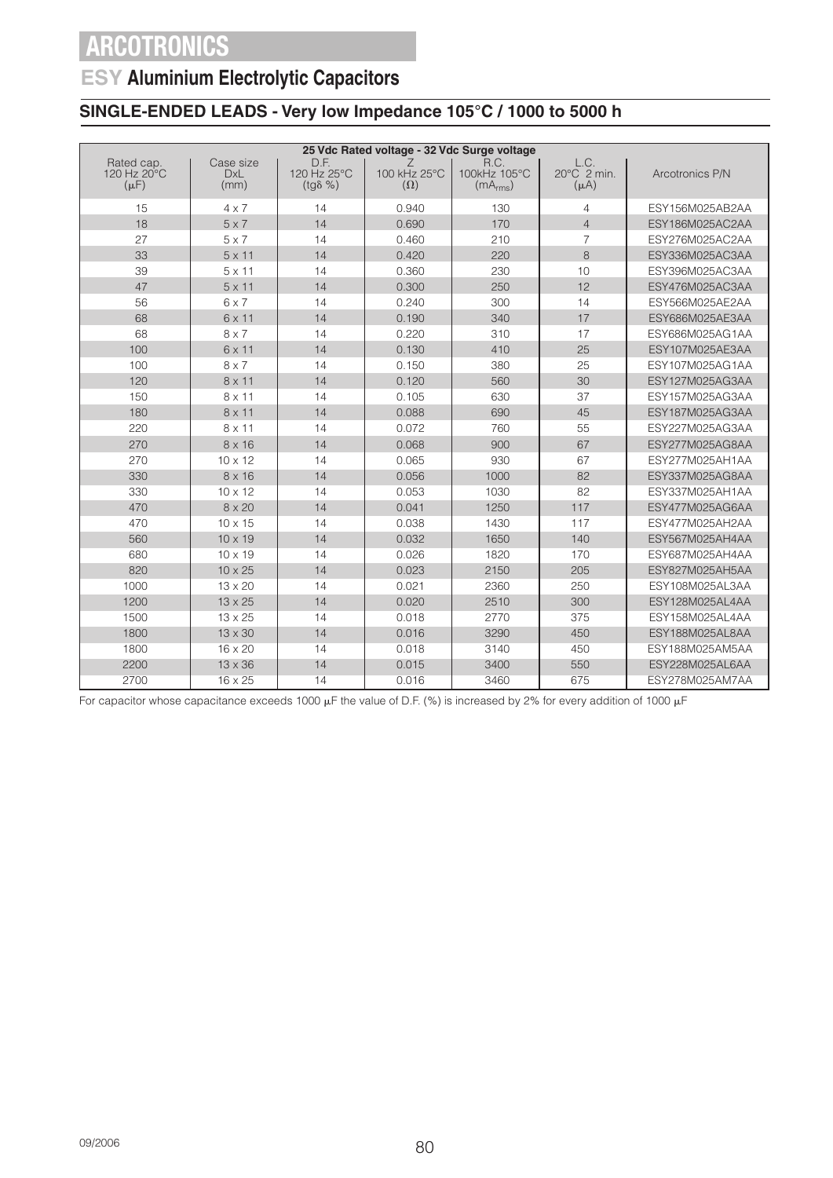### **ESY Aluminium Electrolytic Capacitors**

### **SINGLE-ENDED LEADS - Very low Impedance 105°C / 1000 to 5000 h**

| 25 Vdc Rated voltage - 32 Vdc Surge voltage |                                 |                                         |                            |                                              |                                  |                 |  |  |
|---------------------------------------------|---------------------------------|-----------------------------------------|----------------------------|----------------------------------------------|----------------------------------|-----------------|--|--|
| Rated cap.<br>120 Hz 20°C<br>$(\mu F)$      | Case size<br><b>DxL</b><br>(mm) | D.F.<br>120 Hz 25°C<br>$(tq\delta \% )$ | 100 kHz 25°C<br>$(\Omega)$ | R.C.<br>100kHz 105°C<br>(mA <sub>rms</sub> ) | L.C.<br>20°C 2 min.<br>$(\mu A)$ | Arcotronics P/N |  |  |
| 15                                          | $4 \times 7$                    | 14                                      | 0.940                      | 130                                          | 4                                | ESY156M025AB2AA |  |  |
| 18                                          | $5 \times 7$                    | 14                                      | 0.690                      | 170                                          | $\overline{4}$                   | ESY186M025AC2AA |  |  |
| 27                                          | $5 \times 7$                    | 14                                      | 0.460                      | 210                                          | $\overline{7}$                   | ESY276M025AC2AA |  |  |
| 33                                          | $5 \times 11$                   | 14                                      | 0.420                      | 220                                          | 8                                | ESY336M025AC3AA |  |  |
| 39                                          | $5 \times 11$                   | 14                                      | 0.360                      | 230                                          | 10                               | ESY396M025AC3AA |  |  |
| 47                                          | $5 \times 11$                   | 14                                      | 0.300                      | 250                                          | 12                               | ESY476M025AC3AA |  |  |
| 56                                          | $6 \times 7$                    | 14                                      | 0.240                      | 300                                          | 14                               | ESY566M025AE2AA |  |  |
| 68                                          | 6 x 11                          | 14                                      | 0.190                      | 340                                          | 17                               | ESY686M025AE3AA |  |  |
| 68                                          | $8 \times 7$                    | 14                                      | 0.220                      | 310                                          | 17                               | ESY686M025AG1AA |  |  |
| 100                                         | $6 \times 11$                   | 14                                      | 0.130                      | 410                                          | 25                               | ESY107M025AE3AA |  |  |
| 100                                         | $8 \times 7$                    | 14                                      | 0.150                      | 380                                          | 25                               | ESY107M025AG1AA |  |  |
| 120                                         | 8 x 11                          | 14                                      | 0.120                      | 560                                          | 30                               | ESY127M025AG3AA |  |  |
| 150                                         | 8 x 11                          | 14                                      | 0.105                      | 630                                          | 37                               | ESY157M025AG3AA |  |  |
| 180                                         | $8 \times 11$                   | 14                                      | 0.088                      | 690                                          | 45                               | ESY187M025AG3AA |  |  |
| 220                                         | 8 x 11                          | 14                                      | 0.072                      | 760                                          | 55                               | ESY227M025AG3AA |  |  |
| 270                                         | $8 \times 16$                   | 14                                      | 0.068                      | 900                                          | 67                               | ESY277M025AG8AA |  |  |
| 270                                         | $10 \times 12$                  | 14                                      | 0.065                      | 930                                          | 67                               | ESY277M025AH1AA |  |  |
| 330                                         | $8 \times 16$                   | 14                                      | 0.056                      | 1000                                         | 82                               | ESY337M025AG8AA |  |  |
| 330                                         | $10 \times 12$                  | 14                                      | 0.053                      | 1030                                         | 82                               | ESY337M025AH1AA |  |  |
| 470                                         | $8 \times 20$                   | 14                                      | 0.041                      | 1250                                         | 117                              | ESY477M025AG6AA |  |  |
| 470                                         | 10 x 15                         | 14                                      | 0.038                      | 1430                                         | 117                              | ESY477M025AH2AA |  |  |
| 560                                         | $10 \times 19$                  | 14                                      | 0.032                      | 1650                                         | 140                              | ESY567M025AH4AA |  |  |
| 680                                         | $10 \times 19$                  | 14                                      | 0.026                      | 1820                                         | 170                              | ESY687M025AH4AA |  |  |
| 820                                         | $10 \times 25$                  | 14                                      | 0.023                      | 2150                                         | 205                              | ESY827M025AH5AA |  |  |
| 1000                                        | $13 \times 20$                  | 14                                      | 0.021                      | 2360                                         | 250                              | ESY108M025AL3AA |  |  |
| 1200                                        | $13 \times 25$                  | 14                                      | 0.020                      | 2510                                         | 300                              | ESY128M025AL4AA |  |  |
| 1500                                        | $13 \times 25$                  | 14                                      | 0.018                      | 2770                                         | 375                              | ESY158M025AL4AA |  |  |
| 1800                                        | $13 \times 30$                  | 14                                      | 0.016                      | 3290                                         | 450                              | ESY188M025AL8AA |  |  |
| 1800                                        | $16 \times 20$                  | 14                                      | 0.018                      | 3140                                         | 450                              | ESY188M025AM5AA |  |  |
| 2200                                        | $13 \times 36$                  | 14                                      | 0.015                      | 3400                                         | 550                              | ESY228M025AL6AA |  |  |
| 2700                                        | 16 x 25                         | 14                                      | 0.016                      | 3460                                         | 675                              | ESY278M025AM7AA |  |  |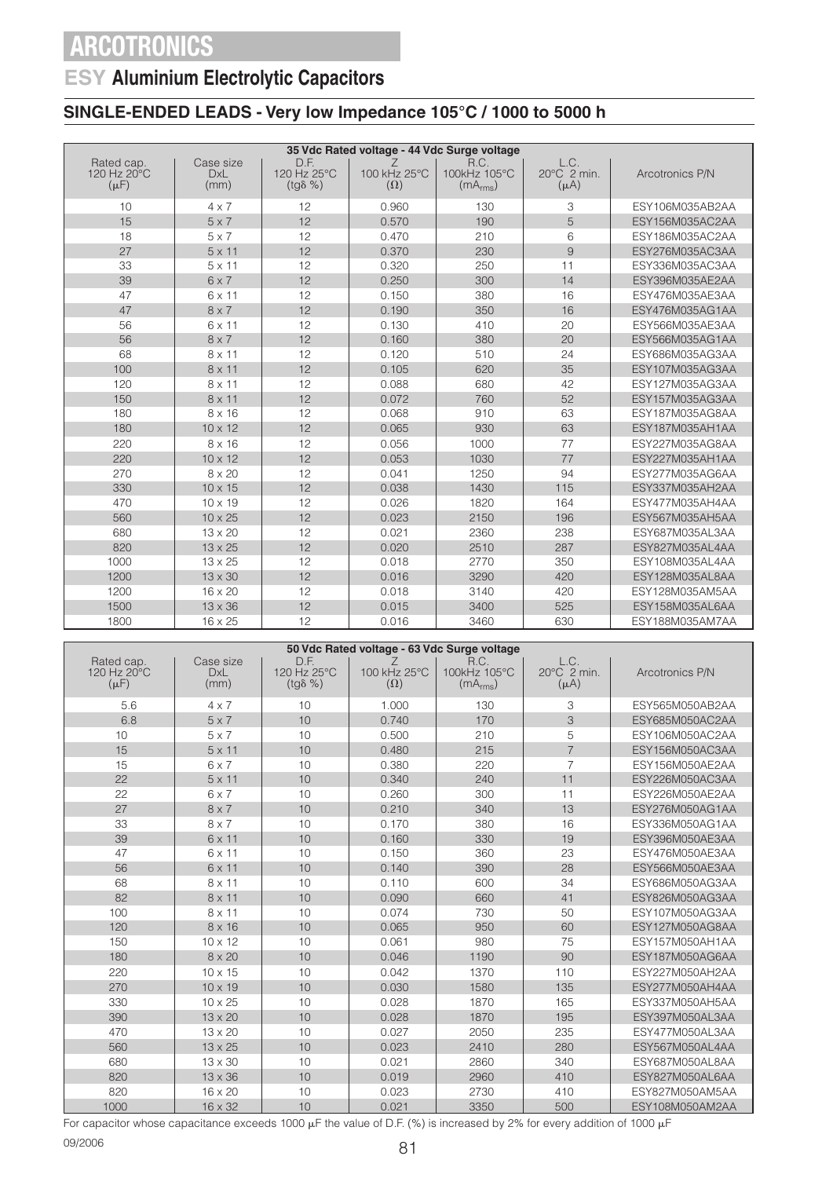### **ESY Aluminium Electrolytic Capacitors**

### **SINGLE-ENDED LEADS - Very low Impedance 105°C / 1000 to 5000 h**

| 35 Vdc Rated voltage - 44 Vdc Surge voltage |                                 |                                         |                                 |                                              |                                            |                 |  |  |  |
|---------------------------------------------|---------------------------------|-----------------------------------------|---------------------------------|----------------------------------------------|--------------------------------------------|-----------------|--|--|--|
| Rated cap.<br>120 Hz 20°C<br>$(\mu F)$      | Case size<br><b>DxL</b><br>(mm) | D.F.<br>120 Hz 25°C<br>$(tg\delta \% )$ | Ζ<br>100 kHz 25°C<br>$(\Omega)$ | R.C.<br>100kHz 105°C<br>(mA <sub>rms</sub> ) | L.C.<br>$20^{\circ}$ C 2 min.<br>$(\mu A)$ | Arcotronics P/N |  |  |  |
| 10                                          | $4 \times 7$                    | 12                                      | 0.960                           | 130                                          | 3                                          | ESY106M035AB2AA |  |  |  |
| 15                                          | $5 \times 7$                    | 12                                      | 0.570                           | 190                                          | 5                                          | ESY156M035AC2AA |  |  |  |
| 18                                          | $5 \times 7$                    | 12                                      | 0.470                           | 210                                          | 6                                          | ESY186M035AC2AA |  |  |  |
| 27                                          | $5 \times 11$                   | 12                                      | 0.370                           | 230                                          | 9                                          | ESY276M035AC3AA |  |  |  |
| 33                                          | $5 \times 11$                   | 12                                      | 0.320                           | 250                                          | 11                                         | ESY336M035AC3AA |  |  |  |
| 39                                          | $6 \times 7$                    | 12                                      | 0.250                           | 300                                          | 14                                         | ESY396M035AE2AA |  |  |  |
| 47                                          | $6 \times 11$                   | 12                                      | 0.150                           | 380                                          | 16                                         | ESY476M035AE3AA |  |  |  |
| 47                                          | $8 \times 7$                    | 12                                      | 0.190                           | 350                                          | 16                                         | ESY476M035AG1AA |  |  |  |
| 56                                          | 6 x 11                          | 12                                      | 0.130                           | 410                                          | 20                                         | ESY566M035AE3AA |  |  |  |
| 56                                          | $8 \times 7$                    | 12                                      | 0.160                           | 380                                          | 20                                         | ESY566M035AG1AA |  |  |  |
| 68                                          | $8 \times 11$                   | 12                                      | 0.120                           | 510                                          | 24                                         | ESY686M035AG3AA |  |  |  |
| 100                                         | $8 \times 11$                   | 12                                      | 0.105                           | 620                                          | 35                                         | ESY107M035AG3AA |  |  |  |
| 120                                         | 8 x 11                          | 12                                      | 0.088                           | 680                                          | 42                                         | ESY127M035AG3AA |  |  |  |
| 150                                         | $8 \times 11$                   | 12                                      | 0.072                           | 760                                          | 52                                         | ESY157M035AG3AA |  |  |  |
| 180                                         | $8 \times 16$                   | 12                                      | 0.068                           | 910                                          | 63                                         | ESY187M035AG8AA |  |  |  |
| 180                                         | $10 \times 12$                  | 12                                      | 0.065                           | 930                                          | 63                                         | ESY187M035AH1AA |  |  |  |
| 220                                         | $8 \times 16$                   | 12                                      | 0.056                           | 1000                                         | 77                                         | ESY227M035AG8AA |  |  |  |
| 220                                         | $10 \times 12$                  | 12                                      | 0.053                           | 1030                                         | 77                                         | ESY227M035AH1AA |  |  |  |
| 270                                         | $8 \times 20$                   | 12                                      | 0.041                           | 1250                                         | 94                                         | ESY277M035AG6AA |  |  |  |
| 330                                         | $10 \times 15$                  | 12                                      | 0.038                           | 1430                                         | 115                                        | ESY337M035AH2AA |  |  |  |
| 470                                         | $10 \times 19$                  | 12                                      | 0.026                           | 1820                                         | 164                                        | ESY477M035AH4AA |  |  |  |
| 560                                         | $10 \times 25$                  | 12                                      | 0.023                           | 2150                                         | 196                                        | ESY567M035AH5AA |  |  |  |
| 680                                         | $13 \times 20$                  | 12                                      | 0.021                           | 2360                                         | 238                                        | ESY687M035AL3AA |  |  |  |
| 820                                         | $13 \times 25$                  | 12                                      | 0.020                           | 2510                                         | 287                                        | ESY827M035AL4AA |  |  |  |
| 1000                                        | $13 \times 25$                  | 12                                      | 0.018                           | 2770                                         | 350                                        | ESY108M035AL4AA |  |  |  |
| 1200                                        | $13 \times 30$                  | 12                                      | 0.016                           | 3290                                         | 420                                        | ESY128M035AL8AA |  |  |  |
| 1200                                        | 16 x 20                         | 12                                      | 0.018                           | 3140                                         | 420                                        | ESY128M035AM5AA |  |  |  |
| 1500                                        | $13 \times 36$                  | 12                                      | 0.015                           | 3400                                         | 525                                        | ESY158M035AL6AA |  |  |  |
| 1800                                        | $16 \times 25$                  | 12                                      | 0.016                           | 3460                                         | 630                                        | ESY188M035AM7AA |  |  |  |

| 50 Vdc Rated voltage - 63 Vdc Surge voltage |                                 |                                         |                                 |                                              |                                  |                 |  |  |
|---------------------------------------------|---------------------------------|-----------------------------------------|---------------------------------|----------------------------------------------|----------------------------------|-----------------|--|--|
| Rated cap.<br>120 Hz 20°C<br>$(\mu F)$      | Case size<br><b>DxL</b><br>(mm) | D.F.<br>120 Hz 25°C<br>$(tq\delta \% )$ | 7<br>100 kHz 25°C<br>$(\Omega)$ | R.C.<br>100kHz 105°C<br>(mA <sub>rms</sub> ) | L.C.<br>20°C 2 min.<br>$(\mu A)$ | Arcotronics P/N |  |  |
| 5.6                                         | $4 \times 7$                    | 10                                      | 1.000                           | 130                                          | 3                                | ESY565M050AB2AA |  |  |
| 6.8                                         | $5 \times 7$                    | 10                                      | 0.740                           | 170                                          | 3                                | ESY685M050AC2AA |  |  |
| 10                                          | $5 \times 7$                    | 10                                      | 0.500                           | 210                                          | 5                                | ESY106M050AC2AA |  |  |
| 15                                          | $5 \times 11$                   | 10                                      | 0.480                           | 215                                          | $\overline{7}$                   | ESY156M050AC3AA |  |  |
| 15                                          | $6 \times 7$                    | 10                                      | 0.380                           | 220                                          | $\overline{7}$                   | ESY156M050AE2AA |  |  |
| 22                                          | $5 \times 11$                   | 10                                      | 0.340                           | 240                                          | 11                               | ESY226M050AC3AA |  |  |
| 22                                          | $6 \times 7$                    | 10                                      | 0.260                           | 300                                          | 11                               | ESY226M050AE2AA |  |  |
| 27                                          | $8 \times 7$                    | 10                                      | 0.210                           | 340                                          | 13                               | ESY276M050AG1AA |  |  |
| 33                                          | $8 \times 7$                    | 10                                      | 0.170                           | 380                                          | 16                               | ESY336M050AG1AA |  |  |
| 39                                          | 6 x 11                          | 10                                      | 0.160                           | 330                                          | 19                               | ESY396M050AE3AA |  |  |
| 47                                          | $6 \times 11$                   | 10                                      | 0.150                           | 360                                          | 23                               | ESY476M050AE3AA |  |  |
| 56                                          | 6 x 11                          | 10                                      | 0.140                           | 390                                          | 28                               | ESY566M050AE3AA |  |  |
| 68                                          | $8 \times 11$                   | 10                                      | 0.110                           | 600                                          | 34                               | ESY686M050AG3AA |  |  |
| 82                                          | $8 \times 11$                   | 10                                      | 0.090                           | 660                                          | 41                               | ESY826M050AG3AA |  |  |
| 100                                         | $8 \times 11$                   | 10                                      | 0.074                           | 730                                          | 50                               | ESY107M050AG3AA |  |  |
| 120                                         | $8 \times 16$                   | 10                                      | 0.065                           | 950                                          | 60                               | ESY127M050AG8AA |  |  |
| 150                                         | $10 \times 12$                  | 10                                      | 0.061                           | 980                                          | 75                               | ESY157M050AH1AA |  |  |
| 180                                         | $8 \times 20$                   | 10                                      | 0.046                           | 1190                                         | 90                               | ESY187M050AG6AA |  |  |
| 220                                         | $10 \times 15$                  | 10                                      | 0.042                           | 1370                                         | 110                              | ESY227M050AH2AA |  |  |
| 270                                         | $10 \times 19$                  | 10                                      | 0.030                           | 1580                                         | 135                              | ESY277M050AH4AA |  |  |
| 330                                         | $10 \times 25$                  | 10                                      | 0.028                           | 1870                                         | 165                              | ESY337M050AH5AA |  |  |
| 390                                         | $13 \times 20$                  | 10                                      | 0.028                           | 1870                                         | 195                              | ESY397M050AL3AA |  |  |
| 470                                         | $13 \times 20$                  | 10                                      | 0.027                           | 2050                                         | 235                              | ESY477M050AL3AA |  |  |
| 560                                         | $13 \times 25$                  | 10                                      | 0.023                           | 2410                                         | 280                              | ESY567M050AL4AA |  |  |
| 680                                         | $13 \times 30$                  | 10                                      | 0.021                           | 2860                                         | 340                              | ESY687M050AL8AA |  |  |
| 820                                         | $13 \times 36$                  | 10                                      | 0.019                           | 2960                                         | 410                              | ESY827M050AL6AA |  |  |
| 820                                         | $16 \times 20$                  | 10                                      | 0.023                           | 2730                                         | 410                              | ESY827M050AM5AA |  |  |
| 1000                                        | 16 x 32                         | 10                                      | 0.021                           | 3350                                         | 500                              | ESY108M050AM2AA |  |  |

For capacitor whose capacitance exceeds 1000  $\mu$ F the value of D.F. (%) is increased by 2% for every addition of 1000  $\mu$ F

09/2006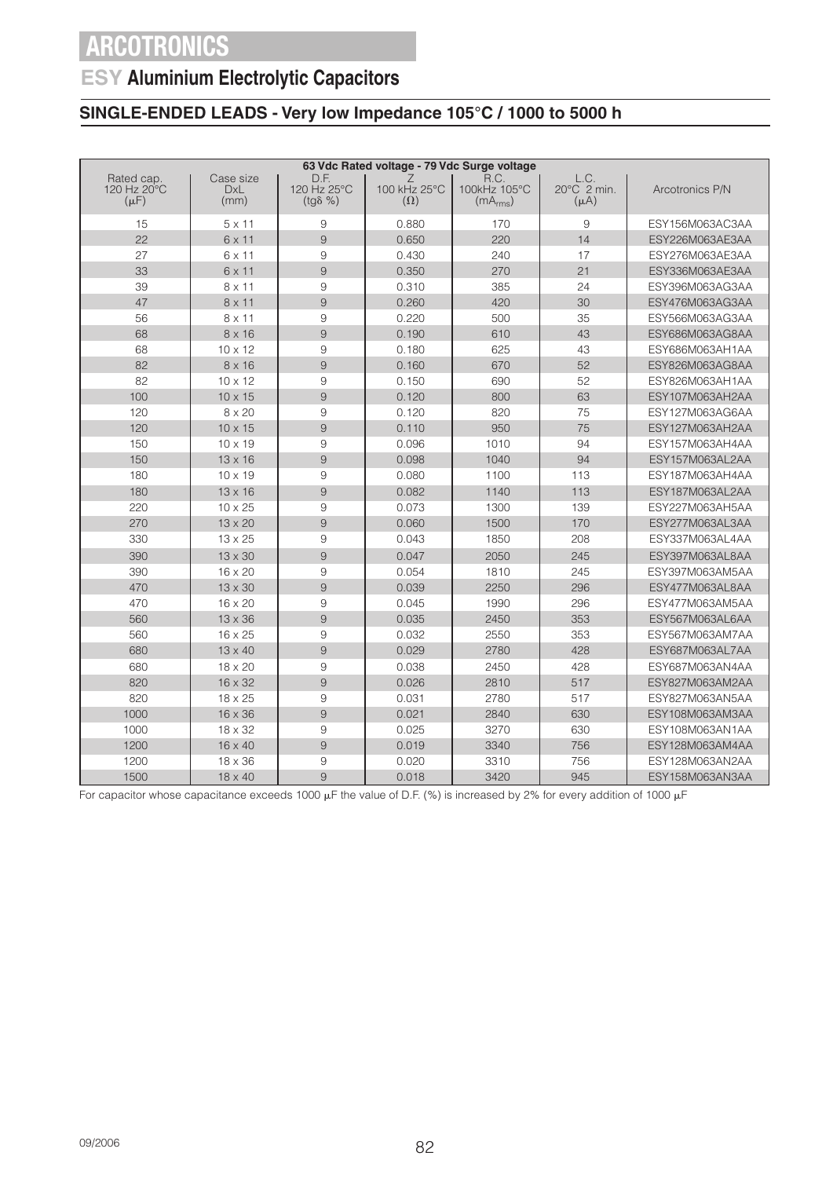### **ESY Aluminium Electrolytic Capacitors**

### **SINGLE-ENDED LEADS - Very low Impedance 105°C / 1000 to 5000 h**

| 63 Vdc Rated voltage - 79 Vdc Surge voltage |                                 |                                |                                 |                                              |                                  |                 |  |  |
|---------------------------------------------|---------------------------------|--------------------------------|---------------------------------|----------------------------------------------|----------------------------------|-----------------|--|--|
| Rated cap.<br>120 Hz 20°C<br>$(\mu F)$      | Case size<br><b>DxL</b><br>(mm) | D.F.<br>120 Hz 25°C<br>(tgδ %) | Z<br>100 kHz 25°C<br>$(\Omega)$ | R.C.<br>100kHz 105°C<br>(mA <sub>rms</sub> ) | L.C.<br>20°C 2 min.<br>$(\mu A)$ | Arcotronics P/N |  |  |
| 15                                          | $5 \times 11$                   | 9                              | 0.880                           | 170                                          | 9                                | ESY156M063AC3AA |  |  |
| 22                                          | $6 \times 11$                   | 9                              | 0.650                           | 220                                          | 14                               | ESY226M063AE3AA |  |  |
| 27                                          | 6 x 11                          | 9                              | 0.430                           | 240                                          | 17                               | ESY276M063AE3AA |  |  |
| 33                                          | 6 x 11                          | 9                              | 0.350                           | 270                                          | 21                               | ESY336M063AE3AA |  |  |
| 39                                          | $8 \times 11$                   | 9                              | 0.310                           | 385                                          | 24                               | ESY396M063AG3AA |  |  |
| 47                                          | $8 \times 11$                   | 9                              | 0.260                           | 420                                          | 30                               | ESY476M063AG3AA |  |  |
| 56                                          | $8 \times 11$                   | 9                              | 0.220                           | 500                                          | 35                               | ESY566M063AG3AA |  |  |
| 68                                          | $8 \times 16$                   | $\mathcal{G}% _{0}$            | 0.190                           | 610                                          | 43                               | ESY686M063AG8AA |  |  |
| 68                                          | $10 \times 12$                  | $9\,$                          | 0.180                           | 625                                          | 43                               | ESY686M063AH1AA |  |  |
| 82                                          | $8 \times 16$                   | 9                              | 0.160                           | 670                                          | 52                               | ESY826M063AG8AA |  |  |
| 82                                          | $10 \times 12$                  | $\overline{9}$                 | 0.150                           | 690                                          | 52                               | ESY826M063AH1AA |  |  |
| 100                                         | $10 \times 15$                  | 9                              | 0.120                           | 800                                          | 63                               | ESY107M063AH2AA |  |  |
| 120                                         | 8 x 20                          | 9                              | 0.120                           | 820                                          | 75                               | ESY127M063AG6AA |  |  |
| 120                                         | $10 \times 15$                  | 9                              | 0.110                           | 950                                          | 75                               | ESY127M063AH2AA |  |  |
| 150                                         | $10 \times 19$                  | 9                              | 0.096                           | 1010                                         | 94                               | ESY157M063AH4AA |  |  |
| 150                                         | $13 \times 16$                  | $\overline{9}$                 | 0.098                           | 1040                                         | 94                               | ESY157M063AL2AA |  |  |
| 180                                         | $10 \times 19$                  | $9\,$                          | 0.080                           | 1100                                         | 113                              | ESY187M063AH4AA |  |  |
| 180                                         | $13 \times 16$                  | $\hbox{9}$                     | 0.082                           | 1140                                         | 113                              | ESY187M063AL2AA |  |  |
| 220                                         | 10 x 25                         | 9                              | 0.073                           | 1300                                         | 139                              | ESY227M063AH5AA |  |  |
| 270                                         | 13 x 20                         | 9                              | 0.060                           | 1500                                         | 170                              | ESY277M063AL3AA |  |  |
| 330                                         | $13 \times 25$                  | 9                              | 0.043                           | 1850                                         | 208                              | ESY337M063AL4AA |  |  |
| 390                                         | 13 x 30                         | 9                              | 0.047                           | 2050                                         | 245                              | ESY397M063AL8AA |  |  |
| 390                                         | 16 x 20                         | 9                              | 0.054                           | 1810                                         | 245                              | ESY397M063AM5AA |  |  |
| 470                                         | 13 x 30                         | 9                              | 0.039                           | 2250                                         | 296                              | ESY477M063AL8AA |  |  |
| 470                                         | 16 x 20                         | 9                              | 0.045                           | 1990                                         | 296                              | ESY477M063AM5AA |  |  |
| 560                                         | $13 \times 36$                  | 9                              | 0.035                           | 2450                                         | 353                              | ESY567M063AL6AA |  |  |
| 560                                         | 16 x 25                         | $\hbox{9}$                     | 0.032                           | 2550                                         | 353                              | ESY567M063AM7AA |  |  |
| 680                                         | $13 \times 40$                  | 9                              | 0.029                           | 2780                                         | 428                              | ESY687M063AL7AA |  |  |
| 680                                         | $18 \times 20$                  | 9                              | 0.038                           | 2450                                         | 428                              | ESY687M063AN4AA |  |  |
| 820                                         | 16 x 32                         | 9                              | 0.026                           | 2810                                         | 517                              | ESY827M063AM2AA |  |  |
| 820                                         | $18 \times 25$                  | 9                              | 0.031                           | 2780                                         | 517                              | ESY827M063AN5AA |  |  |
| 1000                                        | 16 x 36                         | 9                              | 0.021                           | 2840                                         | 630                              | ESY108M063AM3AA |  |  |
| 1000                                        | $18 \times 32$                  | 9                              | 0.025                           | 3270                                         | 630                              | ESY108M063AN1AA |  |  |
| 1200                                        | 16 x 40                         | $\mathcal{G}% _{0}$            | 0.019                           | 3340                                         | 756                              | ESY128M063AM4AA |  |  |
| 1200                                        | $18 \times 36$                  | $\overline{9}$                 | 0.020                           | 3310                                         | 756                              | ESY128M063AN2AA |  |  |
| 1500                                        | 18 x 40                         | 9                              | 0.018                           | 3420                                         | 945                              | ESY158M063AN3AA |  |  |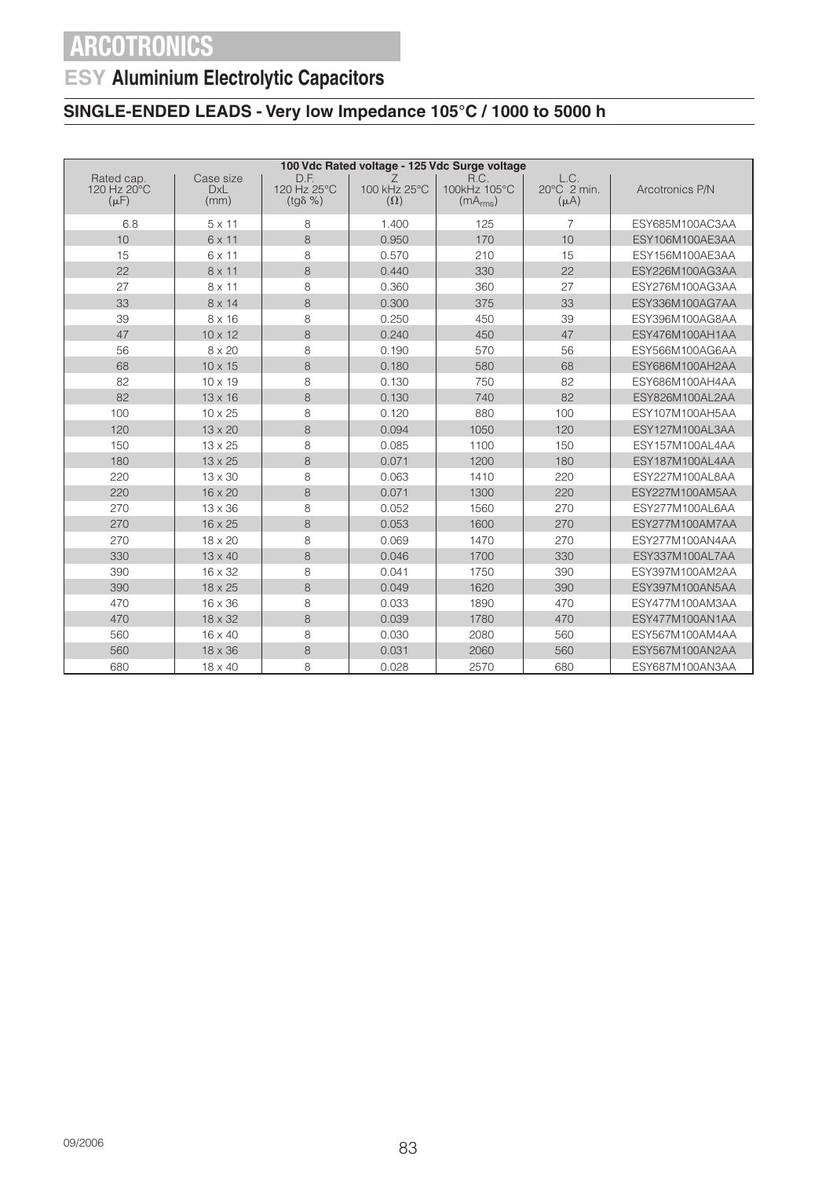## **ESY Aluminium Electrolytic Capacitors**

### **SINGLE-ENDED LEADS - Very low Impedance 105°C / 1000 to 5000 h**

| 100 Vdc Rated voltage - 125 Vdc Surge voltage |                                 |                                         |                                 |                                              |                                  |                 |  |  |
|-----------------------------------------------|---------------------------------|-----------------------------------------|---------------------------------|----------------------------------------------|----------------------------------|-----------------|--|--|
| Rated cap.<br>120 Hz 20°C<br>$(\mu F)$        | Case size<br><b>DxL</b><br>(mm) | D.F.<br>120 Hz 25°C<br>$(tg\delta \% )$ | Ζ<br>100 kHz 25°C<br>$(\Omega)$ | R.C.<br>100kHz 105°C<br>(mA <sub>rms</sub> ) | L.C.<br>20°C 2 min.<br>$(\mu A)$ | Arcotronics P/N |  |  |
| 6.8                                           | $5 \times 11$                   | 8                                       | 1.400                           | 125                                          | 7                                | ESY685M100AC3AA |  |  |
| 10                                            | 6 x 11                          | 8                                       | 0.950                           | 170                                          | 10                               | ESY106M100AE3AA |  |  |
| 15                                            | 6 x 11                          | 8                                       | 0.570                           | 210                                          | 15                               | ESY156M100AE3AA |  |  |
| 22                                            | $8 \times 11$                   | 8                                       | 0.440                           | 330                                          | 22                               | ESY226M100AG3AA |  |  |
| 27                                            | 8 x 11                          | 8                                       | 0.360                           | 360                                          | 27                               | ESY276M100AG3AA |  |  |
| 33                                            | 8 x 14                          | 8                                       | 0.300                           | 375                                          | 33                               | ESY336M100AG7AA |  |  |
| 39                                            | $8 \times 16$                   | 8                                       | 0.250                           | 450                                          | 39                               | ESY396M100AG8AA |  |  |
| 47                                            | $10 \times 12$                  | 8                                       | 0.240                           | 450                                          | 47                               | ESY476M100AH1AA |  |  |
| 56                                            | $8 \times 20$                   | 8                                       | 0.190                           | 570                                          | 56                               | ESY566M100AG6AA |  |  |
| 68                                            | $10 \times 15$                  | 8                                       | 0.180                           | 580                                          | 68                               | ESY686M100AH2AA |  |  |
| 82                                            | $10 \times 19$                  | 8                                       | 0.130                           | 750                                          | 82                               | ESY686M100AH4AA |  |  |
| 82                                            | $13 \times 16$                  | 8                                       | 0.130                           | 740                                          | 82                               | ESY826M100AL2AA |  |  |
| 100                                           | 10 x 25                         | 8                                       | 0.120                           | 880                                          | 100                              | ESY107M100AH5AA |  |  |
| 120                                           | 13 x 20                         | 8                                       | 0.094                           | 1050                                         | 120                              | ESY127M100AL3AA |  |  |
| 150                                           | $13 \times 25$                  | 8                                       | 0.085                           | 1100                                         | 150                              | ESY157M100AL4AA |  |  |
| 180                                           | $13 \times 25$                  | 8                                       | 0.071                           | 1200                                         | 180                              | ESY187M100AL4AA |  |  |
| 220                                           | 13 x 30                         | 8                                       | 0.063                           | 1410                                         | 220                              | ESY227M100AL8AA |  |  |
| 220                                           | 16 x 20                         | 8                                       | 0.071                           | 1300                                         | 220                              | ESY227M100AM5AA |  |  |
| 270                                           | $13 \times 36$                  | 8                                       | 0.052                           | 1560                                         | 270                              | ESY277M100AL6AA |  |  |
| 270                                           | 16 x 25                         | 8                                       | 0.053                           | 1600                                         | 270                              | ESY277M100AM7AA |  |  |
| 270                                           | 18 x 20                         | 8                                       | 0.069                           | 1470                                         | 270                              | ESY277M100AN4AA |  |  |
| 330                                           | $13 \times 40$                  | 8                                       | 0.046                           | 1700                                         | 330                              | ESY337M100AL7AA |  |  |
| 390                                           | 16 x 32                         | 8                                       | 0.041                           | 1750                                         | 390                              | ESY397M100AM2AA |  |  |
| 390                                           | 18 x 25                         | 8                                       | 0.049                           | 1620                                         | 390                              | ESY397M100AN5AA |  |  |
| 470                                           | $16 \times 36$                  | 8                                       | 0.033                           | 1890                                         | 470                              | ESY477M100AM3AA |  |  |
| 470                                           | 18 x 32                         | 8                                       | 0.039                           | 1780                                         | 470                              | ESY477M100AN1AA |  |  |
| 560                                           | 16 x 40                         | 8                                       | 0.030                           | 2080                                         | 560                              | ESY567M100AM4AA |  |  |
| 560                                           | $18 \times 36$                  | 8                                       | 0.031                           | 2060                                         | 560                              | ESY567M100AN2AA |  |  |
| 680                                           | 18 x 40                         | 8                                       | 0.028                           | 2570                                         | 680                              | ESY687M100AN3AA |  |  |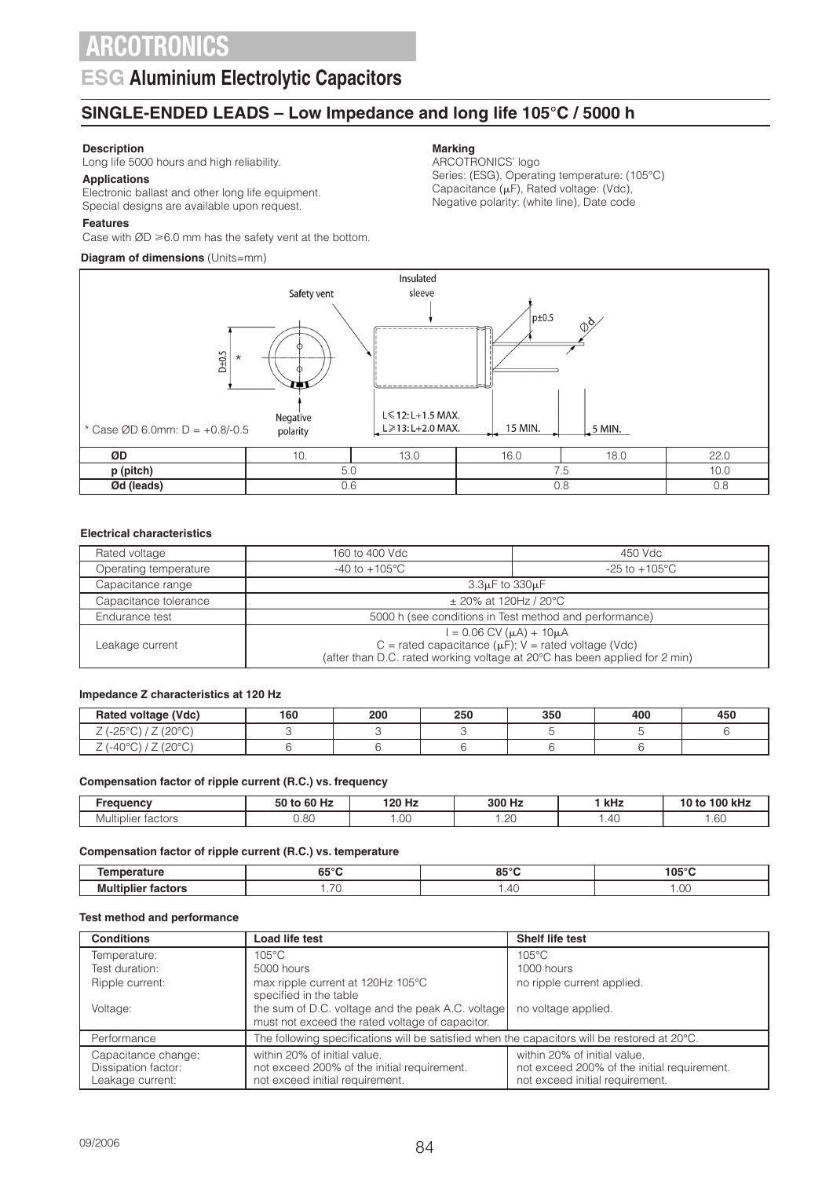### **ESG Aluminium Electrolytic Capacitors**

### **SINGLE-ENDED LEADS – Low Impedance and long life 105°C / 5000 h**

### **Description**

Long life 5000 hours and high reliability.

**Applications** Electronic ballast and other long life equipment.

### Special designs are available upon request.

**Features**

Case with  $ØD \ge 6.0$  mm has the safety vent at the bottom.

### **Diagram of dimensions** (Units=mm)

#### **Marking**

ARCOTRONICS' logo Series: (ESG), Operating temperature: (105°C) Capacitance ( $\mu$ F), Rated voltage: (Vdc), Negative polarity: (white line), Date code



#### **Electrical characteristics**

| Rated voltage                                                                                                                                                                                       | 160 to 400 Vdc            | 450 Vdc                                                |  |  |  |  |
|-----------------------------------------------------------------------------------------------------------------------------------------------------------------------------------------------------|---------------------------|--------------------------------------------------------|--|--|--|--|
| Operating temperature                                                                                                                                                                               | $-40$ to $+105^{\circ}$ C | $-25$ to $+105^{\circ}$ C                              |  |  |  |  |
| Capacitance range                                                                                                                                                                                   | $3.3\mu$ F to $330\mu$ F  |                                                        |  |  |  |  |
| Capacitance tolerance                                                                                                                                                                               | $\pm$ 20% at 120Hz / 20°C |                                                        |  |  |  |  |
| Endurance test                                                                                                                                                                                      |                           | 5000 h (see conditions in Test method and performance) |  |  |  |  |
| $I = 0.06$ CV ( $\mu$ A) + 10 $\mu$ A<br>C = rated capacitance ( $\mu$ F); V = rated voltage (Vdc)<br>Leakage current<br>(after than D.C. rated working voltage at 20°C has been applied for 2 min) |                           |                                                        |  |  |  |  |

#### **Impedance Z characteristics at 120 Hz**

| Rated voltage (Vdc)                                                     | 160 | 200 | 250 | 350 | 400 | 450 |
|-------------------------------------------------------------------------|-----|-----|-----|-----|-----|-----|
| 10000<br>0.500<br>ں ے۔<br><u>_</u><br>$\check{ }$<br>$\sim$             |     |     |     |     |     |     |
| 1000<br>$(1-40^{\circ}C)^{2}$<br>ں ے ،<br>$\overline{\phantom{0}}$<br>∸ |     |     |     |     |     |     |

#### **Compensation factor of ripple current (R.C.) vs. frequency**

| <b>201108011</b>      | 60 Hz<br>$\mathbf{a}$<br>to<br>วบ | ' 20 Hz        | 300 Hz<br>п.<br>____ | kHz | 100 kHz<br>тг |
|-----------------------|-----------------------------------|----------------|----------------------|-----|---------------|
| tactors<br>Multiplier | 0.80                              | $\cap$<br>∪∪ ו | $\sim$<br>╭<br>ں ے . | .40 | . 60          |

#### **Compensation factor of ripple current (R.C.) vs. temperature**

|                        | $\sim$ $\sim$ $\sim$<br>ບປ | $- - -$<br>$-0.5$<br>uJ   | 105°C      |
|------------------------|----------------------------|---------------------------|------------|
| --<br>.<br>M<br>,,,,,, | $\overline{\phantom{a}}$ . | $\overline{ }$<br>4<br>᠇◡ | ~ -<br>.UU |

#### **Test method and performance**

| <b>Conditions</b>                                              | Load life test                                                                                                 | Shelf life test                                                                                                |
|----------------------------------------------------------------|----------------------------------------------------------------------------------------------------------------|----------------------------------------------------------------------------------------------------------------|
| Temperature:                                                   | $105^{\circ}$ C                                                                                                | $105^{\circ}$ C                                                                                                |
| Test duration:                                                 | 5000 hours                                                                                                     | 1000 hours                                                                                                     |
| Ripple current:                                                | max ripple current at 120Hz 105°C<br>specified in the table                                                    | no ripple current applied.                                                                                     |
| Voltage:                                                       | the sum of D.C. voltage and the peak A.C. voltage<br>must not exceed the rated voltage of capacitor.           | no voltage applied.                                                                                            |
| Performance                                                    | The following specifications will be satisfied when the capacitors will be restored at 20°C.                   |                                                                                                                |
| Capacitance change:<br>Dissipation factor:<br>Leakage current: | within 20% of initial value.<br>not exceed 200% of the initial requirement.<br>not exceed initial requirement. | within 20% of initial value.<br>not exceed 200% of the initial requirement.<br>not exceed initial requirement. |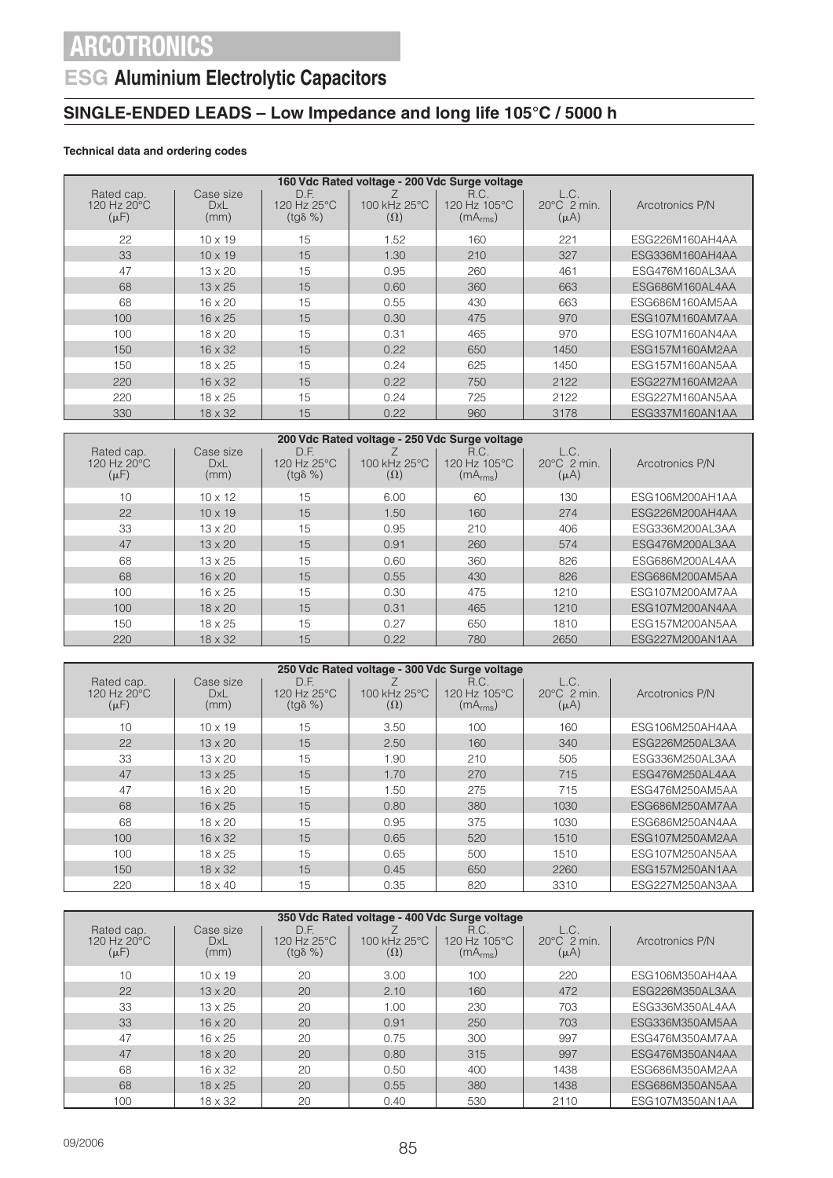## **ESG Aluminium Electrolytic Capacitors**

### **SINGLE-ENDED LEADS – Low Impedance and long life 105°C / 5000 h**

### **Technical data and ordering codes**

| 160 Vdc Rated voltage - 200 Vdc Surge voltage |                          |                                         |                                        |                                              |                                              |                 |  |  |
|-----------------------------------------------|--------------------------|-----------------------------------------|----------------------------------------|----------------------------------------------|----------------------------------------------|-----------------|--|--|
| Rated cap.<br>120 Hz 20°C<br>$(\mu F)$        | Case size<br>DxL<br>(mm) | D.F.<br>120 Hz 25°C<br>$(tq\delta \% )$ | $100$ kHz $25^{\circ}$ C<br>$(\Omega)$ | R.C.<br>120 Hz 105°C<br>(mA <sub>rms</sub> ) | L.C.<br>$20^{\circ}$ C $2$ min.<br>$(\mu A)$ | Arcotronics P/N |  |  |
| 22                                            | $10 \times 19$           | 15                                      | 1.52                                   | 160                                          | 221                                          | ESG226M160AH4AA |  |  |
| 33                                            | $10 \times 19$           | 15                                      | 1.30                                   | 210                                          | 327                                          | ESG336M160AH4AA |  |  |
| 47                                            | $13 \times 20$           | 15                                      | 0.95                                   | 260                                          | 461                                          | ESG476M160AL3AA |  |  |
| 68                                            | $13 \times 25$           | 15                                      | 0.60                                   | 360                                          | 663                                          | ESG686M160AL4AA |  |  |
| 68                                            | $16 \times 20$           | 15                                      | 0.55                                   | 430                                          | 663                                          | ESG686M160AM5AA |  |  |
| 100                                           | $16 \times 25$           | 15                                      | 0.30                                   | 475                                          | 970                                          | ESG107M160AM7AA |  |  |
| 100                                           | $18 \times 20$           | 15                                      | 0.31                                   | 465                                          | 970                                          | ESG107M160AN4AA |  |  |
| 150                                           | $16 \times 32$           | 15                                      | 0.22                                   | 650                                          | 1450                                         | ESG157M160AM2AA |  |  |
| 150                                           | $18 \times 25$           | 15                                      | 0.24                                   | 625                                          | 1450                                         | ESG157M160AN5AA |  |  |
| 220                                           | $16 \times 32$           | 15                                      | 0.22                                   | 750                                          | 2122                                         | ESG227M160AM2AA |  |  |
| 220                                           | $18 \times 25$           | 15                                      | 0.24                                   | 725                                          | 2122                                         | ESG227M160AN5AA |  |  |
| 330                                           | $18 \times 32$           | 15                                      | 0.22                                   | 960                                          | 3178                                         | ESG337M160AN1AA |  |  |

| 200 Vdc Rated voltage - 250 Vdc Surge voltage |                          |                                         |                            |                                              |                                            |                 |  |  |  |
|-----------------------------------------------|--------------------------|-----------------------------------------|----------------------------|----------------------------------------------|--------------------------------------------|-----------------|--|--|--|
| Rated cap.<br>120 Hz 20°C<br>$(\mu F)$        | Case size<br>DxL<br>(mm) | D.F.<br>120 Hz 25°C<br>$(tq\delta \% )$ | 100 kHz 25°C<br>$(\Omega)$ | R.C.<br>120 Hz 105°C<br>(mA <sub>rms</sub> ) | L.C.<br>$20^{\circ}$ C 2 min.<br>$(\mu A)$ | Arcotronics P/N |  |  |  |
| 10                                            | $10 \times 12$           | 15                                      | 6.00                       | 60                                           | 130                                        | ESG106M200AH1AA |  |  |  |
| 22                                            | $10 \times 19$           | 15                                      | 1.50                       | 160                                          | 274                                        | ESG226M200AH4AA |  |  |  |
| 33                                            | $13 \times 20$           | 15                                      | 0.95                       | 210                                          | 406                                        | ESG336M200AL3AA |  |  |  |
| 47                                            | $13 \times 20$           | 15                                      | 0.91                       | 260                                          | 574                                        | ESG476M200AL3AA |  |  |  |
| 68                                            | $13 \times 25$           | 15                                      | 0.60                       | 360                                          | 826                                        | ESG686M200AL4AA |  |  |  |
| 68                                            | $16 \times 20$           | 15                                      | 0.55                       | 430                                          | 826                                        | ESG686M200AM5AA |  |  |  |
| 100                                           | $16 \times 25$           | 15                                      | 0.30                       | 475                                          | 1210                                       | ESG107M200AM7AA |  |  |  |
| 100                                           | $18 \times 20$           | 15                                      | 0.31                       | 465                                          | 1210                                       | ESG107M200AN4AA |  |  |  |
| 150                                           | $18 \times 25$           | 15                                      | 0.27                       | 650                                          | 1810                                       | ESG157M200AN5AA |  |  |  |
| 220                                           | $18 \times 32$           | 15                                      | 0.22                       | 780                                          | 2650                                       | ESG227M200AN1AA |  |  |  |

|                                        | 250 Vdc Rated voltage - 300 Vdc Surge voltage |                                         |                            |                                              |                                            |                 |  |  |  |
|----------------------------------------|-----------------------------------------------|-----------------------------------------|----------------------------|----------------------------------------------|--------------------------------------------|-----------------|--|--|--|
| Rated cap.<br>120 Hz 20°C<br>$(\mu F)$ | Case size<br><b>DxL</b><br>(mm)               | D.F.<br>120 Hz 25°C<br>$(tq\delta \% )$ | 100 kHz 25°C<br>$(\Omega)$ | R.C.<br>120 Hz 105°C<br>(mA <sub>rms</sub> ) | L.C.<br>$20^{\circ}$ C 2 min.<br>$(\mu A)$ | Arcotronics P/N |  |  |  |
| 10                                     | $10 \times 19$                                | 15                                      | 3.50                       | 100                                          | 160                                        | ESG106M250AH4AA |  |  |  |
| 22                                     | $13 \times 20$                                | 15                                      | 2.50                       | 160                                          | 340                                        | ESG226M250AL3AA |  |  |  |
| 33                                     | $13 \times 20$                                | 15                                      | 1.90                       | 210                                          | 505                                        | ESG336M250AL3AA |  |  |  |
| 47                                     | $13 \times 25$                                | 15                                      | 1.70                       | 270                                          | 715                                        | ESG476M250AL4AA |  |  |  |
| 47                                     | $16 \times 20$                                | 15                                      | 1.50                       | 275                                          | 715                                        | ESG476M250AM5AA |  |  |  |
| 68                                     | $16 \times 25$                                | 15                                      | 0.80                       | 380                                          | 1030                                       | ESG686M250AM7AA |  |  |  |
| 68                                     | $18 \times 20$                                | 15                                      | 0.95                       | 375                                          | 1030                                       | ESG686M250AN4AA |  |  |  |
| 100                                    | $16 \times 32$                                | 15                                      | 0.65                       | 520                                          | 1510                                       | ESG107M250AM2AA |  |  |  |
| 100                                    | $18 \times 25$                                | 15                                      | 0.65                       | 500                                          | 1510                                       | ESG107M250AN5AA |  |  |  |
| 150                                    | $18 \times 32$                                | 15                                      | 0.45                       | 650                                          | 2260                                       | ESG157M250AN1AA |  |  |  |
| 220                                    | $18 \times 40$                                | 15                                      | 0.35                       | 820                                          | 3310                                       | ESG227M250AN3AA |  |  |  |

| 350 Vdc Rated voltage - 400 Vdc Surge voltage    |                          |                                         |                                        |                                              |                                              |                 |  |  |  |
|--------------------------------------------------|--------------------------|-----------------------------------------|----------------------------------------|----------------------------------------------|----------------------------------------------|-----------------|--|--|--|
| Rated cap.<br>120 Hz $20^{\circ}$ C<br>$(\mu F)$ | Case size<br>DxL<br>(mm) | D.F.<br>120 Hz 25°C<br>$(tq\delta \% )$ | $100$ kHz $25^{\circ}$ C<br>$(\Omega)$ | R.C.<br>120 Hz 105°C<br>(mA <sub>rms</sub> ) | L.C.<br>$20^{\circ}$ C $2$ min.<br>$(\mu A)$ | Arcotronics P/N |  |  |  |
| 10                                               | $10 \times 19$           | 20                                      | 3.00                                   | 100                                          | 220                                          | ESG106M350AH4AA |  |  |  |
| 22                                               | $13 \times 20$           | 20                                      | 2.10                                   | 160                                          | 472                                          | ESG226M350AL3AA |  |  |  |
| 33                                               | $13 \times 25$           | 20                                      | 1.00                                   | 230                                          | 703                                          | ESG336M350AL4AA |  |  |  |
| 33                                               | $16 \times 20$           | 20                                      | 0.91                                   | 250                                          | 703                                          | ESG336M350AM5AA |  |  |  |
| 47                                               | $16 \times 25$           | 20                                      | 0.75                                   | 300                                          | 997                                          | ESG476M350AM7AA |  |  |  |
| 47                                               | $18 \times 20$           | 20                                      | 0.80                                   | 315                                          | 997                                          | ESG476M350AN4AA |  |  |  |
| 68                                               | $16 \times 32$           | 20                                      | 0.50                                   | 400                                          | 1438                                         | ESG686M350AM2AA |  |  |  |
| 68                                               | $18 \times 25$           | 20                                      | 0.55                                   | 380                                          | 1438                                         | ESG686M350AN5AA |  |  |  |
| 100                                              | $18 \times 32$           | 20                                      | 0.40                                   | 530                                          | 2110                                         | ESG107M350AN1AA |  |  |  |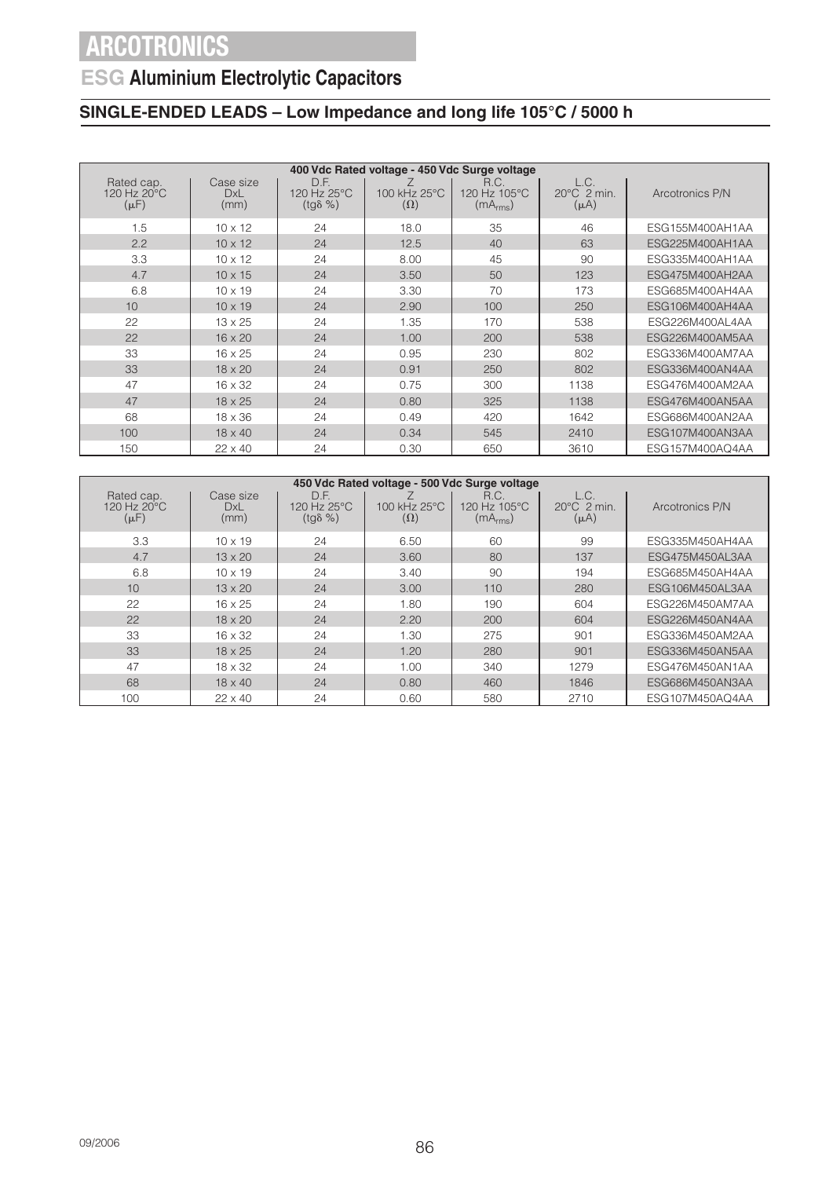## **ESG Aluminium Electrolytic Capacitors**

| 400 Vdc Rated voltage - 450 Vdc Surge voltage |                                 |                                         |                            |                                              |                                            |                 |  |  |
|-----------------------------------------------|---------------------------------|-----------------------------------------|----------------------------|----------------------------------------------|--------------------------------------------|-----------------|--|--|
| Rated cap.<br>120 Hz 20°C<br>$(\mu F)$        | Case size<br><b>DxL</b><br>(mm) | D.F.<br>120 Hz 25°C<br>$(tg\delta \% )$ | 100 kHz 25°C<br>$(\Omega)$ | R.C.<br>120 Hz 105°C<br>(mA <sub>rms</sub> ) | L.C.<br>$20^{\circ}$ C 2 min.<br>$(\mu A)$ | Arcotronics P/N |  |  |
| 1.5                                           | $10 \times 12$                  | 24                                      | 18.0                       | 35                                           | 46                                         | ESG155M400AH1AA |  |  |
| 2.2                                           | $10 \times 12$                  | 24                                      | 12.5                       | 40                                           | 63                                         | ESG225M400AH1AA |  |  |
| 3.3                                           | $10 \times 12$                  | 24                                      | 8.00                       | 45                                           | 90                                         | ESG335M400AH1AA |  |  |
| 4.7                                           | $10 \times 15$                  | 24                                      | 3.50                       | 50                                           | 123                                        | ESG475M400AH2AA |  |  |
| 6.8                                           | $10 \times 19$                  | 24                                      | 3.30                       | 70                                           | 173                                        | ESG685M400AH4AA |  |  |
| 10                                            | $10 \times 19$                  | 24                                      | 2.90                       | 100                                          | 250                                        | ESG106M400AH4AA |  |  |
| 22                                            | $13 \times 25$                  | 24                                      | 1.35                       | 170                                          | 538                                        | ESG226M400AL4AA |  |  |
| 22                                            | $16 \times 20$                  | 24                                      | 1.00                       | 200                                          | 538                                        | ESG226M400AM5AA |  |  |
| 33                                            | $16 \times 25$                  | 24                                      | 0.95                       | 230                                          | 802                                        | ESG336M400AM7AA |  |  |
| 33                                            | $18 \times 20$                  | 24                                      | 0.91                       | 250                                          | 802                                        | ESG336M400AN4AA |  |  |
| 47                                            | $16 \times 32$                  | 24                                      | 0.75                       | 300                                          | 1138                                       | ESG476M400AM2AA |  |  |
| 47                                            | $18 \times 25$                  | 24                                      | 0.80                       | 325                                          | 1138                                       | ESG476M400AN5AA |  |  |
| 68                                            | $18 \times 36$                  | 24                                      | 0.49                       | 420                                          | 1642                                       | ESG686M400AN2AA |  |  |
| 100                                           | $18 \times 40$                  | 24                                      | 0.34                       | 545                                          | 2410                                       | ESG107M400AN3AA |  |  |
| 150                                           | $22 \times 40$                  | 24                                      | 0.30                       | 650                                          | 3610                                       | ESG157M400AQ4AA |  |  |

| 450 Vdc Rated voltage - 500 Vdc Surge voltage |                                 |                                         |                            |                                              |                                            |                 |  |  |
|-----------------------------------------------|---------------------------------|-----------------------------------------|----------------------------|----------------------------------------------|--------------------------------------------|-----------------|--|--|
| Rated cap.<br>120 Hz 20°C<br>$(\mu F)$        | Case size<br><b>DxL</b><br>(mm) | D.F.<br>120 Hz 25°C<br>$(tq\delta \% )$ | 100 kHz 25°C<br>$(\Omega)$ | R.C.<br>120 Hz 105°C<br>(mA <sub>rms</sub> ) | L.C.<br>$20^{\circ}$ C 2 min.<br>$(\mu A)$ | Arcotronics P/N |  |  |
| 3.3                                           | $10 \times 19$                  | 24                                      | 6.50                       | 60                                           | 99                                         | ESG335M450AH4AA |  |  |
| 4.7                                           | $13 \times 20$                  | 24                                      | 3.60                       | 80                                           | 137                                        | ESG475M450AL3AA |  |  |
| 6.8                                           | $10 \times 19$                  | 24                                      | 3.40                       | 90                                           | 194                                        | ESG685M450AH4AA |  |  |
| 10                                            | $13 \times 20$                  | 24                                      | 3.00                       | 110                                          | 280                                        | ESG106M450AL3AA |  |  |
| 22                                            | $16 \times 25$                  | 24                                      | 1.80                       | 190                                          | 604                                        | ESG226M450AM7AA |  |  |
| 22                                            | $18 \times 20$                  | 24                                      | 2.20                       | 200                                          | 604                                        | ESG226M450AN4AA |  |  |
| 33                                            | $16 \times 32$                  | 24                                      | 1.30                       | 275                                          | 901                                        | ESG336M450AM2AA |  |  |
| 33                                            | $18 \times 25$                  | 24                                      | 1.20                       | 280                                          | 901                                        | ESG336M450AN5AA |  |  |
| 47                                            | $18 \times 32$                  | 24                                      | 1.00                       | 340                                          | 1279                                       | ESG476M450AN1AA |  |  |
| 68                                            | $18 \times 40$                  | 24                                      | 0.80                       | 460                                          | 1846                                       | ESG686M450AN3AA |  |  |
| 100                                           | $22 \times 40$                  | 24                                      | 0.60                       | 580                                          | 2710                                       | ESG107M450AQ4AA |  |  |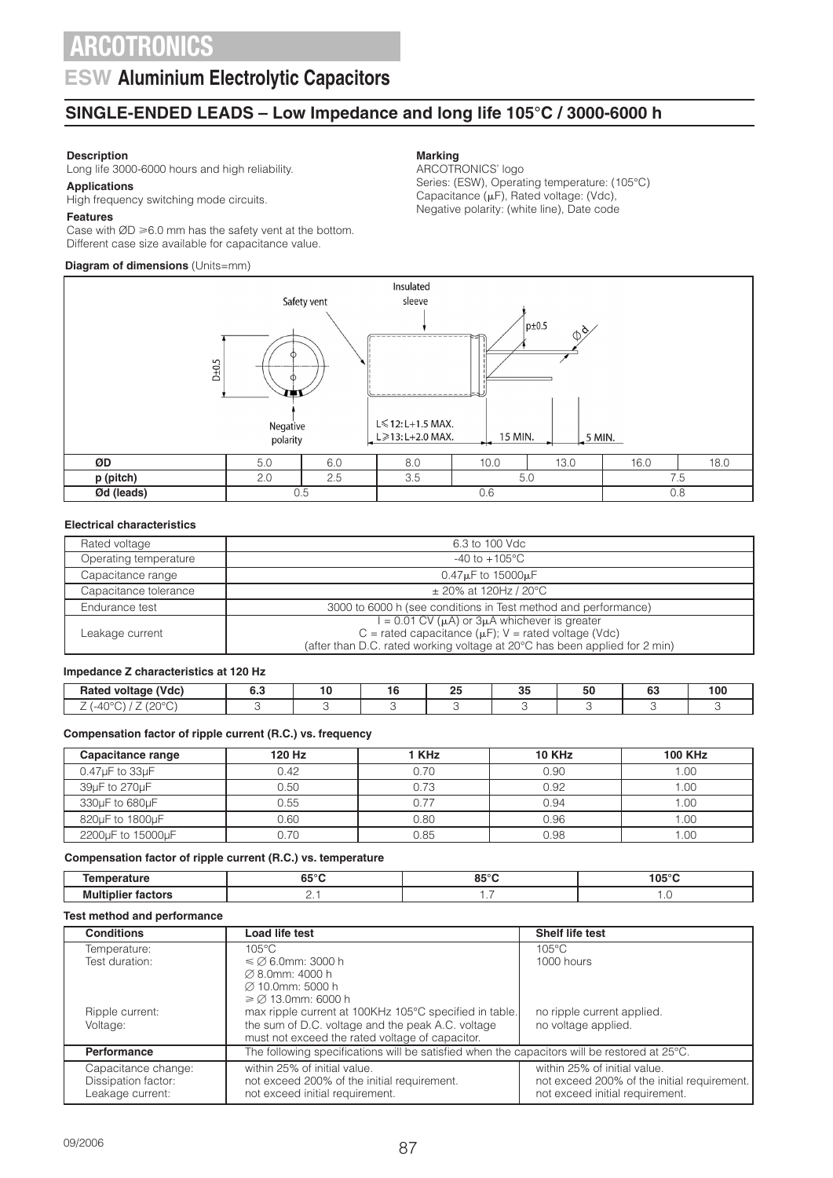### **ESW Aluminium Electrolytic Capacitors**

### **SINGLE-ENDED LEADS – Low Impedance and long life 105°C / 3000-6000 h**

#### **Description**

Long life 3000-6000 hours and high reliability.

### **Applications**

High frequency switching mode circuits.

#### **Features**

Case with  $ØD \ge 6.0$  mm has the safety vent at the bottom. Different case size available for capacitance value.

### **Diagram of dimensions** (Units=mm)

#### **Marking**

ARCOTRONICS' logo Series: (ESW), Operating temperature: (105°C) Capacitance  $(\mu F)$ , Rated voltage: (Vdc), Negative polarity: (white line), Date code



#### **Electrical characteristics**

| Rated voltage         | 6.3 to 100 Vdc                                                                                                                                                                                                 |
|-----------------------|----------------------------------------------------------------------------------------------------------------------------------------------------------------------------------------------------------------|
| Operating temperature | $-40$ to $+105^{\circ}$ C                                                                                                                                                                                      |
| Capacitance range     | $0.47\mu$ F to 15000 $\mu$ F                                                                                                                                                                                   |
| Capacitance tolerance | $\pm$ 20% at 120Hz / 20°C                                                                                                                                                                                      |
| Endurance test        | 3000 to 6000 h (see conditions in Test method and performance)                                                                                                                                                 |
| Leakage current       | $I = 0.01$ CV ( $\mu$ A) or $3\mu\overline{A}$ whichever is greater<br>C = rated capacitance ( $\mu$ F); V = rated voltage (Vdc)<br>(after than D.C. rated working voltage at 20°C has been applied for 2 min) |

#### **Impedance Z characteristics at 120 Hz**

| $(31 - 1 - 3)$<br>$\overline{\phantom{a}}$<br><b>Ratec</b><br>voltage<br>wac, | ោ | $\sim$ $-$<br> | $\mathbf{a}$<br>w | - - | $\sim$<br>υu | - 20 |
|-------------------------------------------------------------------------------|---|----------------|-------------------|-----|--------------|------|
| $\sim$<br>$\overline{\phantom{a}}$<br>-<br>∸<br>. .<br><u>_</u>               |   |                |                   |     |              |      |

#### **Compensation factor of ripple current (R.C.) vs. frequency**

| Capacitance range        | 120 Hz | 1 KHz | <b>10 KHz</b> | <b>100 KHz</b> |
|--------------------------|--------|-------|---------------|----------------|
| $0.47\mu F$ to $33\mu F$ | 0.42   | 0.70  | 0.90          | 1.00           |
| 39µF to 270µF            | 0.50   | 0.73  | 0.92          | 00.1           |
| 330uF to 680uF           | 0.55   |       | በ 94          | .00            |
| 820µF to 1800µF          | 0.60   | 0.80  | 0.96          | .00            |
| 2200uF to 15000uF        | 0.70   | 0.85  | 0.98          | .00            |

#### **Compensation factor of ripple current (R.C.) vs. temperature**

|     | $\sim$ $\sim$ $\sim$<br>כס | 0.00<br>ີ່ | 105°C |
|-----|----------------------------|------------|-------|
| MUI |                            | .          |       |

#### **Test method and performance**

| <b>Conditions</b>   | Load life test                                                                                         | <b>Shelf life test</b>                      |
|---------------------|--------------------------------------------------------------------------------------------------------|---------------------------------------------|
| Temperature:        | $105^{\circ}$ C                                                                                        | $105^{\circ}$ C                             |
| Test duration:      | $\leq$ $\varnothing$ 6.0mm: 3000 h                                                                     | 1000 hours                                  |
|                     | $\varnothing$ 8.0mm: 4000 h                                                                            |                                             |
|                     | Ø 10.0mm: 5000 h                                                                                       |                                             |
|                     | $\geq$ 2 13.0mm: 6000 h                                                                                |                                             |
| Ripple current:     | max ripple current at 100KHz 105°C specified in table.                                                 | no ripple current applied.                  |
| Voltage:            | the sum of D.C. voltage and the peak A.C. voltage                                                      | no voltage applied.                         |
|                     | must not exceed the rated voltage of capacitor.                                                        |                                             |
| Performance         | The following specifications will be satisfied when the capacitors will be restored at $25^{\circ}$ C. |                                             |
| Capacitance change: | within 25% of initial value.                                                                           | within 25% of initial value.                |
| Dissipation factor: | not exceed 200% of the initial requirement.                                                            | not exceed 200% of the initial requirement. |
| Leakage current:    | not exceed initial requirement.                                                                        | not exceed initial requirement.             |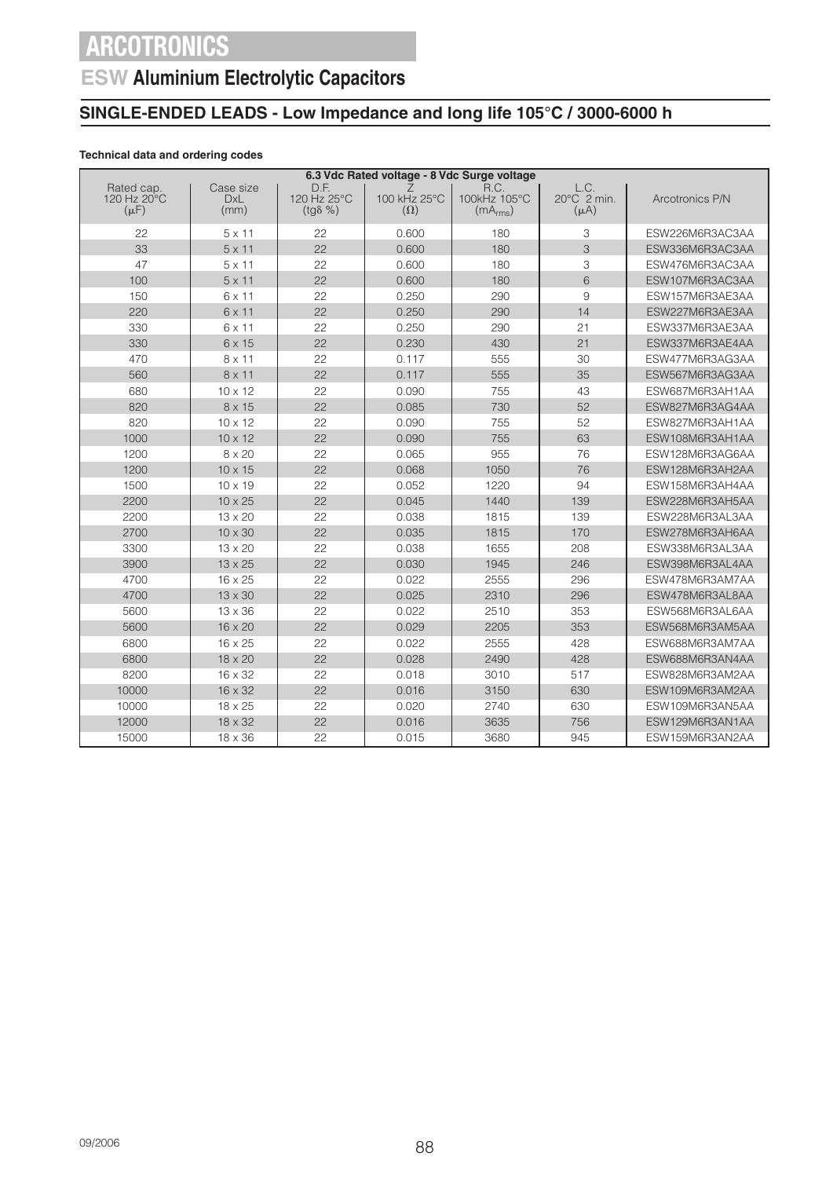## **ESW Aluminium Electrolytic Capacitors**

### **SINGLE-ENDED LEADS - Low Impedance and long life 105°C / 3000-6000 h**

### **Technical data and ordering codes**

|                                        | 6.3 Vdc Rated voltage - 8 Vdc Surge voltage |                                         |                            |                                              |                                            |                 |  |  |  |
|----------------------------------------|---------------------------------------------|-----------------------------------------|----------------------------|----------------------------------------------|--------------------------------------------|-----------------|--|--|--|
| Rated cap.<br>120 Hz 20°C<br>$(\mu F)$ | Case size<br><b>DxL</b><br>(mm)             | D.F.<br>120 Hz 25°C<br>$(tg\delta \% )$ | 100 kHz 25°C<br>$(\Omega)$ | R.C.<br>100kHz 105°C<br>(mA <sub>rms</sub> ) | L.C.<br>$20^{\circ}$ C 2 min.<br>$(\mu A)$ | Arcotronics P/N |  |  |  |
| 22                                     | $5 \times 11$                               | 22                                      | 0.600                      | 180                                          | 3                                          | ESW226M6R3AC3AA |  |  |  |
| 33                                     | $5 \times 11$                               | 22                                      | 0.600                      | 180                                          | 3                                          | ESW336M6R3AC3AA |  |  |  |
| 47                                     | $5 \times 11$                               | 22                                      | 0.600                      | 180                                          | 3                                          | ESW476M6R3AC3AA |  |  |  |
| 100                                    | $5 \times 11$                               | 22                                      | 0.600                      | 180                                          | 6                                          | ESW107M6R3AC3AA |  |  |  |
| 150                                    | 6 x 11                                      | 22                                      | 0.250                      | 290                                          | 9                                          | ESW157M6R3AE3AA |  |  |  |
| 220                                    | 6 x 11                                      | 22                                      | 0.250                      | 290                                          | 14                                         | ESW227M6R3AE3AA |  |  |  |
| 330                                    | 6 x 11                                      | 22                                      | 0.250                      | 290                                          | 21                                         | ESW337M6R3AE3AA |  |  |  |
| 330                                    | 6 x 15                                      | 22                                      | 0.230                      | 430                                          | 21                                         | ESW337M6R3AE4AA |  |  |  |
| 470                                    | 8 x 11                                      | 22                                      | 0.117                      | 555                                          | 30                                         | ESW477M6R3AG3AA |  |  |  |
| 560                                    | 8 x 11                                      | 22                                      | 0.117                      | 555                                          | 35                                         | ESW567M6R3AG3AA |  |  |  |
| 680                                    | $10 \times 12$                              | 22                                      | 0.090                      | 755                                          | 43                                         | ESW687M6R3AH1AA |  |  |  |
| 820                                    | $8 \times 15$                               | 22                                      | 0.085                      | 730                                          | 52                                         | ESW827M6R3AG4AA |  |  |  |
| 820                                    | $10 \times 12$                              | 22                                      | 0.090                      | 755                                          | 52                                         | ESW827M6R3AH1AA |  |  |  |
| 1000                                   | $10 \times 12$                              | 22                                      | 0.090                      | 755                                          | 63                                         | ESW108M6R3AH1AA |  |  |  |
| 1200                                   | 8 x 20                                      | 22                                      | 0.065                      | 955                                          | 76                                         | ESW128M6R3AG6AA |  |  |  |
| 1200                                   | $10 \times 15$                              | 22                                      | 0.068                      | 1050                                         | 76                                         | ESW128M6R3AH2AA |  |  |  |
| 1500                                   | 10 x 19                                     | 22                                      | 0.052                      | 1220                                         | 94                                         | ESW158M6R3AH4AA |  |  |  |
| 2200                                   | $10 \times 25$                              | 22                                      | 0.045                      | 1440                                         | 139                                        | ESW228M6R3AH5AA |  |  |  |
| 2200                                   | $13 \times 20$                              | 22                                      | 0.038                      | 1815                                         | 139                                        | ESW228M6R3AL3AA |  |  |  |
| 2700                                   | $10 \times 30$                              | 22                                      | 0.035                      | 1815                                         | 170                                        | ESW278M6R3AH6AA |  |  |  |
| 3300                                   | 13 x 20                                     | 22                                      | 0.038                      | 1655                                         | 208                                        | ESW338M6R3AL3AA |  |  |  |
| 3900                                   | $13 \times 25$                              | 22                                      | 0.030                      | 1945                                         | 246                                        | ESW398M6R3AL4AA |  |  |  |
| 4700                                   | $16 \times 25$                              | 22                                      | 0.022                      | 2555                                         | 296                                        | ESW478M6R3AM7AA |  |  |  |
| 4700                                   | $13 \times 30$                              | 22                                      | 0.025                      | 2310                                         | 296                                        | ESW478M6R3AL8AA |  |  |  |
| 5600                                   | 13 x 36                                     | 22                                      | 0.022                      | 2510                                         | 353                                        | ESW568M6R3AL6AA |  |  |  |
| 5600                                   | 16 x 20                                     | 22                                      | 0.029                      | 2205                                         | 353                                        | ESW568M6R3AM5AA |  |  |  |
| 6800                                   | 16 x 25                                     | 22                                      | 0.022                      | 2555                                         | 428                                        | ESW688M6R3AM7AA |  |  |  |
| 6800                                   | 18 x 20                                     | 22                                      | 0.028                      | 2490                                         | 428                                        | ESW688M6R3AN4AA |  |  |  |
| 8200                                   | 16 x 32                                     | 22                                      | 0.018                      | 3010                                         | 517                                        | ESW828M6R3AM2AA |  |  |  |
| 10000                                  | 16 x 32                                     | 22                                      | 0.016                      | 3150                                         | 630                                        | ESW109M6R3AM2AA |  |  |  |
| 10000                                  | $18 \times 25$                              | 22                                      | 0.020                      | 2740                                         | 630                                        | ESW109M6R3AN5AA |  |  |  |
| 12000                                  | 18 x 32                                     | 22                                      | 0.016                      | 3635                                         | 756                                        | ESW129M6R3AN1AA |  |  |  |
| 15000                                  | $18 \times 36$                              | 22                                      | 0.015                      | 3680                                         | 945                                        | ESW159M6R3AN2AA |  |  |  |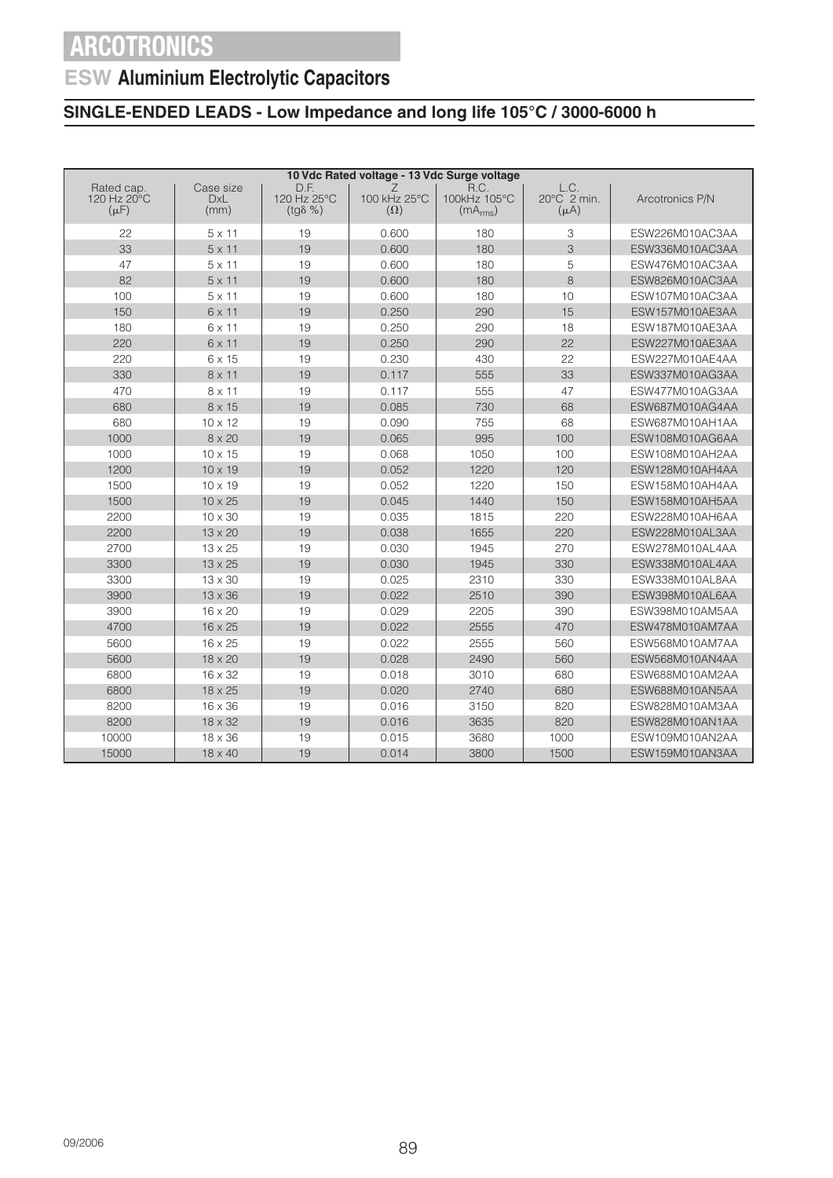## **ESW Aluminium Electrolytic Capacitors**

| 10 Vdc Rated voltage - 13 Vdc Surge voltage |                                 |                                         |                                 |                                              |                                  |                 |  |
|---------------------------------------------|---------------------------------|-----------------------------------------|---------------------------------|----------------------------------------------|----------------------------------|-----------------|--|
| Rated cap.<br>120 Hz 20°C<br>$(\mu F)$      | Case size<br><b>DxL</b><br>(mm) | D.F.<br>120 Hz 25°C<br>$(tg\delta \% )$ | Ζ<br>100 kHz 25°C<br>$(\Omega)$ | R.C.<br>100kHz 105°C<br>(mA <sub>rms</sub> ) | L.C.<br>20°C 2 min.<br>$(\mu A)$ | Arcotronics P/N |  |
| 22                                          | $5 \times 11$                   | 19                                      | 0.600                           | 180                                          | 3                                | ESW226M010AC3AA |  |
| 33                                          | $5 \times 11$                   | 19                                      | 0.600                           | 180                                          | 3                                | ESW336M010AC3AA |  |
| 47                                          | $5 \times 11$                   | 19                                      | 0.600                           | 180                                          | 5                                | ESW476M010AC3AA |  |
| 82                                          | $5 \times 11$                   | 19                                      | 0.600                           | 180                                          | 8                                | ESW826M010AC3AA |  |
| 100                                         | $5 \times 11$                   | 19                                      | 0.600                           | 180                                          | 10                               | ESW107M010AC3AA |  |
| 150                                         | $6 \times 11$                   | 19                                      | 0.250                           | 290                                          | 15                               | ESW157M010AE3AA |  |
| 180                                         | $6 \times 11$                   | 19                                      | 0.250                           | 290                                          | 18                               | ESW187M010AE3AA |  |
| 220                                         | $6 \times 11$                   | 19                                      | 0.250                           | 290                                          | 22                               | ESW227M010AE3AA |  |
| 220                                         | 6 x 15                          | 19                                      | 0.230                           | 430                                          | 22                               | ESW227M010AE4AA |  |
| 330                                         | $8 \times 11$                   | 19                                      | 0.117                           | 555                                          | 33                               | ESW337M010AG3AA |  |
| 470                                         | $8 \times 11$                   | 19                                      | 0.117                           | 555                                          | 47                               | ESW477M010AG3AA |  |
| 680                                         | 8 x 15                          | 19                                      | 0.085                           | 730                                          | 68                               | ESW687M010AG4AA |  |
| 680                                         | $10 \times 12$                  | 19                                      | 0.090                           | 755                                          | 68                               | ESW687M010AH1AA |  |
| 1000                                        | $8 \times 20$                   | 19                                      | 0.065                           | 995                                          | 100                              | ESW108M010AG6AA |  |
| 1000                                        | $10 \times 15$                  | 19                                      | 0.068                           | 1050                                         | 100                              | ESW108M010AH2AA |  |
| 1200                                        | $10 \times 19$                  | 19                                      | 0.052                           | 1220                                         | 120                              | ESW128M010AH4AA |  |
| 1500                                        | $10 \times 19$                  | 19                                      | 0.052                           | 1220                                         | 150                              | ESW158M010AH4AA |  |
| 1500                                        | $10 \times 25$                  | 19                                      | 0.045                           | 1440                                         | 150                              | ESW158M010AH5AA |  |
| 2200                                        | 10 x 30                         | 19                                      | 0.035                           | 1815                                         | 220                              | ESW228M010AH6AA |  |
| 2200                                        | 13 x 20                         | 19                                      | 0.038                           | 1655                                         | 220                              | ESW228M010AL3AA |  |
| 2700                                        | $13 \times 25$                  | 19                                      | 0.030                           | 1945                                         | 270                              | ESW278M010AL4AA |  |
| 3300                                        | 13 x 25                         | 19                                      | 0.030                           | 1945                                         | 330                              | ESW338M010AL4AA |  |
| 3300                                        | 13 x 30                         | 19                                      | 0.025                           | 2310                                         | 330                              | ESW338M010AL8AA |  |
| 3900                                        | 13 x 36                         | 19                                      | 0.022                           | 2510                                         | 390                              | ESW398M010AL6AA |  |
| 3900                                        | 16 x 20                         | 19                                      | 0.029                           | 2205                                         | 390                              | ESW398M010AM5AA |  |
| 4700                                        | 16 x 25                         | 19                                      | 0.022                           | 2555                                         | 470                              | ESW478M010AM7AA |  |
| 5600                                        | 16 x 25                         | 19                                      | 0.022                           | 2555                                         | 560                              | ESW568M010AM7AA |  |
| 5600                                        | 18 x 20                         | 19                                      | 0.028                           | 2490                                         | 560                              | ESW568M010AN4AA |  |
| 6800                                        | 16 x 32                         | 19                                      | 0.018                           | 3010                                         | 680                              | ESW688M010AM2AA |  |
| 6800                                        | 18 x 25                         | 19                                      | 0.020                           | 2740                                         | 680                              | ESW688M010AN5AA |  |
| 8200                                        | $16 \times 36$                  | 19                                      | 0.016                           | 3150                                         | 820                              | ESW828M010AM3AA |  |
| 8200                                        | 18 x 32                         | 19                                      | 0.016                           | 3635                                         | 820                              | ESW828M010AN1AA |  |
| 10000                                       | 18 x 36                         | 19                                      | 0.015                           | 3680                                         | 1000                             | ESW109M010AN2AA |  |
| 15000                                       | 18 x 40                         | 19                                      | 0.014                           | 3800                                         | 1500                             | ESW159M010AN3AA |  |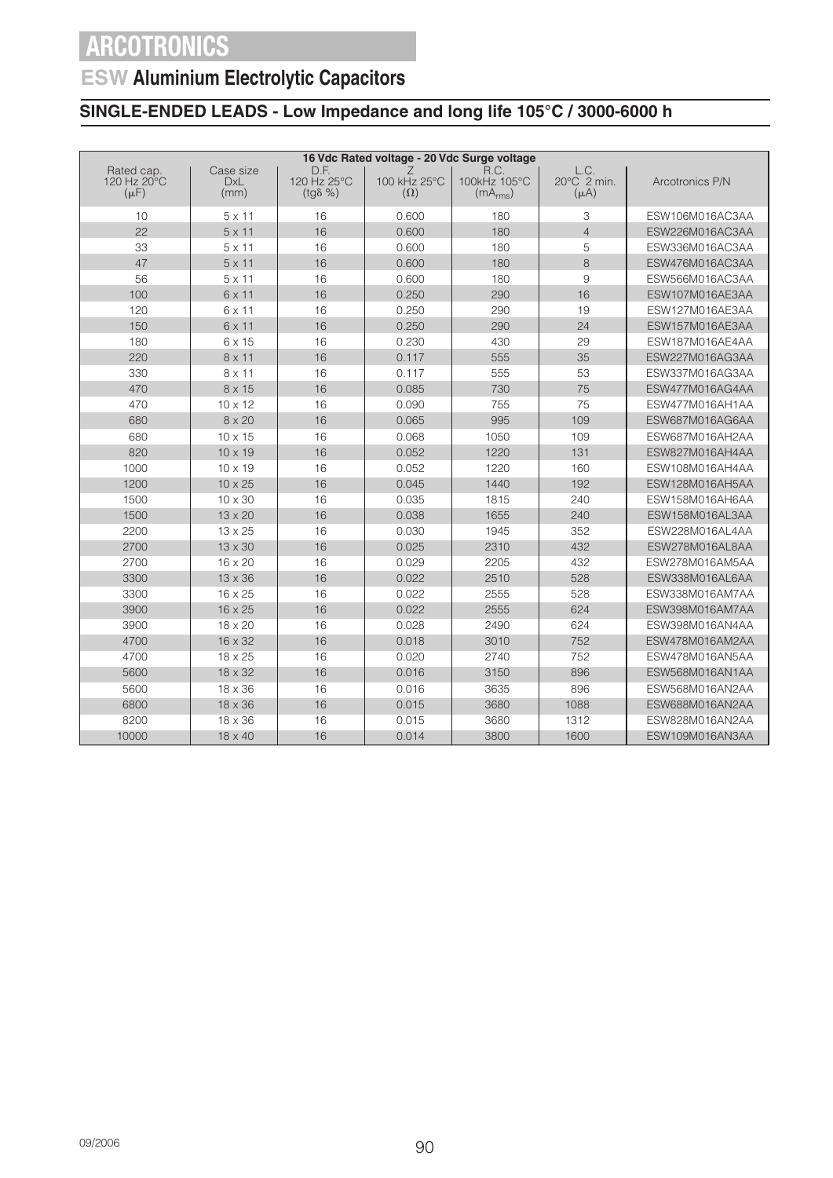## **ESW Aluminium Electrolytic Capacitors**

| 16 Vdc Rated voltage - 20 Vdc Surge voltage |                                 |                                         |                                 |                                              |                                  |                 |  |  |
|---------------------------------------------|---------------------------------|-----------------------------------------|---------------------------------|----------------------------------------------|----------------------------------|-----------------|--|--|
| Rated cap.<br>120 Hz 20°C<br>$(\mu F)$      | Case size<br><b>DxL</b><br>(mm) | D.F.<br>120 Hz 25°C<br>$(tg\delta \% )$ | Ζ<br>100 kHz 25°C<br>$(\Omega)$ | R.C.<br>100kHz 105°C<br>(mA <sub>rms</sub> ) | L.C.<br>20°C 2 min.<br>$(\mu A)$ | Arcotronics P/N |  |  |
| 10                                          | $5 \times 11$                   | 16                                      | 0.600                           | 180                                          | 3                                | ESW106M016AC3AA |  |  |
| 22                                          | $5 \times 11$                   | 16                                      | 0.600                           | 180                                          | $\overline{4}$                   | ESW226M016AC3AA |  |  |
| 33                                          | $5 \times 11$                   | 16                                      | 0.600                           | 180                                          | 5                                | ESW336M016AC3AA |  |  |
| 47                                          | $5 \times 11$                   | 16                                      | 0.600                           | 180                                          | 8                                | ESW476M016AC3AA |  |  |
| 56                                          | $5 \times 11$                   | 16                                      | 0.600                           | 180                                          | 9                                | ESW566M016AC3AA |  |  |
| 100                                         | 6 x 11                          | 16                                      | 0.250                           | 290                                          | 16                               | ESW107M016AE3AA |  |  |
| 120                                         | 6 x 11                          | 16                                      | 0.250                           | 290                                          | 19                               | ESW127M016AE3AA |  |  |
| 150                                         | 6 x 11                          | 16                                      | 0.250                           | 290                                          | 24                               | ESW157M016AE3AA |  |  |
| 180                                         | $6 \times 15$                   | 16                                      | 0.230                           | 430                                          | 29                               | ESW187M016AE4AA |  |  |
| 220                                         | $8 \times 11$                   | 16                                      | 0.117                           | 555                                          | 35                               | ESW227M016AG3AA |  |  |
| 330                                         | 8 x 11                          | 16                                      | 0.117                           | 555                                          | 53                               | ESW337M016AG3AA |  |  |
| 470                                         | $8 \times 15$                   | 16                                      | 0.085                           | 730                                          | 75                               | ESW477M016AG4AA |  |  |
| 470                                         | $10 \times 12$                  | 16                                      | 0.090                           | 755                                          | 75                               | ESW477M016AH1AA |  |  |
| 680                                         | $8 \times 20$                   | 16                                      | 0.065                           | 995                                          | 109                              | ESW687M016AG6AA |  |  |
| 680                                         | $10 \times 15$                  | 16                                      | 0.068                           | 1050                                         | 109                              | ESW687M016AH2AA |  |  |
| 820                                         | $10 \times 19$                  | 16                                      | 0.052                           | 1220                                         | 131                              | ESW827M016AH4AA |  |  |
| 1000                                        | $10 \times 19$                  | 16                                      | 0.052                           | 1220                                         | 160                              | ESW108M016AH4AA |  |  |
| 1200                                        | $10 \times 25$                  | 16                                      | 0.045                           | 1440                                         | 192                              | ESW128M016AH5AA |  |  |
| 1500                                        | 10 x 30                         | 16                                      | 0.035                           | 1815                                         | 240                              | ESW158M016AH6AA |  |  |
| 1500                                        | 13 x 20                         | 16                                      | 0.038                           | 1655                                         | 240                              | ESW158M016AL3AA |  |  |
| 2200                                        | 13 x 25                         | 16                                      | 0.030                           | 1945                                         | 352                              | ESW228M016AL4AA |  |  |
| 2700                                        | 13 x 30                         | 16                                      | 0.025                           | 2310                                         | 432                              | ESW278M016AL8AA |  |  |
| 2700                                        | 16 x 20                         | 16                                      | 0.029                           | 2205                                         | 432                              | ESW278M016AM5AA |  |  |
| 3300                                        | $13 \times 36$                  | 16                                      | 0.022                           | 2510                                         | 528                              | ESW338M016AL6AA |  |  |
| 3300                                        | 16 x 25                         | 16                                      | 0.022                           | 2555                                         | 528                              | ESW338M016AM7AA |  |  |
| 3900                                        | 16 x 25                         | 16                                      | 0.022                           | 2555                                         | 624                              | ESW398M016AM7AA |  |  |
| 3900                                        | 18 x 20                         | 16                                      | 0.028                           | 2490                                         | 624                              | ESW398M016AN4AA |  |  |
| 4700                                        | 16 x 32                         | 16                                      | 0.018                           | 3010                                         | 752                              | ESW478M016AM2AA |  |  |
| 4700                                        | 18 x 25                         | 16                                      | 0.020                           | 2740                                         | 752                              | ESW478M016AN5AA |  |  |
| 5600                                        | 18 x 32                         | 16                                      | 0.016                           | 3150                                         | 896                              | ESW568M016AN1AA |  |  |
| 5600                                        | 18 x 36                         | 16                                      | 0.016                           | 3635                                         | 896                              | ESW568M016AN2AA |  |  |
| 6800                                        | 18 x 36                         | 16                                      | 0.015                           | 3680                                         | 1088                             | ESW688M016AN2AA |  |  |
| 8200                                        | 18 x 36                         | 16                                      | 0.015                           | 3680                                         | 1312                             | ESW828M016AN2AA |  |  |
| 10000                                       | 18 x 40                         | 16                                      | 0.014                           | 3800                                         | 1600                             | ESW109M016AN3AA |  |  |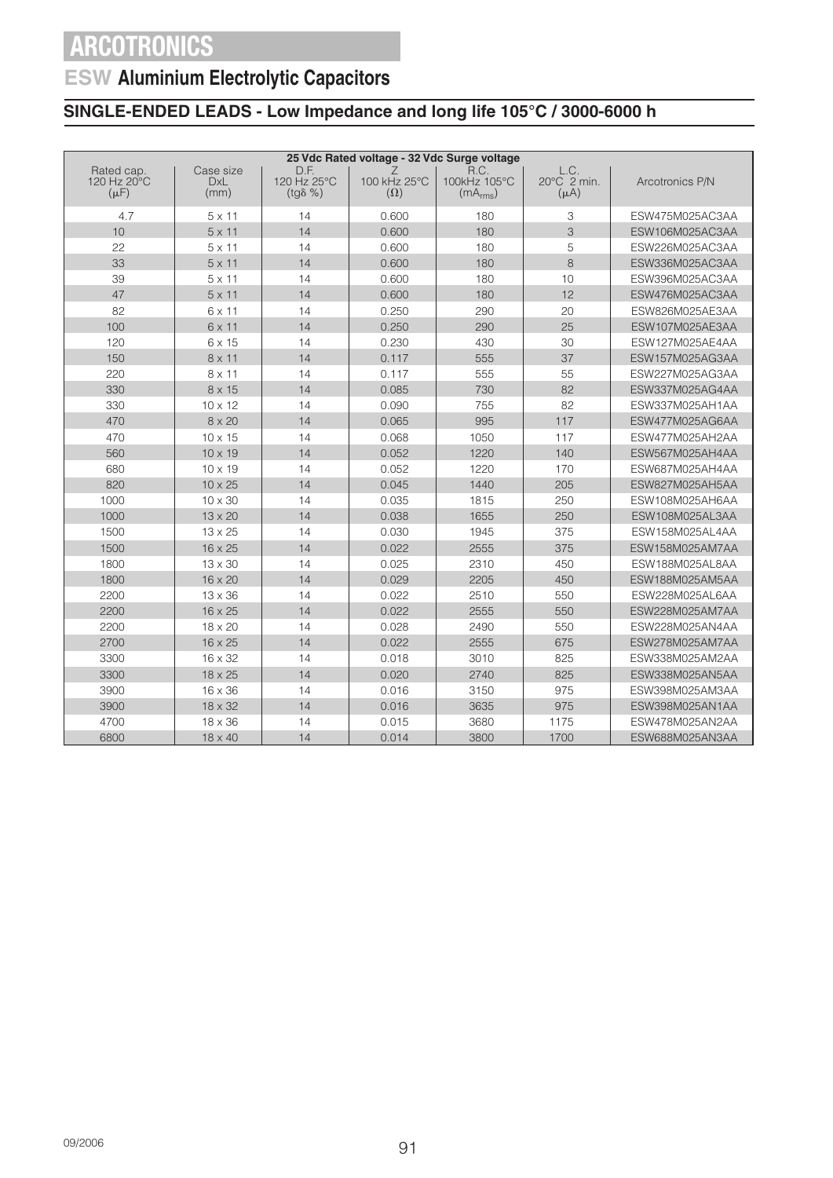## **ESW Aluminium Electrolytic Capacitors**

| 25 Vdc Rated voltage - 32 Vdc Surge voltage |                                 |                                         |                                 |                                              |                                  |                 |  |  |
|---------------------------------------------|---------------------------------|-----------------------------------------|---------------------------------|----------------------------------------------|----------------------------------|-----------------|--|--|
| Rated cap.<br>120 Hz 20°C<br>$(\mu F)$      | Case size<br><b>DxL</b><br>(mm) | D.F.<br>120 Hz 25°C<br>$(tg\delta \% )$ | Ź<br>100 kHz 25°C<br>$(\Omega)$ | R.C.<br>100kHz 105°C<br>(mA <sub>rms</sub> ) | L.C.<br>20°C 2 min.<br>$(\mu A)$ | Arcotronics P/N |  |  |
| 4.7                                         | $5 \times 11$                   | 14                                      | 0.600                           | 180                                          | 3                                | ESW475M025AC3AA |  |  |
| 10                                          | $5 \times 11$                   | 14                                      | 0.600                           | 180                                          | 3                                | ESW106M025AC3AA |  |  |
| 22                                          | $5 \times 11$                   | 14                                      | 0.600                           | 180                                          | 5                                | ESW226M025AC3AA |  |  |
| 33                                          | $5 \times 11$                   | 14                                      | 0.600                           | 180                                          | 8                                | ESW336M025AC3AA |  |  |
| 39                                          | $5 \times 11$                   | 14                                      | 0.600                           | 180                                          | 10                               | ESW396M025AC3AA |  |  |
| 47                                          | $5 \times 11$                   | 14                                      | 0.600                           | 180                                          | 12                               | ESW476M025AC3AA |  |  |
| 82                                          | 6 x 11                          | 14                                      | 0.250                           | 290                                          | 20                               | ESW826M025AE3AA |  |  |
| 100                                         | $6 \times 11$                   | 14                                      | 0.250                           | 290                                          | 25                               | ESW107M025AE3AA |  |  |
| 120                                         | 6 x 15                          | 14                                      | 0.230                           | 430                                          | 30                               | ESW127M025AE4AA |  |  |
| 150                                         | $8 \times 11$                   | 14                                      | 0.117                           | 555                                          | 37                               | ESW157M025AG3AA |  |  |
| 220                                         | 8 x 11                          | 14                                      | 0.117                           | 555                                          | 55                               | ESW227M025AG3AA |  |  |
| 330                                         | 8 x 15                          | 14                                      | 0.085                           | 730                                          | 82                               | ESW337M025AG4AA |  |  |
| 330                                         | $10 \times 12$                  | 14                                      | 0.090                           | 755                                          | 82                               | ESW337M025AH1AA |  |  |
| 470                                         | $8 \times 20$                   | 14                                      | 0.065                           | 995                                          | 117                              | ESW477M025AG6AA |  |  |
| 470                                         | $10 \times 15$                  | 14                                      | 0.068                           | 1050                                         | 117                              | ESW477M025AH2AA |  |  |
| 560                                         | $10 \times 19$                  | 14                                      | 0.052                           | 1220                                         | 140                              | ESW567M025AH4AA |  |  |
| 680                                         | $10 \times 19$                  | 14                                      | 0.052                           | 1220                                         | 170                              | ESW687M025AH4AA |  |  |
| 820                                         | $10 \times 25$                  | 14                                      | 0.045                           | 1440                                         | 205                              | ESW827M025AH5AA |  |  |
| 1000                                        | 10 x 30                         | 14                                      | 0.035                           | 1815                                         | 250                              | ESW108M025AH6AA |  |  |
| 1000                                        | $13 \times 20$                  | 14                                      | 0.038                           | 1655                                         | 250                              | ESW108M025AL3AA |  |  |
| 1500                                        | 13 x 25                         | 14                                      | 0.030                           | 1945                                         | 375                              | ESW158M025AL4AA |  |  |
| 1500                                        | 16 x 25                         | 14                                      | 0.022                           | 2555                                         | 375                              | ESW158M025AM7AA |  |  |
| 1800                                        | 13 x 30                         | 14                                      | 0.025                           | 2310                                         | 450                              | ESW188M025AL8AA |  |  |
| 1800                                        | $16 \times 20$                  | 14                                      | 0.029                           | 2205                                         | 450                              | ESW188M025AM5AA |  |  |
| 2200                                        | 13 x 36                         | 14                                      | 0.022                           | 2510                                         | 550                              | ESW228M025AL6AA |  |  |
| 2200                                        | 16 x 25                         | 14                                      | 0.022                           | 2555                                         | 550                              | ESW228M025AM7AA |  |  |
| 2200                                        | 18 x 20                         | 14                                      | 0.028                           | 2490                                         | 550                              | ESW228M025AN4AA |  |  |
| 2700                                        | 16 x 25                         | 14                                      | 0.022                           | 2555                                         | 675                              | ESW278M025AM7AA |  |  |
| 3300                                        | 16 x 32                         | 14                                      | 0.018                           | 3010                                         | 825                              | ESW338M025AM2AA |  |  |
| 3300                                        | $18 \times 25$                  | 14                                      | 0.020                           | 2740                                         | 825                              | ESW338M025AN5AA |  |  |
| 3900                                        | $16 \times 36$                  | 14                                      | 0.016                           | 3150                                         | 975                              | ESW398M025AM3AA |  |  |
| 3900                                        | 18 x 32                         | 14                                      | 0.016                           | 3635                                         | 975                              | ESW398M025AN1AA |  |  |
| 4700                                        | $18 \times 36$                  | 14                                      | 0.015                           | 3680                                         | 1175                             | ESW478M025AN2AA |  |  |
| 6800                                        | 18 x 40                         | 14                                      | 0.014                           | 3800                                         | 1700                             | ESW688M025AN3AA |  |  |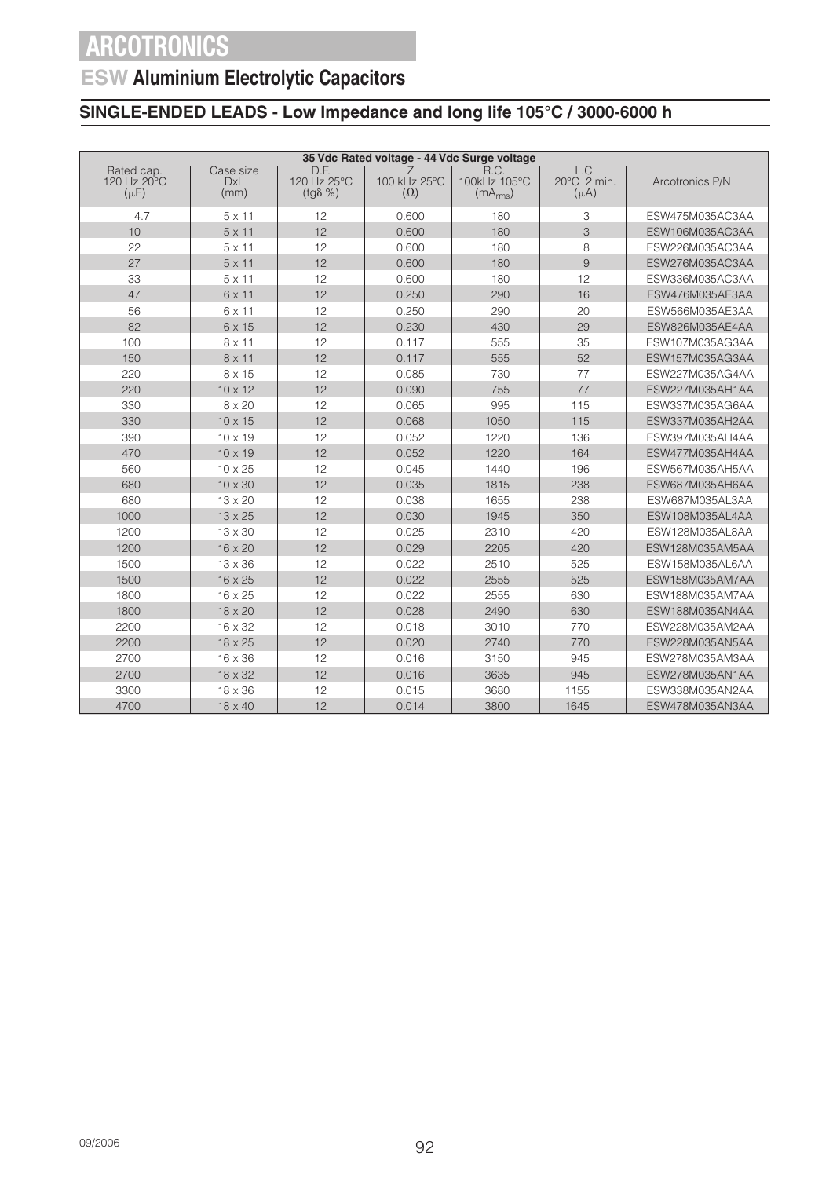## **ESW Aluminium Electrolytic Capacitors**

| 35 Vdc Rated voltage - 44 Vdc Surge voltage |                                 |                                         |                            |                                              |                                  |                 |  |  |
|---------------------------------------------|---------------------------------|-----------------------------------------|----------------------------|----------------------------------------------|----------------------------------|-----------------|--|--|
| Rated cap.<br>120 Hz 20°C<br>$(\mu F)$      | Case size<br><b>DxL</b><br>(mm) | D.F.<br>120 Hz 25°C<br>$(tq\delta \% )$ | 100 kHz 25°C<br>$(\Omega)$ | R.C.<br>100kHz 105°C<br>(mA <sub>rms</sub> ) | L.C.<br>20°C 2 min.<br>$(\mu A)$ | Arcotronics P/N |  |  |
| 4.7                                         | $5 \times 11$                   | 12                                      | 0.600                      | 180                                          | 3                                | ESW475M035AC3AA |  |  |
| 10                                          | $5 \times 11$                   | 12                                      | 0.600                      | 180                                          | 3                                | ESW106M035AC3AA |  |  |
| 22                                          | $5 \times 11$                   | 12                                      | 0.600                      | 180                                          | 8                                | ESW226M035AC3AA |  |  |
| 27                                          | $5 \times 11$                   | 12                                      | 0.600                      | 180                                          | 9                                | ESW276M035AC3AA |  |  |
| 33                                          | $5 \times 11$                   | 12                                      | 0.600                      | 180                                          | 12                               | ESW336M035AC3AA |  |  |
| 47                                          | 6 x 11                          | 12                                      | 0.250                      | 290                                          | 16                               | ESW476M035AE3AA |  |  |
| 56                                          | 6 x 11                          | 12                                      | 0.250                      | 290                                          | 20                               | ESW566M035AE3AA |  |  |
| 82                                          | 6 x 15                          | 12                                      | 0.230                      | 430                                          | 29                               | ESW826M035AE4AA |  |  |
| 100                                         | 8 x 11                          | 12                                      | 0.117                      | 555                                          | 35                               | ESW107M035AG3AA |  |  |
| 150                                         | 8 x 11                          | 12                                      | 0.117                      | 555                                          | 52                               | ESW157M035AG3AA |  |  |
| 220                                         | 8 x 15                          | 12                                      | 0.085                      | 730                                          | 77                               | ESW227M035AG4AA |  |  |
| 220                                         | $10 \times 12$                  | 12                                      | 0.090                      | 755                                          | 77                               | ESW227M035AH1AA |  |  |
| 330                                         | $8 \times 20$                   | 12                                      | 0.065                      | 995                                          | 115                              | ESW337M035AG6AA |  |  |
| 330                                         | $10 \times 15$                  | 12                                      | 0.068                      | 1050                                         | 115                              | ESW337M035AH2AA |  |  |
| 390                                         | $10 \times 19$                  | 12                                      | 0.052                      | 1220                                         | 136                              | ESW397M035AH4AA |  |  |
| 470                                         | $10 \times 19$                  | 12                                      | 0.052                      | 1220                                         | 164                              | ESW477M035AH4AA |  |  |
| 560                                         | $10 \times 25$                  | 12                                      | 0.045                      | 1440                                         | 196                              | ESW567M035AH5AA |  |  |
| 680                                         | $10 \times 30$                  | 12                                      | 0.035                      | 1815                                         | 238                              | ESW687M035AH6AA |  |  |
| 680                                         | $13 \times 20$                  | 12                                      | 0.038                      | 1655                                         | 238                              | ESW687M035AL3AA |  |  |
| 1000                                        | $13 \times 25$                  | 12                                      | 0.030                      | 1945                                         | 350                              | ESW108M035AL4AA |  |  |
| 1200                                        | $13 \times 30$                  | 12                                      | 0.025                      | 2310                                         | 420                              | ESW128M035AL8AA |  |  |
| 1200                                        | 16 x 20                         | 12                                      | 0.029                      | 2205                                         | 420                              | ESW128M035AM5AA |  |  |
| 1500                                        | 13 x 36                         | 12                                      | 0.022                      | 2510                                         | 525                              | ESW158M035AL6AA |  |  |
| 1500                                        | $16 \times 25$                  | 12                                      | 0.022                      | 2555                                         | 525                              | ESW158M035AM7AA |  |  |
| 1800                                        | 16 x 25                         | 12                                      | 0.022                      | 2555                                         | 630                              | ESW188M035AM7AA |  |  |
| 1800                                        | 18 x 20                         | 12                                      | 0.028                      | 2490                                         | 630                              | ESW188M035AN4AA |  |  |
| 2200                                        | 16 x 32                         | 12                                      | 0.018                      | 3010                                         | 770                              | ESW228M035AM2AA |  |  |
| 2200                                        | $18 \times 25$                  | 12                                      | 0.020                      | 2740                                         | 770                              | ESW228M035AN5AA |  |  |
| 2700                                        | 16 x 36                         | 12                                      | 0.016                      | 3150                                         | 945                              | ESW278M035AM3AA |  |  |
| 2700                                        | 18 x 32                         | 12                                      | 0.016                      | 3635                                         | 945                              | ESW278M035AN1AA |  |  |
| 3300                                        | 18 x 36                         | 12                                      | 0.015                      | 3680                                         | 1155                             | ESW338M035AN2AA |  |  |
| 4700                                        | 18 x 40                         | 12                                      | 0.014                      | 3800                                         | 1645                             | ESW478M035AN3AA |  |  |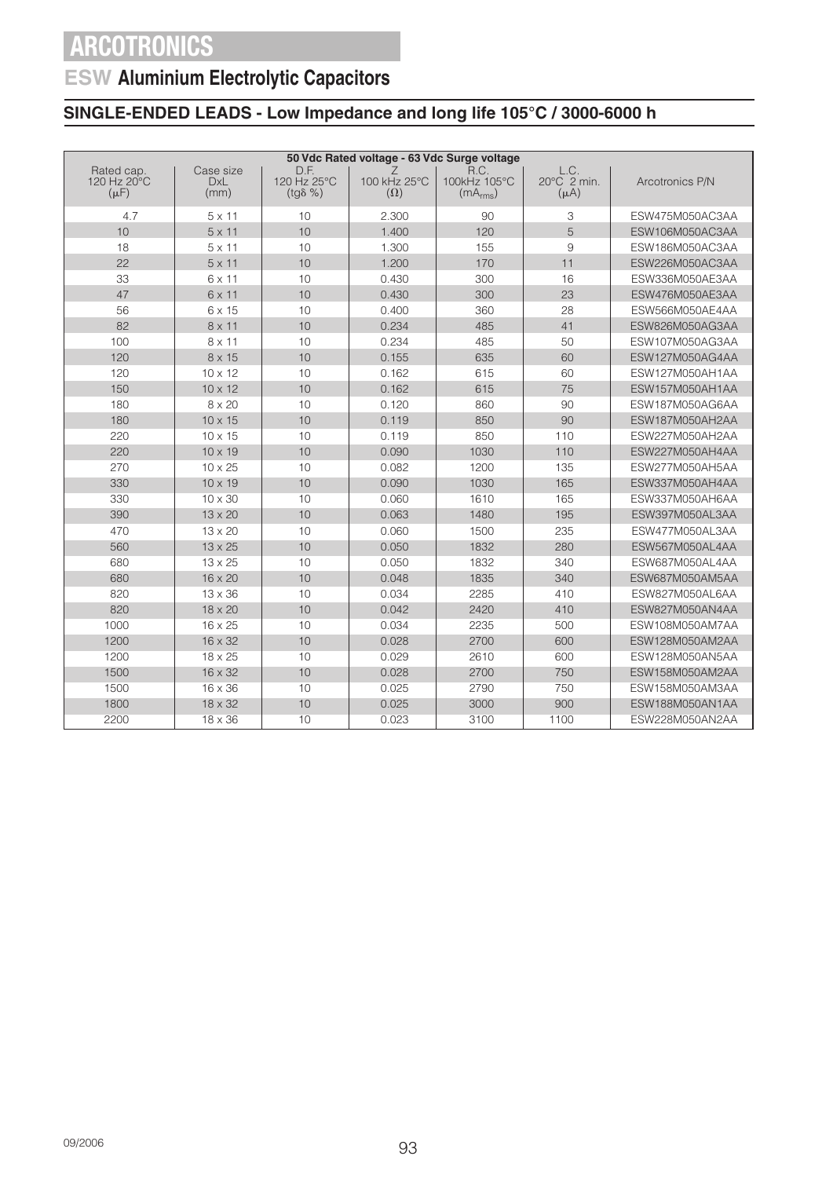## **ESW Aluminium Electrolytic Capacitors**

| 50 Vdc Rated voltage - 63 Vdc Surge voltage |                                 |                                         |                                 |                                              |                                  |                 |  |  |
|---------------------------------------------|---------------------------------|-----------------------------------------|---------------------------------|----------------------------------------------|----------------------------------|-----------------|--|--|
| Rated cap.<br>120 Hz 20°C<br>$(\mu F)$      | Case size<br><b>DxL</b><br>(mm) | D.F.<br>120 Hz 25°C<br>$(tg\delta \% )$ | Ζ<br>100 kHz 25°C<br>$(\Omega)$ | R.C.<br>100kHz 105°C<br>(mA <sub>rms</sub> ) | L.C.<br>20°C 2 min.<br>$(\mu A)$ | Arcotronics P/N |  |  |
| 4.7                                         | $5 \times 11$                   | 10                                      | 2.300                           | 90                                           | 3                                | ESW475M050AC3AA |  |  |
| 10                                          | $5 \times 11$                   | 10                                      | 1.400                           | 120                                          | 5                                | ESW106M050AC3AA |  |  |
| 18                                          | $5 \times 11$                   | 10                                      | 1.300                           | 155                                          | 9                                | ESW186M050AC3AA |  |  |
| 22                                          | $5 \times 11$                   | 10                                      | 1.200                           | 170                                          | 11                               | ESW226M050AC3AA |  |  |
| 33                                          | $6 \times 11$                   | 10                                      | 0.430                           | 300                                          | 16                               | ESW336M050AE3AA |  |  |
| 47                                          | $6 \times 11$                   | 10                                      | 0.430                           | 300                                          | 23                               | ESW476M050AE3AA |  |  |
| 56                                          | 6 x 15                          | 10                                      | 0.400                           | 360                                          | 28                               | ESW566M050AE4AA |  |  |
| 82                                          | $8 \times 11$                   | 10                                      | 0.234                           | 485                                          | 41                               | ESW826M050AG3AA |  |  |
| 100                                         | 8 x 11                          | 10                                      | 0.234                           | 485                                          | 50                               | ESW107M050AG3AA |  |  |
| 120                                         | 8 x 15                          | 10                                      | 0.155                           | 635                                          | 60                               | ESW127M050AG4AA |  |  |
| 120                                         | $10 \times 12$                  | 10                                      | 0.162                           | 615                                          | 60                               | ESW127M050AH1AA |  |  |
| 150                                         | $10 \times 12$                  | 10                                      | 0.162                           | 615                                          | 75                               | ESW157M050AH1AA |  |  |
| 180                                         | $8 \times 20$                   | 10                                      | 0.120                           | 860                                          | 90                               | ESW187M050AG6AA |  |  |
| 180                                         | $10 \times 15$                  | 10                                      | 0.119                           | 850                                          | 90                               | ESW187M050AH2AA |  |  |
| 220                                         | $10 \times 15$                  | 10                                      | 0.119                           | 850                                          | 110                              | ESW227M050AH2AA |  |  |
| 220                                         | $10 \times 19$                  | 10                                      | 0.090                           | 1030                                         | 110                              | ESW227M050AH4AA |  |  |
| 270                                         | $10 \times 25$                  | 10                                      | 0.082                           | 1200                                         | 135                              | ESW277M050AH5AA |  |  |
| 330                                         | $10 \times 19$                  | 10                                      | 0.090                           | 1030                                         | 165                              | ESW337M050AH4AA |  |  |
| 330                                         | 10 x 30                         | 10                                      | 0.060                           | 1610                                         | 165                              | ESW337M050AH6AA |  |  |
| 390                                         | $13 \times 20$                  | 10                                      | 0.063                           | 1480                                         | 195                              | ESW397M050AL3AA |  |  |
| 470                                         | 13 x 20                         | 10                                      | 0.060                           | 1500                                         | 235                              | ESW477M050AL3AA |  |  |
| 560                                         | $13 \times 25$                  | 10                                      | 0.050                           | 1832                                         | 280                              | ESW567M050AL4AA |  |  |
| 680                                         | $13 \times 25$                  | 10                                      | 0.050                           | 1832                                         | 340                              | ESW687M050AL4AA |  |  |
| 680                                         | 16 x 20                         | 10                                      | 0.048                           | 1835                                         | 340                              | ESW687M050AM5AA |  |  |
| 820                                         | $13 \times 36$                  | 10                                      | 0.034                           | 2285                                         | 410                              | ESW827M050AL6AA |  |  |
| 820                                         | 18 x 20                         | 10                                      | 0.042                           | 2420                                         | 410                              | ESW827M050AN4AA |  |  |
| 1000                                        | 16 x 25                         | 10                                      | 0.034                           | 2235                                         | 500                              | ESW108M050AM7AA |  |  |
| 1200                                        | $16 \times 32$                  | 10                                      | 0.028                           | 2700                                         | 600                              | ESW128M050AM2AA |  |  |
| 1200                                        | 18 x 25                         | 10                                      | 0.029                           | 2610                                         | 600                              | ESW128M050AN5AA |  |  |
| 1500                                        | 16 x 32                         | 10                                      | 0.028                           | 2700                                         | 750                              | ESW158M050AM2AA |  |  |
| 1500                                        | 16 x 36                         | 10                                      | 0.025                           | 2790                                         | 750                              | ESW158M050AM3AA |  |  |
| 1800                                        | 18 x 32                         | 10                                      | 0.025                           | 3000                                         | 900                              | ESW188M050AN1AA |  |  |
| 2200                                        | 18 x 36                         | 10                                      | 0.023                           | 3100                                         | 1100                             | ESW228M050AN2AA |  |  |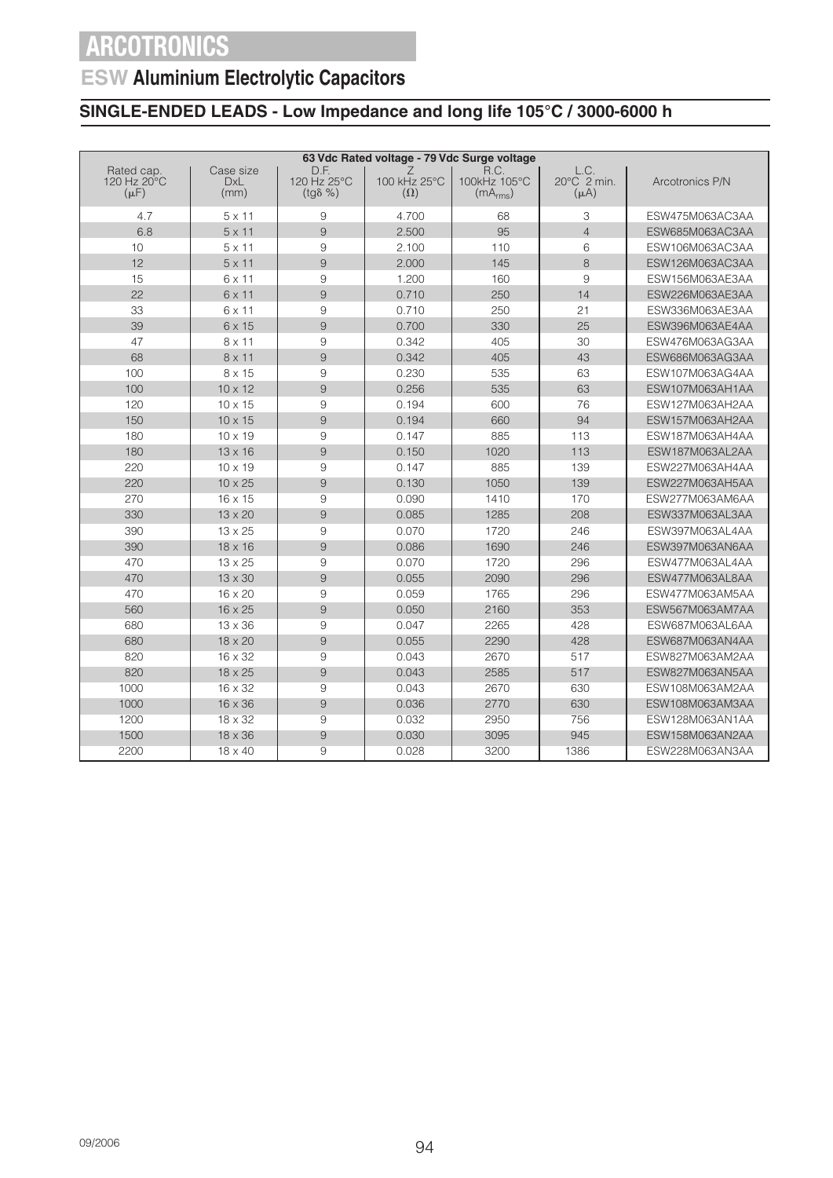## **ESW Aluminium Electrolytic Capacitors**

|                                        | 63 Vdc Rated voltage - 79 Vdc Surge voltage |                                         |                                 |                                              |                                  |                 |  |  |
|----------------------------------------|---------------------------------------------|-----------------------------------------|---------------------------------|----------------------------------------------|----------------------------------|-----------------|--|--|
| Rated cap.<br>120 Hz 20°C<br>$(\mu F)$ | Case size<br><b>DxL</b><br>(mm)             | D.F.<br>120 Hz 25°C<br>$(tg\delta \% )$ | Z<br>100 kHz 25°C<br>$(\Omega)$ | R.C.<br>100kHz 105°C<br>(mA <sub>rms</sub> ) | L.C.<br>20°C 2 min.<br>$(\mu A)$ | Arcotronics P/N |  |  |
| 4.7                                    | $5 \times 11$                               | 9                                       | 4.700                           | 68                                           | 3                                | ESW475M063AC3AA |  |  |
| 6.8                                    | $5 \times 11$                               | 9                                       | 2.500                           | 95                                           | $\overline{4}$                   | ESW685M063AC3AA |  |  |
| 10                                     | $5 \times 11$                               | 9                                       | 2.100                           | 110                                          | 6                                | ESW106M063AC3AA |  |  |
| 12                                     | $5 \times 11$                               | 9                                       | 2.000                           | 145                                          | 8                                | ESW126M063AC3AA |  |  |
| 15                                     | $6 \times 11$                               | 9                                       | 1.200                           | 160                                          | 9                                | ESW156M063AE3AA |  |  |
| 22                                     | 6 x 11                                      | 9                                       | 0.710                           | 250                                          | 14                               | ESW226M063AE3AA |  |  |
| 33                                     | $6 \times 11$                               | 9                                       | 0.710                           | 250                                          | 21                               | ESW336M063AE3AA |  |  |
| 39                                     | 6 x 15                                      | 9                                       | 0.700                           | 330                                          | 25                               | ESW396M063AE4AA |  |  |
| 47                                     | $8 \times 11$                               | 9                                       | 0.342                           | 405                                          | 30                               | ESW476M063AG3AA |  |  |
| 68                                     | $8 \times 11$                               | 9                                       | 0.342                           | 405                                          | 43                               | ESW686M063AG3AA |  |  |
| 100                                    | 8 x 15                                      | 9                                       | 0.230                           | 535                                          | 63                               | ESW107M063AG4AA |  |  |
| 100                                    | $10 \times 12$                              | 9                                       | 0.256                           | 535                                          | 63                               | ESW107M063AH1AA |  |  |
| 120                                    | $10 \times 15$                              | 9                                       | 0.194                           | 600                                          | 76                               | ESW127M063AH2AA |  |  |
| 150                                    | $10 \times 15$                              | 9                                       | 0.194                           | 660                                          | 94                               | ESW157M063AH2AA |  |  |
| 180                                    | $10 \times 19$                              | 9                                       | 0.147                           | 885                                          | 113                              | ESW187M063AH4AA |  |  |
| 180                                    | $13 \times 16$                              | 9                                       | 0.150                           | 1020                                         | 113                              | ESW187M063AL2AA |  |  |
| 220                                    | $10 \times 19$                              | 9                                       | 0.147                           | 885                                          | 139                              | ESW227M063AH4AA |  |  |
| 220                                    | $10 \times 25$                              | $\overline{9}$                          | 0.130                           | 1050                                         | 139                              | ESW227M063AH5AA |  |  |
| 270                                    | $16 \times 15$                              | 9                                       | 0.090                           | 1410                                         | 170                              | ESW277M063AM6AA |  |  |
| 330                                    | 13 x 20                                     | $\overline{9}$                          | 0.085                           | 1285                                         | 208                              | ESW337M063AL3AA |  |  |
| 390                                    | $13 \times 25$                              | 9                                       | 0.070                           | 1720                                         | 246                              | ESW397M063AL4AA |  |  |
| 390                                    | $18 \times 16$                              | 9                                       | 0.086                           | 1690                                         | 246                              | ESW397M063AN6AA |  |  |
| 470                                    | $13 \times 25$                              | 9                                       | 0.070                           | 1720                                         | 296                              | ESW477M063AL4AA |  |  |
| 470                                    | $13 \times 30$                              | $\overline{9}$                          | 0.055                           | 2090                                         | 296                              | ESW477M063AL8AA |  |  |
| 470                                    | $16 \times 20$                              | 9                                       | 0.059                           | 1765                                         | 296                              | ESW477M063AM5AA |  |  |
| 560                                    | 16 x 25                                     | $\overline{9}$                          | 0.050                           | 2160                                         | 353                              | ESW567M063AM7AA |  |  |
| 680                                    | $13 \times 36$                              | 9                                       | 0.047                           | 2265                                         | 428                              | ESW687M063AL6AA |  |  |
| 680                                    | 18 x 20                                     | 9                                       | 0.055                           | 2290                                         | 428                              | ESW687M063AN4AA |  |  |
| 820                                    | $16 \times 32$                              | 9                                       | 0.043                           | 2670                                         | 517                              | ESW827M063AM2AA |  |  |
| 820                                    | $18 \times 25$                              | 9                                       | 0.043                           | 2585                                         | 517                              | ESW827M063AN5AA |  |  |
| 1000                                   | 16 x 32                                     | 9                                       | 0.043                           | 2670                                         | 630                              | ESW108M063AM2AA |  |  |
| 1000                                   | $16 \times 36$                              | 9                                       | 0.036                           | 2770                                         | 630                              | ESW108M063AM3AA |  |  |
| 1200                                   | 18 x 32                                     | 9                                       | 0.032                           | 2950                                         | 756                              | ESW128M063AN1AA |  |  |
| 1500                                   | $18 \times 36$                              | 9                                       | 0.030                           | 3095                                         | 945                              | ESW158M063AN2AA |  |  |
| 2200                                   | $18 \times 40$                              | 9                                       | 0.028                           | 3200                                         | 1386                             | ESW228M063AN3AA |  |  |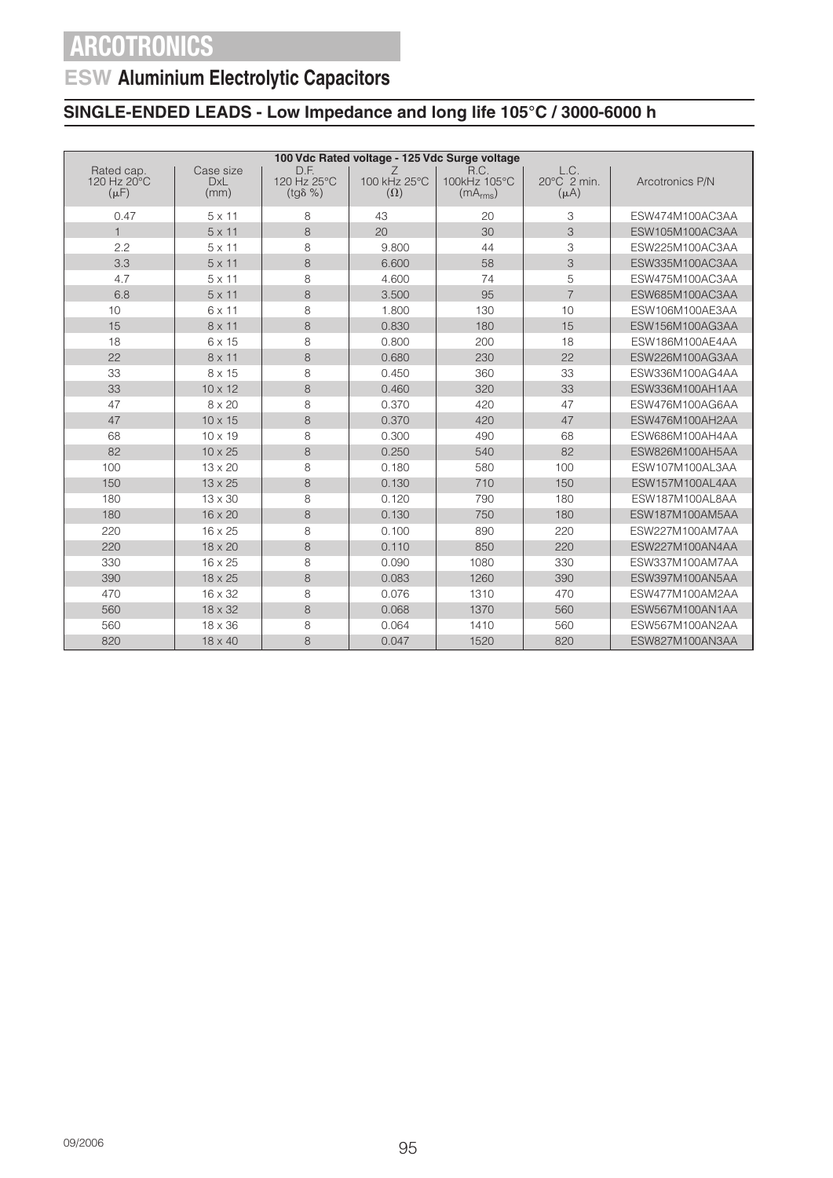## **ESW Aluminium Electrolytic Capacitors**

|                                        | 100 Vdc Rated voltage - 125 Vdc Surge voltage |                                         |                                 |                                              |                                  |                 |  |  |
|----------------------------------------|-----------------------------------------------|-----------------------------------------|---------------------------------|----------------------------------------------|----------------------------------|-----------------|--|--|
| Rated cap.<br>120 Hz 20°C<br>$(\mu F)$ | Case size<br><b>DxL</b><br>(mm)               | D.F.<br>120 Hz 25°C<br>$(tq\delta \% )$ | Z<br>100 kHz 25°C<br>$(\Omega)$ | R.C.<br>100kHz 105°C<br>(mA <sub>rms</sub> ) | L.C.<br>20°C 2 min.<br>$(\mu A)$ | Arcotronics P/N |  |  |
| 0.47                                   | $5 \times 11$                                 | 8                                       | 43                              | 20                                           | 3                                | ESW474M100AC3AA |  |  |
| $\mathbf{1}$                           | $5 \times 11$                                 | 8                                       | 20                              | 30                                           | 3                                | ESW105M100AC3AA |  |  |
| 2.2                                    | $5 \times 11$                                 | 8                                       | 9.800                           | 44                                           | 3                                | ESW225M100AC3AA |  |  |
| 3.3                                    | $5 \times 11$                                 | 8                                       | 6.600                           | 58                                           | 3                                | ESW335M100AC3AA |  |  |
| 4.7                                    | $5 \times 11$                                 | 8                                       | 4.600                           | 74                                           | 5                                | ESW475M100AC3AA |  |  |
| 6.8                                    | $5 \times 11$                                 | 8                                       | 3.500                           | 95                                           | $\overline{7}$                   | ESW685M100AC3AA |  |  |
| 10                                     | 6 x 11                                        | 8                                       | 1.800                           | 130                                          | 10                               | ESW106M100AE3AA |  |  |
| 15                                     | $8 \times 11$                                 | 8                                       | 0.830                           | 180                                          | 15                               | ESW156M100AG3AA |  |  |
| 18                                     | 6 x 15                                        | 8                                       | 0.800                           | 200                                          | 18                               | ESW186M100AE4AA |  |  |
| 22                                     | $8 \times 11$                                 | 8                                       | 0.680                           | 230                                          | 22                               | ESW226M100AG3AA |  |  |
| 33                                     | 8 x 15                                        | 8                                       | 0.450                           | 360                                          | 33                               | ESW336M100AG4AA |  |  |
| 33                                     | $10 \times 12$                                | 8                                       | 0.460                           | 320                                          | 33                               | ESW336M100AH1AA |  |  |
| 47                                     | 8 x 20                                        | 8                                       | 0.370                           | 420                                          | 47                               | ESW476M100AG6AA |  |  |
| 47                                     | $10 \times 15$                                | 8                                       | 0.370                           | 420                                          | 47                               | ESW476M100AH2AA |  |  |
| 68                                     | $10 \times 19$                                | 8                                       | 0.300                           | 490                                          | 68                               | ESW686M100AH4AA |  |  |
| 82                                     | $10 \times 25$                                | 8                                       | 0.250                           | 540                                          | 82                               | ESW826M100AH5AA |  |  |
| 100                                    | $13 \times 20$                                | 8                                       | 0.180                           | 580                                          | 100                              | ESW107M100AL3AA |  |  |
| 150                                    | $13 \times 25$                                | 8                                       | 0.130                           | 710                                          | 150                              | ESW157M100AL4AA |  |  |
| 180                                    | $13 \times 30$                                | 8                                       | 0.120                           | 790                                          | 180                              | ESW187M100AL8AA |  |  |
| 180                                    | $16 \times 20$                                | 8                                       | 0.130                           | 750                                          | 180                              | ESW187M100AM5AA |  |  |
| 220                                    | $16 \times 25$                                | 8                                       | 0.100                           | 890                                          | 220                              | ESW227M100AM7AA |  |  |
| 220                                    | 18 x 20                                       | 8                                       | 0.110                           | 850                                          | 220                              | ESW227M100AN4AA |  |  |
| 330                                    | $16 \times 25$                                | 8                                       | 0.090                           | 1080                                         | 330                              | ESW337M100AM7AA |  |  |
| 390                                    | 18 x 25                                       | 8                                       | 0.083                           | 1260                                         | 390                              | ESW397M100AN5AA |  |  |
| 470                                    | $16 \times 32$                                | 8                                       | 0.076                           | 1310                                         | 470                              | ESW477M100AM2AA |  |  |
| 560                                    | $18 \times 32$                                | 8                                       | 0.068                           | 1370                                         | 560                              | ESW567M100AN1AA |  |  |
| 560                                    | $18 \times 36$                                | 8                                       | 0.064                           | 1410                                         | 560                              | ESW567M100AN2AA |  |  |
| 820                                    | $18 \times 40$                                | 8                                       | 0.047                           | 1520                                         | 820                              | ESW827M100AN3AA |  |  |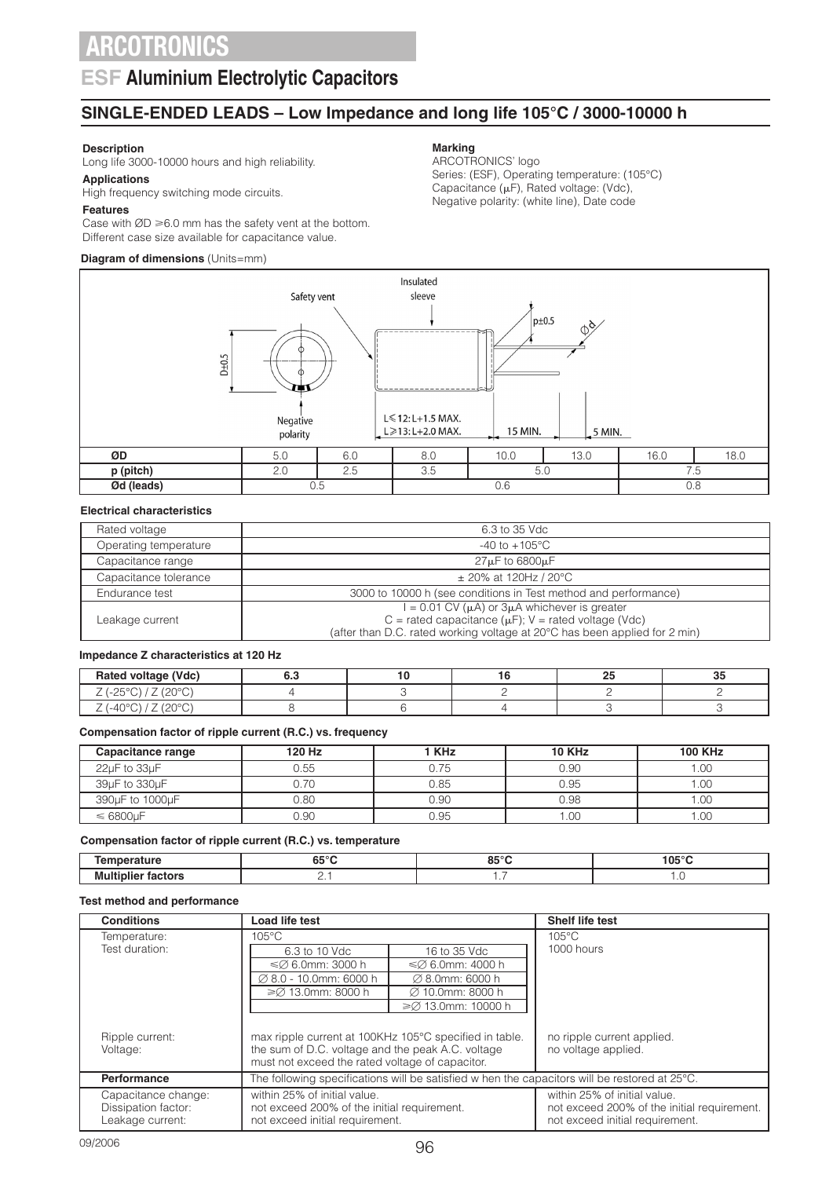### **ESF Aluminium Electrolytic Capacitors**

### **SINGLE-ENDED LEADS – Low Impedance and long life 105°C / 3000-10000 h**

#### **Description**

Long life 3000-10000 hours and high reliability.

#### **Applications**

High frequency switching mode circuits.

#### **Features**

Case with  $ØD \ge 6.0$  mm has the safety vent at the bottom. Different case size available for capacitance value.

#### **Diagram of dimensions** (Units=mm)

### **Marking**

ARCOTRONICS' logo Series: (ESF), Operating temperature: (105°C) Capacitance  $(\mu F)$ , Rated voltage: (Vdc), Negative polarity: (white line), Date code



#### **Electrical characteristics**

| Rated voltage         | 6.3 to 35 Vdc                                                              |
|-----------------------|----------------------------------------------------------------------------|
| Operating temperature | $-40$ to $+105^{\circ}$ C                                                  |
| Capacitance range     | $27 \mu$ F to 6800 $\mu$ F                                                 |
| Capacitance tolerance | $\pm$ 20% at 120Hz / 20°C                                                  |
| Endurance test        | 3000 to 10000 h (see conditions in Test method and performance)            |
|                       | $I = 0.01$ CV ( $\mu$ A) or $3\mu$ A whichever is greater                  |
| Leakage current       | C = rated capacitance ( $\mu$ F); V = rated voltage (Vdc)                  |
|                       | (after than D.C. rated working voltage at 20°C has been applied for 2 min) |

#### **Impedance Z characteristics at 120 Hz**

| Rated voltage (Vdc)                                                             | ,, |  | --<br>ບປ |
|---------------------------------------------------------------------------------|----|--|----------|
| 0000<br>ے<br>◡<br>∼<br>∸<br>∸                                                   |    |  |          |
| $\cap$<br>$-4$<br>ℸ◡<br>$\overline{\phantom{0}}$<br>$\checkmark$<br>$\sim$<br>∸ |    |  |          |

#### **Compensation factor of ripple current (R.C.) vs. frequency**

| Capacitance range | 120 Hz | <b>KHz</b> | <b>10 KHz</b> | <b>100 KHz</b> |
|-------------------|--------|------------|---------------|----------------|
| 22µF to 33µF      | 0.55   |            | 0.90          | .00            |
| 39uF to 330uF     | 0.70   | 0.85       | 0.95          | .00.           |
| 390µF to 1000µF   | 0.80   | 0.90       | 0.98          | .00            |
| $\leq 6800 \mu F$ | 0.90   | 0.95       | .00           | .00            |

#### **Compensation factor of ripple current (R.C.) vs. temperature**

|                   | $\sim$ $\sim$<br>υ. | 0.50<br>ິ    | $n \in \mathbb{C}$<br>I U. |
|-------------------|---------------------|--------------|----------------------------|
| Mu<br>.<br>.<br>. |                     | $\mathbf{r}$ |                            |

#### **Test method and performance**

| <b>Conditions</b>   | <b>Load life test</b>                                  |                             | <b>Shelf life test</b>                                                                                  |
|---------------------|--------------------------------------------------------|-----------------------------|---------------------------------------------------------------------------------------------------------|
| Temperature:        | $105^{\circ}$ C                                        |                             | $105^{\circ}$ C                                                                                         |
| Test duration:      | 6.3 to 10 Vdc                                          | 16 to 35 Vdc                | 1000 hours                                                                                              |
|                     | $\leq$ 6.0mm: 3000 h                                   | $\leq$ 6.0mm: 4000 h        |                                                                                                         |
|                     | $\varnothing$ 8.0 - 10.0mm: 6000 h                     | $\varnothing$ 8.0mm: 6000 h |                                                                                                         |
|                     | ≥Ø 13.0mm: 8000 h                                      | Ø 10.0mm: 8000 h            |                                                                                                         |
|                     |                                                        | $\geq$ 13.0mm: 10000 h      |                                                                                                         |
|                     |                                                        |                             |                                                                                                         |
| Ripple current:     | max ripple current at 100KHz 105°C specified in table. |                             | no ripple current applied.                                                                              |
| Voltage:            | the sum of D.C. voltage and the peak A.C. voltage      |                             | no voltage applied.                                                                                     |
|                     | must not exceed the rated voltage of capacitor.        |                             |                                                                                                         |
| <b>Performance</b>  |                                                        |                             | The following specifications will be satisfied w hen the capacitors will be restored at $25^{\circ}$ C. |
| Capacitance change: | within 25% of initial value.                           |                             | within 25% of initial value.                                                                            |
| Dissipation factor: | not exceed 200% of the initial requirement.            |                             | not exceed 200% of the initial requirement.                                                             |
| Leakage current:    | not exceed initial requirement.                        |                             | not exceed initial requirement.                                                                         |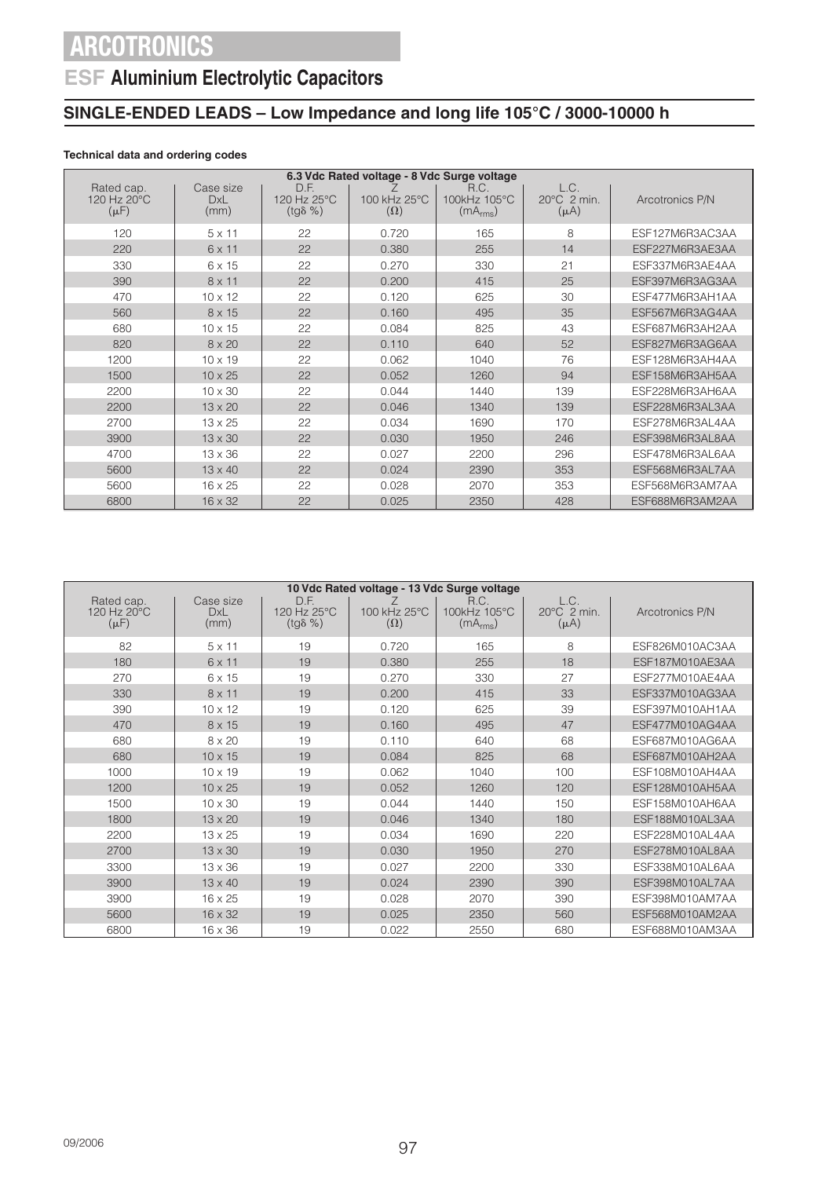## **ESF Aluminium Electrolytic Capacitors**

### **SINGLE-ENDED LEADS – Low Impedance and long life 105°C / 3000-10000 h**

### **Technical data and ordering codes**

| 6.3 Vdc Rated voltage - 8 Vdc Surge voltage        |                                 |                                         |                            |                                              |                                  |                 |  |  |
|----------------------------------------------------|---------------------------------|-----------------------------------------|----------------------------|----------------------------------------------|----------------------------------|-----------------|--|--|
| Rated cap.<br>$120$ Hz $20^{\circ}$ C<br>$(\mu F)$ | Case size<br><b>DxL</b><br>(mm) | D.F.<br>120 Hz 25°C<br>$(tg\delta \% )$ | 100 kHz 25°C<br>$(\Omega)$ | R.C.<br>100kHz 105°C<br>(mA <sub>rms</sub> ) | L.C.<br>20°C 2 min.<br>$(\mu A)$ | Arcotronics P/N |  |  |
| 120                                                | $5 \times 11$                   | 22                                      | 0.720                      | 165                                          | 8                                | ESF127M6R3AC3AA |  |  |
| 220                                                | 6 x 11                          | 22                                      | 0.380                      | 255                                          | 14                               | ESF227M6R3AE3AA |  |  |
| 330                                                | 6 x 15                          | 22                                      | 0.270                      | 330                                          | 21                               | ESF337M6R3AE4AA |  |  |
| 390                                                | $8 \times 11$                   | 22                                      | 0.200                      | 415                                          | 25                               | ESF397M6R3AG3AA |  |  |
| 470                                                | $10 \times 12$                  | 22                                      | 0.120                      | 625                                          | 30                               | ESF477M6R3AH1AA |  |  |
| 560                                                | 8 x 15                          | 22                                      | 0.160                      | 495                                          | 35                               | ESF567M6R3AG4AA |  |  |
| 680                                                | $10 \times 15$                  | 22                                      | 0.084                      | 825                                          | 43                               | ESF687M6R3AH2AA |  |  |
| 820                                                | $8 \times 20$                   | 22                                      | 0.110                      | 640                                          | 52                               | ESF827M6R3AG6AA |  |  |
| 1200                                               | $10 \times 19$                  | 22                                      | 0.062                      | 1040                                         | 76                               | ESF128M6R3AH4AA |  |  |
| 1500                                               | $10 \times 25$                  | 22                                      | 0.052                      | 1260                                         | 94                               | ESF158M6R3AH5AA |  |  |
| 2200                                               | $10 \times 30$                  | 22                                      | 0.044                      | 1440                                         | 139                              | ESF228M6R3AH6AA |  |  |
| 2200                                               | $13 \times 20$                  | 22                                      | 0.046                      | 1340                                         | 139                              | ESF228M6R3AL3AA |  |  |
| 2700                                               | $13 \times 25$                  | 22                                      | 0.034                      | 1690                                         | 170                              | ESF278M6R3AL4AA |  |  |
| 3900                                               | $13 \times 30$                  | 22                                      | 0.030                      | 1950                                         | 246                              | ESF398M6R3AL8AA |  |  |
| 4700                                               | $13 \times 36$                  | 22                                      | 0.027                      | 2200                                         | 296                              | ESF478M6R3AL6AA |  |  |
| 5600                                               | $13 \times 40$                  | 22                                      | 0.024                      | 2390                                         | 353                              | ESF568M6R3AL7AA |  |  |
| 5600                                               | $16 \times 25$                  | 22                                      | 0.028                      | 2070                                         | 353                              | ESF568M6R3AM7AA |  |  |
| 6800                                               | $16 \times 32$                  | 22                                      | 0.025                      | 2350                                         | 428                              | ESF688M6R3AM2AA |  |  |

| 10 Vdc Rated voltage - 13 Vdc Surge voltage |                          |                                         |                            |                                              |                                  |                 |  |  |
|---------------------------------------------|--------------------------|-----------------------------------------|----------------------------|----------------------------------------------|----------------------------------|-----------------|--|--|
| Rated cap.<br>120 Hz 20°C<br>$(\mu F)$      | Case size<br>DxL<br>(mm) | D.F.<br>120 Hz 25°C<br>$(tq\delta \% )$ | 100 kHz 25°C<br>$(\Omega)$ | R.C.<br>100kHz 105°C<br>(mA <sub>rms</sub> ) | L.C.<br>20°C 2 min.<br>$(\mu A)$ | Arcotronics P/N |  |  |
| 82                                          | $5 \times 11$            | 19                                      | 0.720                      | 165                                          | 8                                | ESF826M010AC3AA |  |  |
| 180                                         | 6 x 11                   | 19                                      | 0.380                      | 255                                          | 18                               | ESF187M010AE3AA |  |  |
| 270                                         | 6 x 15                   | 19                                      | 0.270                      | 330                                          | 27                               | ESF277M010AE4AA |  |  |
| 330                                         | $8 \times 11$            | 19                                      | 0.200                      | 415                                          | 33                               | ESF337M010AG3AA |  |  |
| 390                                         | $10 \times 12$           | 19                                      | 0.120                      | 625                                          | 39                               | ESF397M010AH1AA |  |  |
| 470                                         | 8 x 15                   | 19                                      | 0.160                      | 495                                          | 47                               | ESF477M010AG4AA |  |  |
| 680                                         | 8 x 20                   | 19                                      | 0.110                      | 640                                          | 68                               | ESF687M010AG6AA |  |  |
| 680                                         | $10 \times 15$           | 19                                      | 0.084                      | 825                                          | 68                               | ESF687M010AH2AA |  |  |
| 1000                                        | $10 \times 19$           | 19                                      | 0.062                      | 1040                                         | 100                              | ESF108M010AH4AA |  |  |
| 1200                                        | $10 \times 25$           | 19                                      | 0.052                      | 1260                                         | 120                              | ESF128M010AH5AA |  |  |
| 1500                                        | $10 \times 30$           | 19                                      | 0.044                      | 1440                                         | 150                              | ESF158M010AH6AA |  |  |
| 1800                                        | $13 \times 20$           | 19                                      | 0.046                      | 1340                                         | 180                              | ESF188M010AL3AA |  |  |
| 2200                                        | $13 \times 25$           | 19                                      | 0.034                      | 1690                                         | 220                              | ESF228M010AL4AA |  |  |
| 2700                                        | $13 \times 30$           | 19                                      | 0.030                      | 1950                                         | 270                              | ESF278M010AL8AA |  |  |
| 3300                                        | 13 x 36                  | 19                                      | 0.027                      | 2200                                         | 330                              | ESF338M010AL6AA |  |  |
| 3900                                        | $13 \times 40$           | 19                                      | 0.024                      | 2390                                         | 390                              | ESF398M010AL7AA |  |  |
| 3900                                        | $16 \times 25$           | 19                                      | 0.028                      | 2070                                         | 390                              | ESF398M010AM7AA |  |  |
| 5600                                        | $16 \times 32$           | 19                                      | 0.025                      | 2350                                         | 560                              | ESF568M010AM2AA |  |  |
| 6800                                        | 16 x 36                  | 19                                      | 0.022                      | 2550                                         | 680                              | ESF688M010AM3AA |  |  |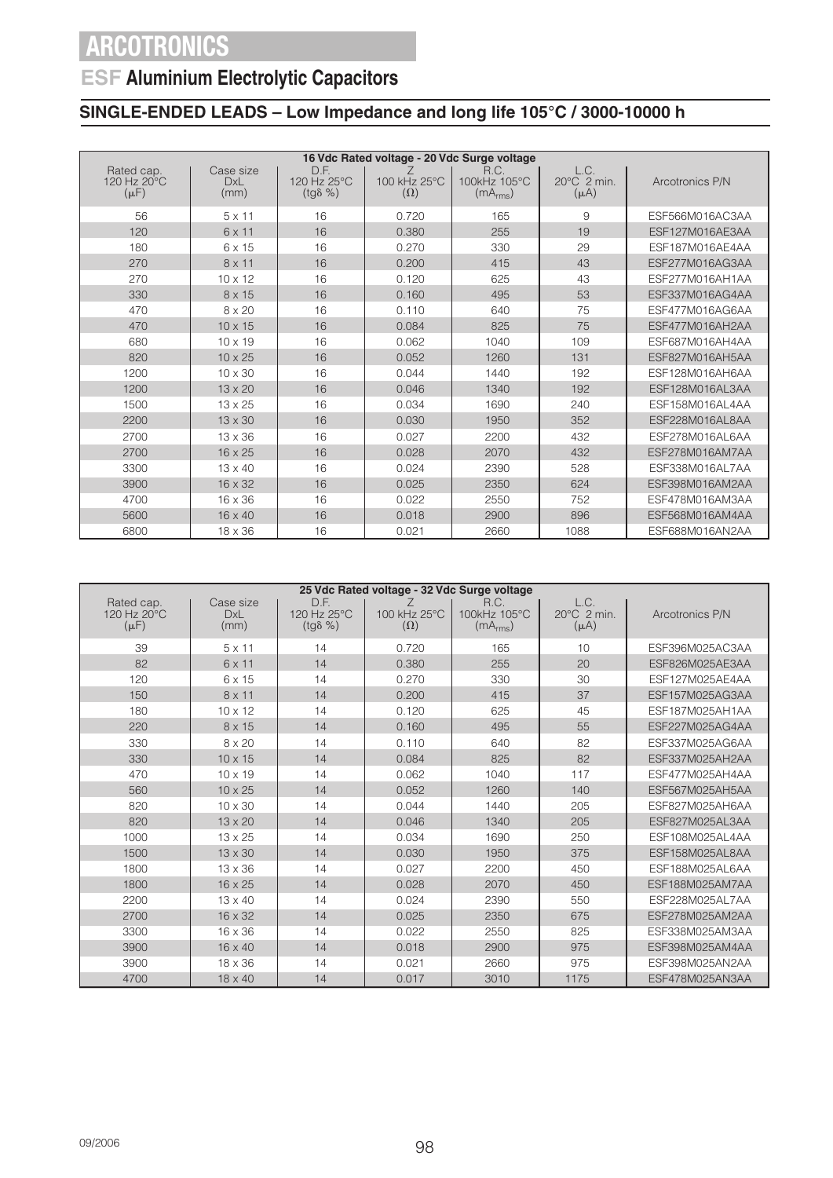## **ESF Aluminium Electrolytic Capacitors**

|                                        |                                 |                                         | 16 Vdc Rated voltage - 20 Vdc Surge voltage |                                              |                                              |                 |
|----------------------------------------|---------------------------------|-----------------------------------------|---------------------------------------------|----------------------------------------------|----------------------------------------------|-----------------|
| Rated cap.<br>120 Hz 20°C<br>$(\mu F)$ | Case size<br><b>DxL</b><br>(mm) | D.F.<br>120 Hz 25°C<br>$(tg\delta \% )$ | 100 kHz 25°C<br>$(\Omega)$                  | R.C.<br>100kHz 105°C<br>(mA <sub>rms</sub> ) | L.C.<br>$20^{\circ}$ C $2$ min.<br>$(\mu A)$ | Arcotronics P/N |
| 56                                     | $5 \times 11$                   | 16                                      | 0.720                                       | 165                                          | 9                                            | ESF566M016AC3AA |
| 120                                    | 6 x 11                          | 16                                      | 0.380                                       | 255                                          | 19                                           | ESF127M016AE3AA |
| 180                                    | 6 x 15                          | 16                                      | 0.270                                       | 330                                          | 29                                           | ESF187M016AE4AA |
| 270                                    | $8 \times 11$                   | 16                                      | 0.200                                       | 415                                          | 43                                           | ESF277M016AG3AA |
| 270                                    | $10 \times 12$                  | 16                                      | 0.120                                       | 625                                          | 43                                           | ESF277M016AH1AA |
| 330                                    | 8 x 15                          | 16                                      | 0.160                                       | 495                                          | 53                                           | ESF337M016AG4AA |
| 470                                    | $8 \times 20$                   | 16                                      | 0.110                                       | 640                                          | 75                                           | ESF477M016AG6AA |
| 470                                    | $10 \times 15$                  | 16                                      | 0.084                                       | 825                                          | 75                                           | ESF477M016AH2AA |
| 680                                    | $10 \times 19$                  | 16                                      | 0.062                                       | 1040                                         | 109                                          | ESF687M016AH4AA |
| 820                                    | $10 \times 25$                  | 16                                      | 0.052                                       | 1260                                         | 131                                          | ESF827M016AH5AA |
| 1200                                   | $10 \times 30$                  | 16                                      | 0.044                                       | 1440                                         | 192                                          | ESF128M016AH6AA |
| 1200                                   | $13 \times 20$                  | 16                                      | 0.046                                       | 1340                                         | 192                                          | ESF128M016AL3AA |
| 1500                                   | $13 \times 25$                  | 16                                      | 0.034                                       | 1690                                         | 240                                          | ESF158M016AL4AA |
| 2200                                   | $13 \times 30$                  | 16                                      | 0.030                                       | 1950                                         | 352                                          | ESF228M016AL8AA |
| 2700                                   | $13 \times 36$                  | 16                                      | 0.027                                       | 2200                                         | 432                                          | ESF278M016AL6AA |
| 2700                                   | $16 \times 25$                  | 16                                      | 0.028                                       | 2070                                         | 432                                          | ESF278M016AM7AA |
| 3300                                   | 13 x 40                         | 16                                      | 0.024                                       | 2390                                         | 528                                          | ESF338M016AL7AA |
| 3900                                   | $16 \times 32$                  | 16                                      | 0.025                                       | 2350                                         | 624                                          | ESF398M016AM2AA |
| 4700                                   | $16 \times 36$                  | 16                                      | 0.022                                       | 2550                                         | 752                                          | ESF478M016AM3AA |
| 5600                                   | 16 x 40                         | 16                                      | 0.018                                       | 2900                                         | 896                                          | ESF568M016AM4AA |
| 6800                                   | $18 \times 36$                  | 16                                      | 0.021                                       | 2660                                         | 1088                                         | ESF688M016AN2AA |

|                                        |                                 |                                         | 25 Vdc Rated voltage - 32 Vdc Surge voltage |                                              |                                  |                 |
|----------------------------------------|---------------------------------|-----------------------------------------|---------------------------------------------|----------------------------------------------|----------------------------------|-----------------|
| Rated cap.<br>120 Hz 20°C<br>$(\mu F)$ | Case size<br><b>DxL</b><br>(mm) | D.F.<br>120 Hz 25°C<br>$(tg\delta \% )$ | 100 kHz 25°C<br>$(\Omega)$                  | R.C.<br>100kHz 105°C<br>(mA <sub>rms</sub> ) | L.C.<br>20°C 2 min.<br>$(\mu A)$ | Arcotronics P/N |
| 39                                     | $5 \times 11$                   | 14                                      | 0.720                                       | 165                                          | 10                               | ESF396M025AC3AA |
| 82                                     | $6 \times 11$                   | 14                                      | 0.380                                       | 255                                          | 20                               | ESF826M025AE3AA |
| 120                                    | 6 x 15                          | 14                                      | 0.270                                       | 330                                          | 30                               | ESF127M025AE4AA |
| 150                                    | $8 \times 11$                   | 14                                      | 0.200                                       | 415                                          | 37                               | ESF157M025AG3AA |
| 180                                    | $10 \times 12$                  | 14                                      | 0.120                                       | 625                                          | 45                               | ESF187M025AH1AA |
| 220                                    | 8 x 15                          | 14                                      | 0.160                                       | 495                                          | 55                               | ESF227M025AG4AA |
| 330                                    | 8 x 20                          | 14                                      | 0.110                                       | 640                                          | 82                               | ESF337M025AG6AA |
| 330                                    | $10 \times 15$                  | 14                                      | 0.084                                       | 825                                          | 82                               | ESF337M025AH2AA |
| 470                                    | $10 \times 19$                  | 14                                      | 0.062                                       | 1040                                         | 117                              | ESF477M025AH4AA |
| 560                                    | $10 \times 25$                  | 14                                      | 0.052                                       | 1260                                         | 140                              | ESF567M025AH5AA |
| 820                                    | $10 \times 30$                  | 14                                      | 0.044                                       | 1440                                         | 205                              | ESF827M025AH6AA |
| 820                                    | $13 \times 20$                  | 14                                      | 0.046                                       | 1340                                         | 205                              | ESF827M025AL3AA |
| 1000                                   | $13 \times 25$                  | 14                                      | 0.034                                       | 1690                                         | 250                              | ESF108M025AL4AA |
| 1500                                   | $13 \times 30$                  | 14                                      | 0.030                                       | 1950                                         | 375                              | ESF158M025AL8AA |
| 1800                                   | $13 \times 36$                  | 14                                      | 0.027                                       | 2200                                         | 450                              | ESF188M025AL6AA |
| 1800                                   | $16 \times 25$                  | 14                                      | 0.028                                       | 2070                                         | 450                              | ESF188M025AM7AA |
| 2200                                   | $13 \times 40$                  | 14                                      | 0.024                                       | 2390                                         | 550                              | ESF228M025AL7AA |
| 2700                                   | $16 \times 32$                  | 14                                      | 0.025                                       | 2350                                         | 675                              | ESF278M025AM2AA |
| 3300                                   | $16 \times 36$                  | 14                                      | 0.022                                       | 2550                                         | 825                              | ESF338M025AM3AA |
| 3900                                   | 16 x 40                         | 14                                      | 0.018                                       | 2900                                         | 975                              | ESF398M025AM4AA |
| 3900                                   | $18 \times 36$                  | 14                                      | 0.021                                       | 2660                                         | 975                              | ESF398M025AN2AA |
| 4700                                   | 18 x 40                         | 14                                      | 0.017                                       | 3010                                         | 1175                             | ESF478M025AN3AA |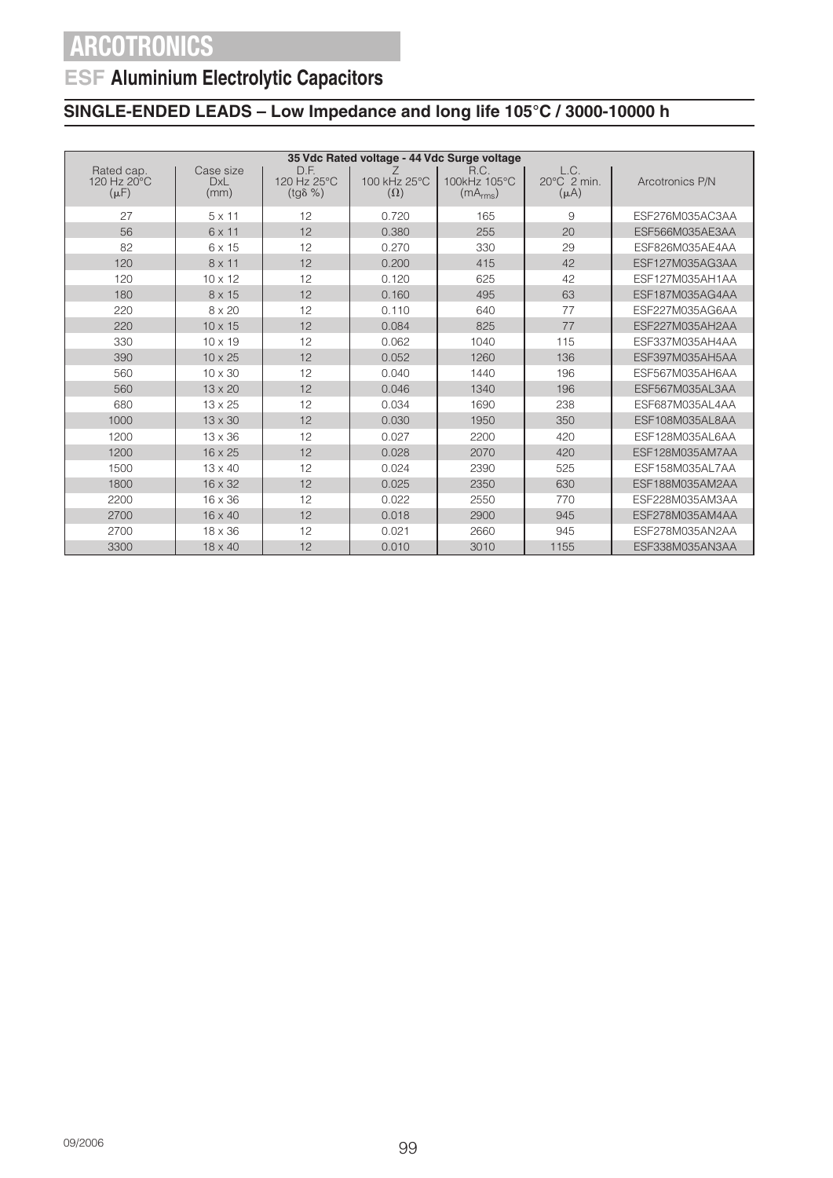## **ESF Aluminium Electrolytic Capacitors**

|                                        | 35 Vdc Rated voltage - 44 Vdc Surge voltage |                                         |                            |                                              |                                            |                 |  |  |  |
|----------------------------------------|---------------------------------------------|-----------------------------------------|----------------------------|----------------------------------------------|--------------------------------------------|-----------------|--|--|--|
| Rated cap.<br>120 Hz 20°C<br>$(\mu F)$ | Case size<br><b>DxL</b><br>(mm)             | D.F.<br>120 Hz 25°C<br>$(tq\delta \% )$ | 100 kHz 25°C<br>$(\Omega)$ | R.C.<br>100kHz 105°C<br>(mA <sub>rms</sub> ) | L.C.<br>$20^{\circ}$ C 2 min.<br>$(\mu A)$ | Arcotronics P/N |  |  |  |
| 27                                     | $5 \times 11$                               | 12                                      | 0.720                      | 165                                          | 9                                          | ESF276M035AC3AA |  |  |  |
| 56                                     | 6 x 11                                      | 12                                      | 0.380                      | 255                                          | 20                                         | ESF566M035AE3AA |  |  |  |
| 82                                     | 6 x 15                                      | 12                                      | 0.270                      | 330                                          | 29                                         | ESF826M035AE4AA |  |  |  |
| 120                                    | $8 \times 11$                               | 12                                      | 0.200                      | 415                                          | 42                                         | ESF127M035AG3AA |  |  |  |
| 120                                    | $10 \times 12$                              | 12                                      | 0.120                      | 625                                          | 42                                         | ESF127M035AH1AA |  |  |  |
| 180                                    | 8 x 15                                      | 12                                      | 0.160                      | 495                                          | 63                                         | ESF187M035AG4AA |  |  |  |
| 220                                    | 8 x 20                                      | 12                                      | 0.110                      | 640                                          | 77                                         | ESF227M035AG6AA |  |  |  |
| 220                                    | $10 \times 15$                              | 12                                      | 0.084                      | 825                                          | 77                                         | ESF227M035AH2AA |  |  |  |
| 330                                    | $10 \times 19$                              | 12                                      | 0.062                      | 1040                                         | 115                                        | ESF337M035AH4AA |  |  |  |
| 390                                    | $10 \times 25$                              | 12                                      | 0.052                      | 1260                                         | 136                                        | ESF397M035AH5AA |  |  |  |
| 560                                    | 10 x 30                                     | 12                                      | 0.040                      | 1440                                         | 196                                        | ESF567M035AH6AA |  |  |  |
| 560                                    | $13 \times 20$                              | 12                                      | 0.046                      | 1340                                         | 196                                        | ESF567M035AL3AA |  |  |  |
| 680                                    | $13 \times 25$                              | 12                                      | 0.034                      | 1690                                         | 238                                        | ESF687M035AL4AA |  |  |  |
| 1000                                   | $13 \times 30$                              | 12                                      | 0.030                      | 1950                                         | 350                                        | ESF108M035AL8AA |  |  |  |
| 1200                                   | $13 \times 36$                              | 12                                      | 0.027                      | 2200                                         | 420                                        | ESF128M035AL6AA |  |  |  |
| 1200                                   | $16 \times 25$                              | 12                                      | 0.028                      | 2070                                         | 420                                        | ESF128M035AM7AA |  |  |  |
| 1500                                   | 13 x 40                                     | 12                                      | 0.024                      | 2390                                         | 525                                        | ESF158M035AL7AA |  |  |  |
| 1800                                   | $16 \times 32$                              | 12                                      | 0.025                      | 2350                                         | 630                                        | ESF188M035AM2AA |  |  |  |
| 2200                                   | 16 x 36                                     | 12                                      | 0.022                      | 2550                                         | 770                                        | ESF228M035AM3AA |  |  |  |
| 2700                                   | $16 \times 40$                              | 12                                      | 0.018                      | 2900                                         | 945                                        | ESF278M035AM4AA |  |  |  |
| 2700                                   | $18 \times 36$                              | 12                                      | 0.021                      | 2660                                         | 945                                        | ESF278M035AN2AA |  |  |  |
| 3300                                   | $18 \times 40$                              | 12                                      | 0.010                      | 3010                                         | 1155                                       | ESF338M035AN3AA |  |  |  |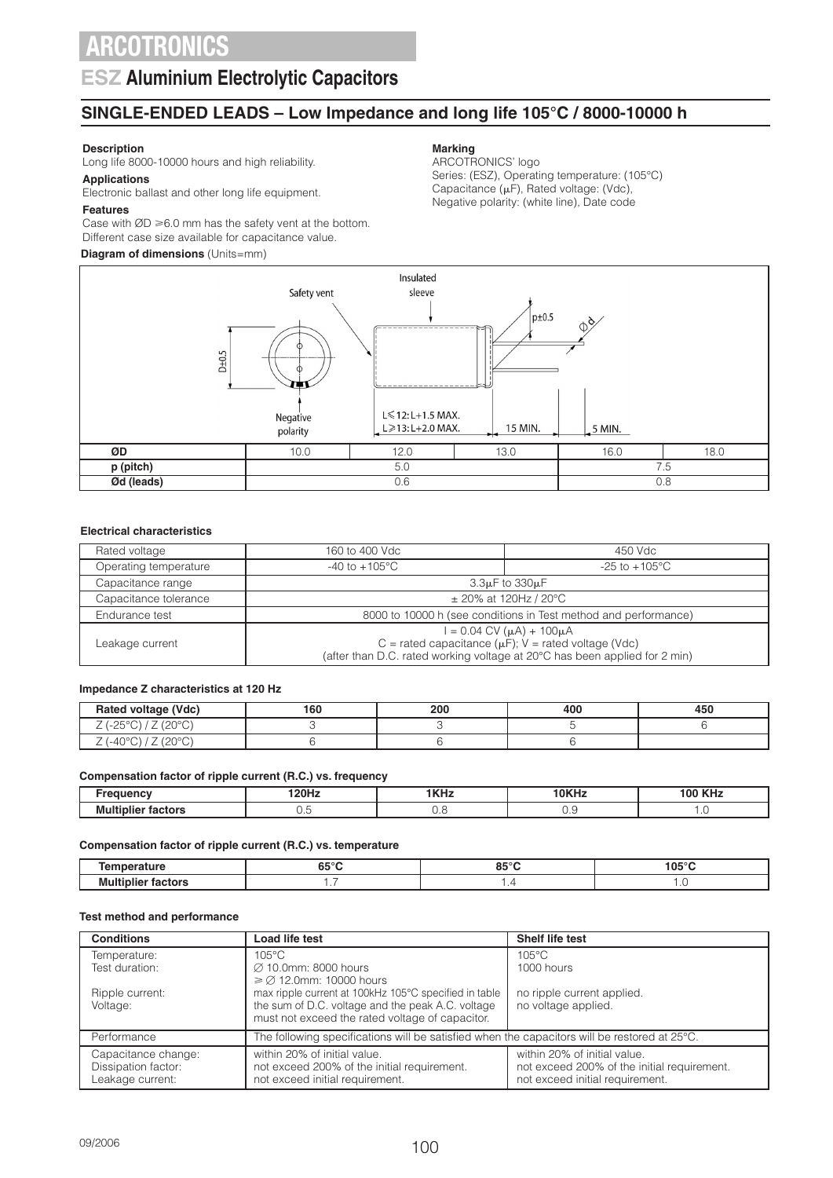### **ESZ Aluminium Electrolytic Capacitors**

### **SINGLE-ENDED LEADS – Low Impedance and long life 105°C / 8000-10000 h**

#### **Description**

Long life 8000-10000 hours and high reliability.

### **Applications**

Electronic ballast and other long life equipment.

#### **Features**

Case with  $ØD \ge 6.0$  mm has the safety vent at the bottom. Different case size available for capacitance value.

#### **Diagram of dimensions** (Units=mm)

### **Marking**

ARCOTRONICS' logo Series: (ESZ), Operating temperature: (105°C) Capacitance ( $\mu$ F), Rated voltage: (Vdc), Negative polarity: (white line), Date code



#### **Electrical characteristics**

| Rated voltage         | 160 to 400 Vdc                                                                                                                                                                    | 450 Vdc                   |  |  |  |
|-----------------------|-----------------------------------------------------------------------------------------------------------------------------------------------------------------------------------|---------------------------|--|--|--|
| Operating temperature | -40 to $+105^{\circ}$ C                                                                                                                                                           | $-25$ to $+105^{\circ}$ C |  |  |  |
| Capacitance range     |                                                                                                                                                                                   | $3.3\mu$ F to $330\mu$ F  |  |  |  |
| Capacitance tolerance | $\pm$ 20% at 120Hz / 20°C                                                                                                                                                         |                           |  |  |  |
| Endurance test        | 8000 to 10000 h (see conditions in Test method and performance)                                                                                                                   |                           |  |  |  |
| Leakage current       | $I = 0.04$ CV ( $\mu$ A) + 100 $\mu$ A<br>C = rated capacitance ( $\mu$ F); V = rated voltage (Vdc)<br>(after than D.C. rated working voltage at 20°C has been applied for 2 min) |                           |  |  |  |

#### **Impedance Z characteristics at 120 Hz**

| Rated voltage (Vdc)<br>-                                                | 160 | 200 | 400 | $= -$<br>45 L |
|-------------------------------------------------------------------------|-----|-----|-----|---------------|
| $\sim$<br>$\sim$ $\sim$ $\sim$<br>ب<br>$\checkmark$<br>∸<br>◡<br>$\sim$ |     |     |     |               |
| ∩∩∩∩<br>$\sim$ $\sim$<br>'−4∪<br>$\check{ }$<br>∸<br>◡<br><u>_</u>      |     |     |     |               |

#### **Compensation factor of ripple current (R.C.) vs. frequency**

|           | 100L<br>. | பே<br>. .<br>I N 14 | <b>10KH</b><br>--<br>\П4 | $\sim$<br>ю |
|-----------|-----------|---------------------|--------------------------|-------------|
| --<br>IVІ | ◡.        |                     | v.J                      |             |

#### **Compensation factor of ripple current (R.C.) vs. temperature**

| ---<br>.    | CE <sub>0</sub><br>כס<br>. | <br>105°0<br>___ |
|-------------|----------------------------|------------------|
| .<br>.<br>. | .                          |                  |

#### **Test method and performance**

| <b>Conditions</b>                                              | Load life test                                                                                                                                                                             | Shelf life test                                                                                                |
|----------------------------------------------------------------|--------------------------------------------------------------------------------------------------------------------------------------------------------------------------------------------|----------------------------------------------------------------------------------------------------------------|
| Temperature:                                                   | $105^{\circ}$ C                                                                                                                                                                            | $105^{\circ}$ C                                                                                                |
| Test duration:                                                 | Ø 10.0mm: 8000 hours                                                                                                                                                                       | 1000 hours                                                                                                     |
| Ripple current:<br>Voltage:                                    | $\geq$ 2.0mm: 10000 hours<br>max ripple current at 100kHz 105°C specified in table<br>the sum of D.C. voltage and the peak A.C. voltage<br>must not exceed the rated voltage of capacitor. | no ripple current applied.<br>no voltage applied.                                                              |
| Performance                                                    | The following specifications will be satisfied when the capacitors will be restored at $25^{\circ}$ C.                                                                                     |                                                                                                                |
| Capacitance change:<br>Dissipation factor:<br>Leakage current: | within 20% of initial value.<br>not exceed 200% of the initial requirement.<br>not exceed initial requirement.                                                                             | within 20% of initial value.<br>not exceed 200% of the initial requirement.<br>not exceed initial requirement. |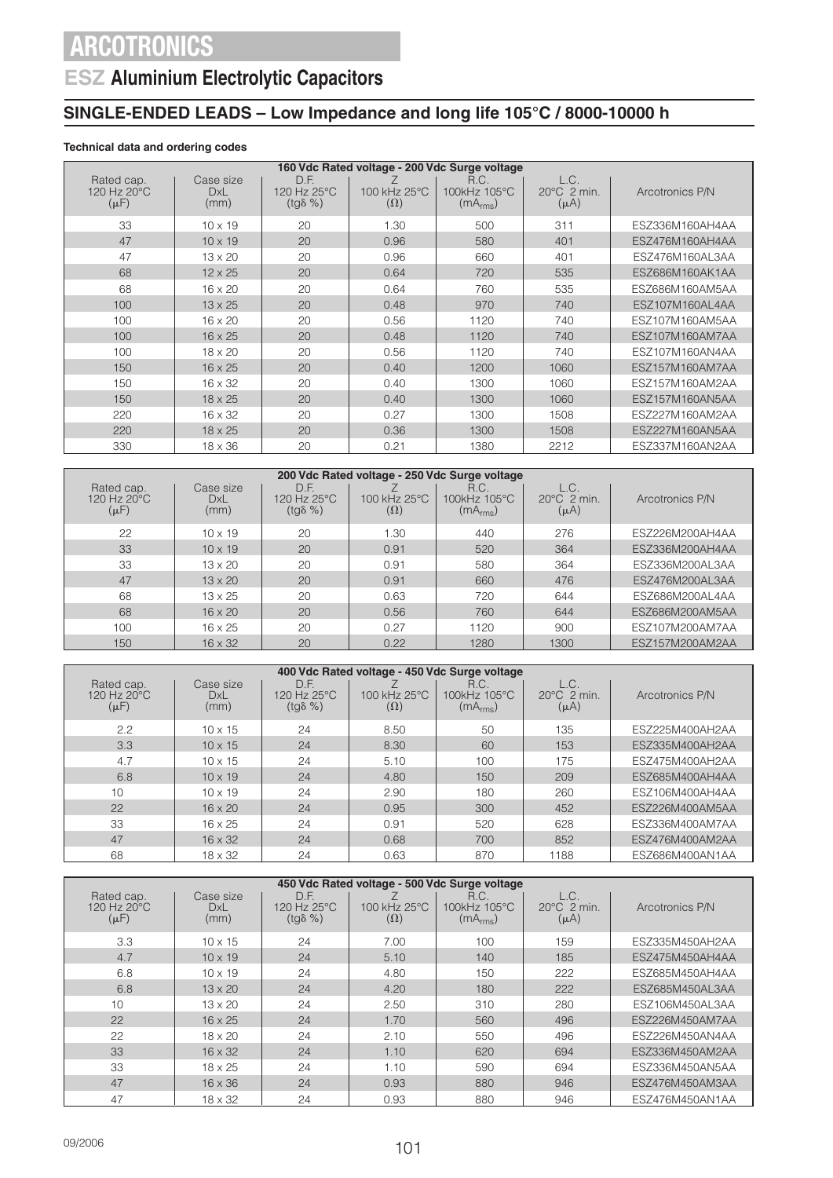## **ESZ Aluminium Electrolytic Capacitors**

### **SINGLE-ENDED LEADS – Low Impedance and long life 105°C / 8000-10000 h**

### **Technical data and ordering codes**

| 160 Vdc Rated voltage - 200 Vdc Surge voltage |                                 |                                         |                            |                                              |                                            |                 |  |
|-----------------------------------------------|---------------------------------|-----------------------------------------|----------------------------|----------------------------------------------|--------------------------------------------|-----------------|--|
| Rated cap.<br>120 Hz 20°C<br>$(\mu F)$        | Case size<br><b>DxL</b><br>(mm) | D.F.<br>120 Hz 25°C<br>$(tq\delta \% )$ | 100 kHz 25°C<br>$(\Omega)$ | R.C.<br>100kHz 105°C<br>(mA <sub>rms</sub> ) | L.C.<br>$20^{\circ}$ C 2 min.<br>$(\mu A)$ | Arcotronics P/N |  |
| 33                                            | $10 \times 19$                  | 20                                      | 1.30                       | 500                                          | 311                                        | ESZ336M160AH4AA |  |
| 47                                            | $10 \times 19$                  | 20                                      | 0.96                       | 580                                          | 401                                        | ESZ476M160AH4AA |  |
| 47                                            | $13 \times 20$                  | 20                                      | 0.96                       | 660                                          | 401                                        | ESZ476M160AL3AA |  |
| 68                                            | $12 \times 25$                  | 20                                      | 0.64                       | 720                                          | 535                                        | ESZ686M160AK1AA |  |
| 68                                            | $16 \times 20$                  | 20                                      | 0.64                       | 760                                          | 535                                        | ESZ686M160AM5AA |  |
| 100                                           | $13 \times 25$                  | 20                                      | 0.48                       | 970                                          | 740                                        | ESZ107M160AL4AA |  |
| 100                                           | $16 \times 20$                  | 20                                      | 0.56                       | 1120                                         | 740                                        | ESZ107M160AM5AA |  |
| 100                                           | $16 \times 25$                  | 20                                      | 0.48                       | 1120                                         | 740                                        | ESZ107M160AM7AA |  |
| 100                                           | $18 \times 20$                  | 20                                      | 0.56                       | 1120                                         | 740                                        | ESZ107M160AN4AA |  |
| 150                                           | $16 \times 25$                  | 20                                      | 0.40                       | 1200                                         | 1060                                       | ESZ157M160AM7AA |  |
| 150                                           | $16 \times 32$                  | 20                                      | 0.40                       | 1300                                         | 1060                                       | ESZ157M160AM2AA |  |
| 150                                           | $18 \times 25$                  | 20                                      | 0.40                       | 1300                                         | 1060                                       | ESZ157M160AN5AA |  |
| 220                                           | $16 \times 32$                  | 20                                      | 0.27                       | 1300                                         | 1508                                       | ESZ227M160AM2AA |  |
| 220                                           | $18 \times 25$                  | 20                                      | 0.36                       | 1300                                         | 1508                                       | ESZ227M160AN5AA |  |
| 330                                           | $18 \times 36$                  | 20                                      | 0.21                       | 1380                                         | 2212                                       | ESZ337M160AN2AA |  |

| 200 Vdc Rated voltage - 250 Vdc Surge voltage    |                          |                                         |                            |                                              |                                              |                 |
|--------------------------------------------------|--------------------------|-----------------------------------------|----------------------------|----------------------------------------------|----------------------------------------------|-----------------|
| Rated cap.<br>120 Hz $20^{\circ}$ C<br>$(\mu F)$ | Case size<br>DxL<br>(mm) | D.F.<br>120 Hz 25°C<br>$(tq\delta \% )$ | 100 kHz 25°C<br>$(\Omega)$ | R.C.<br>100kHz 105°C<br>(mA <sub>rms</sub> ) | L.C.<br>$20^{\circ}$ C $2$ min.<br>$(\mu A)$ | Arcotronics P/N |
| 22                                               | $10 \times 19$           | 20                                      | 1.30                       | 440                                          | 276                                          | ESZ226M200AH4AA |
| 33                                               | $10 \times 19$           | 20                                      | 0.91                       | 520                                          | 364                                          | ESZ336M200AH4AA |
| 33                                               | $13 \times 20$           | 20                                      | 0.91                       | 580                                          | 364                                          | ESZ336M200AL3AA |
| 47                                               | $13 \times 20$           | 20                                      | 0.91                       | 660                                          | 476                                          | ESZ476M200AL3AA |
| 68                                               | 13 x 25                  | 20                                      | 0.63                       | 720                                          | 644                                          | ESZ686M200AL4AA |
| 68                                               | $16 \times 20$           | 20                                      | 0.56                       | 760                                          | 644                                          | ESZ686M200AM5AA |
| 100                                              | $16 \times 25$           | 20                                      | 0.27                       | 1120                                         | 900                                          | ESZ107M200AM7AA |
| 150                                              | $16 \times 32$           | 20                                      | 0.22                       | 1280                                         | 1300                                         | ESZ157M200AM2AA |

|                                        | 400 Vdc Rated voltage - 450 Vdc Surge voltage |                                         |                            |                                              |                                              |                 |  |  |
|----------------------------------------|-----------------------------------------------|-----------------------------------------|----------------------------|----------------------------------------------|----------------------------------------------|-----------------|--|--|
| Rated cap.<br>120 Hz 20°C<br>$(\mu F)$ | Case size<br>DxL<br>(mm)                      | D.F.<br>120 Hz 25°C<br>$(tq\delta \% )$ | 100 kHz 25°C<br>$(\Omega)$ | R.C.<br>100kHz 105°C<br>(mA <sub>rms</sub> ) | L.C.<br>$20^{\circ}$ C $2$ min.<br>$(\mu A)$ | Arcotronics P/N |  |  |
| 2.2                                    | $10 \times 15$                                | 24                                      | 8.50                       | 50                                           | 135                                          | ESZ225M400AH2AA |  |  |
| 3.3                                    | $10 \times 15$                                | 24                                      | 8.30                       | 60                                           | 153                                          | ESZ335M400AH2AA |  |  |
| 4.7                                    | $10 \times 15$                                | 24                                      | 5.10                       | 100                                          | 175                                          | ESZ475M400AH2AA |  |  |
| 6.8                                    | $10 \times 19$                                | 24                                      | 4.80                       | 150                                          | 209                                          | ESZ685M400AH4AA |  |  |
| 10                                     | $10 \times 19$                                | 24                                      | 2.90                       | 180                                          | 260                                          | ESZ106M400AH4AA |  |  |
| 22                                     | $16 \times 20$                                | 24                                      | 0.95                       | 300                                          | 452                                          | ESZ226M400AM5AA |  |  |
| 33                                     | $16 \times 25$                                | 24                                      | 0.91                       | 520                                          | 628                                          | ESZ336M400AM7AA |  |  |
| 47                                     | $16 \times 32$                                | 24                                      | 0.68                       | 700                                          | 852                                          | ESZ476M400AM2AA |  |  |
| 68                                     | 18 x 32                                       | 24                                      | 0.63                       | 870                                          | 1188                                         | ESZ686M400AN1AA |  |  |

| 450 Vdc Rated voltage - 500 Vdc Surge voltage |                          |                                         |                            |                                              |                                            |                 |  |
|-----------------------------------------------|--------------------------|-----------------------------------------|----------------------------|----------------------------------------------|--------------------------------------------|-----------------|--|
| Rated cap.<br>120 Hz 20°C<br>$(\mu F)$        | Case size<br>DxL<br>(mm) | D.F.<br>120 Hz 25°C<br>$(tq\delta \% )$ | 100 kHz 25°C<br>$(\Omega)$ | R.C.<br>100kHz 105°C<br>(mA <sub>rms</sub> ) | L.C.<br>$20^{\circ}$ C 2 min.<br>$(\mu A)$ | Arcotronics P/N |  |
| 3.3                                           | $10 \times 15$           | 24                                      | 7.00                       | 100                                          | 159                                        | ESZ335M450AH2AA |  |
| 4.7                                           | $10 \times 19$           | 24                                      | 5.10                       | 140                                          | 185                                        | ESZ475M450AH4AA |  |
| 6.8                                           | $10 \times 19$           | 24                                      | 4.80                       | 150                                          | 222                                        | ESZ685M450AH4AA |  |
| 6.8                                           | $13 \times 20$           | 24                                      | 4.20                       | 180                                          | 222                                        | ESZ685M450AL3AA |  |
| 10                                            | $13 \times 20$           | 24                                      | 2.50                       | 310                                          | 280                                        | ESZ106M450AL3AA |  |
| 22                                            | $16 \times 25$           | 24                                      | 1.70                       | 560                                          | 496                                        | ESZ226M450AM7AA |  |
| 22                                            | $18 \times 20$           | 24                                      | 2.10                       | 550                                          | 496                                        | ESZ226M450AN4AA |  |
| 33                                            | $16 \times 32$           | 24                                      | 1.10                       | 620                                          | 694                                        | ESZ336M450AM2AA |  |
| 33                                            | $18 \times 25$           | 24                                      | 1.10                       | 590                                          | 694                                        | ESZ336M450AN5AA |  |
| 47                                            | $16 \times 36$           | 24                                      | 0.93                       | 880                                          | 946                                        | ESZ476M450AM3AA |  |
| 47                                            | 18 x 32                  | 24                                      | 0.93                       | 880                                          | 946                                        | ESZ476M450AN1AA |  |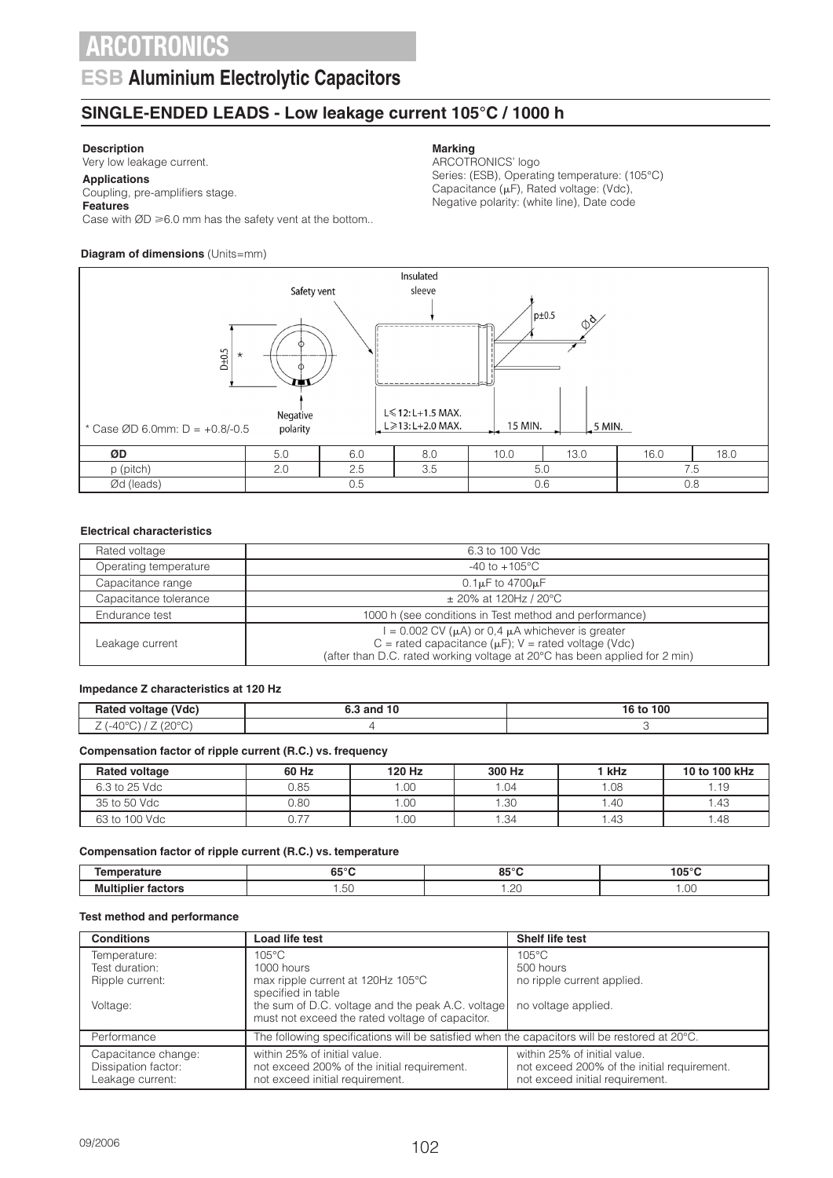### **ESB Aluminium Electrolytic Capacitors**

### **SINGLE-ENDED LEADS - Low leakage current 105°C / 1000 h**

### **Description**

Very low leakage current.

#### **Applications** Coupling, pre-amplifiers stage.

### **Features**

Case with  $ØD \ge 6.0$  mm has the safety vent at the bottom..

### **Diagram of dimensions** (Units=mm)

#### **Marking**

ARCOTRONICS' logo Series: (ESB), Operating temperature: (105°C) Capacitance ( $\mu$ F), Rated voltage: (Vdc), Negative polarity: (white line), Date code



#### **Electrical characteristics**

| Rated voltage         | 6.3 to 100 Vdc                                                                                                                                                                                           |
|-----------------------|----------------------------------------------------------------------------------------------------------------------------------------------------------------------------------------------------------|
| Operating temperature | $-40$ to $+105^{\circ}$ C                                                                                                                                                                                |
| Capacitance range     | $0.1\mu$ F to 4700 $\mu$ F                                                                                                                                                                               |
| Capacitance tolerance | $\pm$ 20% at 120Hz / 20°C                                                                                                                                                                                |
| Endurance test        | 1000 h (see conditions in Test method and performance)                                                                                                                                                   |
| Leakage current       | $I = 0.002$ CV ( $\mu$ A) or 0,4 $\mu$ A whichever is greater<br>C = rated capacitance ( $\mu$ F); V = rated voltage (Vdc)<br>(after than D.C. rated working voltage at 20°C has been applied for 2 min) |

#### **Impedance Z characteristics at 120 Hz**

| (Vdc)<br><b>Ratec</b><br>voltage                   | , and 10 | 100<br>τc |
|----------------------------------------------------|----------|-----------|
| 10000<br>$-40^{\circ}$<br>- 15<br>╯<br>∸<br>$\sim$ |          |           |

#### **Compensation factor of ripple current (R.C.) vs. frequency**

| <b>Rated voltage</b> | 60 Hz | 120 Hz | 300 Hz | 1 kHz | 10 to 100 kHz |
|----------------------|-------|--------|--------|-------|---------------|
| 6.3 to 25 Vdc        | 0.85  | .00.   | 1.04   | 1.08  | .19           |
| 35 to 50 Vdc         | 0.80  | .00    | 1.30   | .40   | .43           |
| 63 to 100 Vdc        | 577   | .00    | 1.34   | .43   | .48           |

#### **Compensation factor of ripple current (R.C.) vs. temperature**

| .  | ----<br>oə    | o⊏∘r<br>.                  | $105^\circ$ |
|----|---------------|----------------------------|-------------|
| Mu | $\sim$<br>ںں. | $\sim$<br>$\cdot$ . $\sim$ | .00         |

#### **Test method and performance**

| <b>Conditions</b>                                              | Load life test                                                                                                 | Shelf life test                                                                                                |  |  |
|----------------------------------------------------------------|----------------------------------------------------------------------------------------------------------------|----------------------------------------------------------------------------------------------------------------|--|--|
| Temperature:                                                   | $105^{\circ}$ C                                                                                                | $105^{\circ}$ C                                                                                                |  |  |
| Test duration:                                                 | 1000 hours                                                                                                     | 500 hours                                                                                                      |  |  |
| Ripple current:                                                | max ripple current at 120Hz 105°C<br>specified in table                                                        | no ripple current applied.                                                                                     |  |  |
| Voltage:                                                       | the sum of D.C. voltage and the peak A.C. voltage<br>must not exceed the rated voltage of capacitor.           | no voltage applied.                                                                                            |  |  |
| Performance                                                    | The following specifications will be satisfied when the capacitors will be restored at $20^{\circ}$ C.         |                                                                                                                |  |  |
| Capacitance change:<br>Dissipation factor:<br>Leakage current: | within 25% of initial value.<br>not exceed 200% of the initial requirement.<br>not exceed initial requirement. | within 25% of initial value.<br>not exceed 200% of the initial requirement.<br>not exceed initial requirement. |  |  |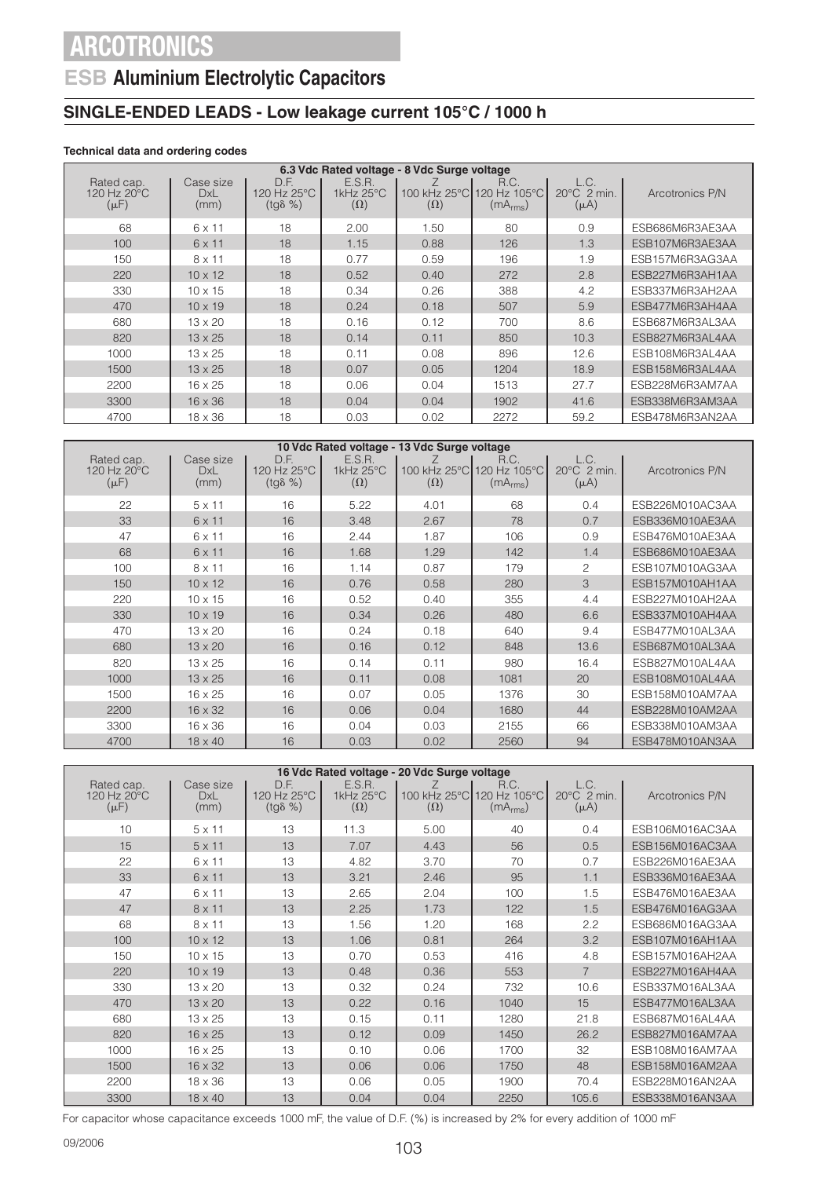### **ESB Aluminium Electrolytic Capacitors**

### **SINGLE-ENDED LEADS - Low leakage current 105°C / 1000 h**

### **Technical data and ordering codes**

|                                        | 6.3 Vdc Rated voltage - 8 Vdc Surge voltage |                                         |                                   |                            |                                              |                                            |                 |  |  |
|----------------------------------------|---------------------------------------------|-----------------------------------------|-----------------------------------|----------------------------|----------------------------------------------|--------------------------------------------|-----------------|--|--|
| Rated cap.<br>120 Hz 20°C<br>$(\mu F)$ | Case size<br>DxL<br>(mm)                    | D.F.<br>120 Hz 25°C<br>$(tq\delta \% )$ | E.S.R.<br>1kHz 25°C<br>$(\Omega)$ | 100 kHz 25°C<br>$(\Omega)$ | R.C.<br>120 Hz 105°C<br>(mA <sub>rms</sub> ) | L.C.<br>$20^{\circ}$ C 2 min.<br>$(\mu A)$ | Arcotronics P/N |  |  |
| 68                                     | $6 \times 11$                               | 18                                      | 2.00                              | 1.50                       | 80                                           | 0.9                                        | ESB686M6R3AE3AA |  |  |
| 100                                    | $6 \times 11$                               | 18                                      | 1.15                              | 0.88                       | 126                                          | 1.3                                        | ESB107M6R3AE3AA |  |  |
| 150                                    | $8 \times 11$                               | 18                                      | 0.77                              | 0.59                       | 196                                          | 1.9                                        | ESB157M6R3AG3AA |  |  |
| 220                                    | $10 \times 12$                              | 18                                      | 0.52                              | 0.40                       | 272                                          | 2.8                                        | ESB227M6R3AH1AA |  |  |
| 330                                    | $10 \times 15$                              | 18                                      | 0.34                              | 0.26                       | 388                                          | 4.2                                        | ESB337M6R3AH2AA |  |  |
| 470                                    | $10 \times 19$                              | 18                                      | 0.24                              | 0.18                       | 507                                          | 5.9                                        | ESB477M6R3AH4AA |  |  |
| 680                                    | $13 \times 20$                              | 18                                      | 0.16                              | 0.12                       | 700                                          | 8.6                                        | ESB687M6R3AL3AA |  |  |
| 820                                    | $13 \times 25$                              | 18                                      | 0.14                              | 0.11                       | 850                                          | 10.3                                       | ESB827M6R3AL4AA |  |  |
| 1000                                   | $13 \times 25$                              | 18                                      | 0.11                              | 0.08                       | 896                                          | 12.6                                       | ESB108M6R3AL4AA |  |  |
| 1500                                   | $13 \times 25$                              | 18                                      | 0.07                              | 0.05                       | 1204                                         | 18.9                                       | ESB158M6R3AL4AA |  |  |
| 2200                                   | $16 \times 25$                              | 18                                      | 0.06                              | 0.04                       | 1513                                         | 27.7                                       | ESB228M6R3AM7AA |  |  |
| 3300                                   | $16 \times 36$                              | 18                                      | 0.04                              | 0.04                       | 1902                                         | 41.6                                       | ESB338M6R3AM3AA |  |  |
| 4700                                   | $18 \times 36$                              | 18                                      | 0.03                              | 0.02                       | 2272                                         | 59.2                                       | ESB478M6R3AN2AA |  |  |

|                                        |                                 |                                         |                                                 | 10 Vdc Rated voltage - 13 Vdc Surge voltage |                                                           |                                            |                 |
|----------------------------------------|---------------------------------|-----------------------------------------|-------------------------------------------------|---------------------------------------------|-----------------------------------------------------------|--------------------------------------------|-----------------|
| Rated cap.<br>120 Hz 20°C<br>$(\mu F)$ | Case size<br><b>DxL</b><br>(mm) | D.F.<br>120 Hz 25°C<br>$(tq\delta \% )$ | E.S.R.<br>1 $k$ Hz 25 $\degree$ C<br>$(\Omega)$ | $(\Omega)$                                  | R.C.<br>100 kHz 25°C 120 Hz 105°C<br>(mA <sub>rms</sub> ) | L.C.<br>$20^{\circ}$ C 2 min.<br>$(\mu A)$ | Arcotronics P/N |
| 22                                     | $5 \times 11$                   | 16                                      | 5.22                                            | 4.01                                        | 68                                                        | 0.4                                        | ESB226M010AC3AA |
| 33                                     | 6 x 11                          | 16                                      | 3.48                                            | 2.67                                        | 78                                                        | 0.7                                        | ESB336M010AE3AA |
| 47                                     | 6 x 11                          | 16                                      | 2.44                                            | 1.87                                        | 106                                                       | 0.9                                        | ESB476M010AE3AA |
| 68                                     | 6 x 11                          | 16                                      | 1.68                                            | 1.29                                        | 142                                                       | 1.4                                        | ESB686M010AE3AA |
| 100                                    | $8 \times 11$                   | 16                                      | 1.14                                            | 0.87                                        | 179                                                       | $\mathfrak{D}$                             | ESB107M010AG3AA |
| 150                                    | $10 \times 12$                  | 16                                      | 0.76                                            | 0.58                                        | 280                                                       | 3                                          | ESB157M010AH1AA |
| 220                                    | $10 \times 15$                  | 16                                      | 0.52                                            | 0.40                                        | 355                                                       | 4.4                                        | ESB227M010AH2AA |
| 330                                    | $10 \times 19$                  | 16                                      | 0.34                                            | 0.26                                        | 480                                                       | 6.6                                        | ESB337M010AH4AA |
| 470                                    | $13 \times 20$                  | 16                                      | 0.24                                            | 0.18                                        | 640                                                       | 9.4                                        | ESB477M010AL3AA |
| 680                                    | $13 \times 20$                  | 16                                      | 0.16                                            | 0.12                                        | 848                                                       | 13.6                                       | ESB687M010AL3AA |
| 820                                    | $13 \times 25$                  | 16                                      | 0.14                                            | 0.11                                        | 980                                                       | 16.4                                       | ESB827M010AL4AA |
| 1000                                   | $13 \times 25$                  | 16                                      | 0.11                                            | 0.08                                        | 1081                                                      | 20                                         | ESB108M010AL4AA |
| 1500                                   | $16 \times 25$                  | 16                                      | 0.07                                            | 0.05                                        | 1376                                                      | 30                                         | ESB158M010AM7AA |
| 2200                                   | $16 \times 32$                  | 16                                      | 0.06                                            | 0.04                                        | 1680                                                      | 44                                         | ESB228M010AM2AA |
| 3300                                   | $16 \times 36$                  | 16                                      | 0.04                                            | 0.03                                        | 2155                                                      | 66                                         | ESB338M010AM3AA |
| 4700                                   | $18 \times 40$                  | 16                                      | 0.03                                            | 0.02                                        | 2560                                                      | 94                                         | ESB478M010AN3AA |

|                                        |                                 |                                        |                                   | 16 Vdc Rated voltage - 20 Vdc Surge voltage |                                              |                                  |                 |
|----------------------------------------|---------------------------------|----------------------------------------|-----------------------------------|---------------------------------------------|----------------------------------------------|----------------------------------|-----------------|
| Rated cap.<br>120 Hz 20°C<br>$(\mu F)$ | Case size<br><b>DxL</b><br>(mm) | D.F.<br>120 Hz 25°C<br>$(tg\delta\% )$ | E.S.R.<br>1kHz 25°C<br>$(\Omega)$ | 100 kHz 25°C<br>$(\Omega)$                  | R.C.<br>120 Hz 105°C<br>(mA <sub>rms</sub> ) | L.C.<br>20°C 2 min.<br>$(\mu A)$ | Arcotronics P/N |
| 10                                     | $5 \times 11$                   | 13                                     | 11.3                              | 5.00                                        | 40                                           | 0.4                              | ESB106M016AC3AA |
| 15                                     | $5 \times 11$                   | 13                                     | 7.07                              | 4.43                                        | 56                                           | 0.5                              | ESB156M016AC3AA |
| 22                                     | 6 x 11                          | 13                                     | 4.82                              | 3.70                                        | 70                                           | 0.7                              | ESB226M016AE3AA |
| 33                                     | 6 x 11                          | 13                                     | 3.21                              | 2.46                                        | 95                                           | 1.1                              | ESB336M016AE3AA |
| 47                                     | 6 x 11                          | 13                                     | 2.65                              | 2.04                                        | 100                                          | 1.5                              | ESB476M016AE3AA |
| 47                                     | $8 \times 11$                   | 13                                     | 2.25                              | 1.73                                        | 122                                          | 1.5                              | ESB476M016AG3AA |
| 68                                     | $8 \times 11$                   | 13                                     | 1.56                              | 1.20                                        | 168                                          | 2.2                              | ESB686M016AG3AA |
| 100                                    | $10 \times 12$                  | 13                                     | 1.06                              | 0.81                                        | 264                                          | 3.2                              | ESB107M016AH1AA |
| 150                                    | $10 \times 15$                  | 13                                     | 0.70                              | 0.53                                        | 416                                          | 4.8                              | ESB157M016AH2AA |
| 220                                    | $10 \times 19$                  | 13                                     | 0.48                              | 0.36                                        | 553                                          | $\overline{7}$                   | ESB227M016AH4AA |
| 330                                    | $13 \times 20$                  | 13                                     | 0.32                              | 0.24                                        | 732                                          | 10.6                             | ESB337M016AL3AA |
| 470                                    | $13 \times 20$                  | 13                                     | 0.22                              | 0.16                                        | 1040                                         | 15                               | ESB477M016AL3AA |
| 680                                    | $13 \times 25$                  | 13                                     | 0.15                              | 0.11                                        | 1280                                         | 21.8                             | ESB687M016AL4AA |
| 820                                    | $16 \times 25$                  | 13                                     | 0.12                              | 0.09                                        | 1450                                         | 26.2                             | ESB827M016AM7AA |
| 1000                                   | $16 \times 25$                  | 13                                     | 0.10                              | 0.06                                        | 1700                                         | 32                               | ESB108M016AM7AA |
| 1500                                   | $16 \times 32$                  | 13                                     | 0.06                              | 0.06                                        | 1750                                         | 48                               | ESB158M016AM2AA |
| 2200                                   | $18 \times 36$                  | 13                                     | 0.06                              | 0.05                                        | 1900                                         | 70.4                             | ESB228M016AN2AA |
| 3300                                   | $18 \times 40$                  | 13                                     | 0.04                              | 0.04                                        | 2250                                         | 105.6                            | ESB338M016AN3AA |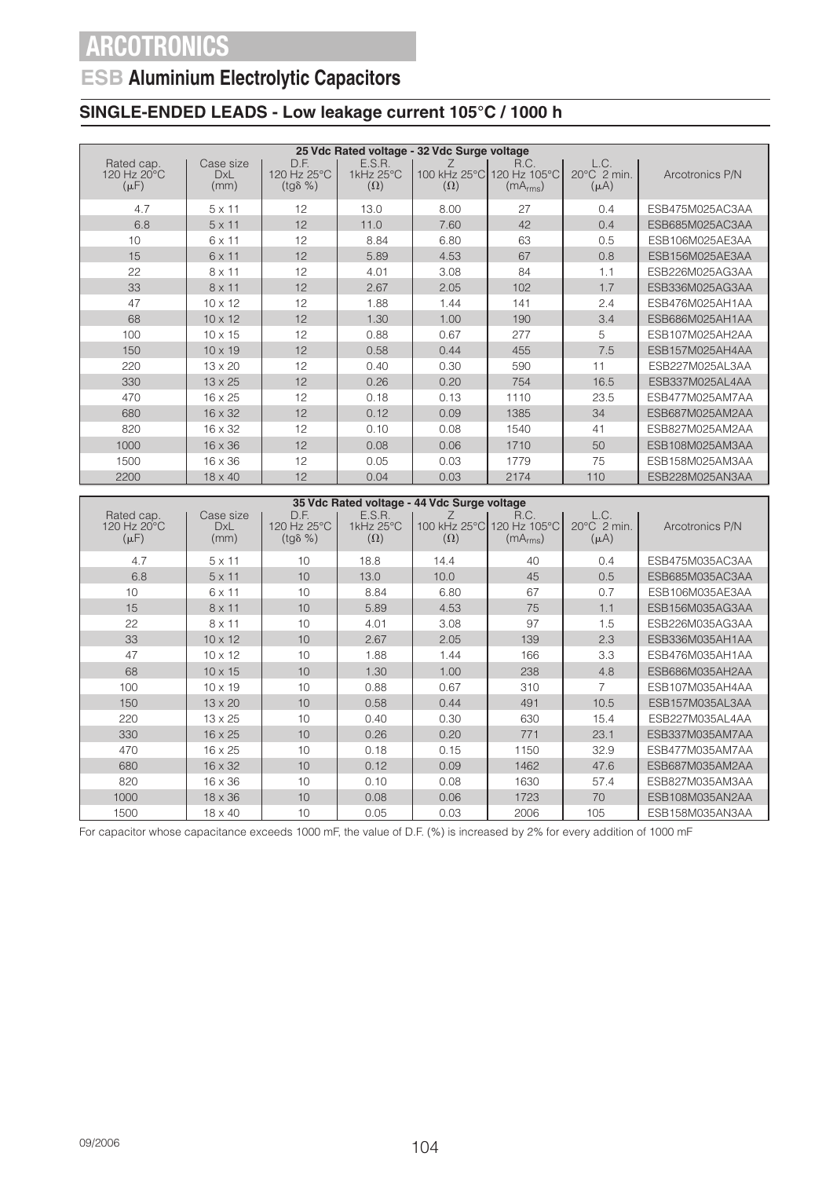## **ESB Aluminium Electrolytic Capacitors**

### **SINGLE-ENDED LEADS - Low leakage current 105°C / 1000 h**

|                                        |                                 |                                         |                                   | 25 Vdc Rated voltage - 32 Vdc Surge voltage |                                                           |                                  |                 |
|----------------------------------------|---------------------------------|-----------------------------------------|-----------------------------------|---------------------------------------------|-----------------------------------------------------------|----------------------------------|-----------------|
| Rated cap.<br>120 Hz 20°C<br>$(\mu F)$ | Case size<br><b>DxL</b><br>(mm) | D.F.<br>120 Hz 25°C<br>$(tg\delta \% )$ | E.S.R.<br>1kHz 25°C<br>$(\Omega)$ | $(\Omega)$                                  | R.C.<br>100 kHz 25°C 120 Hz 105°C<br>(mA <sub>rms</sub> ) | L.C.<br>20°C 2 min.<br>$(\mu A)$ | Arcotronics P/N |
| 4.7                                    | $5 \times 11$                   | 12                                      | 13.0                              | 8.00                                        | 27                                                        | 0.4                              | ESB475M025AC3AA |
| 6.8                                    | $5 \times 11$                   | 12                                      | 11.0                              | 7.60                                        | 42                                                        | 0.4                              | ESB685M025AC3AA |
| 10                                     | $6 \times 11$                   | 12                                      | 8.84                              | 6.80                                        | 63                                                        | 0.5                              | ESB106M025AE3AA |
| 15                                     | $6 \times 11$                   | 12                                      | 5.89                              | 4.53                                        | 67                                                        | 0.8                              | ESB156M025AE3AA |
| 22                                     | $8 \times 11$                   | 12                                      | 4.01                              | 3.08                                        | 84                                                        | 1.1                              | ESB226M025AG3AA |
| 33                                     | $8 \times 11$                   | 12                                      | 2.67                              | 2.05                                        | 102                                                       | 1.7                              | ESB336M025AG3AA |
| 47                                     | $10 \times 12$                  | 12                                      | 1.88                              | 1.44                                        | 141                                                       | 2.4                              | ESB476M025AH1AA |
| 68                                     | $10 \times 12$                  | 12                                      | 1.30                              | 1.00                                        | 190                                                       | 3.4                              | ESB686M025AH1AA |
| 100                                    | $10 \times 15$                  | 12                                      | 0.88                              | 0.67                                        | 277                                                       | 5                                | ESB107M025AH2AA |
| 150                                    | $10 \times 19$                  | 12                                      | 0.58                              | 0.44                                        | 455                                                       | 7.5                              | ESB157M025AH4AA |
| 220                                    | $13 \times 20$                  | 12                                      | 0.40                              | 0.30                                        | 590                                                       | 11                               | ESB227M025AL3AA |
| 330                                    | $13 \times 25$                  | 12                                      | 0.26                              | 0.20                                        | 754                                                       | 16.5                             | ESB337M025AL4AA |
| 470                                    | 16 x 25                         | 12                                      | 0.18                              | 0.13                                        | 1110                                                      | 23.5                             | ESB477M025AM7AA |
| 680                                    | $16 \times 32$                  | 12                                      | 0.12                              | 0.09                                        | 1385                                                      | 34                               | ESB687M025AM2AA |
| 820                                    | $16 \times 32$                  | 12                                      | 0.10                              | 0.08                                        | 1540                                                      | 41                               | ESB827M025AM2AA |
| 1000                                   | 16 x 36                         | 12                                      | 0.08                              | 0.06                                        | 1710                                                      | 50                               | ESB108M025AM3AA |
| 1500                                   | $16 \times 36$                  | 12                                      | 0.05                              | 0.03                                        | 1779                                                      | 75                               | ESB158M025AM3AA |
| 2200                                   | $18 \times 40$                  | 12                                      | 0.04                              | 0.03                                        | 2174                                                      | 110                              | ESB228M025AN3AA |

| 35 Vdc Rated voltage - 44 Vdc Surge voltage        |                                 |                                         |                                   |                            |                                              |                                            |                 |
|----------------------------------------------------|---------------------------------|-----------------------------------------|-----------------------------------|----------------------------|----------------------------------------------|--------------------------------------------|-----------------|
| Rated cap.<br>$120$ Hz $20^{\circ}$ C<br>$(\mu F)$ | Case size<br><b>DxL</b><br>(mm) | D.F.<br>120 Hz 25°C<br>$(tq\delta \% )$ | E.S.R.<br>1kHz 25°C<br>$(\Omega)$ | 100 kHz 25°C<br>$(\Omega)$ | R.C.<br>120 Hz 105°C<br>(mA <sub>rms</sub> ) | L.C.<br>$20^{\circ}$ C 2 min.<br>$(\mu A)$ | Arcotronics P/N |
| 4.7                                                | $5 \times 11$                   | 10                                      | 18.8                              | 14.4                       | 40                                           | 0.4                                        | ESB475M035AC3AA |
| 6.8                                                | $5 \times 11$                   | 10                                      | 13.0                              | 10.0                       | 45                                           | 0.5                                        | ESB685M035AC3AA |
| 10                                                 | 6 x 11                          | 10                                      | 8.84                              | 6.80                       | 67                                           | 0.7                                        | ESB106M035AE3AA |
| 15                                                 | $8 \times 11$                   | 10                                      | 5.89                              | 4.53                       | 75                                           | 1.1                                        | ESB156M035AG3AA |
| 22                                                 | $8 \times 11$                   | 10                                      | 4.01                              | 3.08                       | 97                                           | 1.5                                        | ESB226M035AG3AA |
| 33                                                 | $10 \times 12$                  | 10                                      | 2.67                              | 2.05                       | 139                                          | 2.3                                        | ESB336M035AH1AA |
| 47                                                 | $10 \times 12$                  | 10                                      | 1.88                              | 1.44                       | 166                                          | 3.3                                        | ESB476M035AH1AA |
| 68                                                 | $10 \times 15$                  | 10                                      | 1.30                              | 1.00                       | 238                                          | 4.8                                        | ESB686M035AH2AA |
| 100                                                | $10 \times 19$                  | 10                                      | 0.88                              | 0.67                       | 310                                          |                                            | ESB107M035AH4AA |
| 150                                                | $13 \times 20$                  | 10                                      | 0.58                              | 0.44                       | 491                                          | 10.5                                       | ESB157M035AL3AA |
| 220                                                | $13 \times 25$                  | 10                                      | 0.40                              | 0.30                       | 630                                          | 15.4                                       | ESB227M035AL4AA |
| 330                                                | $16 \times 25$                  | 10                                      | 0.26                              | 0.20                       | 771                                          | 23.1                                       | ESB337M035AM7AA |
| 470                                                | $16 \times 25$                  | 10                                      | 0.18                              | 0.15                       | 1150                                         | 32.9                                       | ESB477M035AM7AA |
| 680                                                | $16 \times 32$                  | 10                                      | 0.12                              | 0.09                       | 1462                                         | 47.6                                       | ESB687M035AM2AA |
| 820                                                | $16 \times 36$                  | 10                                      | 0.10                              | 0.08                       | 1630                                         | 57.4                                       | ESB827M035AM3AA |
| 1000                                               | $18 \times 36$                  | 10                                      | 0.08                              | 0.06                       | 1723                                         | 70                                         | ESB108M035AN2AA |
| 1500                                               | $18 \times 40$                  | 10                                      | 0.05                              | 0.03                       | 2006                                         | 105                                        | ESB158M035AN3AA |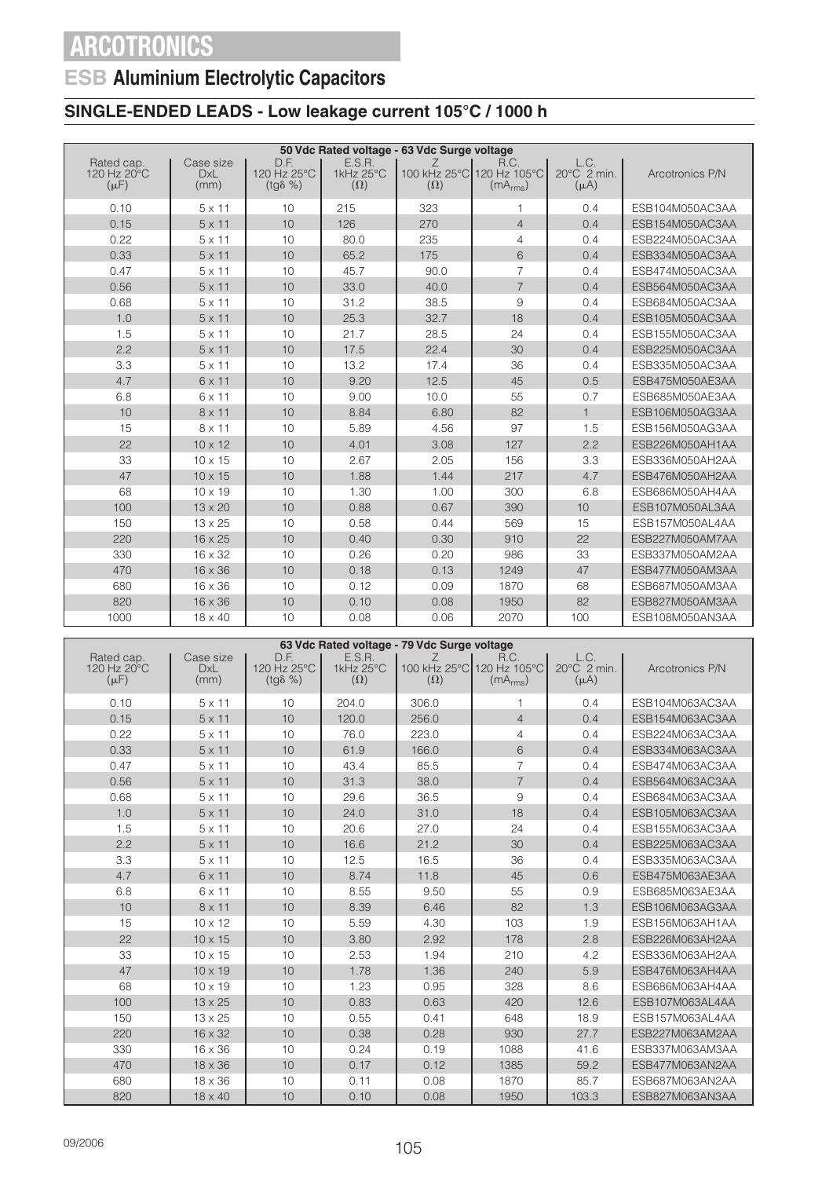## **ESB Aluminium Electrolytic Capacitors**

### **SINGLE-ENDED LEADS - Low leakage current 105°C / 1000 h**

|                                                  |                                 |                                         |                                   | 50 Vdc Rated voltage - 63 Vdc Surge voltage |                                                           |                                  |                 |
|--------------------------------------------------|---------------------------------|-----------------------------------------|-----------------------------------|---------------------------------------------|-----------------------------------------------------------|----------------------------------|-----------------|
| Rated cap.<br>120 Hz $20^{\circ}$ C<br>$(\mu F)$ | Case size<br><b>DxL</b><br>(mm) | D.F.<br>120 Hz 25°C<br>$(tq\delta \% )$ | E.S.R.<br>1kHz 25°C<br>$(\Omega)$ | Ζ<br>$(\Omega)$                             | R.C.<br>100 kHz 25°C 120 Hz 105°C<br>(mA <sub>rms</sub> ) | L.C.<br>20°C 2 min.<br>$(\mu A)$ | Arcotronics P/N |
| 0.10                                             | $5 \times 11$                   | 10                                      | 215                               | 323                                         | 1                                                         | 0.4                              | ESB104M050AC3AA |
| 0.15                                             | $5 \times 11$                   | 10                                      | 126                               | 270                                         | $\overline{4}$                                            | 0.4                              | ESB154M050AC3AA |
| 0.22                                             | $5 \times 11$                   | 10                                      | 80.0                              | 235                                         | $\overline{4}$                                            | 0.4                              | ESB224M050AC3AA |
| 0.33                                             | $5 \times 11$                   | 10                                      | 65.2                              | 175                                         | 6                                                         | 0.4                              | ESB334M050AC3AA |
| 0.47                                             | $5 \times 11$                   | 10                                      | 45.7                              | 90.0                                        | $\overline{7}$                                            | 0.4                              | ESB474M050AC3AA |
| 0.56                                             | $5 \times 11$                   | 10                                      | 33.0                              | 40.0                                        | $\overline{7}$                                            | 0.4                              | ESB564M050AC3AA |
| 0.68                                             | $5 \times 11$                   | 10                                      | 31.2                              | 38.5                                        | 9                                                         | 0.4                              | ESB684M050AC3AA |
| 1.0                                              | $5 \times 11$                   | 10                                      | 25.3                              | 32.7                                        | 18                                                        | 0.4                              | ESB105M050AC3AA |
| 1.5                                              | $5 \times 11$                   | 10                                      | 21.7                              | 28.5                                        | 24                                                        | 0.4                              | ESB155M050AC3AA |
| 2.2                                              | $5 \times 11$                   | 10                                      | 17.5                              | 22.4                                        | 30                                                        | 0.4                              | ESB225M050AC3AA |
| 3.3                                              | $5 \times 11$                   | 10                                      | 13.2                              | 17.4                                        | 36                                                        | 0.4                              | ESB335M050AC3AA |
| 4.7                                              | $6 \times 11$                   | 10                                      | 9.20                              | 12.5                                        | 45                                                        | 0.5                              | ESB475M050AE3AA |
| 6.8                                              | 6 x 11                          | 10                                      | 9.00                              | 10.0                                        | 55                                                        | 0.7                              | ESB685M050AE3AA |
| 10                                               | $8 \times 11$                   | 10                                      | 8.84                              | 6.80                                        | 82                                                        | $\mathbf{1}$                     | ESB106M050AG3AA |
| 15                                               | 8 x 11                          | 10                                      | 5.89                              | 4.56                                        | 97                                                        | 1.5                              | ESB156M050AG3AA |
| 22                                               | $10 \times 12$                  | 10                                      | 4.01                              | 3.08                                        | 127                                                       | 2.2                              | ESB226M050AH1AA |
| 33                                               | $10 \times 15$                  | 10                                      | 2.67                              | 2.05                                        | 156                                                       | 3.3                              | ESB336M050AH2AA |
| 47                                               | $10 \times 15$                  | 10                                      | 1.88                              | 1.44                                        | 217                                                       | 4.7                              | ESB476M050AH2AA |
| 68                                               | $10 \times 19$                  | 10                                      | 1.30                              | 1.00                                        | 300                                                       | 6.8                              | ESB686M050AH4AA |
| 100                                              | $13 \times 20$                  | 10                                      | 0.88                              | 0.67                                        | 390                                                       | 10                               | ESB107M050AL3AA |
| 150                                              | $13 \times 25$                  | 10                                      | 0.58                              | 0.44                                        | 569                                                       | 15                               | ESB157M050AL4AA |
| 220                                              | $16 \times 25$                  | 10                                      | 0.40                              | 0.30                                        | 910                                                       | 22                               | ESB227M050AM7AA |
| 330                                              | $16 \times 32$                  | 10                                      | 0.26                              | 0.20                                        | 986                                                       | 33                               | ESB337M050AM2AA |
| 470                                              | $16 \times 36$                  | 10                                      | 0.18                              | 0.13                                        | 1249                                                      | 47                               | ESB477M050AM3AA |
| 680                                              | 16 x 36                         | 10                                      | 0.12                              | 0.09                                        | 1870                                                      | 68                               | ESB687M050AM3AA |
| 820                                              | $16 \times 36$                  | 10                                      | 0.10                              | 0.08                                        | 1950                                                      | 82                               | ESB827M050AM3AA |
| 1000                                             | $18 \times 40$                  | 10                                      | 0.08                              | 0.06                                        | 2070                                                      | 100                              | ESB108M050AN3AA |

|                                        | 63 Vdc Rated voltage - 79 Vdc Surge voltage |                                         |                                   |                 |                                                           |                                  |                 |  |
|----------------------------------------|---------------------------------------------|-----------------------------------------|-----------------------------------|-----------------|-----------------------------------------------------------|----------------------------------|-----------------|--|
| Rated cap.<br>120 Hz 20°C<br>$(\mu F)$ | Case size<br><b>DxL</b><br>(mm)             | D.F.<br>120 Hz 25°C<br>$(tq\delta \% )$ | E.S.R.<br>1kHz 25°C<br>$(\Omega)$ | Ζ<br>$(\Omega)$ | R.C.<br>100 kHz 25°C 120 Hz 105°C<br>(mA <sub>rms</sub> ) | L.C.<br>20°C 2 min.<br>$(\mu A)$ | Arcotronics P/N |  |
| 0.10                                   | $5 \times 11$                               | 10                                      | 204.0                             | 306.0           | 1                                                         | 0.4                              | ESB104M063AC3AA |  |
| 0.15                                   | $5 \times 11$                               | 10                                      | 120.0                             | 256.0           | $\overline{4}$                                            | 0.4                              | ESB154M063AC3AA |  |
| 0.22                                   | $5 \times 11$                               | 10                                      | 76.0                              | 223.0           | $\overline{4}$                                            | 0.4                              | ESB224M063AC3AA |  |
| 0.33                                   | $5 \times 11$                               | 10                                      | 61.9                              | 166.0           | 6                                                         | 0.4                              | ESB334M063AC3AA |  |
| 0.47                                   | $5 \times 11$                               | 10                                      | 43.4                              | 85.5            | $\overline{7}$                                            | 0.4                              | ESB474M063AC3AA |  |
| 0.56                                   | $5 \times 11$                               | 10                                      | 31.3                              | 38.0            | $\overline{7}$                                            | 0.4                              | ESB564M063AC3AA |  |
| 0.68                                   | $5 \times 11$                               | 10                                      | 29.6                              | 36.5            | 9                                                         | 0.4                              | ESB684M063AC3AA |  |
| 1.0                                    | $5 \times 11$                               | 10                                      | 24.0                              | 31.0            | 18                                                        | 0.4                              | ESB105M063AC3AA |  |
| 1.5                                    | $5 \times 11$                               | 10                                      | 20.6                              | 27.0            | 24                                                        | 0.4                              | ESB155M063AC3AA |  |
| 2.2                                    | $5 \times 11$                               | 10                                      | 16.6                              | 21.2            | 30                                                        | 0.4                              | ESB225M063AC3AA |  |
| 3.3                                    | $5 \times 11$                               | 10                                      | 12.5                              | 16.5            | 36                                                        | 0.4                              | ESB335M063AC3AA |  |
| 4.7                                    | 6 x 11                                      | 10                                      | 8.74                              | 11.8            | 45                                                        | 0.6                              | ESB475M063AE3AA |  |
| 6.8                                    | 6 x 11                                      | 10                                      | 8.55                              | 9.50            | 55                                                        | 0.9                              | ESB685M063AE3AA |  |
| 10                                     | $8 \times 11$                               | 10                                      | 8.39                              | 6.46            | 82                                                        | 1.3                              | ESB106M063AG3AA |  |
| 15                                     | $10 \times 12$                              | 10                                      | 5.59                              | 4.30            | 103                                                       | 1.9                              | ESB156M063AH1AA |  |
| 22                                     | $10 \times 15$                              | 10                                      | 3.80                              | 2.92            | 178                                                       | 2.8                              | ESB226M063AH2AA |  |
| 33                                     | $10 \times 15$                              | 10                                      | 2.53                              | 1.94            | 210                                                       | 4.2                              | ESB336M063AH2AA |  |
| 47                                     | $10 \times 19$                              | 10                                      | 1.78                              | 1.36            | 240                                                       | 5.9                              | ESB476M063AH4AA |  |
| 68                                     | $10 \times 19$                              | 10                                      | 1.23                              | 0.95            | 328                                                       | 8.6                              | ESB686M063AH4AA |  |
| 100                                    | $13 \times 25$                              | 10                                      | 0.83                              | 0.63            | 420                                                       | 12.6                             | ESB107M063AL4AA |  |
| 150                                    | 13 x 25                                     | 10                                      | 0.55                              | 0.41            | 648                                                       | 18.9                             | ESB157M063AL4AA |  |
| 220                                    | 16 x 32                                     | 10                                      | 0.38                              | 0.28            | 930                                                       | 27.7                             | ESB227M063AM2AA |  |
| 330                                    | 16 x 36                                     | 10                                      | 0.24                              | 0.19            | 1088                                                      | 41.6                             | ESB337M063AM3AA |  |
| 470                                    | $18 \times 36$                              | 10                                      | 0.17                              | 0.12            | 1385                                                      | 59.2                             | ESB477M063AN2AA |  |
| 680                                    | $18 \times 36$                              | 10                                      | 0.11                              | 0.08            | 1870                                                      | 85.7                             | ESB687M063AN2AA |  |
| 820                                    | 18 x 40                                     | 10                                      | 0.10                              | 0.08            | 1950                                                      | 103.3                            | ESB827M063AN3AA |  |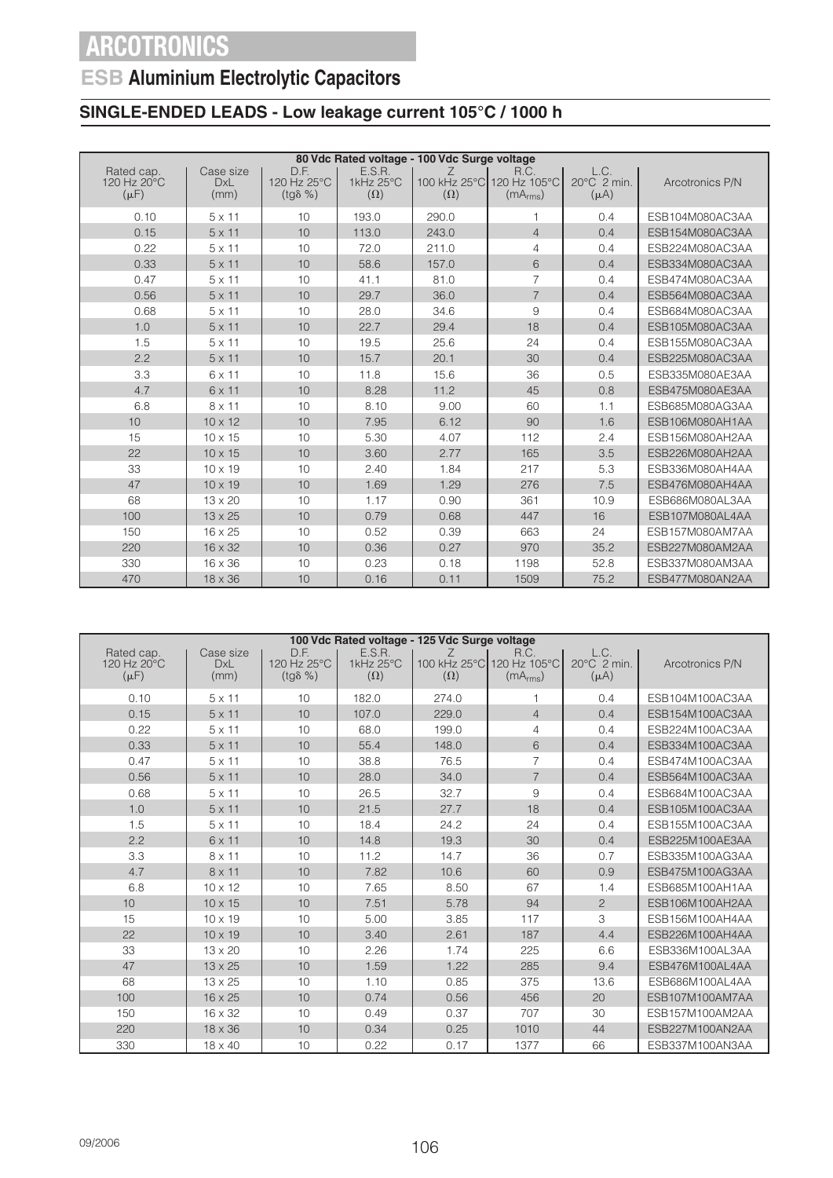## **ESB Aluminium Electrolytic Capacitors**

### **SINGLE-ENDED LEADS - Low leakage current 105°C / 1000 h**

|                                        |                                 |                                         |                                   | 80 Vdc Rated voltage - 100 Vdc Surge voltage |                                                           |                                              |                 |
|----------------------------------------|---------------------------------|-----------------------------------------|-----------------------------------|----------------------------------------------|-----------------------------------------------------------|----------------------------------------------|-----------------|
| Rated cap.<br>120 Hz 20°C<br>$(\mu F)$ | Case size<br><b>DxL</b><br>(mm) | D.F.<br>120 Hz 25°C<br>$(tg\delta \% )$ | E.S.R.<br>1kHz 25°C<br>$(\Omega)$ | Ζ<br>$(\Omega)$                              | R.C.<br>100 kHz 25°C 120 Hz 105°C<br>(mA <sub>rms</sub> ) | L.C.<br>$20^{\circ}$ C $2$ min.<br>$(\mu A)$ | Arcotronics P/N |
| 0.10                                   | $5 \times 11$                   | 10                                      | 193.0                             | 290.0                                        | $\overline{\phantom{a}}$                                  | 0.4                                          | ESB104M080AC3AA |
| 0.15                                   | $5 \times 11$                   | 10                                      | 113.0                             | 243.0                                        | $\overline{4}$                                            | 0.4                                          | ESB154M080AC3AA |
| 0.22                                   | $5 \times 11$                   | 10                                      | 72.0                              | 211.0                                        | 4                                                         | 0.4                                          | ESB224M080AC3AA |
| 0.33                                   | $5 \times 11$                   | 10                                      | 58.6                              | 157.0                                        | 6                                                         | 0.4                                          | ESB334M080AC3AA |
| 0.47                                   | $5 \times 11$                   | 10                                      | 41.1                              | 81.0                                         | $\overline{7}$                                            | 0.4                                          | ESB474M080AC3AA |
| 0.56                                   | $5 \times 11$                   | 10                                      | 29.7                              | 36.0                                         | $\overline{7}$                                            | 0.4                                          | ESB564M080AC3AA |
| 0.68                                   | $5 \times 11$                   | 10                                      | 28.0                              | 34.6                                         | 9                                                         | 0.4                                          | ESB684M080AC3AA |
| 1.0                                    | $5 \times 11$                   | 10                                      | 22.7                              | 29.4                                         | 18                                                        | 0.4                                          | ESB105M080AC3AA |
| 1.5                                    | $5 \times 11$                   | 10                                      | 19.5                              | 25.6                                         | 24                                                        | 0.4                                          | ESB155M080AC3AA |
| 2.2                                    | $5 \times 11$                   | 10                                      | 15.7                              | 20.1                                         | 30                                                        | 0.4                                          | ESB225M080AC3AA |
| 3.3                                    | 6 x 11                          | 10                                      | 11.8                              | 15.6                                         | 36                                                        | 0.5                                          | ESB335M080AE3AA |
| 4.7                                    | 6 x 11                          | 10                                      | 8.28                              | 11.2                                         | 45                                                        | 0.8                                          | ESB475M080AE3AA |
| 6.8                                    | 8 x 11                          | 10                                      | 8.10                              | 9.00                                         | 60                                                        | 1.1                                          | ESB685M080AG3AA |
| 10                                     | $10 \times 12$                  | 10                                      | 7.95                              | 6.12                                         | 90                                                        | 1.6                                          | ESB106M080AH1AA |
| 15                                     | $10 \times 15$                  | 10                                      | 5.30                              | 4.07                                         | 112                                                       | 2.4                                          | ESB156M080AH2AA |
| 22                                     | $10 \times 15$                  | 10                                      | 3.60                              | 2.77                                         | 165                                                       | 3.5                                          | ESB226M080AH2AA |
| 33                                     | $10 \times 19$                  | 10                                      | 2.40                              | 1.84                                         | 217                                                       | 5.3                                          | ESB336M080AH4AA |
| 47                                     | $10 \times 19$                  | 10                                      | 1.69                              | 1.29                                         | 276                                                       | 7.5                                          | ESB476M080AH4AA |
| 68                                     | $13 \times 20$                  | 10                                      | 1.17                              | 0.90                                         | 361                                                       | 10.9                                         | ESB686M080AL3AA |
| 100                                    | $13 \times 25$                  | 10                                      | 0.79                              | 0.68                                         | 447                                                       | 16                                           | ESB107M080AL4AA |
| 150                                    | $16 \times 25$                  | 10                                      | 0.52                              | 0.39                                         | 663                                                       | 24                                           | ESB157M080AM7AA |
| 220                                    | 16 x 32                         | 10                                      | 0.36                              | 0.27                                         | 970                                                       | 35.2                                         | ESB227M080AM2AA |
| 330                                    | 16 x 36                         | 10                                      | 0.23                              | 0.18                                         | 1198                                                      | 52.8                                         | ESB337M080AM3AA |
| 470                                    | $18 \times 36$                  | 10                                      | 0.16                              | 0.11                                         | 1509                                                      | 75.2                                         | ESB477M080AN2AA |

|                                        |                                 |                                         |                                   | 100 Vdc Rated voltage - 125 Vdc Surge voltage |                                                           |                                              |                 |
|----------------------------------------|---------------------------------|-----------------------------------------|-----------------------------------|-----------------------------------------------|-----------------------------------------------------------|----------------------------------------------|-----------------|
| Rated cap.<br>120 Hz 20°C<br>$(\mu F)$ | Case size<br><b>DxL</b><br>(mm) | D.F.<br>120 Hz 25°C<br>$(tq\delta \% )$ | E.S.R.<br>1kHz 25°C<br>$(\Omega)$ | Ζ<br>$(\Omega)$                               | R.C.<br>100 kHz 25°C 120 Hz 105°C<br>(mA <sub>rms</sub> ) | L.C.<br>$20^{\circ}$ C $2$ min.<br>$(\mu A)$ | Arcotronics P/N |
| 0.10                                   | $5 \times 11$                   | 10                                      | 182.0                             | 274.0                                         | 1                                                         | 0.4                                          | ESB104M100AC3AA |
| 0.15                                   | $5 \times 11$                   | 10                                      | 107.0                             | 229.0                                         | $\overline{4}$                                            | 0.4                                          | ESB154M100AC3AA |
| 0.22                                   | $5 \times 11$                   | 10                                      | 68.0                              | 199.0                                         | $\overline{4}$                                            | 0.4                                          | ESB224M100AC3AA |
| 0.33                                   | $5 \times 11$                   | 10                                      | 55.4                              | 148.0                                         | 6                                                         | 0.4                                          | ESB334M100AC3AA |
| 0.47                                   | $5 \times 11$                   | 10                                      | 38.8                              | 76.5                                          | $\overline{7}$                                            | 0.4                                          | ESB474M100AC3AA |
| 0.56                                   | $5 \times 11$                   | 10                                      | 28.0                              | 34.0                                          | $\overline{7}$                                            | 0.4                                          | ESB564M100AC3AA |
| 0.68                                   | $5 \times 11$                   | 10                                      | 26.5                              | 32.7                                          | 9                                                         | 0.4                                          | ESB684M100AC3AA |
| 1.0                                    | $5 \times 11$                   | 10                                      | 21.5                              | 27.7                                          | 18                                                        | 0.4                                          | ESB105M100AC3AA |
| 1.5                                    | $5 \times 11$                   | 10                                      | 18.4                              | 24.2                                          | 24                                                        | 0.4                                          | ESB155M100AC3AA |
| 2.2                                    | 6 x 11                          | 10                                      | 14.8                              | 19.3                                          | 30                                                        | 0.4                                          | ESB225M100AE3AA |
| 3.3                                    | $8 \times 11$                   | 10                                      | 11.2                              | 14.7                                          | 36                                                        | 0.7                                          | ESB335M100AG3AA |
| 4.7                                    | $8 \times 11$                   | 10                                      | 7.82                              | 10.6                                          | 60                                                        | 0.9                                          | ESB475M100AG3AA |
| 6.8                                    | $10 \times 12$                  | 10                                      | 7.65                              | 8.50                                          | 67                                                        | 1.4                                          | ESB685M100AH1AA |
| 10                                     | $10 \times 15$                  | 10                                      | 7.51                              | 5.78                                          | 94                                                        | $\overline{2}$                               | ESB106M100AH2AA |
| 15                                     | $10 \times 19$                  | 10                                      | 5.00                              | 3.85                                          | 117                                                       | 3                                            | ESB156M100AH4AA |
| 22                                     | $10 \times 19$                  | 10                                      | 3.40                              | 2.61                                          | 187                                                       | 4.4                                          | ESB226M100AH4AA |
| 33                                     | $13 \times 20$                  | 10                                      | 2.26                              | 1.74                                          | 225                                                       | 6.6                                          | ESB336M100AL3AA |
| 47                                     | $13 \times 25$                  | 10                                      | 1.59                              | 1.22                                          | 285                                                       | 9.4                                          | ESB476M100AL4AA |
| 68                                     | 13 x 25                         | 10                                      | 1.10                              | 0.85                                          | 375                                                       | 13.6                                         | ESB686M100AL4AA |
| 100                                    | $16 \times 25$                  | 10                                      | 0.74                              | 0.56                                          | 456                                                       | 20                                           | ESB107M100AM7AA |
| 150                                    | $16 \times 32$                  | 10                                      | 0.49                              | 0.37                                          | 707                                                       | 30                                           | ESB157M100AM2AA |
| 220                                    | $18 \times 36$                  | 10                                      | 0.34                              | 0.25                                          | 1010                                                      | 44                                           | ESB227M100AN2AA |
| 330                                    | $18 \times 40$                  | 10                                      | 0.22                              | 0.17                                          | 1377                                                      | 66                                           | ESB337M100AN3AA |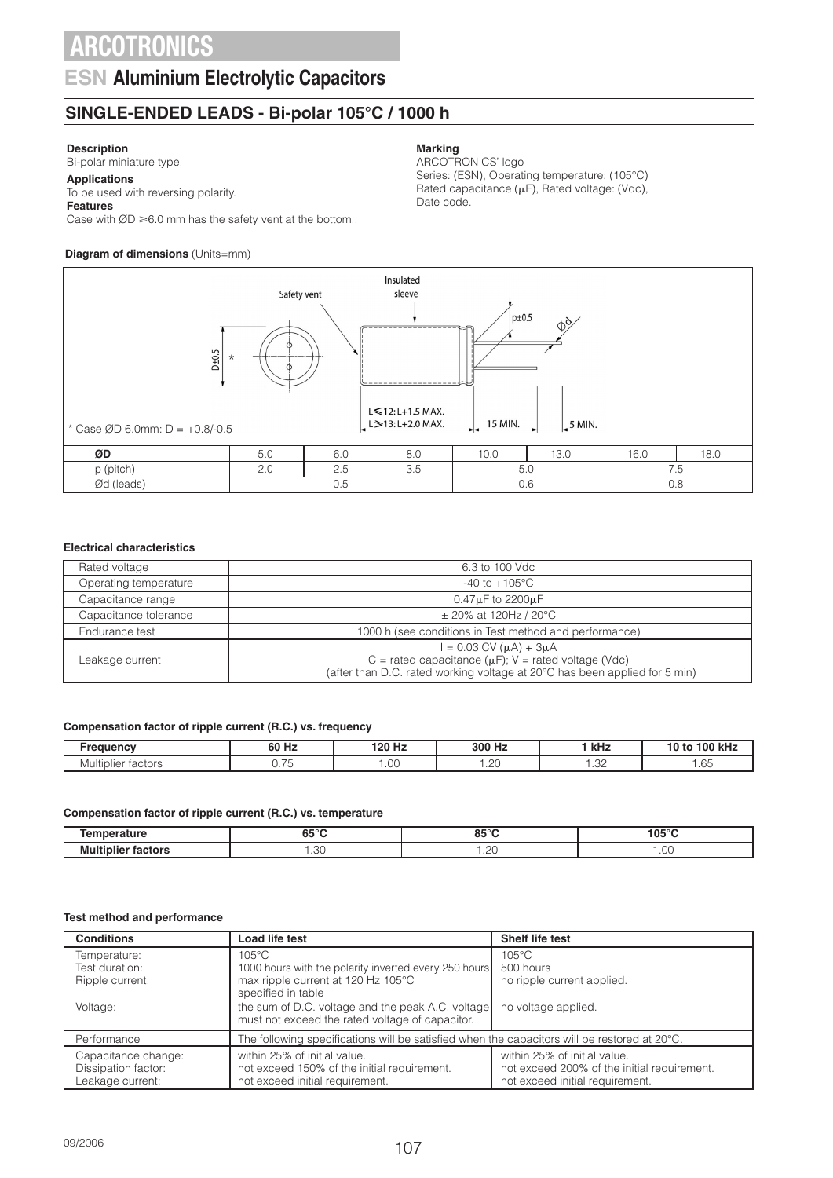### **ESN Aluminium Electrolytic Capacitors**

### **SINGLE-ENDED LEADS - Bi-polar 105°C / 1000 h**

#### **Description**

Bi-polar miniature type.

#### **Applications** To be used with reversing polarity.

### **Features**

Case with  $ØD \ge 6.0$  mm has the safety vent at the bottom..

### **Diagram of dimensions** (Units=mm)

# Date code.



**Marking**

ARCOTRONICS' logo

Series: (ESN), Operating temperature: (105°C) Rated capacitance  $(\mu F)$ , Rated voltage: (Vdc),

#### **Electrical characteristics**

| Rated voltage         | 6.3 to 100 Vdc                                                                                                                                                                  |
|-----------------------|---------------------------------------------------------------------------------------------------------------------------------------------------------------------------------|
| Operating temperature | $-40$ to $+105^{\circ}$ C                                                                                                                                                       |
| Capacitance range     | $0.47\mu$ F to 2200 $\mu$ F                                                                                                                                                     |
| Capacitance tolerance | $\pm$ 20% at 120Hz / 20°C                                                                                                                                                       |
| Endurance test        | 1000 h (see conditions in Test method and performance)                                                                                                                          |
| Leakage current       | $I = 0.03$ CV ( $\mu$ A) + 3 $\mu$ A<br>C = rated capacitance ( $\mu$ F); V = rated voltage (Vdc)<br>(after than D.C. rated working voltage at 20°C has been applied for 5 min) |

#### **Compensation factor of ripple current (R.C.) vs. frequency**

| מחמוומנ                 | 60 Hz                              | 120 H:<br>п4            | 300 Hz<br>. .      | kHz              | 100 kH<br>ּ״         |
|-------------------------|------------------------------------|-------------------------|--------------------|------------------|----------------------|
| .<br>Multiplier factors | $\overline{\phantom{a}}$<br>$\sim$ | $\sim$ $\sim$<br>. . UU | $\cap$<br>╯<br>تے. | $\cap$<br>ے بی ا | $\sim$ $-$<br>. . UU |

#### **Compensation factor of ripple current (R.C.) vs. temperature**

| --------<br>.      | $C = 0$<br>כס<br>$ -$ | 0.50C<br>.                              | $105^\circ$ r        |
|--------------------|-----------------------|-----------------------------------------|----------------------|
| Mυ<br><br>---<br>. | .<br>__               | $\cap$<br>$\cdot$ . $\sim$ $\sim$<br>__ | $\sim$<br>.uu<br>___ |

#### **Test method and performance**

| <b>Conditions</b>                                              | Load life test                                                                                                 | <b>Shelf life test</b>                                                                                         |  |  |
|----------------------------------------------------------------|----------------------------------------------------------------------------------------------------------------|----------------------------------------------------------------------------------------------------------------|--|--|
| Temperature:                                                   | $105^{\circ}$ C                                                                                                | $105^{\circ}$ C                                                                                                |  |  |
| Test duration:                                                 | 1000 hours with the polarity inverted every 250 hours                                                          | 500 hours                                                                                                      |  |  |
| Ripple current:                                                | max ripple current at 120 Hz 105°C<br>specified in table                                                       | no ripple current applied.                                                                                     |  |  |
| Voltage:                                                       | the sum of D.C. voltage and the peak A.C. voltage<br>must not exceed the rated voltage of capacitor.           | no voltage applied.                                                                                            |  |  |
| Performance                                                    | The following specifications will be satisfied when the capacitors will be restored at $20^{\circ}$ C.         |                                                                                                                |  |  |
| Capacitance change:<br>Dissipation factor:<br>Leakage current: | within 25% of initial value.<br>not exceed 150% of the initial requirement.<br>not exceed initial requirement. | within 25% of initial value.<br>not exceed 200% of the initial requirement.<br>not exceed initial requirement. |  |  |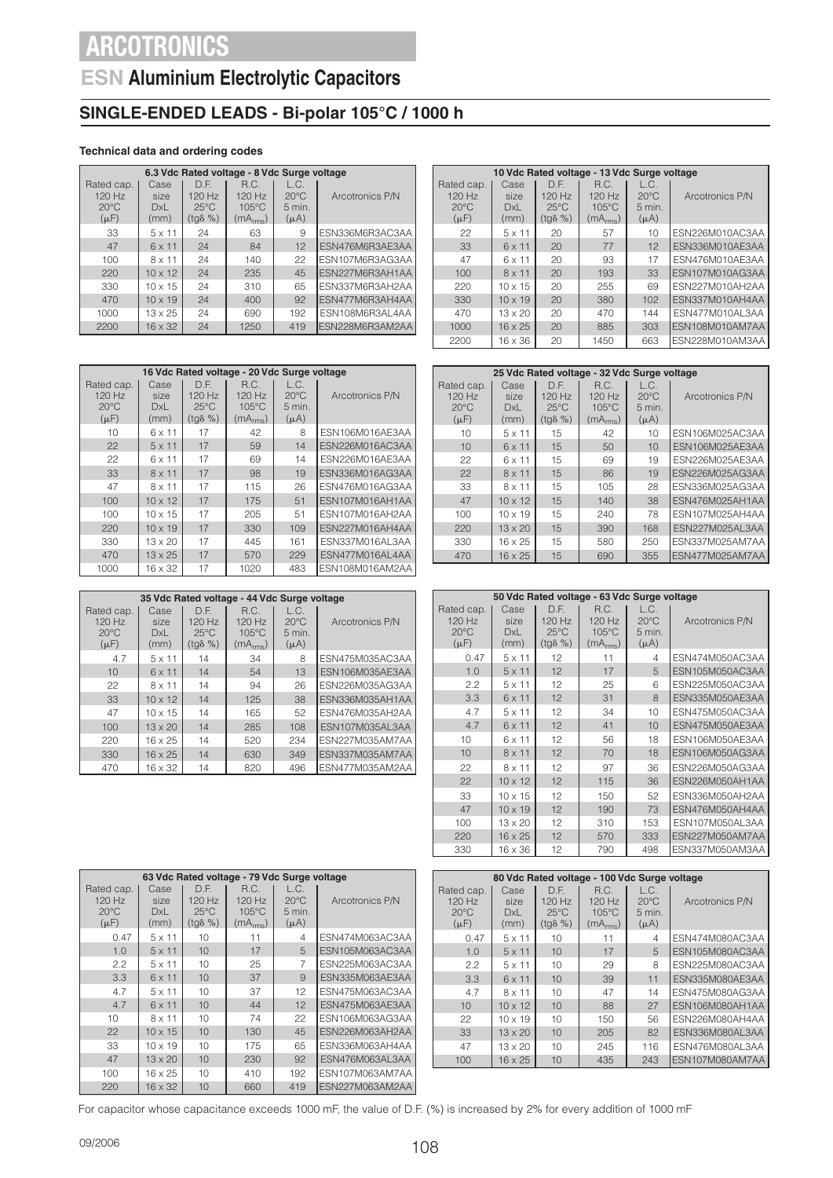## **ESN Aluminium Electrolytic Capacitors**

### **SINGLE-ENDED LEADS - Bi-polar 105°C / 1000 h**

### **Technical data and ordering codes**

|                | 6.3 Vdc Rated voltage - 8 Vdc Surge voltage |                  |                      |                |                 |  |  |  |  |
|----------------|---------------------------------------------|------------------|----------------------|----------------|-----------------|--|--|--|--|
| Rated cap.     | Case                                        | D.F.             | R.C.                 | L.C.           |                 |  |  |  |  |
| 120 Hz         | size                                        | $120$ Hz         | $120$ Hz             | $20^{\circ}$ C | Arcotronics P/N |  |  |  |  |
| $20^{\circ}$ C | DxL                                         | $25^{\circ}$ C   | $105^{\circ}$ C      | 5 min.         |                 |  |  |  |  |
| $(\mu F)$      | (mm)                                        | $(tq\delta \% )$ | (mA <sub>rms</sub> ) | $(\mu A)$      |                 |  |  |  |  |
| 33             | $5 \times 11$                               | 24               | 63                   | 9              | ESN336M6R3AC3AA |  |  |  |  |
| 47             | 6 x 11                                      | 24               | 84                   | 12             | ESN476M6R3AE3AA |  |  |  |  |
| 100            | 8 x 11                                      | 24               | 140                  | 22             | ESN107M6R3AG3AA |  |  |  |  |
| 220            | $10 \times 12$                              | 24               | 235                  | 45             | ESN227M6R3AH1AA |  |  |  |  |
| 330            | $10 \times 15$                              | 24               | 310                  | 65             | ESN337M6R3AH2AA |  |  |  |  |
| 470            | $10 \times 19$                              | 24               | 400                  | 92             | ESN477M6R3AH4AA |  |  |  |  |
| 1000           | $13 \times 25$                              | 24               | 690                  | 192            | ESN108M6R3AL4AA |  |  |  |  |
| 2200           | $16 \times 32$                              | 24               | 1250                 | 419            | ESN228M6R3AM2AA |  |  |  |  |

| 16 Vdc Rated voltage - 20 Vdc Surge voltage           |                                    |                                                      |                                                             |                                               |                 |  |  |  |
|-------------------------------------------------------|------------------------------------|------------------------------------------------------|-------------------------------------------------------------|-----------------------------------------------|-----------------|--|--|--|
| Rated cap.<br>$120$ Hz<br>$20^{\circ}$ C<br>$(\mu F)$ | Case<br>size<br><b>DxL</b><br>(mm) | D.F.<br>120 Hz<br>$25^{\circ}$ C<br>$(tq\delta \% )$ | R.C.<br>$120$ Hz<br>$105^{\circ}$ C<br>(mA <sub>rms</sub> ) | L.C.<br>$20^{\circ}$ C<br>5 min.<br>$(\mu A)$ | Arcotronics P/N |  |  |  |
| 10                                                    | $6 \times 11$                      | 17                                                   | 42                                                          | 8                                             | ESN106M016AE3AA |  |  |  |
| 22                                                    | $5 \times 11$                      | 17                                                   | 59                                                          | 14                                            | ESN226M016AC3AA |  |  |  |
| 22                                                    | 6 x 11                             | 17                                                   | 69                                                          | 14                                            | ESN226M016AE3AA |  |  |  |
| 33                                                    | $8 \times 11$                      | 17                                                   | 98                                                          | 19                                            | ESN336M016AG3AA |  |  |  |
| 47                                                    | 8 x 11                             | 17                                                   | 115                                                         | 26                                            | ESN476M016AG3AA |  |  |  |
| 100                                                   | $10 \times 12$                     | 17                                                   | 175                                                         | 51                                            | ESN107M016AH1AA |  |  |  |
| 100                                                   | $10 \times 15$                     | 17                                                   | 205                                                         | 51                                            | ESN107M016AH2AA |  |  |  |
| 220                                                   | $10 \times 19$                     | 17                                                   | 330                                                         | 109                                           | ESN227M016AH4AA |  |  |  |
| 330                                                   | $13 \times 20$                     | 17                                                   | 445                                                         | 161                                           | ESN337M016AL3AA |  |  |  |
| 470                                                   | $13 \times 25$                     | 17                                                   | 570                                                         | 229                                           | ESN477M016AL4AA |  |  |  |
| 1000                                                  | 16 x 32                            | 17                                                   | 1020                                                        | 483                                           | ESN108M016AM2AA |  |  |  |

| 35 Vdc Rated voltage - 44 Vdc Surge voltage         |                                     |                                                        |                                                             |                                                 |                 |  |  |  |
|-----------------------------------------------------|-------------------------------------|--------------------------------------------------------|-------------------------------------------------------------|-------------------------------------------------|-----------------|--|--|--|
| Rated cap.<br>120 Hz<br>$20^{\circ}$ C<br>$(\mu F)$ | Case<br>size.<br><b>DxL</b><br>(mm) | D.E.<br>$120$ Hz<br>$25^{\circ}$ C<br>$(tq\delta \% )$ | R.C.<br>$120$ Hz<br>$105^{\circ}$ C<br>(mA <sub>rms</sub> ) | L.C.<br>$20^{\circ}$ C<br>$5$ min.<br>$(\mu A)$ | Arcotronics P/N |  |  |  |
| 4.7                                                 | $5 \times 11$                       | 14                                                     | 34                                                          | 8                                               | ESN475M035AC3AA |  |  |  |
| 10                                                  | $6 \times 11$                       | 14                                                     | 54                                                          | 13                                              | ESN106M035AE3AA |  |  |  |
| 22                                                  | 8 x 11                              | 14                                                     | 94                                                          | 26                                              | ESN226M035AG3AA |  |  |  |
| 33                                                  | $10 \times 12$                      | 14                                                     | 125                                                         | 38                                              | ESN336M035AH1AA |  |  |  |
| 47                                                  | $10 \times 15$                      | 14                                                     | 165                                                         | 52                                              | ESN476M035AH2AA |  |  |  |
| 100                                                 | $13 \times 20$                      | 14                                                     | 285                                                         | 108                                             | ESN107M035AL3AA |  |  |  |
| 220                                                 | $16 \times 25$                      | 14                                                     | 520                                                         | 234                                             | ESN227M035AM7AA |  |  |  |
| 330                                                 | $16 \times 25$                      | 14                                                     | 630                                                         | 349                                             | ESN337M035AM7AA |  |  |  |
| 470                                                 | $16 \times 32$                      | 14                                                     | 820                                                         | 496                                             | ESN477M035AM2AA |  |  |  |

| 63 Vdc Rated voltage - 79 Vdc Surge voltage           |                             |                                                      |                                                             |                                               |                 |  |  |
|-------------------------------------------------------|-----------------------------|------------------------------------------------------|-------------------------------------------------------------|-----------------------------------------------|-----------------|--|--|
| Rated cap.<br>$120$ Hz<br>$20^{\circ}$ C<br>$(\mu F)$ | Case<br>size<br>DxL<br>(mm) | D.E.<br>120 Hz<br>$25^{\circ}$ C<br>$(tq\delta \% )$ | R.C.<br>$120$ Hz<br>$105^{\circ}$ C<br>(mA <sub>rms</sub> ) | L.C.<br>$20^{\circ}$ C<br>5 min.<br>$(\mu A)$ | Arcotronics P/N |  |  |
| 0.47                                                  | $5 \times 11$               | 10                                                   | 11                                                          | 4                                             | ESN474M063AC3AA |  |  |
| 1.0                                                   | $5 \times 11$               | 10                                                   | 17                                                          | 5                                             | ESN105M063AC3AA |  |  |
| 2.2                                                   | $5 \times 11$               | 10                                                   | 25                                                          | 7                                             | ESN225M063AC3AA |  |  |
| 3.3                                                   | 6 x 11                      | 10                                                   | 37                                                          | 9                                             | ESN335M063AE3AA |  |  |
| 4.7                                                   | $5 \times 11$               | 10                                                   | 37                                                          | 12                                            | ESN475M063AC3AA |  |  |
| 4.7                                                   | 6 x 11                      | 10                                                   | 44                                                          | 12                                            | ESN475M063AE3AA |  |  |
| 10                                                    | $8 \times 11$               | 10                                                   | 74                                                          | 22                                            | ESN106M063AG3AA |  |  |
| 22                                                    | $10 \times 15$              | 10                                                   | 130                                                         | 45                                            | ESN226M063AH2AA |  |  |
| 33                                                    | $10 \times 19$              | 10                                                   | 175                                                         | 65                                            | ESN336M063AH4AA |  |  |
| 47                                                    | $13 \times 20$              | 10                                                   | 230                                                         | 92                                            | ESN476M063AL3AA |  |  |
| 100                                                   | $16 \times 25$              | 10                                                   | 410                                                         | 192                                           | ESN107M063AM7AA |  |  |
| 220                                                   | 16 x 32                     | 10                                                   | 660                                                         | 419                                           | ESN227M063AM2AA |  |  |

|                                                         | 10 Vdc Rated voltage - 13 Vdc Surge voltage |                                                       |                                                             |                                                 |                 |  |  |  |  |
|---------------------------------------------------------|---------------------------------------------|-------------------------------------------------------|-------------------------------------------------------------|-------------------------------------------------|-----------------|--|--|--|--|
| Rated cap.  <br>$120$ Hz<br>$20^{\circ}$ C<br>$(\mu F)$ | Case<br>size<br><b>DxL</b><br>(mm)          | D E<br>$120$ Hz<br>$25^{\circ}$ C<br>$(tq\delta \% )$ | R.C.<br>$120$ Hz<br>$105^{\circ}$ C<br>(mA <sub>rms</sub> ) | L.C.<br>$20^{\circ}$ C<br>$5$ min.<br>$(\mu A)$ | Arcotronics P/N |  |  |  |  |
| 22                                                      | $5 \times 11$                               | 20                                                    | 57                                                          | 10                                              | ESN226M010AC3AA |  |  |  |  |
| 33                                                      | $6 \times 11$                               | 20                                                    | 77                                                          | 12                                              | ESN336M010AE3AA |  |  |  |  |
| 47                                                      | $6 \times 11$                               | 20                                                    | 93                                                          | 17                                              | ESN476M010AE3AA |  |  |  |  |
| 100                                                     | $8 \times 11$                               | 20                                                    | 193                                                         | 33                                              | ESN107M010AG3AA |  |  |  |  |
| 220                                                     | $10 \times 15$                              | 20                                                    | 255                                                         | 69                                              | ESN227M010AH2AA |  |  |  |  |
| 330                                                     | $10 \times 19$                              | 20                                                    | 380                                                         | 10 <sub>2</sub>                                 | ESN337M010AH4AA |  |  |  |  |
| 470                                                     | $13 \times 20$                              | 20                                                    | 470                                                         | 144                                             | ESN477M010AL3AA |  |  |  |  |
| 1000                                                    | $16 \times 25$                              | 20                                                    | 885                                                         | 303                                             | ESN108M010AM7AA |  |  |  |  |
| 2200                                                    | 16 x 36                                     | 20                                                    | 1450                                                        | 663                                             | ESN228M010AM3AA |  |  |  |  |

|                                                     | 25 Vdc Rated voltage - 32 Vdc Surge voltage |                                                        |                                                             |                                                 |                        |  |  |  |  |
|-----------------------------------------------------|---------------------------------------------|--------------------------------------------------------|-------------------------------------------------------------|-------------------------------------------------|------------------------|--|--|--|--|
| Rated cap.<br>120 Hz<br>$20^{\circ}$ C<br>$(\mu F)$ | Case<br>size<br>DxL<br>(mm)                 | D.E.<br>$120$ Hz<br>$25^{\circ}$ C<br>$(tq\delta \% )$ | R.C.<br>$120$ Hz<br>$105^{\circ}$ C<br>(mA <sub>rms</sub> ) | L.C.<br>$20^{\circ}$ C<br>$5$ min.<br>$(\mu A)$ | Arcotronics P/N        |  |  |  |  |
| 10                                                  | $5 \times 11$                               | 15                                                     | 42                                                          | 10                                              | ESN106M025AC3AA        |  |  |  |  |
| 10                                                  | $6 \times 11$                               | 15                                                     | 50                                                          | 10                                              | ESN106M025AE3AA        |  |  |  |  |
| 22                                                  | $6 \times 11$                               | 15                                                     | 69                                                          | 19                                              | ESN226M025AE3AA        |  |  |  |  |
| 22                                                  | $8 \times 11$                               | 15                                                     | 86                                                          | 19                                              | ESN226M025AG3AA        |  |  |  |  |
| 33                                                  | $8 \times 11$                               | 15                                                     | 105                                                         | 28                                              | ESN336M025AG3AA        |  |  |  |  |
| 47                                                  | $10 \times 12$                              | 15                                                     | 140                                                         | 38                                              | ESN476M025AH1AA        |  |  |  |  |
| 100                                                 | $10 \times 19$                              | 15                                                     | 240                                                         | 78                                              | ESN107M025AH4AA        |  |  |  |  |
| 220                                                 | $13 \times 20$                              | 15                                                     | 390                                                         | 168                                             | <b>FSN227M025AL3AA</b> |  |  |  |  |
| 330                                                 | $16 \times 25$                              | 15                                                     | 580                                                         | 250                                             | ESN337M025AM7AA        |  |  |  |  |
| 470                                                 | $16 \times 25$                              | 15                                                     | 690                                                         | 355                                             | FSN477M025AM7AA        |  |  |  |  |

|                                                     | 50 Vdc Rated voltage - 63 Vdc Surge voltage |                                                      |                                                           |                                               |                 |  |  |  |  |
|-----------------------------------------------------|---------------------------------------------|------------------------------------------------------|-----------------------------------------------------------|-----------------------------------------------|-----------------|--|--|--|--|
| Rated cap.<br>120 Hz<br>$20^{\circ}$ C<br>$(\mu F)$ | Case<br>size<br>DxL<br>(mm)                 | D.F.<br>120 Hz<br>$25^{\circ}$ C<br>$(tq\delta \% )$ | R.C.<br>120 Hz<br>$105^{\circ}$ C<br>(mA <sub>rms</sub> ) | L.C.<br>$20^{\circ}$ C<br>5 min.<br>$(\mu A)$ | Arcotronics P/N |  |  |  |  |
| 0.47                                                | $5 \times 11$                               | 12                                                   | 11                                                        | 4                                             | ESN474M050AC3AA |  |  |  |  |
| 1.0                                                 | $5 \times 11$                               | 12                                                   | 17                                                        | 5                                             | ESN105M050AC3AA |  |  |  |  |
| 2.2                                                 | $5 \times 11$                               | 12                                                   | 25                                                        | 6                                             | ESN225M050AC3AA |  |  |  |  |
| 3.3                                                 | 6 x 11                                      | 12                                                   | 31                                                        | 8                                             | ESN335M050AE3AA |  |  |  |  |
| 4.7                                                 | $5 \times 11$                               | 12                                                   | 34                                                        | 10                                            | ESN475M050AC3AA |  |  |  |  |
| 4.7                                                 | $6 \times 11$                               | 12                                                   | 41                                                        | 10                                            | ESN475M050AE3AA |  |  |  |  |
| 10                                                  | 6 x 11                                      | 12                                                   | 56                                                        | 18                                            | ESN106M050AE3AA |  |  |  |  |
| 10                                                  | $8 \times 11$                               | 12                                                   | 70                                                        | 18                                            | ESN106M050AG3AA |  |  |  |  |
| 22                                                  | 8 x 11                                      | 12                                                   | 97                                                        | 36                                            | ESN226M050AG3AA |  |  |  |  |
| 22                                                  | $10 \times 12$                              | 12                                                   | 115                                                       | 36                                            | ESN226M050AH1AA |  |  |  |  |
| 33                                                  | $10 \times 15$                              | 12                                                   | 150                                                       | 52                                            | ESN336M050AH2AA |  |  |  |  |
| 47                                                  | $10 \times 19$                              | 12                                                   | 190                                                       | 73                                            | ESN476M050AH4AA |  |  |  |  |
| 100                                                 | $13 \times 20$                              | 12                                                   | 310                                                       | 153                                           | ESN107M050AL3AA |  |  |  |  |
| 220                                                 | $16 \times 25$                              | 12                                                   | 570                                                       | 333                                           | ESN227M050AM7AA |  |  |  |  |
| 330                                                 | 16 x 36                                     | 12                                                   | 790                                                       | 498                                           | ESN337M050AM3AA |  |  |  |  |

|                                                       |                              |                                                        | 80 Vdc Rated voltage - 100 Vdc Surge voltage                |                                                 |                 |
|-------------------------------------------------------|------------------------------|--------------------------------------------------------|-------------------------------------------------------------|-------------------------------------------------|-----------------|
| Rated cap.<br>$120$ Hz<br>$20^{\circ}$ C<br>$(\mu F)$ | Case<br>size.<br>DxL<br>(mm) | D.E.<br>$120$ Hz<br>$25^{\circ}$ C<br>$(tq\delta \% )$ | R.C.<br>$120$ Hz<br>$105^{\circ}$ C<br>(mA <sub>rms</sub> ) | L.C.<br>$20^{\circ}$ C<br>$5$ min.<br>$(\mu A)$ | Arcotronics P/N |
| 0.47                                                  | $5 \times 11$                | 10                                                     | 11                                                          | 4                                               | ESN474M080AC3AA |
| 1.0                                                   | $5 \times 11$                | 10                                                     | 17                                                          | 5                                               | ESN105M080AC3AA |
| 2.2                                                   | $5 \times 11$                | 10                                                     | 29                                                          | 8                                               | ESN225M080AC3AA |
| 3.3                                                   | 6 x 11                       | 10                                                     | 39                                                          | 11                                              | ESN335M080AE3AA |
| 4.7                                                   | $8 \times 11$                | 10                                                     | 47                                                          | 14                                              | ESN475M080AG3AA |
| 10                                                    | $10 \times 12$               | 10                                                     | 88                                                          | 27                                              | ESN106M080AH1AA |
| 22                                                    | $10 \times 19$               | 10                                                     | 150                                                         | 56                                              | ESN226M080AH4AA |
| 33                                                    | $13 \times 20$               | 10                                                     | 205                                                         | 82                                              | ESN336M080AL3AA |
| 47                                                    | $13 \times 20$               | 10                                                     | 245                                                         | 116                                             | ESN476M080AL3AA |
| 100                                                   | $16 \times 25$               | 10                                                     | 435                                                         | 243                                             | ESN107M080AM7AA |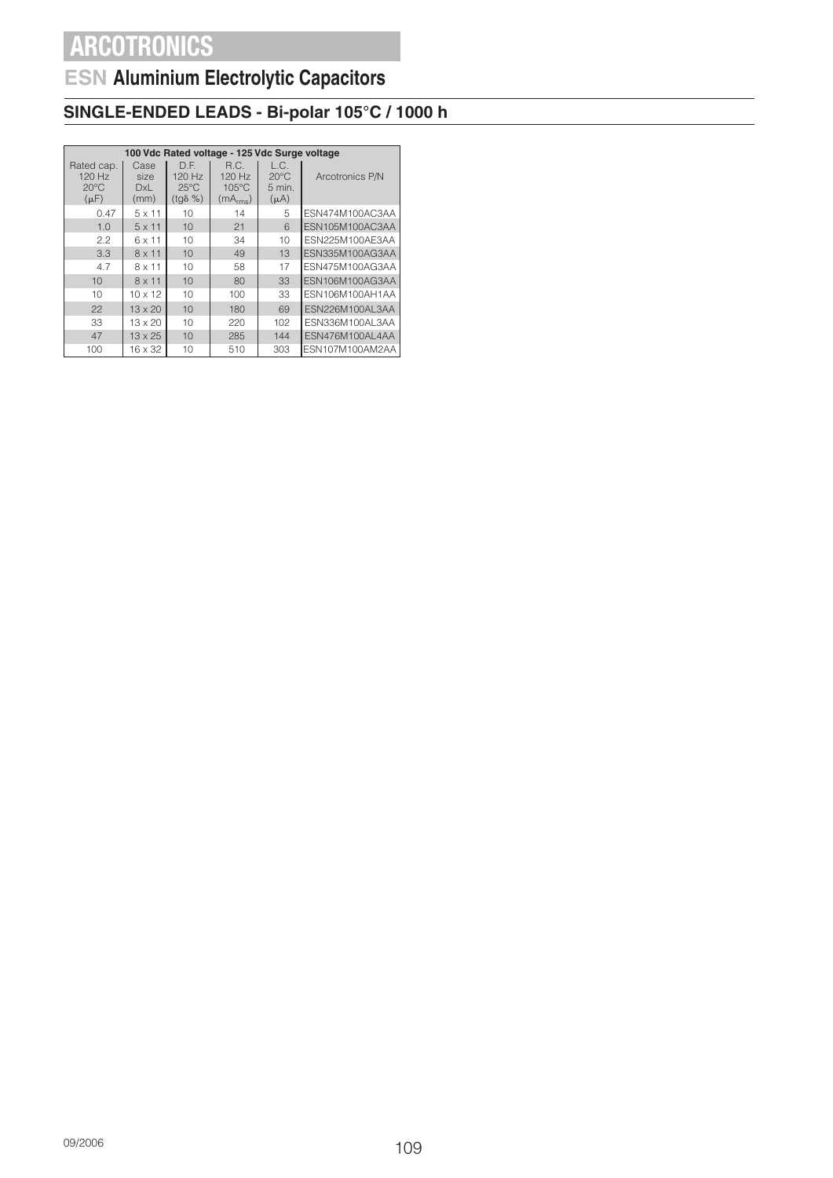## **ESN Aluminium Electrolytic Capacitors**

### **SINGLE-ENDED LEADS - Bi-polar 105°C / 1000 h**

|                                                     | 100 Vdc Rated voltage - 125 Vdc Surge voltage |                                                      |                                                           |                                               |                 |  |  |  |  |
|-----------------------------------------------------|-----------------------------------------------|------------------------------------------------------|-----------------------------------------------------------|-----------------------------------------------|-----------------|--|--|--|--|
| Rated cap.<br>120 Hz<br>$20^{\circ}$ C<br>$(\mu F)$ | Case<br>size<br>DxL<br>(mm)                   | D.F.<br>120 Hz<br>$25^{\circ}$ C<br>$(tq\delta \% )$ | R.C.<br>120 Hz<br>$105^{\circ}$ C<br>(mA <sub>rms</sub> ) | L.C.<br>$20^{\circ}$ C<br>5 min.<br>$(\mu A)$ | Arcotronics P/N |  |  |  |  |
| 0.47                                                | $5 \times 11$                                 | 10                                                   | 14                                                        | 5                                             | ESN474M100AC3AA |  |  |  |  |
| 1.0                                                 | $5 \times 11$                                 | 10                                                   | 21                                                        | 6                                             | ESN105M100AC3AA |  |  |  |  |
| 2.2                                                 | 6 x 11                                        | 10                                                   | 34                                                        | 10                                            | ESN225M100AE3AA |  |  |  |  |
| 3.3                                                 | $8 \times 11$                                 | 10                                                   | 49                                                        | 13                                            | ESN335M100AG3AA |  |  |  |  |
| 4.7                                                 | 8 x 11                                        | 10                                                   | 58                                                        | 17                                            | ESN475M100AG3AA |  |  |  |  |
| 10                                                  | $8 \times 11$                                 | 10                                                   | 80                                                        | 33                                            | ESN106M100AG3AA |  |  |  |  |
| $10^{-1}$                                           | $10 \times 12$                                | 10                                                   | 100                                                       | 33                                            | ESN106M100AH1AA |  |  |  |  |
| 22                                                  | $13 \times 20$                                | 10                                                   | 180                                                       | 69                                            | ESN226M100AL3AA |  |  |  |  |
| 33                                                  | $13 \times 20$                                | 10                                                   | 220                                                       | 102                                           | ESN336M100AL3AA |  |  |  |  |
| 47                                                  | 13 x 25                                       | 10                                                   | 285                                                       | 144                                           | ESN476M100AL4AA |  |  |  |  |
| 100                                                 | 16 x 32                                       | 10                                                   | 510                                                       | 303                                           | ESN107M100AM2AA |  |  |  |  |